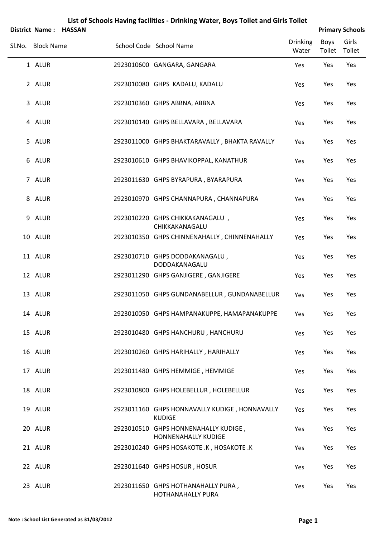| District Name: HASSAN |                                                                |                          |                | <b>Primary Schools</b> |
|-----------------------|----------------------------------------------------------------|--------------------------|----------------|------------------------|
| Sl.No. Block Name     | School Code School Name                                        | <b>Drinking</b><br>Water | Boys<br>Toilet | Girls<br>Toilet        |
| 1 ALUR                | 2923010600 GANGARA, GANGARA                                    | Yes                      | Yes            | Yes                    |
| 2 ALUR                | 2923010080 GHPS KADALU, KADALU                                 | Yes                      | Yes            | Yes                    |
| 3 ALUR                | 2923010360 GHPS ABBNA, ABBNA                                   | Yes                      | Yes            | Yes                    |
| 4 ALUR                | 2923010140 GHPS BELLAVARA, BELLAVARA                           | Yes                      | Yes            | Yes                    |
| 5 ALUR                | 2923011000 GHPS BHAKTARAVALLY, BHAKTA RAVALLY                  | Yes                      | Yes            | Yes                    |
| 6 ALUR                | 2923010610 GHPS BHAVIKOPPAL, KANATHUR                          | Yes                      | Yes            | Yes                    |
| 7 ALUR                | 2923011630 GHPS BYRAPURA, BYARAPURA                            | Yes                      | Yes            | Yes                    |
| 8 ALUR                | 2923010970 GHPS CHANNAPURA, CHANNAPURA                         | Yes                      | Yes            | Yes                    |
| 9 ALUR                | 2923010220 GHPS CHIKKAKANAGALU,<br>CHIKKAKANAGALU              | Yes                      | Yes            | Yes                    |
| 10 ALUR               | 2923010350 GHPS CHINNENAHALLY, CHINNENAHALLY                   | Yes                      | Yes            | Yes                    |
| 11 ALUR               | 2923010710 GHPS DODDAKANAGALU,<br>DODDAKANAGALU                | Yes                      | Yes            | Yes                    |
| 12 ALUR               | 2923011290 GHPS GANJIGERE, GANJIGERE                           | Yes                      | Yes            | Yes                    |
| 13 ALUR               | 2923011050 GHPS GUNDANABELLUR, GUNDANABELLUR                   | Yes                      | Yes            | Yes                    |
| 14 ALUR               | 2923010050 GHPS HAMPANAKUPPE, HAMAPANAKUPPE                    | Yes                      | Yes            | Yes                    |
| 15 ALUR               | 2923010480 GHPS HANCHURU, HANCHURU                             | Yes                      | Yes            | Yes                    |
| 16 ALUR               | 2923010260 GHPS HARIHALLY, HARIHALLY                           | Yes                      | Yes            | Yes                    |
| 17 ALUR               | 2923011480 GHPS HEMMIGE, HEMMIGE                               | Yes                      | Yes            | Yes                    |
| 18 ALUR               | 2923010800 GHPS HOLEBELLUR, HOLEBELLUR                         | Yes                      | Yes            | Yes                    |
| 19 ALUR               | 2923011160 GHPS HONNAVALLY KUDIGE, HONNAVALLY<br><b>KUDIGE</b> | Yes                      | Yes            | Yes                    |
| 20 ALUR               | 2923010510 GHPS HONNENAHALLY KUDIGE,<br>HONNENAHALLY KUDIGE    | Yes                      | Yes            | Yes                    |
| 21 ALUR               | 2923010240 GHPS HOSAKOTE .K, HOSAKOTE .K                       | Yes                      | Yes            | Yes                    |
| 22 ALUR               | 2923011640 GHPS HOSUR, HOSUR                                   | Yes                      | Yes            | Yes                    |
| 23 ALUR               | 2923011650 GHPS HOTHANAHALLY PURA,<br><b>HOTHANAHALLY PURA</b> | Yes                      | Yes            | Yes                    |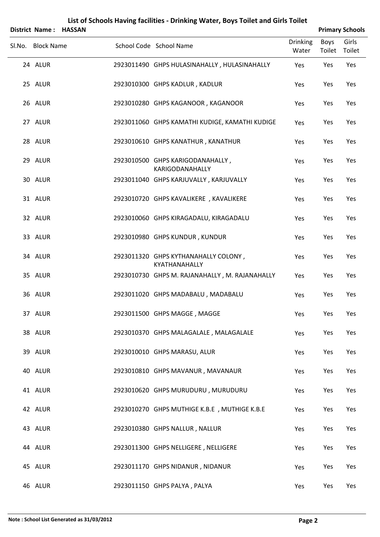|                   | District Name: HASSAN |                                                       |                          |                       | <b>Primary Schools</b> |
|-------------------|-----------------------|-------------------------------------------------------|--------------------------|-----------------------|------------------------|
| Sl.No. Block Name |                       | School Code School Name                               | <b>Drinking</b><br>Water | Boys<br>Toilet Toilet | Girls                  |
| 24 ALUR           |                       | 2923011490 GHPS HULASINAHALLY, HULASINAHALLY          | Yes                      | Yes                   | Yes                    |
| 25 ALUR           |                       | 2923010300 GHPS KADLUR, KADLUR                        | Yes                      | Yes                   | Yes                    |
| 26 ALUR           |                       | 2923010280 GHPS KAGANOOR, KAGANOOR                    | Yes                      | Yes                   | Yes                    |
| 27 ALUR           |                       | 2923011060 GHPS KAMATHI KUDIGE, KAMATHI KUDIGE        | Yes                      | Yes                   | Yes                    |
| 28 ALUR           |                       | 2923010610 GHPS KANATHUR, KANATHUR                    | Yes                      | Yes                   | Yes                    |
| 29 ALUR           |                       | 2923010500 GHPS KARIGODANAHALLY,<br>KARIGODANAHALLY   | Yes                      | Yes                   | Yes                    |
| 30 ALUR           |                       | 2923011040 GHPS KARJUVALLY, KARJUVALLY                | Yes                      | Yes                   | Yes                    |
| 31 ALUR           |                       | 2923010720 GHPS KAVALIKERE, KAVALIKERE                | Yes                      | Yes                   | Yes                    |
| 32 ALUR           |                       | 2923010060 GHPS KIRAGADALU, KIRAGADALU                | Yes                      | Yes                   | Yes                    |
| 33 ALUR           |                       | 2923010980 GHPS KUNDUR, KUNDUR                        | Yes                      | Yes                   | Yes                    |
| 34 ALUR           |                       | 2923011320 GHPS KYTHANAHALLY COLONY,<br>KYATHANAHALLY | Yes                      | Yes                   | Yes                    |
| 35 ALUR           |                       | 2923010730 GHPS M. RAJANAHALLY, M. RAJANAHALLY        | Yes                      | Yes                   | Yes                    |
| 36 ALUR           |                       | 2923011020 GHPS MADABALU, MADABALU                    | Yes                      | Yes                   | Yes                    |
| 37 ALUR           |                       | 2923011500 GHPS MAGGE, MAGGE                          | Yes                      | Yes                   | Yes                    |
| 38 ALUR           |                       | 2923010370 GHPS MALAGALALE, MALAGALALE                | Yes                      | Yes                   | Yes                    |
| 39 ALUR           |                       | 2923010010 GHPS MARASU, ALUR                          | Yes                      | Yes                   | Yes                    |
| 40 ALUR           |                       | 2923010810 GHPS MAVANUR, MAVANAUR                     | Yes                      | Yes                   | Yes                    |
| 41 ALUR           |                       | 2923010620 GHPS MURUDURU, MURUDURU                    | Yes                      | Yes                   | Yes                    |
| 42 ALUR           |                       | 2923010270 GHPS MUTHIGE K.B.E , MUTHIGE K.B.E         | Yes                      | Yes                   | Yes                    |
| 43 ALUR           |                       | 2923010380 GHPS NALLUR, NALLUR                        | Yes                      | Yes                   | Yes                    |
| 44 ALUR           |                       | 2923011300 GHPS NELLIGERE, NELLIGERE                  | Yes                      | Yes                   | Yes                    |
| 45 ALUR           |                       | 2923011170 GHPS NIDANUR, NIDANUR                      | Yes                      | Yes                   | Yes                    |
| 46 ALUR           |                       | 2923011150 GHPS PALYA, PALYA                          | Yes                      | Yes                   | Yes                    |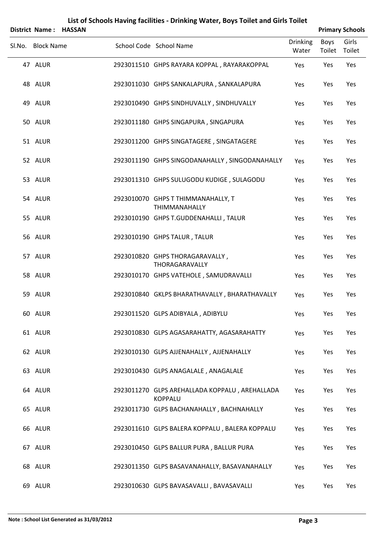| District Name: HASSAN |  |                                                                  |                          |                | <b>Primary Schools</b> |
|-----------------------|--|------------------------------------------------------------------|--------------------------|----------------|------------------------|
| Sl.No. Block Name     |  | School Code School Name                                          | <b>Drinking</b><br>Water | Boys<br>Toilet | Girls<br>Toilet        |
| 47 ALUR               |  | 2923011510 GHPS RAYARA KOPPAL, RAYARAKOPPAL                      | Yes                      | Yes            | Yes                    |
| 48 ALUR               |  | 2923011030 GHPS SANKALAPURA, SANKALAPURA                         | Yes                      | Yes            | Yes                    |
| 49 ALUR               |  | 2923010490 GHPS SINDHUVALLY, SINDHUVALLY                         | Yes                      | Yes            | Yes                    |
| 50 ALUR               |  | 2923011180 GHPS SINGAPURA, SINGAPURA                             | Yes                      | Yes            | Yes                    |
| 51 ALUR               |  | 2923011200 GHPS SINGATAGERE, SINGATAGERE                         | Yes                      | Yes            | Yes                    |
| 52 ALUR               |  | 2923011190 GHPS SINGODANAHALLY, SINGODANAHALLY                   | Yes                      | Yes            | Yes                    |
| 53 ALUR               |  | 2923011310 GHPS SULUGODU KUDIGE, SULAGODU                        | Yes                      | Yes            | Yes                    |
| 54 ALUR               |  | 2923010070 GHPS T THIMMANAHALLY, T<br>THIMMANAHALLY              | Yes                      | Yes            | Yes                    |
| 55 ALUR               |  | 2923010190 GHPS T.GUDDENAHALLI, TALUR                            | Yes                      | Yes            | Yes                    |
| 56 ALUR               |  | 2923010190 GHPS TALUR, TALUR                                     | Yes                      | Yes            | Yes                    |
| 57 ALUR               |  | 2923010820 GHPS THORAGARAVALLY,<br>THORAGARAVALLY                | Yes                      | Yes            | Yes                    |
| 58 ALUR               |  | 2923010170 GHPS VATEHOLE, SAMUDRAVALLI                           | Yes                      | Yes            | Yes                    |
| 59 ALUR               |  | 2923010840 GKLPS BHARATHAVALLY, BHARATHAVALLY                    | Yes                      | Yes            | Yes                    |
| 60 ALUR               |  | 2923011520 GLPS ADIBYALA, ADIBYLU                                | Yes                      | Yes            | Yes                    |
| 61 ALUR               |  | 2923010830 GLPS AGASARAHATTY, AGASARAHATTY                       | Yes                      | Yes            | Yes                    |
| 62 ALUR               |  | 2923010130 GLPS AJJENAHALLY, AJJENAHALLY                         | Yes                      | Yes            | Yes                    |
| 63 ALUR               |  | 2923010430 GLPS ANAGALALE, ANAGALALE                             | Yes                      | Yes            | Yes                    |
| 64 ALUR               |  | 2923011270 GLPS AREHALLADA KOPPALU, AREHALLADA<br><b>KOPPALU</b> | Yes                      | Yes            | Yes                    |
| 65 ALUR               |  | 2923011730 GLPS BACHANAHALLY, BACHNAHALLY                        | Yes                      | Yes            | Yes                    |
| 66 ALUR               |  | 2923011610 GLPS BALERA KOPPALU, BALERA KOPPALU                   | Yes                      | Yes            | Yes                    |
| 67 ALUR               |  | 2923010450 GLPS BALLUR PURA, BALLUR PURA                         | Yes                      | Yes            | Yes                    |
| 68 ALUR               |  | 2923011350 GLPS BASAVANAHALLY, BASAVANAHALLY                     | Yes                      | Yes            | Yes                    |
| 69 ALUR               |  | 2923010630 GLPS BAVASAVALLI, BAVASAVALLI                         | Yes                      | Yes            | Yes                    |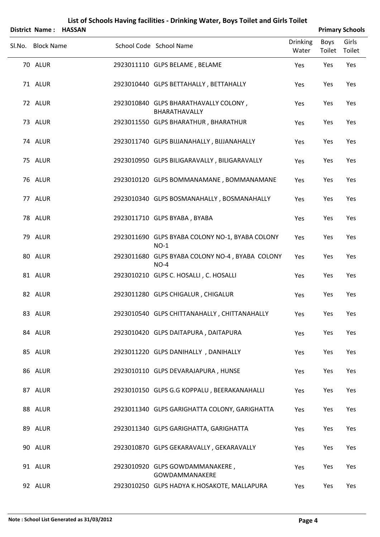| District Name: HASSAN |                                                               |                          |                       | <b>Primary Schools</b> |
|-----------------------|---------------------------------------------------------------|--------------------------|-----------------------|------------------------|
| Sl.No. Block Name     | School Code School Name                                       | <b>Drinking</b><br>Water | Boys<br>Toilet Toilet | Girls                  |
| 70 ALUR               | 2923011110 GLPS BELAME, BELAME                                | Yes                      | Yes                   | Yes                    |
| 71 ALUR               | 2923010440 GLPS BETTAHALLY, BETTAHALLY                        | Yes                      | Yes                   | Yes                    |
| 72 ALUR               | 2923010840 GLPS BHARATHAVALLY COLONY,<br><b>BHARATHAVALLY</b> | Yes                      | Yes                   | Yes                    |
| 73 ALUR               | 2923011550 GLPS BHARATHUR, BHARATHUR                          | Yes                      | Yes                   | Yes                    |
| 74 ALUR               | 2923011740 GLPS BIJJANAHALLY, BIJJANAHALLY                    | Yes                      | Yes                   | Yes                    |
| 75 ALUR               | 2923010950 GLPS BILIGARAVALLY, BILIGARAVALLY                  | Yes                      | Yes                   | Yes                    |
| 76 ALUR               | 2923010120 GLPS BOMMANAMANE, BOMMANAMANE                      | Yes                      | Yes                   | Yes                    |
| 77 ALUR               | 2923010340 GLPS BOSMANAHALLY, BOSMANAHALLY                    | Yes                      | Yes                   | Yes                    |
| 78 ALUR               | 2923011710 GLPS BYABA, BYABA                                  | Yes                      | Yes                   | Yes                    |
| 79 ALUR               | 2923011690 GLPS BYABA COLONY NO-1, BYABA COLONY<br>$NO-1$     | Yes                      | Yes                   | Yes                    |
| 80 ALUR               | 2923011680 GLPS BYABA COLONY NO-4, BYABA COLONY<br>$NO-4$     | Yes                      | Yes                   | Yes                    |
| 81 ALUR               | 2923010210 GLPS C. HOSALLI, C. HOSALLI                        | Yes                      | Yes                   | Yes                    |
| 82 ALUR               | 2923011280 GLPS CHIGALUR, CHIGALUR                            | Yes                      | Yes                   | Yes                    |
| 83 ALUR               | 2923010540 GLPS CHITTANAHALLY, CHITTANAHALLY                  | Yes                      | Yes                   | Yes                    |
| 84 ALUR               | 2923010420 GLPS DAITAPURA, DAITAPURA                          | Yes                      | Yes                   | Yes                    |
| 85 ALUR               | 2923011220 GLPS DANIHALLY, DANIHALLY                          | Yes                      | Yes                   | Yes                    |
| 86 ALUR               | 2923010110 GLPS DEVARAJAPURA, HUNSE                           | Yes                      | Yes                   | Yes                    |
| 87 ALUR               | 2923010150 GLPS G.G KOPPALU, BEERAKANAHALLI                   | Yes                      | Yes                   | Yes                    |
| 88 ALUR               | 2923011340 GLPS GARIGHATTA COLONY, GARIGHATTA                 | Yes                      | Yes                   | Yes                    |
| 89 ALUR               | 2923011340 GLPS GARIGHATTA, GARIGHATTA                        | Yes                      | Yes                   | Yes                    |
| 90 ALUR               | 2923010870 GLPS GEKARAVALLY, GEKARAVALLY                      | Yes                      | Yes                   | Yes                    |
| 91 ALUR               | 2923010920 GLPS GOWDAMMANAKERE,<br><b>GOWDAMMANAKERE</b>      | Yes                      | Yes                   | Yes                    |
| 92 ALUR               | 2923010250 GLPS HADYA K.HOSAKOTE, MALLAPURA                   | Yes                      | Yes                   | Yes                    |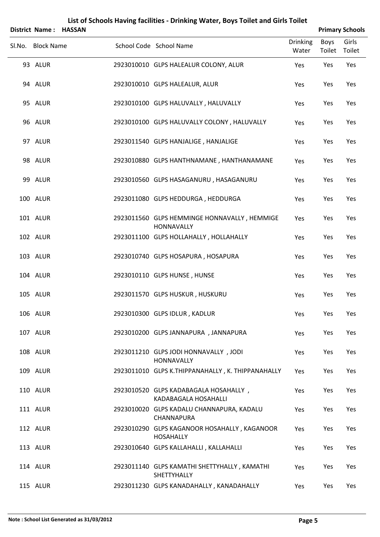| District Name: HASSAN |                                                                  |                          |                | <b>Primary Schools</b> |
|-----------------------|------------------------------------------------------------------|--------------------------|----------------|------------------------|
| Sl.No. Block Name     | School Code School Name                                          | <b>Drinking</b><br>Water | Boys<br>Toilet | Girls<br>Toilet        |
| 93 ALUR               | 2923010010 GLPS HALEALUR COLONY, ALUR                            | Yes                      | Yes            | Yes                    |
| 94 ALUR               | 2923010010 GLPS HALEALUR, ALUR                                   | Yes                      | Yes            | Yes                    |
| 95 ALUR               | 2923010100 GLPS HALUVALLY, HALUVALLY                             | Yes                      | Yes            | Yes                    |
| 96 ALUR               | 2923010100 GLPS HALUVALLY COLONY, HALUVALLY                      | Yes                      | Yes            | Yes                    |
| 97 ALUR               | 2923011540 GLPS HANJALIGE, HANJALIGE                             | Yes                      | Yes            | Yes                    |
| 98 ALUR               | 2923010880 GLPS HANTHNAMANE, HANTHANAMANE                        | Yes                      | Yes            | Yes                    |
| 99 ALUR               | 2923010560 GLPS HASAGANURU, HASAGANURU                           | Yes                      | Yes            | Yes                    |
| 100 ALUR              | 2923011080 GLPS HEDDURGA, HEDDURGA                               | Yes                      | Yes            | Yes                    |
| 101 ALUR              | 2923011560 GLPS HEMMINGE HONNAVALLY, HEMMIGE<br>HONNAVALLY       | Yes                      | Yes            | Yes                    |
| 102 ALUR              | 2923011100 GLPS HOLLAHALLY, HOLLAHALLY                           | Yes                      | Yes            | Yes                    |
| 103 ALUR              | 2923010740 GLPS HOSAPURA, HOSAPURA                               | Yes                      | Yes            | Yes                    |
| 104 ALUR              | 2923010110 GLPS HUNSE, HUNSE                                     | Yes                      | Yes            | Yes                    |
| 105 ALUR              | 2923011570 GLPS HUSKUR, HUSKURU                                  | Yes                      | Yes            | Yes                    |
| 106 ALUR              | 2923010300 GLPS IDLUR, KADLUR                                    | Yes                      | Yes            | Yes                    |
| 107 ALUR              | 2923010200 GLPS JANNAPURA, JANNAPURA                             | Yes                      | Yes            | Yes                    |
| 108 ALUR              | 2923011210 GLPS JODI HONNAVALLY, JODI<br>HONNAVALLY              | Yes                      | Yes            | Yes                    |
| 109 ALUR              | 2923011010 GLPS K.THIPPANAHALLY, K. THIPPANAHALLY                | Yes                      | Yes            | Yes                    |
| 110 ALUR              | 2923010520 GLPS KADABAGALA HOSAHALLY,<br>KADABAGALA HOSAHALLI    | Yes                      | Yes            | Yes                    |
| 111 ALUR              | 2923010020 GLPS KADALU CHANNAPURA, KADALU<br>CHANNAPURA          | Yes                      | Yes            | Yes                    |
| 112 ALUR              | 2923010290 GLPS KAGANOOR HOSAHALLY, KAGANOOR<br><b>HOSAHALLY</b> | Yes                      | Yes            | Yes                    |
| 113 ALUR              | 2923010640 GLPS KALLAHALLI, KALLAHALLI                           | Yes                      | Yes            | Yes                    |
| 114 ALUR              | 2923011140 GLPS KAMATHI SHETTYHALLY, KAMATHI<br>SHETTYHALLY      | Yes                      | Yes            | Yes                    |
| 115 ALUR              | 2923011230 GLPS KANADAHALLY, KANADAHALLY                         | Yes                      | Yes            | Yes                    |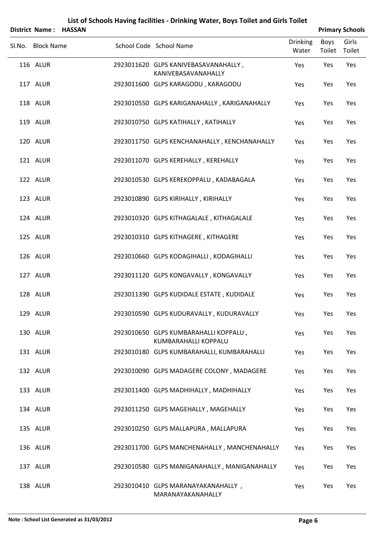| District Name: HASSAN |  |                                                               |                          |                       | <b>Primary Schools</b> |
|-----------------------|--|---------------------------------------------------------------|--------------------------|-----------------------|------------------------|
| Sl.No. Block Name     |  | School Code School Name                                       | <b>Drinking</b><br>Water | Boys<br>Toilet Toilet | Girls                  |
| 116 ALUR              |  | 2923011620 GLPS KANIVEBASAVANAHALLY,<br>KANIVEBASAVANAHALLY   | Yes                      | Yes                   | Yes                    |
| 117 ALUR              |  | 2923011600 GLPS KARAGODU, KARAGODU                            | Yes                      | Yes                   | Yes                    |
| 118 ALUR              |  | 2923010550 GLPS KARIGANAHALLY, KARIGANAHALLY                  | Yes                      | Yes                   | Yes                    |
| 119 ALUR              |  | 2923010750 GLPS KATIHALLY, KATIHALLY                          | Yes                      | Yes                   | Yes                    |
| 120 ALUR              |  | 2923011750 GLPS KENCHANAHALLY, KENCHANAHALLY                  | Yes                      | Yes                   | Yes                    |
| 121 ALUR              |  | 2923011070 GLPS KEREHALLY, KEREHALLY                          | Yes                      | Yes                   | Yes                    |
| 122 ALUR              |  | 2923010530 GLPS KEREKOPPALU, KADABAGALA                       | Yes                      | Yes                   | Yes                    |
| 123 ALUR              |  | 2923010890 GLPS KIRIHALLY, KIRIHALLY                          | Yes                      | Yes                   | Yes                    |
| 124 ALUR              |  | 2923010320 GLPS KITHAGALALE, KITHAGALALE                      | Yes                      | Yes                   | Yes                    |
| 125 ALUR              |  | 2923010310 GLPS KITHAGERE, KITHAGERE                          | Yes                      | Yes                   | Yes                    |
| 126 ALUR              |  | 2923010660 GLPS KODAGIHALLI, KODAGIHALLI                      | Yes                      | Yes                   | Yes                    |
| 127 ALUR              |  | 2923011120 GLPS KONGAVALLY, KONGAVALLY                        | Yes                      | Yes                   | Yes                    |
| 128 ALUR              |  | 2923011390 GLPS KUDIDALE ESTATE, KUDIDALE                     | Yes                      | Yes                   | Yes                    |
| 129 ALUR              |  | 2923010590 GLPS KUDURAVALLY, KUDURAVALLY                      | Yes                      | Yes                   | Yes                    |
| 130 ALUR              |  | 2923010650 GLPS KUMBARAHALLI KOPPALU,<br>KUMBARAHALLI KOPPALU | Yes                      | Yes                   | Yes                    |
| 131 ALUR              |  | 2923010180 GLPS KUMBARAHALLI, KUMBARAHALLI                    | Yes                      | Yes                   | Yes                    |
| 132 ALUR              |  | 2923010090 GLPS MADAGERE COLONY, MADAGERE                     | Yes                      | Yes                   | Yes                    |
| 133 ALUR              |  | 2923011400 GLPS MADHIHALLY, MADHIHALLY                        | Yes                      | Yes                   | Yes                    |
| 134 ALUR              |  | 2923011250 GLPS MAGEHALLY, MAGEHALLY                          | Yes                      | Yes                   | Yes                    |
| 135 ALUR              |  | 2923010250 GLPS MALLAPURA, MALLAPURA                          | Yes                      | Yes                   | Yes                    |
| 136 ALUR              |  | 2923011700 GLPS MANCHENAHALLY, MANCHENAHALLY                  | Yes                      | Yes                   | Yes                    |
| 137 ALUR              |  | 2923010580 GLPS MANIGANAHALLY, MANIGANAHALLY                  | Yes                      | Yes                   | Yes                    |
| 138 ALUR              |  | 2923010410 GLPS MARANAYAKANAHALLY,<br>MARANAYAKANAHALLY       | Yes                      | Yes                   | Yes                    |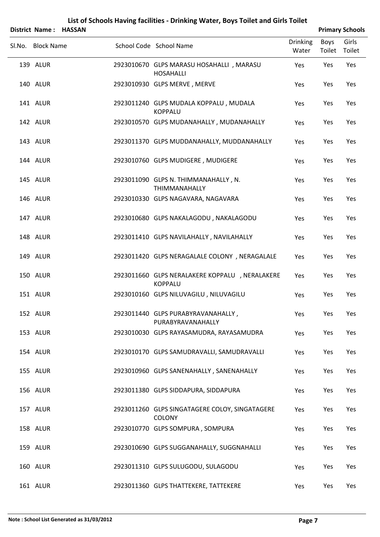| District Name: HASSAN |                                                                   |                          |                | <b>Primary Schools</b> |
|-----------------------|-------------------------------------------------------------------|--------------------------|----------------|------------------------|
| Sl.No. Block Name     | School Code School Name                                           | <b>Drinking</b><br>Water | Boys<br>Toilet | Girls<br>Toilet        |
| 139 ALUR              | 2923010670 GLPS MARASU HOSAHALLI, MARASU<br><b>HOSAHALLI</b>      | Yes                      | Yes            | Yes                    |
| 140 ALUR              | 2923010930 GLPS MERVE, MERVE                                      | Yes                      | Yes            | Yes                    |
| 141 ALUR              | 2923011240 GLPS MUDALA KOPPALU, MUDALA<br><b>KOPPALU</b>          | Yes                      | Yes            | Yes                    |
| 142 ALUR              | 2923010570 GLPS MUDANAHALLY, MUDANAHALLY                          | Yes                      | Yes            | Yes                    |
| 143 ALUR              | 2923011370 GLPS MUDDANAHALLY, MUDDANAHALLY                        | Yes                      | Yes            | Yes                    |
| 144 ALUR              | 2923010760 GLPS MUDIGERE, MUDIGERE                                | Yes                      | Yes            | Yes                    |
| 145 ALUR              | 2923011090 GLPS N. THIMMANAHALLY, N.<br>THIMMANAHALLY             | Yes                      | Yes            | Yes                    |
| 146 ALUR              | 2923010330 GLPS NAGAVARA, NAGAVARA                                | Yes                      | Yes            | Yes                    |
| 147 ALUR              | 2923010680 GLPS NAKALAGODU, NAKALAGODU                            | Yes                      | Yes            | Yes                    |
| 148 ALUR              | 2923011410 GLPS NAVILAHALLY, NAVILAHALLY                          | Yes                      | Yes            | Yes                    |
| 149 ALUR              | 2923011420 GLPS NERAGALALE COLONY, NERAGALALE                     | Yes                      | Yes            | Yes                    |
| 150 ALUR              | 2923011660 GLPS NERALAKERE KOPPALU , NERALAKERE<br><b>KOPPALU</b> | Yes                      | Yes            | Yes                    |
| 151 ALUR              | 2923010160 GLPS NILUVAGILU, NILUVAGILU                            | Yes                      | Yes            | Yes                    |
| 152 ALUR              | 2923011440 GLPS PURABYRAVANAHALLY,<br>PURABYRAVANAHALLY           | Yes                      | Yes            | Yes                    |
| 153 ALUR              | 2923010030 GLPS RAYASAMUDRA, RAYASAMUDRA                          | Yes                      | Yes            | Yes                    |
| 154 ALUR              | 2923010170 GLPS SAMUDRAVALLI, SAMUDRAVALLI                        | Yes                      | Yes            | Yes                    |
| 155 ALUR              | 2923010960 GLPS SANENAHALLY, SANENAHALLY                          | Yes                      | Yes            | Yes                    |
| 156 ALUR              | 2923011380 GLPS SIDDAPURA, SIDDAPURA                              | Yes                      | Yes            | Yes                    |
| 157 ALUR              | 2923011260 GLPS SINGATAGERE COLOY, SINGATAGERE<br><b>COLONY</b>   | Yes                      | Yes            | Yes                    |
| 158 ALUR              | 2923010770 GLPS SOMPURA, SOMPURA                                  | Yes                      | Yes            | Yes                    |
| 159 ALUR              | 2923010690 GLPS SUGGANAHALLY, SUGGNAHALLI                         | Yes                      | Yes            | Yes                    |
| 160 ALUR              | 2923011310 GLPS SULUGODU, SULAGODU                                | Yes                      | Yes            | Yes                    |
| 161 ALUR              | 2923011360 GLPS THATTEKERE, TATTEKERE                             | Yes                      | Yes            | Yes                    |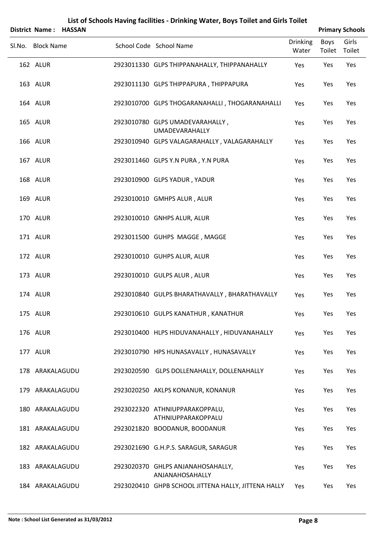|                   | District Name: HASSAN |                                                      |                          |                | <b>Primary Schools</b> |
|-------------------|-----------------------|------------------------------------------------------|--------------------------|----------------|------------------------|
| Sl.No. Block Name |                       | School Code School Name                              | <b>Drinking</b><br>Water | Boys<br>Toilet | Girls<br>Toilet        |
| 162 ALUR          |                       | 2923011330 GLPS THIPPANAHALLY, THIPPANAHALLY         | Yes                      | Yes            | Yes                    |
| 163 ALUR          |                       | 2923011130 GLPS THIPPAPURA, THIPPAPURA               | Yes                      | Yes            | Yes                    |
| 164 ALUR          |                       | 2923010700 GLPS THOGARANAHALLI, THOGARANAHALLI       | Yes                      | Yes            | Yes                    |
| 165 ALUR          |                       | 2923010780 GLPS UMADEVARAHALLY,<br>UMADEVARAHALLY    | Yes                      | Yes            | Yes                    |
| 166 ALUR          |                       | 2923010940 GLPS VALAGARAHALLY, VALAGARAHALLY         | Yes                      | Yes            | Yes                    |
| 167 ALUR          |                       | 2923011460 GLPS Y.N PURA, Y.N PURA                   | Yes                      | Yes            | Yes                    |
| 168 ALUR          |                       | 2923010900 GLPS YADUR, YADUR                         | Yes                      | Yes            | Yes                    |
| 169 ALUR          |                       | 2923010010 GMHPS ALUR, ALUR                          | Yes                      | Yes            | Yes                    |
| 170 ALUR          |                       | 2923010010 GNHPS ALUR, ALUR                          | Yes                      | Yes            | Yes                    |
| 171 ALUR          |                       | 2923011500 GUHPS MAGGE, MAGGE                        | Yes                      | Yes            | Yes                    |
| 172 ALUR          |                       | 2923010010 GUHPS ALUR, ALUR                          | Yes                      | Yes            | Yes                    |
| 173 ALUR          |                       | 2923010010 GULPS ALUR, ALUR                          | Yes                      | Yes            | Yes                    |
| 174 ALUR          |                       | 2923010840 GULPS BHARATHAVALLY, BHARATHAVALLY        | Yes                      | Yes            | Yes                    |
| 175 ALUR          |                       | 2923010610 GULPS KANATHUR, KANATHUR                  | Yes                      | Yes            | Yes                    |
| 176 ALUR          |                       | 2923010400 HLPS HIDUVANAHALLY, HIDUVANAHALLY         | Yes                      | Yes            | Yes                    |
| 177 ALUR          |                       | 2923010790 HPS HUNASAVALLY, HUNASAVALLY              | Yes                      | Yes            | Yes                    |
| 178 ARAKALAGUDU   |                       | 2923020590 GLPS DOLLENAHALLY, DOLLENAHALLY           | Yes                      | Yes            | Yes                    |
| 179 ARAKALAGUDU   |                       | 2923020250 AKLPS KONANUR, KONANUR                    | Yes                      | Yes            | Yes                    |
| 180 ARAKALAGUDU   |                       | 2923022320 ATHNIUPPARAKOPPALU,<br>ATHNIUPPARAKOPPALU | Yes                      | Yes            | Yes                    |
| 181 ARAKALAGUDU   |                       | 2923021820 BOODANUR, BOODANUR                        | Yes                      | Yes            | Yes                    |
| 182 ARAKALAGUDU   |                       | 2923021690 G.H.P.S. SARAGUR, SARAGUR                 | Yes                      | Yes            | Yes                    |
| 183 ARAKALAGUDU   |                       | 2923020370 GHLPS ANJANAHOSAHALLY,<br>ANJANAHOSAHALLY | Yes                      | Yes            | Yes                    |
| 184 ARAKALAGUDU   |                       | 2923020410 GHPB SCHOOL JITTENA HALLY, JITTENA HALLY  | Yes                      | Yes            | Yes                    |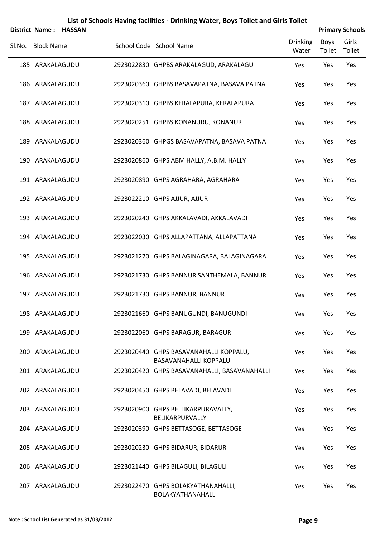|        |                       |  | List of Schools Having facilities - Drinking Water, Boys Toilet and Girls Toilet |                          |                |                        |
|--------|-----------------------|--|----------------------------------------------------------------------------------|--------------------------|----------------|------------------------|
|        | District Name: HASSAN |  |                                                                                  |                          |                | <b>Primary Schools</b> |
| Sl.No. | <b>Block Name</b>     |  | School Code School Name                                                          | <b>Drinking</b><br>Water | Boys<br>Toilet | Girls<br>Toilet        |
|        | 185 ARAKALAGUDU       |  | 2923022830 GHPBS ARAKALAGUD, ARAKALAGU                                           | Yes                      | Yes            | Yes                    |
|        | 186 ARAKALAGUDU       |  | 2923020360 GHPBS BASAVAPATNA, BASAVA PATNA                                       | Yes                      | Yes            | Yes                    |
|        | 187 ARAKALAGUDU       |  | 2923020310 GHPBS KERALAPURA, KERALAPURA                                          | Yes                      | Yes            | Yes                    |
|        | 188 ARAKALAGUDU       |  | 2923020251 GHPBS KONANURU, KONANUR                                               | Yes                      | Yes            | Yes                    |
|        | 189 ARAKALAGUDU       |  | 2923020360 GHPGS BASAVAPATNA, BASAVA PATNA                                       | Yes                      | Yes            | Yes                    |
|        | 190 ARAKALAGUDU       |  | 2923020860 GHPS ABM HALLY, A.B.M. HALLY                                          | Yes                      | Yes            | Yes                    |
|        | 191 ARAKALAGUDU       |  | 2923020890 GHPS AGRAHARA, AGRAHARA                                               | Yes                      | Yes            | Yes                    |
|        | 192 ARAKALAGUDU       |  | 2923022210 GHPS AJJUR, AJJUR                                                     | Yes                      | Yes            | Yes                    |
|        | 193 ARAKALAGUDU       |  | 2923020240 GHPS AKKALAVADI, AKKALAVADI                                           | Yes                      | Yes            | Yes                    |
|        | 194 ARAKALAGUDU       |  | 2923022030 GHPS ALLAPATTANA, ALLAPATTANA                                         | Yes                      | Yes            | Yes                    |
|        | 195 ARAKALAGUDU       |  | 2923021270 GHPS BALAGINAGARA, BALAGINAGARA                                       | Yes                      | Yes            | Yes                    |
|        | 196 ARAKALAGUDU       |  | 2923021730 GHPS BANNUR SANTHEMALA, BANNUR                                        | Yes                      | Yes            | Yes                    |
|        | 197 ARAKALAGUDU       |  | 2923021730 GHPS BANNUR, BANNUR                                                   | Yes                      | Yes            | Yes                    |
|        | 198 ARAKALAGUDU       |  | 2923021660 GHPS BANUGUNDI, BANUGUNDI                                             | Yes                      | Yes            | Yes                    |
|        | 199 ARAKALAGUDU       |  | 2923022060 GHPS BARAGUR, BARAGUR                                                 | Yes                      | Yes            | Yes                    |
|        | 200 ARAKALAGUDU       |  | 2923020440 GHPS BASAVANAHALLI KOPPALU,<br>BASAVANAHALLI KOPPALU                  | Yes                      | Yes            | Yes                    |
|        | 201 ARAKALAGUDU       |  | 2923020420 GHPS BASAVANAHALLI, BASAVANAHALLI                                     | Yes                      | Yes            | Yes                    |
|        | 202 ARAKALAGUDU       |  | 2923020450 GHPS BELAVADI, BELAVADI                                               | Yes                      | Yes            | Yes                    |
|        | 203 ARAKALAGUDU       |  | 2923020900 GHPS BELLIKARPURAVALLY,<br><b>BELIKARPURVALLY</b>                     | Yes                      | Yes            | Yes                    |
|        | 204 ARAKALAGUDU       |  | 2923020390 GHPS BETTASOGE, BETTASOGE                                             | Yes                      | Yes            | Yes                    |
|        | 205 ARAKALAGUDU       |  | 2923020230 GHPS BIDARUR, BIDARUR                                                 | Yes                      | Yes            | Yes                    |
|        | 206 ARAKALAGUDU       |  | 2923021440 GHPS BILAGULI, BILAGULI                                               | Yes                      | Yes            | Yes                    |
|        | 207 ARAKALAGUDU       |  | 2923022470 GHPS BOLAKYATHANAHALLI,<br>BOLAKYATHANAHALLI                          | Yes                      | Yes            | Yes                    |

### **Note : School List Generated as 31/03/2012 Page 9**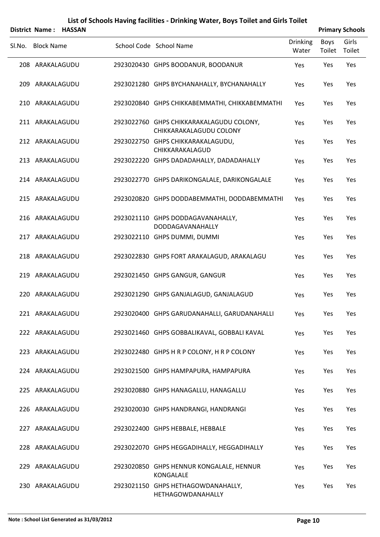|        |                   | District Name: HASSAN |                                                                     |                          |                | <b>Primary Schools</b> |
|--------|-------------------|-----------------------|---------------------------------------------------------------------|--------------------------|----------------|------------------------|
| SI.No. | <b>Block Name</b> |                       | School Code School Name                                             | <b>Drinking</b><br>Water | Boys<br>Toilet | Girls<br>Toilet        |
|        | 208 ARAKALAGUDU   |                       | 2923020430 GHPS BOODANUR, BOODANUR                                  | Yes                      | Yes            | Yes                    |
|        | 209 ARAKALAGUDU   |                       | 2923021280 GHPS BYCHANAHALLY, BYCHANAHALLY                          | Yes                      | Yes            | Yes                    |
|        | 210 ARAKALAGUDU   |                       | 2923020840 GHPS CHIKKABEMMATHI, CHIKKABEMMATHI                      | Yes                      | Yes            | Yes                    |
|        | 211 ARAKALAGUDU   |                       | 2923022760 GHPS CHIKKARAKALAGUDU COLONY,<br>CHIKKARAKALAGUDU COLONY | Yes                      | Yes            | Yes                    |
|        | 212 ARAKALAGUDU   |                       | 2923022750 GHPS CHIKKARAKALAGUDU,<br>CHIKKARAKALAGUD                | Yes                      | Yes            | Yes                    |
|        | 213 ARAKALAGUDU   |                       | 2923022220 GHPS DADADAHALLY, DADADAHALLY                            | Yes                      | Yes            | Yes                    |
|        | 214 ARAKALAGUDU   |                       | 2923022770 GHPS DARIKONGALALE, DARIKONGALALE                        | Yes                      | Yes            | Yes                    |
|        | 215 ARAKALAGUDU   |                       | 2923020820 GHPS DODDABEMMATHI, DODDABEMMATHI                        | Yes                      | Yes            | Yes                    |
|        | 216 ARAKALAGUDU   |                       | 2923021110 GHPS DODDAGAVANAHALLY,<br>DODDAGAVANAHALLY               | Yes                      | Yes            | Yes                    |
|        | 217 ARAKALAGUDU   |                       | 2923022110 GHPS DUMMI, DUMMI                                        | Yes                      | Yes            | Yes                    |
|        | 218 ARAKALAGUDU   |                       | 2923022830 GHPS FORT ARAKALAGUD, ARAKALAGU                          | Yes                      | Yes            | Yes                    |
|        | 219 ARAKALAGUDU   |                       | 2923021450 GHPS GANGUR, GANGUR                                      | Yes                      | Yes            | Yes                    |
|        | 220 ARAKALAGUDU   |                       | 2923021290 GHPS GANJALAGUD, GANJALAGUD                              | Yes                      | Yes            | Yes                    |
|        | 221 ARAKALAGUDU   |                       | 2923020400 GHPS GARUDANAHALLI, GARUDANAHALLI                        | Yes                      | Yes            | Yes                    |
|        | 222 ARAKALAGUDU   |                       | 2923021460 GHPS GOBBALIKAVAL, GOBBALI KAVAL                         | Yes                      | Yes            | Yes                    |
|        | 223 ARAKALAGUDU   |                       | 2923022480 GHPS H R P COLONY, H R P COLONY                          | Yes                      | Yes            | Yes                    |
|        | 224 ARAKALAGUDU   |                       | 2923021500 GHPS HAMPAPURA, HAMPAPURA                                | Yes                      | Yes            | Yes                    |
|        | 225 ARAKALAGUDU   |                       | 2923020880 GHPS HANAGALLU, HANAGALLU                                | Yes                      | Yes            | Yes                    |
|        | 226 ARAKALAGUDU   |                       | 2923020030 GHPS HANDRANGI, HANDRANGI                                | Yes                      | Yes            | Yes                    |
|        | 227 ARAKALAGUDU   |                       | 2923022400 GHPS HEBBALE, HEBBALE                                    | Yes                      | Yes            | Yes                    |
|        | 228 ARAKALAGUDU   |                       | 2923022070 GHPS HEGGADIHALLY, HEGGADIHALLY                          | Yes                      | Yes            | Yes                    |
|        | 229 ARAKALAGUDU   |                       | 2923020850 GHPS HENNUR KONGALALE, HENNUR<br>KONGALALE               | Yes                      | Yes            | Yes                    |
|        | 230 ARAKALAGUDU   |                       | 2923021150 GHPS HETHAGOWDANAHALLY,<br>HETHAGOWDANAHALLY             | Yes                      | Yes            | Yes                    |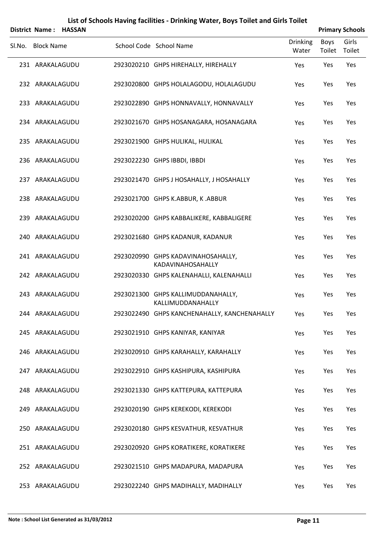|        |                   | District Name: HASSAN |                                                                |                          |                | <b>Primary Schools</b> |
|--------|-------------------|-----------------------|----------------------------------------------------------------|--------------------------|----------------|------------------------|
| Sl.No. | <b>Block Name</b> |                       | School Code School Name                                        | <b>Drinking</b><br>Water | Boys<br>Toilet | Girls<br>Toilet        |
|        | 231 ARAKALAGUDU   |                       | 2923020210 GHPS HIREHALLY, HIREHALLY                           | Yes                      | Yes            | Yes                    |
|        | 232 ARAKALAGUDU   |                       | 2923020800 GHPS HOLALAGODU, HOLALAGUDU                         | Yes                      | Yes            | Yes                    |
|        | 233 ARAKALAGUDU   |                       | 2923022890 GHPS HONNAVALLY, HONNAVALLY                         | Yes                      | Yes            | Yes                    |
|        | 234 ARAKALAGUDU   |                       | 2923021670 GHPS HOSANAGARA, HOSANAGARA                         | Yes                      | Yes            | Yes                    |
|        | 235 ARAKALAGUDU   |                       | 2923021900 GHPS HULIKAL, HULIKAL                               | Yes                      | Yes            | Yes                    |
|        | 236 ARAKALAGUDU   |                       | 2923022230 GHPS IBBDI, IBBDI                                   | Yes                      | Yes            | Yes                    |
|        | 237 ARAKALAGUDU   |                       | 2923021470 GHPS J HOSAHALLY, J HOSAHALLY                       | Yes                      | Yes            | Yes                    |
|        | 238 ARAKALAGUDU   |                       | 2923021700 GHPS K.ABBUR, K.ABBUR                               | Yes                      | Yes            | Yes                    |
|        | 239 ARAKALAGUDU   |                       | 2923020200 GHPS KABBALIKERE, KABBALIGERE                       | Yes                      | Yes            | Yes                    |
|        | 240 ARAKALAGUDU   |                       | 2923021680 GHPS KADANUR, KADANUR                               | Yes                      | Yes            | Yes                    |
|        | 241 ARAKALAGUDU   |                       | 2923020990 GHPS KADAVINAHOSAHALLY,<br><b>KADAVINAHOSAHALLY</b> | Yes                      | Yes            | Yes                    |
|        | 242 ARAKALAGUDU   |                       | 2923020330 GHPS KALENAHALLI, KALENAHALLI                       | Yes                      | Yes            | Yes                    |
| 243    | ARAKALAGUDU       |                       | 2923021300 GHPS KALLIMUDDANAHALLY,<br>KALLIMUDDANAHALLY        | Yes                      | Yes            | Yes                    |
|        | 244 ARAKALAGUDU   |                       | 2923022490 GHPS KANCHENAHALLY, KANCHENAHALLY                   | Yes                      | Yes            | Yes                    |
|        | 245 ARAKALAGUDU   |                       | 2923021910 GHPS KANIYAR, KANIYAR                               | Yes                      | Yes            | Yes                    |
|        | 246 ARAKALAGUDU   |                       | 2923020910 GHPS KARAHALLY, KARAHALLY                           | Yes                      | Yes            | Yes                    |
|        | 247 ARAKALAGUDU   |                       | 2923022910 GHPS KASHIPURA, KASHIPURA                           | Yes                      | Yes            | Yes                    |
|        | 248 ARAKALAGUDU   |                       | 2923021330 GHPS KATTEPURA, KATTEPURA                           | Yes                      | Yes            | Yes                    |
|        | 249 ARAKALAGUDU   |                       | 2923020190 GHPS KEREKODI, KEREKODI                             | Yes                      | Yes            | Yes                    |
|        | 250 ARAKALAGUDU   |                       | 2923020180 GHPS KESVATHUR, KESVATHUR                           | Yes                      | Yes            | Yes                    |
|        | 251 ARAKALAGUDU   |                       | 2923020920 GHPS KORATIKERE, KORATIKERE                         | Yes                      | Yes            | Yes                    |
|        | 252 ARAKALAGUDU   |                       | 2923021510 GHPS MADAPURA, MADAPURA                             | Yes                      | Yes            | Yes                    |
|        | 253 ARAKALAGUDU   |                       | 2923022240 GHPS MADIHALLY, MADIHALLY                           | Yes                      | Yes            | Yes                    |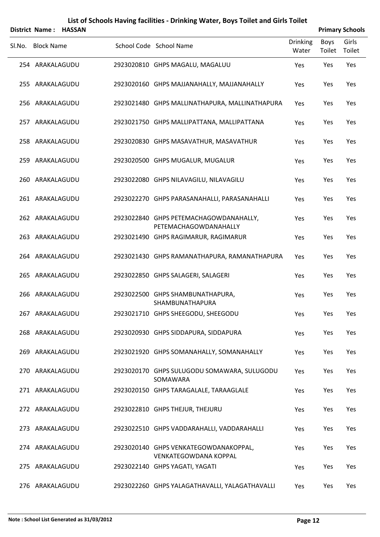|     |                   | District Name: HASSAN |                                                                       |                          |                       | <b>Primary Schools</b> |
|-----|-------------------|-----------------------|-----------------------------------------------------------------------|--------------------------|-----------------------|------------------------|
|     | Sl.No. Block Name |                       | School Code School Name                                               | <b>Drinking</b><br>Water | <b>Boys</b><br>Toilet | Girls<br>Toilet        |
|     | 254 ARAKALAGUDU   |                       | 2923020810 GHPS MAGALU, MAGALUU                                       | Yes                      | Yes                   | Yes                    |
|     | 255 ARAKALAGUDU   |                       | 2923020160 GHPS MAJJANAHALLY, MAJJANAHALLY                            | Yes                      | Yes                   | Yes                    |
|     | 256 ARAKALAGUDU   |                       | 2923021480 GHPS MALLINATHAPURA, MALLINATHAPURA                        | Yes                      | Yes                   | Yes                    |
|     | 257 ARAKALAGUDU   |                       | 2923021750 GHPS MALLIPATTANA, MALLIPATTANA                            | Yes                      | Yes                   | Yes                    |
|     | 258 ARAKALAGUDU   |                       | 2923020830 GHPS MASAVATHUR, MASAVATHUR                                | Yes                      | Yes                   | Yes                    |
|     | 259 ARAKALAGUDU   |                       | 2923020500 GHPS MUGALUR, MUGALUR                                      | Yes                      | Yes                   | Yes                    |
| 260 | ARAKALAGUDU       |                       | 2923022080 GHPS NILAVAGILU, NILAVAGILU                                | Yes                      | Yes                   | Yes                    |
|     | 261 ARAKALAGUDU   |                       | 2923022270 GHPS PARASANAHALLI, PARASANAHALLI                          | Yes                      | Yes                   | Yes                    |
|     | 262 ARAKALAGUDU   |                       | 2923022840 GHPS PETEMACHAGOWDANAHALLY,<br>PETEMACHAGOWDANAHALLY       | Yes                      | Yes                   | Yes                    |
|     | 263 ARAKALAGUDU   |                       | 2923021490 GHPS RAGIMARUR, RAGIMARUR                                  | Yes                      | Yes                   | Yes                    |
|     | 264 ARAKALAGUDU   |                       | 2923021430 GHPS RAMANATHAPURA, RAMANATHAPURA                          | Yes                      | Yes                   | Yes                    |
|     | 265 ARAKALAGUDU   |                       | 2923022850 GHPS SALAGERI, SALAGERI                                    | Yes                      | Yes                   | Yes                    |
|     | 266 ARAKALAGUDU   |                       | 2923022500 GHPS SHAMBUNATHAPURA,<br>SHAMBUNATHAPURA                   | Yes                      | Yes                   | Yes                    |
|     | 267 ARAKALAGUDU   |                       | 2923021710 GHPS SHEEGODU, SHEEGODU                                    | Yes                      | Yes                   | Yes                    |
|     | 268 ARAKALAGUDU   |                       | 2923020930 GHPS SIDDAPURA, SIDDAPURA                                  | Yes                      | Yes                   | Yes                    |
|     | 269 ARAKALAGUDU   |                       | 2923021920 GHPS SOMANAHALLY, SOMANAHALLY                              | Yes                      | Yes                   | Yes                    |
|     | 270 ARAKALAGUDU   |                       | 2923020170 GHPS SULUGODU SOMAWARA, SULUGODU<br>SOMAWARA               | Yes                      | Yes                   | Yes                    |
|     | 271 ARAKALAGUDU   |                       | 2923020150 GHPS TARAGALALE, TARAAGLALE                                | Yes                      | Yes                   | Yes                    |
|     | 272 ARAKALAGUDU   |                       | 2923022810 GHPS THEJUR, THEJURU                                       | Yes                      | Yes                   | Yes                    |
|     | 273 ARAKALAGUDU   |                       | 2923022510 GHPS VADDARAHALLI, VADDARAHALLI                            | Yes                      | Yes                   | Yes                    |
|     | 274 ARAKALAGUDU   |                       | 2923020140 GHPS VENKATEGOWDANAKOPPAL,<br><b>VENKATEGOWDANA KOPPAL</b> | Yes                      | Yes                   | Yes                    |
|     | 275 ARAKALAGUDU   |                       | 2923022140 GHPS YAGATI, YAGATI                                        | Yes                      | Yes                   | Yes                    |
|     | 276 ARAKALAGUDU   |                       | 2923022260 GHPS YALAGATHAVALLI, YALAGATHAVALLI                        | Yes                      | Yes                   | Yes                    |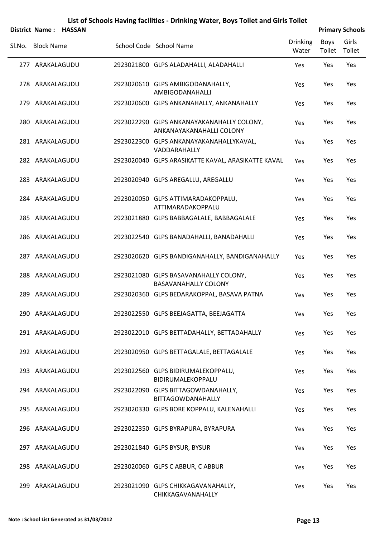|        |                   | District Name: HASSAN |                                                                       |                          |                | <b>Primary Schools</b> |
|--------|-------------------|-----------------------|-----------------------------------------------------------------------|--------------------------|----------------|------------------------|
| SI.No. | <b>Block Name</b> |                       | School Code School Name                                               | <b>Drinking</b><br>Water | Boys<br>Toilet | Girls<br>Toilet        |
|        | 277 ARAKALAGUDU   |                       | 2923021800 GLPS ALADAHALLI, ALADAHALLI                                | Yes                      | Yes            | Yes                    |
|        | 278 ARAKALAGUDU   |                       | 2923020610 GLPS AMBIGODANAHALLY,<br>AMBIGODANAHALLI                   | Yes                      | Yes            | Yes                    |
|        | 279 ARAKALAGUDU   |                       | 2923020600 GLPS ANKANAHALLY, ANKANAHALLY                              | Yes                      | Yes            | Yes                    |
|        | 280 ARAKALAGUDU   |                       | 2923022290 GLPS ANKANAYAKANAHALLY COLONY,<br>ANKANAYAKANAHALLI COLONY | Yes                      | Yes            | Yes                    |
|        | 281 ARAKALAGUDU   |                       | 2923022300 GLPS ANKANAYAKANAHALLYKAVAL,<br>VADDARAHALLY               | Yes                      | Yes            | Yes                    |
|        | 282 ARAKALAGUDU   |                       | 2923020040 GLPS ARASIKATTE KAVAL, ARASIKATTE KAVAL                    | Yes                      | Yes            | Yes                    |
|        | 283 ARAKALAGUDU   |                       | 2923020940 GLPS AREGALLU, AREGALLU                                    | Yes                      | Yes            | Yes                    |
|        | 284 ARAKALAGUDU   |                       | 2923020050 GLPS ATTIMARADAKOPPALU,<br>ATTIMARADAKOPPALU               | Yes                      | Yes            | Yes                    |
|        | 285 ARAKALAGUDU   |                       | 2923021880 GLPS BABBAGALALE, BABBAGALALE                              | Yes                      | Yes            | Yes                    |
|        | 286 ARAKALAGUDU   |                       | 2923022540 GLPS BANADAHALLI, BANADAHALLI                              | Yes                      | Yes            | Yes                    |
|        | 287 ARAKALAGUDU   |                       | 2923020620 GLPS BANDIGANAHALLY, BANDIGANAHALLY                        | Yes                      | Yes            | Yes                    |
|        | 288 ARAKALAGUDU   |                       | 2923021080 GLPS BASAVANAHALLY COLONY,<br><b>BASAVANAHALLY COLONY</b>  | Yes                      | Yes            | Yes                    |
|        | 289 ARAKALAGUDU   |                       | 2923020360 GLPS BEDARAKOPPAL, BASAVA PATNA                            | Yes                      | Yes            | Yes                    |
|        | 290 ARAKALAGUDU   |                       | 2923022550 GLPS BEEJAGATTA, BEEJAGATTA                                | Yes                      | Yes            | Yes                    |
|        | 291 ARAKALAGUDU   |                       | 2923022010 GLPS BETTADAHALLY, BETTADAHALLY                            | Yes                      | Yes            | Yes                    |
|        | 292 ARAKALAGUDU   |                       | 2923020950 GLPS BETTAGALALE, BETTAGALALE                              | Yes                      | Yes            | Yes                    |
|        | 293 ARAKALAGUDU   |                       | 2923022560 GLPS BIDIRUMALEKOPPALU,<br>BIDIRUMALEKOPPALU               | Yes                      | Yes            | Yes                    |
|        | 294 ARAKALAGUDU   |                       | 2923022090 GLPS BITTAGOWDANAHALLY,<br>BITTAGOWDANAHALLY               | Yes                      | Yes            | Yes                    |
|        | 295 ARAKALAGUDU   |                       | 2923020330 GLPS BORE KOPPALU, KALENAHALLI                             | Yes                      | Yes            | Yes                    |
|        | 296 ARAKALAGUDU   |                       | 2923022350 GLPS BYRAPURA, BYRAPURA                                    | Yes                      | Yes            | Yes                    |
|        | 297 ARAKALAGUDU   |                       | 2923021840 GLPS BYSUR, BYSUR                                          | Yes                      | Yes            | Yes                    |
|        | 298 ARAKALAGUDU   |                       | 2923020060 GLPS C ABBUR, C ABBUR                                      | Yes                      | Yes            | Yes                    |
|        | 299 ARAKALAGUDU   |                       | 2923021090 GLPS CHIKKAGAVANAHALLY,<br>CHIKKAGAVANAHALLY               | Yes                      | Yes            | Yes                    |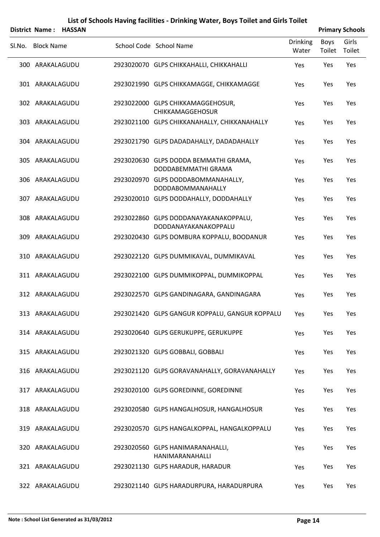|        |                   | District Name: HASSAN |                                                               |                          |                | <b>Primary Schools</b> |
|--------|-------------------|-----------------------|---------------------------------------------------------------|--------------------------|----------------|------------------------|
| SI.No. | <b>Block Name</b> |                       | School Code School Name                                       | <b>Drinking</b><br>Water | Boys<br>Toilet | Girls<br>Toilet        |
|        | 300 ARAKALAGUDU   |                       | 2923020070 GLPS CHIKKAHALLI, CHIKKAHALLI                      | Yes                      | Yes            | Yes                    |
|        | 301 ARAKALAGUDU   |                       | 2923021990 GLPS CHIKKAMAGGE, CHIKKAMAGGE                      | Yes                      | Yes            | Yes                    |
|        | 302 ARAKALAGUDU   |                       | 2923022000 GLPS CHIKKAMAGGEHOSUR,<br><b>CHIKKAMAGGEHOSUR</b>  | Yes                      | Yes            | Yes                    |
|        | 303 ARAKALAGUDU   |                       | 2923021100 GLPS CHIKKANAHALLY, CHIKKANAHALLY                  | Yes                      | Yes            | Yes                    |
|        | 304 ARAKALAGUDU   |                       | 2923021790 GLPS DADADAHALLY, DADADAHALLY                      | Yes                      | Yes            | Yes                    |
|        | 305 ARAKALAGUDU   |                       | 2923020630 GLPS DODDA BEMMATHI GRAMA,<br>DODDABEMMATHI GRAMA  | Yes                      | Yes            | Yes                    |
|        | 306 ARAKALAGUDU   |                       | 2923020970 GLPS DODDABOMMANAHALLY,<br>DODDABOMMANAHALLY       | Yes                      | Yes            | Yes                    |
|        | 307 ARAKALAGUDU   |                       | 2923020010 GLPS DODDAHALLY, DODDAHALLY                        | Yes                      | Yes            | Yes                    |
|        | 308 ARAKALAGUDU   |                       | 2923022860 GLPS DODDANAYAKANAKOPPALU,<br>DODDANAYAKANAKOPPALU | Yes                      | Yes            | Yes                    |
|        | 309 ARAKALAGUDU   |                       | 2923020430 GLPS DOMBURA KOPPALU, BOODANUR                     | Yes                      | Yes            | Yes                    |
|        | 310 ARAKALAGUDU   |                       | 2923022120 GLPS DUMMIKAVAL, DUMMIKAVAL                        | Yes                      | Yes            | Yes                    |
|        | 311 ARAKALAGUDU   |                       | 2923022100 GLPS DUMMIKOPPAL, DUMMIKOPPAL                      | Yes                      | Yes            | Yes                    |
|        | 312 ARAKALAGUDU   |                       | 2923022570 GLPS GANDINAGARA, GANDINAGARA                      | Yes                      | Yes            | Yes                    |
|        | 313 ARAKALAGUDU   |                       | 2923021420 GLPS GANGUR KOPPALU, GANGUR KOPPALU                | Yes                      | Yes            | Yes                    |
|        | 314 ARAKALAGUDU   |                       | 2923020640 GLPS GERUKUPPE, GERUKUPPE                          | Yes                      | Yes            | Yes                    |
|        | 315 ARAKALAGUDU   |                       | 2923021320 GLPS GOBBALI, GOBBALI                              | Yes                      | Yes            | Yes                    |
|        | 316 ARAKALAGUDU   |                       | 2923021120 GLPS GORAVANAHALLY, GORAVANAHALLY                  | Yes                      | Yes            | Yes                    |
|        | 317 ARAKALAGUDU   |                       | 2923020100 GLPS GOREDINNE, GOREDINNE                          | Yes                      | Yes            | Yes                    |
|        | 318 ARAKALAGUDU   |                       | 2923020580 GLPS HANGALHOSUR, HANGALHOSUR                      | Yes                      | Yes            | Yes                    |
|        | 319 ARAKALAGUDU   |                       | 2923020570 GLPS HANGALKOPPAL, HANGALKOPPALU                   | Yes                      | Yes            | Yes                    |
|        | 320 ARAKALAGUDU   |                       | 2923020560 GLPS HANIMARANAHALLI,<br>HANIMARANAHALLI           | Yes                      | Yes            | Yes                    |
|        | 321 ARAKALAGUDU   |                       | 2923021130 GLPS HARADUR, HARADUR                              | Yes                      | Yes            | Yes                    |
|        | 322 ARAKALAGUDU   |                       | 2923021140 GLPS HARADURPURA, HARADURPURA                      | Yes                      | Yes            | Yes                    |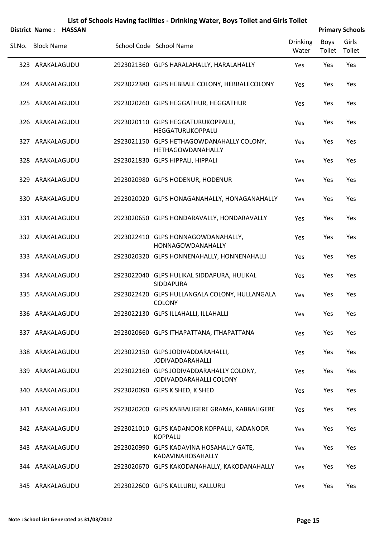|        | District Name: HASSAN |                                                                     |                          |                | <b>Primary Schools</b> |
|--------|-----------------------|---------------------------------------------------------------------|--------------------------|----------------|------------------------|
| SI.No. | <b>Block Name</b>     | School Code School Name                                             | <b>Drinking</b><br>Water | Boys<br>Toilet | Girls<br>Toilet        |
|        | 323 ARAKALAGUDU       | 2923021360 GLPS HARALAHALLY, HARALAHALLY                            | Yes                      | Yes            | Yes                    |
|        | 324 ARAKALAGUDU       | 2923022380 GLPS HEBBALE COLONY, HEBBALECOLONY                       | Yes                      | Yes            | Yes                    |
|        | 325 ARAKALAGUDU       | 2923020260 GLPS HEGGATHUR, HEGGATHUR                                | Yes                      | Yes            | Yes                    |
|        | 326 ARAKALAGUDU       | 2923020110 GLPS HEGGATURUKOPPALU,<br>HEGGATURUKOPPALU               | Yes                      | Yes            | Yes                    |
|        | 327 ARAKALAGUDU       | 2923021150 GLPS HETHAGOWDANAHALLY COLONY,<br>HETHAGOWDANAHALLY      | Yes                      | Yes            | Yes                    |
|        | 328 ARAKALAGUDU       | 2923021830 GLPS HIPPALI, HIPPALI                                    | Yes                      | Yes            | Yes                    |
|        | 329 ARAKALAGUDU       | 2923020980 GLPS HODENUR, HODENUR                                    | Yes                      | Yes            | Yes                    |
|        | 330 ARAKALAGUDU       | 2923020020 GLPS HONAGANAHALLY, HONAGANAHALLY                        | Yes                      | Yes            | Yes                    |
|        | 331 ARAKALAGUDU       | 2923020650 GLPS HONDARAVALLY, HONDARAVALLY                          | Yes                      | Yes            | Yes                    |
|        | 332 ARAKALAGUDU       | 2923022410 GLPS HONNAGOWDANAHALLY,<br>HONNAGOWDANAHALLY             | Yes                      | Yes            | Yes                    |
|        | 333 ARAKALAGUDU       | 2923020320 GLPS HONNENAHALLY, HONNENAHALLI                          | Yes                      | Yes            | Yes                    |
|        | 334 ARAKALAGUDU       | 2923022040 GLPS HULIKAL SIDDAPURA, HULIKAL<br><b>SIDDAPURA</b>      | Yes                      | Yes            | Yes                    |
|        | 335 ARAKALAGUDU       | 2923022420 GLPS HULLANGALA COLONY, HULLANGALA<br>COLONY             | Yes                      | Yes            | Yes                    |
|        | 336 ARAKALAGUDU       | 2923022130 GLPS ILLAHALLI, ILLAHALLI                                | Yes                      | Yes            | Yes                    |
|        | 337 ARAKALAGUDU       | 2923020660 GLPS ITHAPATTANA, ITHAPATTANA                            | Yes                      | Yes            | Yes                    |
|        | 338 ARAKALAGUDU       | 2923022150 GLPS JODIVADDARAHALLI,<br><b>JODIVADDARAHALLI</b>        | Yes                      | Yes            | Yes                    |
|        | 339 ARAKALAGUDU       | 2923022160 GLPS JODIVADDARAHALLY COLONY,<br>JODIVADDARAHALLI COLONY | Yes                      | Yes            | Yes                    |
|        | 340 ARAKALAGUDU       | 2923020090 GLPS K SHED, K SHED                                      | Yes                      | Yes            | Yes                    |
|        | 341 ARAKALAGUDU       | 2923020200 GLPS KABBALIGERE GRAMA, KABBALIGERE                      | Yes                      | Yes            | Yes                    |
|        | 342 ARAKALAGUDU       | 2923021010 GLPS KADANOOR KOPPALU, KADANOOR<br><b>KOPPALU</b>        | Yes                      | Yes            | Yes                    |
|        | 343 ARAKALAGUDU       | 2923020990 GLPS KADAVINA HOSAHALLY GATE,<br>KADAVINAHOSAHALLY       | Yes                      | Yes            | Yes                    |
|        | 344 ARAKALAGUDU       | 2923020670 GLPS KAKODANAHALLY, KAKODANAHALLY                        | Yes                      | Yes            | Yes                    |
|        | 345 ARAKALAGUDU       | 2923022600 GLPS KALLURU, KALLURU                                    | Yes                      | Yes            | Yes                    |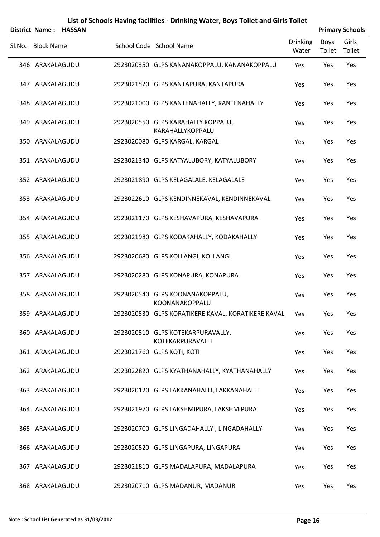|        | <b>District Name:</b> | <b>HASSAN</b> |                                                        |                          |                | <b>Primary Schools</b> |
|--------|-----------------------|---------------|--------------------------------------------------------|--------------------------|----------------|------------------------|
| Sl.No. | <b>Block Name</b>     |               | School Code School Name                                | <b>Drinking</b><br>Water | Boys<br>Toilet | Girls<br>Toilet        |
|        | 346 ARAKALAGUDU       |               | 2923020350 GLPS KANANAKOPPALU, KANANAKOPPALU           | Yes                      | Yes            | Yes                    |
|        | 347 ARAKALAGUDU       |               | 2923021520 GLPS KANTAPURA, KANTAPURA                   | Yes                      | Yes            | Yes                    |
|        | 348 ARAKALAGUDU       |               | 2923021000 GLPS KANTENAHALLY, KANTENAHALLY             | Yes                      | Yes            | Yes                    |
|        | 349 ARAKALAGUDU       |               | 2923020550 GLPS KARAHALLY KOPPALU,<br>KARAHALLYKOPPALU | Yes                      | Yes            | Yes                    |
|        | 350 ARAKALAGUDU       |               | 2923020080 GLPS KARGAL, KARGAL                         | Yes                      | Yes            | Yes                    |
|        | 351 ARAKALAGUDU       |               | 2923021340 GLPS KATYALUBORY, KATYALUBORY               | Yes                      | Yes            | Yes                    |
|        | 352 ARAKALAGUDU       |               | 2923021890 GLPS KELAGALALE, KELAGALALE                 | Yes                      | Yes            | Yes                    |
|        | 353 ARAKALAGUDU       |               | 2923022610 GLPS KENDINNEKAVAL, KENDINNEKAVAL           | Yes                      | Yes            | Yes                    |
|        | 354 ARAKALAGUDU       |               | 2923021170 GLPS KESHAVAPURA, KESHAVAPURA               | Yes                      | Yes            | Yes                    |
|        | 355 ARAKALAGUDU       |               | 2923021980 GLPS KODAKAHALLY, KODAKAHALLY               | Yes                      | Yes            | Yes                    |
|        | 356 ARAKALAGUDU       |               | 2923020680 GLPS KOLLANGI, KOLLANGI                     | Yes                      | Yes            | Yes                    |
|        | 357 ARAKALAGUDU       |               | 2923020280 GLPS KONAPURA, KONAPURA                     | Yes                      | Yes            | Yes                    |
|        | 358 ARAKALAGUDU       |               | 2923020540 GLPS KOONANAKOPPALU,<br>KOONANAKOPPALU      | Yes                      | Yes            | Yes                    |
|        | 359 ARAKALAGUDU       |               | 2923020530 GLPS KORATIKERE KAVAL, KORATIKERE KAVAL     | Yes                      | Yes            | Yes                    |
|        | 360 ARAKALAGUDU       |               | 2923020510 GLPS KOTEKARPURAVALLY,<br>KOTEKARPURAVALLI  | Yes                      | Yes            | Yes                    |
|        | 361 ARAKALAGUDU       |               | 2923021760 GLPS KOTI, KOTI                             | Yes                      | Yes            | Yes                    |
|        | 362 ARAKALAGUDU       |               | 2923022820 GLPS KYATHANAHALLY, KYATHANAHALLY           | Yes                      | Yes            | Yes                    |
|        | 363 ARAKALAGUDU       |               | 2923020120 GLPS LAKKANAHALLI, LAKKANAHALLI             | Yes                      | Yes            | Yes                    |
|        | 364 ARAKALAGUDU       |               | 2923021970 GLPS LAKSHMIPURA, LAKSHMIPURA               | Yes                      | Yes            | Yes                    |
|        | 365 ARAKALAGUDU       |               | 2923020700 GLPS LINGADAHALLY, LINGADAHALLY             | Yes                      | Yes            | Yes                    |
|        | 366 ARAKALAGUDU       |               | 2923020520 GLPS LINGAPURA, LINGAPURA                   | Yes                      | Yes            | Yes                    |
|        | 367 ARAKALAGUDU       |               | 2923021810 GLPS MADALAPURA, MADALAPURA                 | Yes                      | Yes            | Yes                    |
|        | 368 ARAKALAGUDU       |               | 2923020710 GLPS MADANUR, MADANUR                       | Yes                      | Yes            | Yes                    |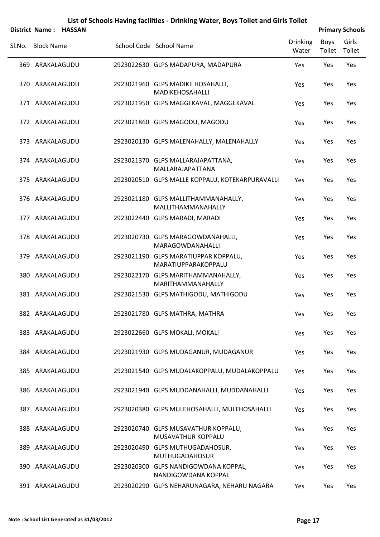|        |                   | District Name: HASSAN |                                                             |                          |                | <b>Primary Schools</b> |
|--------|-------------------|-----------------------|-------------------------------------------------------------|--------------------------|----------------|------------------------|
| SI.No. | <b>Block Name</b> |                       | School Code School Name                                     | <b>Drinking</b><br>Water | Boys<br>Toilet | Girls<br>Toilet        |
|        | 369 ARAKALAGUDU   |                       | 2923022630 GLPS MADAPURA, MADAPURA                          | Yes                      | Yes            | Yes                    |
|        | 370 ARAKALAGUDU   |                       | 2923021960 GLPS MADIKE HOSAHALLI,<br><b>MADIKEHOSAHALLI</b> | Yes                      | Yes            | Yes                    |
|        | 371 ARAKALAGUDU   |                       | 2923021950 GLPS MAGGEKAVAL, MAGGEKAVAL                      | Yes                      | Yes            | Yes                    |
|        | 372 ARAKALAGUDU   |                       | 2923021860 GLPS MAGODU, MAGODU                              | Yes                      | Yes            | Yes                    |
|        | 373 ARAKALAGUDU   |                       | 2923020130 GLPS MALENAHALLY, MALENAHALLY                    | Yes                      | Yes            | Yes                    |
|        | 374 ARAKALAGUDU   |                       | 2923021370 GLPS MALLARAJAPATTANA,<br>MALLARAJAPATTANA       | Yes                      | Yes            | Yes                    |
|        | 375 ARAKALAGUDU   |                       | 2923020510 GLPS MALLE KOPPALU, KOTEKARPURAVALLI             | Yes                      | Yes            | Yes                    |
|        | 376 ARAKALAGUDU   |                       | 2923021180 GLPS MALLITHAMMANAHALLY,<br>MALLITHAMMANAHALLY   | Yes                      | Yes            | Yes                    |
|        | 377 ARAKALAGUDU   |                       | 2923022440 GLPS MARADI, MARADI                              | Yes                      | Yes            | Yes                    |
|        | 378 ARAKALAGUDU   |                       | 2923020730 GLPS MARAGOWDANAHALLI,<br>MARAGOWDANAHALLI       | Yes                      | Yes            | Yes                    |
|        | 379 ARAKALAGUDU   |                       | 2923021190 GLPS MARATIUPPAR KOPPALU,<br>MARATIUPPARAKOPPALU | Yes                      | Yes            | Yes                    |
|        | 380 ARAKALAGUDU   |                       | 2923022170 GLPS MARITHAMMANAHALLY,<br>MARITHAMMANAHALLY     | Yes                      | Yes            | Yes                    |
|        | 381 ARAKALAGUDU   |                       | 2923021530 GLPS MATHIGODU, MATHIGODU                        | Yes                      | Yes            | Yes                    |
|        | 382 ARAKALAGUDU   |                       | 2923021780 GLPS MATHRA, MATHRA                              | Yes                      | Yes            | Yes                    |
|        | 383 ARAKALAGUDU   |                       | 2923022660 GLPS MOKALI, MOKALI                              | Yes                      | Yes            | Yes                    |
|        | 384 ARAKALAGUDU   |                       | 2923021930 GLPS MUDAGANUR, MUDAGANUR                        | Yes                      | Yes            | Yes                    |
|        | 385 ARAKALAGUDU   |                       | 2923021540 GLPS MUDALAKOPPALU, MUDALAKOPPALU                | Yes                      | Yes            | Yes                    |
|        | 386 ARAKALAGUDU   |                       | 2923021940 GLPS MUDDANAHALLI, MUDDANAHALLI                  | Yes                      | Yes            | Yes                    |
|        | 387 ARAKALAGUDU   |                       | 2923020380 GLPS MULEHOSAHALLI, MULEHOSAHALLI                | Yes                      | Yes            | Yes                    |
|        | 388 ARAKALAGUDU   |                       | 2923020740 GLPS MUSAVATHUR KOPPALU,<br>MUSAVATHUR KOPPALU   | Yes                      | Yes            | Yes                    |
|        | 389 ARAKALAGUDU   |                       | 2923020490 GLPS MUTHUGADAHOSUR,<br>MUTHUGADAHOSUR           | Yes                      | Yes            | Yes                    |
|        | 390 ARAKALAGUDU   |                       | 2923020300 GLPS NANDIGOWDANA KOPPAL,<br>NANDIGOWDANA KOPPAL | Yes                      | Yes            | Yes                    |
|        | 391 ARAKALAGUDU   |                       | 2923020290 GLPS NEHARUNAGARA, NEHARU NAGARA                 | Yes                      | Yes            | Yes                    |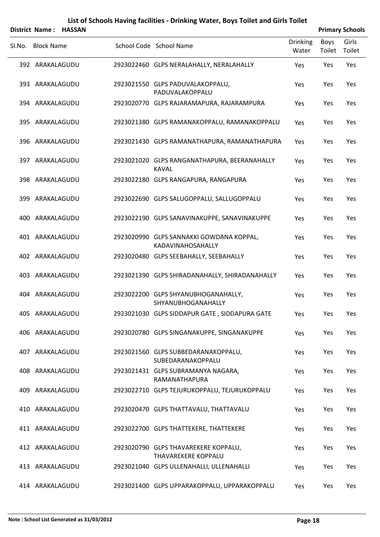|        | District Name: HASSAN |                                                               |                          |                | <b>Primary Schools</b> |
|--------|-----------------------|---------------------------------------------------------------|--------------------------|----------------|------------------------|
| Sl.No. | <b>Block Name</b>     | School Code School Name                                       | <b>Drinking</b><br>Water | Boys<br>Toilet | Girls<br>Toilet        |
|        | 392 ARAKALAGUDU       | 2923022460 GLPS NERALAHALLY, NERALAHALLY                      | Yes                      | Yes            | Yes                    |
|        | 393 ARAKALAGUDU       | 2923021550 GLPS PADUVALAKOPPALU,<br>PADUVALAKOPPALU           | Yes                      | Yes            | Yes                    |
|        | 394 ARAKALAGUDU       | 2923020770 GLPS RAJARAMAPURA, RAJARAMPURA                     | Yes                      | Yes            | Yes                    |
|        | 395 ARAKALAGUDU       | 2923021380 GLPS RAMANAKOPPALU, RAMANAKOPPALU                  | Yes                      | Yes            | Yes                    |
|        | 396 ARAKALAGUDU       | 2923021430 GLPS RAMANATHAPURA, RAMANATHAPURA                  | Yes                      | Yes            | Yes                    |
|        | 397 ARAKALAGUDU       | 2923021020 GLPS RANGANATHAPURA, BEERANAHALLY<br><b>KAVAL</b>  | Yes                      | Yes            | Yes                    |
|        | 398 ARAKALAGUDU       | 2923022180 GLPS RANGAPURA, RANGAPURA                          | Yes                      | Yes            | Yes                    |
|        | 399 ARAKALAGUDU       | 2923022690 GLPS SALUGOPPALU, SALLUGOPPALU                     | Yes                      | Yes            | Yes                    |
|        | 400 ARAKALAGUDU       | 2923022190 GLPS SANAVINAKUPPE, SANAVINAKUPPE                  | Yes                      | Yes            | Yes                    |
|        | 401 ARAKALAGUDU       | 2923020990 GLPS SANNAKKI GOWDANA KOPPAL,<br>KADAVINAHOSAHALLY | Yes                      | Yes            | Yes                    |
|        | 402 ARAKALAGUDU       | 2923020480 GLPS SEEBAHALLY, SEEBAHALLY                        | Yes                      | Yes            | Yes                    |
|        | 403 ARAKALAGUDU       | 2923021390 GLPS SHIRADANAHALLY, SHIRADANAHALLY                | Yes                      | Yes            | Yes                    |
|        | 404 ARAKALAGUDU       | 2923022200 GLPS SHYANUBHOGANAHALLY,<br>SHYANUBHOGANAHALLY     | Yes                      | Yes            | Yes                    |
|        | 405 ARAKALAGUDU       | 2923021030 GLPS SIDDAPUR GATE, SIDDAPURA GATE                 | Yes                      | Yes            | Yes                    |
|        | 406 ARAKALAGUDU       | 2923020780 GLPS SINGANAKUPPE, SINGANAKUPPE                    | Yes                      | Yes            | Yes                    |
|        | 407 ARAKALAGUDU       | 2923021560 GLPS SUBBEDARANAKOPPALU,<br>SUBEDARANAKOPPALU      | Yes                      | Yes            | Yes                    |
|        | 408 ARAKALAGUDU       | 2923021431 GLPS SUBRAMANYA NAGARA,<br>RAMANATHAPURA           | Yes                      | Yes            | Yes                    |
|        | 409 ARAKALAGUDU       | 2923022710 GLPS TEJURUKOPPALU, TEJURUKOPPALU                  | Yes                      | Yes            | Yes                    |
|        | 410 ARAKALAGUDU       | 2923020470 GLPS THATTAVALU, THATTAVALU                        | Yes                      | Yes            | Yes                    |
|        | 411 ARAKALAGUDU       | 2923022700 GLPS THATTEKERE, THATTEKERE                        | Yes                      | Yes            | Yes                    |
|        | 412 ARAKALAGUDU       | 2923020790 GLPS THAVAREKERE KOPPALU,<br>THAVAREKERE KOPPALU   | Yes                      | Yes            | Yes                    |
|        | 413 ARAKALAGUDU       | 2923021040 GLPS ULLENAHALLI, ULLENAHALLI                      | <b>Yes</b>               | Yes            | Yes                    |
|        | 414 ARAKALAGUDU       | 2923021400 GLPS UPPARAKOPPALU, UPPARAKOPPALU                  | Yes                      | Yes            | Yes                    |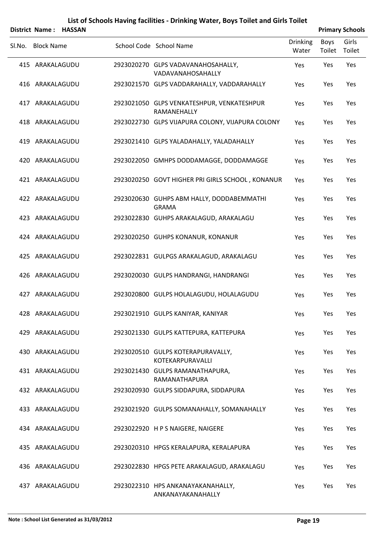|        |                   | District Name: HASSAN |                                                           |                          |                | <b>Primary Schools</b> |
|--------|-------------------|-----------------------|-----------------------------------------------------------|--------------------------|----------------|------------------------|
| Sl.No. | <b>Block Name</b> |                       | School Code School Name                                   | <b>Drinking</b><br>Water | Boys<br>Toilet | Girls<br>Toilet        |
|        | 415 ARAKALAGUDU   |                       | 2923020270 GLPS VADAVANAHOSAHALLY,<br>VADAVANAHOSAHALLY   | Yes                      | Yes            | Yes                    |
|        | 416 ARAKALAGUDU   |                       | 2923021570 GLPS VADDARAHALLY, VADDARAHALLY                | Yes                      | Yes            | Yes                    |
|        | 417 ARAKALAGUDU   |                       | 2923021050 GLPS VENKATESHPUR, VENKATESHPUR<br>RAMANEHALLY | Yes                      | Yes            | Yes                    |
|        | 418 ARAKALAGUDU   |                       | 2923022730 GLPS VIJAPURA COLONY, VIJAPURA COLONY          | Yes                      | Yes            | Yes                    |
| 419    | ARAKALAGUDU       |                       | 2923021410 GLPS YALADAHALLY, YALADAHALLY                  | Yes                      | Yes            | Yes                    |
|        | 420 ARAKALAGUDU   |                       | 2923022050 GMHPS DODDAMAGGE, DODDAMAGGE                   | Yes                      | Yes            | Yes                    |
|        | 421 ARAKALAGUDU   |                       | 2923020250 GOVT HIGHER PRI GIRLS SCHOOL, KONANUR          | Yes                      | Yes            | Yes                    |
|        | 422 ARAKALAGUDU   |                       | 2923020630 GUHPS ABM HALLY, DODDABEMMATHI<br><b>GRAMA</b> | Yes                      | Yes            | Yes                    |
| 423    | ARAKALAGUDU       |                       | 2923022830 GUHPS ARAKALAGUD, ARAKALAGU                    | Yes                      | Yes            | Yes                    |
|        | 424 ARAKALAGUDU   |                       | 2923020250 GUHPS KONANUR, KONANUR                         | Yes                      | Yes            | Yes                    |
| 425    | ARAKALAGUDU       |                       | 2923022831 GULPGS ARAKALAGUD, ARAKALAGU                   | Yes                      | Yes            | Yes                    |
|        | 426 ARAKALAGUDU   |                       | 2923020030 GULPS HANDRANGI, HANDRANGI                     | Yes                      | Yes            | Yes                    |
| 427    | ARAKALAGUDU       |                       | 2923020800 GULPS HOLALAGUDU, HOLALAGUDU                   | Yes                      | Yes            | Yes                    |
|        | 428 ARAKALAGUDU   |                       | 2923021910 GULPS KANIYAR, KANIYAR                         | Yes                      | Yes            | Yes                    |
|        | 429 ARAKALAGUDU   |                       | 2923021330 GULPS KATTEPURA, KATTEPURA                     | Yes                      | Yes            | Yes                    |
|        | 430 ARAKALAGUDU   |                       | 2923020510 GULPS KOTERAPURAVALLY,<br>KOTEKARPURAVALLI     | Yes                      | Yes            | Yes                    |
|        | 431 ARAKALAGUDU   |                       | 2923021430 GULPS RAMANATHAPURA,<br>RAMANATHAPURA          | Yes                      | Yes            | Yes                    |
|        | 432 ARAKALAGUDU   |                       | 2923020930 GULPS SIDDAPURA, SIDDAPURA                     | Yes                      | Yes            | Yes                    |
|        | 433 ARAKALAGUDU   |                       | 2923021920 GULPS SOMANAHALLY, SOMANAHALLY                 | Yes                      | Yes            | Yes                    |
|        | 434 ARAKALAGUDU   |                       | 2923022920 H P S NAIGERE, NAIGERE                         | Yes                      | Yes            | Yes                    |
|        | 435 ARAKALAGUDU   |                       | 2923020310 HPGS KERALAPURA, KERALAPURA                    | Yes                      | Yes            | Yes                    |
|        | 436 ARAKALAGUDU   |                       | 2923022830 HPGS PETE ARAKALAGUD, ARAKALAGU                | Yes                      | Yes            | Yes                    |
|        | 437 ARAKALAGUDU   |                       | 2923022310 HPS ANKANAYAKANAHALLY,<br>ANKANAYAKANAHALLY    | Yes                      | Yes            | Yes                    |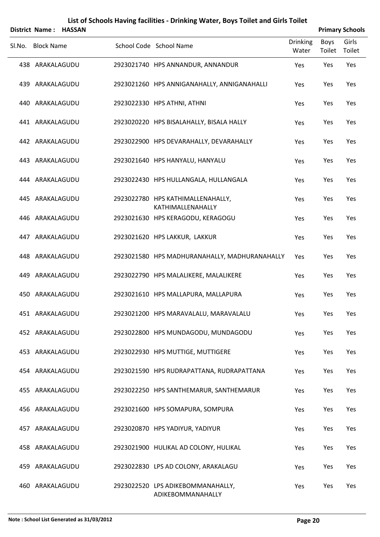|        |                   | District Name: HASSAN |                                                        |                          |                | <b>Primary Schools</b> |
|--------|-------------------|-----------------------|--------------------------------------------------------|--------------------------|----------------|------------------------|
| Sl.No. | <b>Block Name</b> |                       | School Code School Name                                | <b>Drinking</b><br>Water | Boys<br>Toilet | Girls<br>Toilet        |
|        | 438 ARAKALAGUDU   |                       | 2923021740 HPS ANNANDUR, ANNANDUR                      | Yes                      | Yes            | Yes                    |
|        | 439 ARAKALAGUDU   |                       | 2923021260 HPS ANNIGANAHALLY, ANNIGANAHALLI            | Yes                      | Yes            | Yes                    |
|        | 440 ARAKALAGUDU   |                       | 2923022330 HPS ATHNI, ATHNI                            | Yes                      | Yes            | Yes                    |
|        | 441 ARAKALAGUDU   |                       | 2923020220 HPS BISALAHALLY, BISALA HALLY               | Yes                      | Yes            | Yes                    |
|        | 442 ARAKALAGUDU   |                       | 2923022900 HPS DEVARAHALLY, DEVARAHALLY                | Yes                      | Yes            | Yes                    |
|        | 443 ARAKALAGUDU   |                       | 2923021640 HPS HANYALU, HANYALU                        | Yes                      | Yes            | Yes                    |
|        | 444 ARAKALAGUDU   |                       | 2923022430 HPS HULLANGALA, HULLANGALA                  | Yes                      | Yes            | Yes                    |
|        | 445 ARAKALAGUDU   |                       | 2923022780 HPS KATHIMALLENAHALLY,<br>KATHIMALLENAHALLY | Yes                      | Yes            | Yes                    |
|        | 446 ARAKALAGUDU   |                       | 2923021630 HPS KERAGODU, KERAGOGU                      | Yes                      | Yes            | Yes                    |
|        | 447 ARAKALAGUDU   |                       | 2923021620 HPS LAKKUR, LAKKUR                          | Yes                      | Yes            | Yes                    |
|        | 448 ARAKALAGUDU   |                       | 2923021580 HPS MADHURANAHALLY, MADHURANAHALLY          | Yes                      | Yes            | Yes                    |
|        | 449 ARAKALAGUDU   |                       | 2923022790 HPS MALALIKERE, MALALIKERE                  | Yes                      | Yes            | Yes                    |
|        | 450 ARAKALAGUDU   |                       | 2923021610 HPS MALLAPURA, MALLAPURA                    | Yes                      | Yes            | Yes                    |
|        | 451 ARAKALAGUDU   |                       | 2923021200 HPS MARAVALALU, MARAVALALU                  | Yes                      | Yes            | Yes                    |
|        | 452 ARAKALAGUDU   |                       | 2923022800 HPS MUNDAGODU, MUNDAGODU                    | Yes                      | Yes            | Yes                    |
|        | 453 ARAKALAGUDU   |                       | 2923022930 HPS MUTTIGE, MUTTIGERE                      | Yes                      | Yes            | Yes                    |
|        | 454 ARAKALAGUDU   |                       | 2923021590 HPS RUDRAPATTANA, RUDRAPATTANA              | Yes                      | Yes            | Yes                    |
|        | 455 ARAKALAGUDU   |                       | 2923022250 HPS SANTHEMARUR, SANTHEMARUR                | Yes                      | Yes            | Yes                    |
|        | 456 ARAKALAGUDU   |                       | 2923021600 HPS SOMAPURA, SOMPURA                       | Yes                      | Yes            | Yes                    |
|        | 457 ARAKALAGUDU   |                       | 2923020870 HPS YADIYUR, YADIYUR                        | Yes                      | Yes            | Yes                    |
|        | 458 ARAKALAGUDU   |                       | 2923021900 HULIKAL AD COLONY, HULIKAL                  | Yes                      | Yes            | Yes                    |
|        | 459 ARAKALAGUDU   |                       | 2923022830 LPS AD COLONY, ARAKALAGU                    | Yes                      | Yes            | Yes                    |
|        | 460 ARAKALAGUDU   |                       | 2923022520 LPS ADIKEBOMMANAHALLY,<br>ADIKEBOMMANAHALLY | Yes                      | Yes            | Yes                    |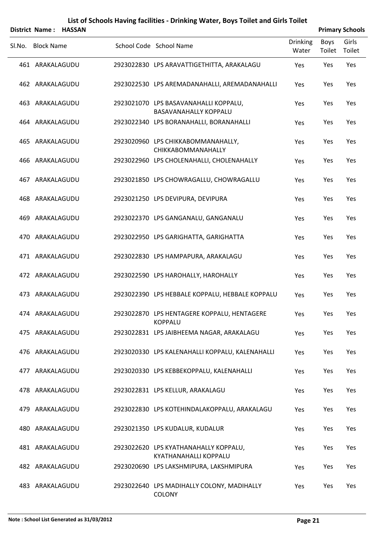|        |                   | District Name: HASSAN |                                                                       |                          |                | <b>Primary Schools</b> |
|--------|-------------------|-----------------------|-----------------------------------------------------------------------|--------------------------|----------------|------------------------|
| Sl.No. | <b>Block Name</b> |                       | School Code School Name                                               | <b>Drinking</b><br>Water | Boys<br>Toilet | Girls<br>Toilet        |
|        | 461 ARAKALAGUDU   |                       | 2923022830 LPS ARAVATTIGETHITTA, ARAKALAGU                            | Yes                      | Yes            | Yes                    |
|        | 462 ARAKALAGUDU   |                       | 2923022530 LPS AREMADANAHALLI, AREMADANAHALLI                         | Yes                      | Yes            | Yes                    |
|        | 463 ARAKALAGUDU   |                       | 2923021070 LPS BASAVANAHALLI KOPPALU,<br><b>BASAVANAHALLY KOPPALU</b> | Yes                      | Yes            | Yes                    |
|        | 464 ARAKALAGUDU   |                       | 2923022340 LPS BORANAHALLI, BORANAHALLI                               | Yes                      | Yes            | Yes                    |
|        | 465 ARAKALAGUDU   |                       | 2923020960 LPS CHIKKABOMMANAHALLY,<br>CHIKKABOMMANAHALLY              | Yes                      | Yes            | Yes                    |
|        | 466 ARAKALAGUDU   |                       | 2923022960 LPS CHOLENAHALLI, CHOLENAHALLY                             | Yes                      | Yes            | Yes                    |
|        | 467 ARAKALAGUDU   |                       | 2923021850 LPS CHOWRAGALLU, CHOWRAGALLU                               | Yes                      | Yes            | Yes                    |
|        | 468 ARAKALAGUDU   |                       | 2923021250 LPS DEVIPURA, DEVIPURA                                     | Yes                      | Yes            | Yes                    |
|        | 469 ARAKALAGUDU   |                       | 2923022370 LPS GANGANALU, GANGANALU                                   | Yes                      | Yes            | Yes                    |
|        | 470 ARAKALAGUDU   |                       | 2923022950 LPS GARIGHATTA, GARIGHATTA                                 | Yes                      | Yes            | Yes                    |
|        | 471 ARAKALAGUDU   |                       | 2923022830 LPS HAMPAPURA, ARAKALAGU                                   | Yes                      | Yes            | Yes                    |
|        | 472 ARAKALAGUDU   |                       | 2923022590 LPS HAROHALLY, HAROHALLY                                   | Yes                      | Yes            | Yes                    |
|        | 473 ARAKALAGUDU   |                       | 2923022390 LPS HEBBALE KOPPALU, HEBBALE KOPPALU                       | Yes                      | Yes            | Yes                    |
|        | 474 ARAKALAGUDU   |                       | 2923022870 LPS HENTAGERE KOPPALU, HENTAGERE<br><b>KOPPALU</b>         | Yes                      | Yes            | Yes                    |
|        | 475 ARAKALAGUDU   |                       | 2923022831 LPS JAIBHEEMA NAGAR, ARAKALAGU                             | Yes                      | Yes            | Yes                    |
|        | 476 ARAKALAGUDU   |                       | 2923020330 LPS KALENAHALLI KOPPALU, KALENAHALLI                       | Yes                      | Yes            | Yes                    |
|        | 477 ARAKALAGUDU   |                       | 2923020330 LPS KEBBEKOPPALU, KALENAHALLI                              | Yes                      | Yes            | Yes                    |
|        | 478 ARAKALAGUDU   |                       | 2923022831 LPS KELLUR, ARAKALAGU                                      | Yes                      | Yes            | Yes                    |
|        | 479 ARAKALAGUDU   |                       | 2923022830 LPS KOTEHINDALAKOPPALU, ARAKALAGU                          | Yes                      | Yes            | Yes                    |
|        | 480 ARAKALAGUDU   |                       | 2923021350 LPS KUDALUR, KUDALUR                                       | Yes                      | Yes            | Yes                    |
|        | 481 ARAKALAGUDU   |                       | 2923022620 LPS KYATHANAHALLY KOPPALU,<br>KYATHANAHALLI KOPPALU        | Yes                      | Yes            | Yes                    |
|        | 482 ARAKALAGUDU   |                       | 2923020690 LPS LAKSHMIPURA, LAKSHMIPURA                               | Yes                      | Yes            | Yes                    |
|        | 483 ARAKALAGUDU   |                       | 2923022640 LPS MADIHALLY COLONY, MADIHALLY<br>COLONY                  | Yes                      | Yes            | Yes                    |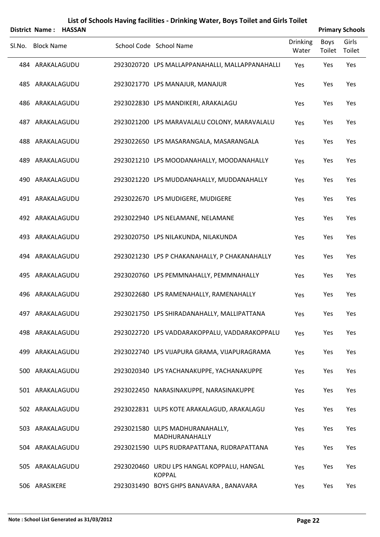|        | District Name: HASSAN |  |                                                             |                          |                | <b>Primary Schools</b> |
|--------|-----------------------|--|-------------------------------------------------------------|--------------------------|----------------|------------------------|
| Sl.No. | <b>Block Name</b>     |  | School Code School Name                                     | <b>Drinking</b><br>Water | Boys<br>Toilet | Girls<br>Toilet        |
|        | 484 ARAKALAGUDU       |  | 2923020720 LPS MALLAPPANAHALLI, MALLAPPANAHALLI             | Yes                      | Yes            | Yes                    |
|        | 485 ARAKALAGUDU       |  | 2923021770 LPS MANAJUR, MANAJUR                             | Yes                      | Yes            | Yes                    |
|        | 486 ARAKALAGUDU       |  | 2923022830 LPS MANDIKERI, ARAKALAGU                         | Yes                      | Yes            | Yes                    |
|        | 487 ARAKALAGUDU       |  | 2923021200 LPS MARAVALALU COLONY, MARAVALALU                | Yes                      | Yes            | Yes                    |
|        | 488 ARAKALAGUDU       |  | 2923022650 LPS MASARANGALA, MASARANGALA                     | Yes                      | Yes            | Yes                    |
|        | 489 ARAKALAGUDU       |  | 2923021210 LPS MOODANAHALLY, MOODANAHALLY                   | Yes                      | Yes            | Yes                    |
|        | 490 ARAKALAGUDU       |  | 2923021220 LPS MUDDANAHALLY, MUDDANAHALLY                   | Yes                      | Yes            | Yes                    |
|        | 491 ARAKALAGUDU       |  | 2923022670 LPS MUDIGERE, MUDIGERE                           | Yes                      | Yes            | Yes                    |
|        | 492 ARAKALAGUDU       |  | 2923022940 LPS NELAMANE, NELAMANE                           | Yes                      | Yes            | Yes                    |
|        | 493 ARAKALAGUDU       |  | 2923020750 LPS NILAKUNDA, NILAKUNDA                         | Yes                      | Yes            | Yes                    |
|        | 494 ARAKALAGUDU       |  | 2923021230 LPS P CHAKANAHALLY, P CHAKANAHALLY               | Yes                      | Yes            | Yes                    |
|        | 495 ARAKALAGUDU       |  | 2923020760 LPS PEMMNAHALLY, PEMMNAHALLY                     | Yes                      | Yes            | Yes                    |
|        | 496 ARAKALAGUDU       |  | 2923022680 LPS RAMENAHALLY, RAMENAHALLY                     | Yes                      | Yes            | Yes                    |
|        | 497 ARAKALAGUDU       |  | 2923021750 LPS SHIRADANAHALLY, MALLIPATTANA                 | Yes                      | Yes            | Yes                    |
|        | 498 ARAKALAGUDU       |  | 2923022720 LPS VADDARAKOPPALU, VADDARAKOPPALU               | Yes                      | Yes            | Yes                    |
|        | 499 ARAKALAGUDU       |  | 2923022740 LPS VIJAPURA GRAMA, VIJAPURAGRAMA                | Yes                      | Yes            | Yes                    |
|        | 500 ARAKALAGUDU       |  | 2923020340 LPS YACHANAKUPPE, YACHANAKUPPE                   | Yes                      | Yes            | Yes                    |
|        | 501 ARAKALAGUDU       |  | 2923022450 NARASINAKUPPE, NARASINAKUPPE                     | Yes                      | Yes            | Yes                    |
|        | 502 ARAKALAGUDU       |  | 2923022831 ULPS KOTE ARAKALAGUD, ARAKALAGU                  | Yes                      | Yes            | Yes                    |
|        | 503 ARAKALAGUDU       |  | 2923021580 ULPS MADHURANAHALLY,<br>MADHURANAHALLY           | Yes                      | Yes            | Yes                    |
|        | 504 ARAKALAGUDU       |  | 2923021590 ULPS RUDRAPATTANA, RUDRAPATTANA                  | Yes                      | Yes            | Yes                    |
|        | 505 ARAKALAGUDU       |  | 2923020460 URDU LPS HANGAL KOPPALU, HANGAL<br><b>KOPPAL</b> | Yes                      | Yes            | Yes                    |
|        | 506 ARASIKERE         |  | 2923031490 BOYS GHPS BANAVARA, BANAVARA                     | Yes                      | Yes            | Yes                    |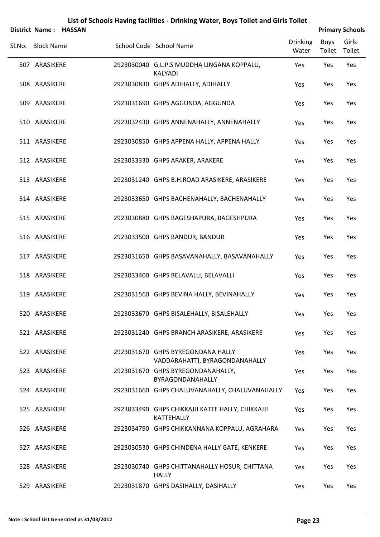|        | District Name: HASSAN |  |                                                                     |                          |                | <b>Primary Schools</b> |
|--------|-----------------------|--|---------------------------------------------------------------------|--------------------------|----------------|------------------------|
| SI.No. | <b>Block Name</b>     |  | School Code School Name                                             | <b>Drinking</b><br>Water | Boys<br>Toilet | Girls<br>Toilet        |
|        | 507 ARASIKERE         |  | 2923030040 G.L.P.S MUDDHA LINGANA KOPPALU,<br><b>KALYADI</b>        | Yes                      | Yes            | Yes                    |
|        | 508 ARASIKERE         |  | 2923030830 GHPS ADIHALLY, ADIHALLY                                  | Yes                      | Yes            | Yes                    |
|        | 509 ARASIKERE         |  | 2923031690 GHPS AGGUNDA, AGGUNDA                                    | Yes                      | Yes            | Yes                    |
|        | 510 ARASIKERE         |  | 2923032430 GHPS ANNENAHALLY, ANNENAHALLY                            | Yes                      | Yes            | Yes                    |
|        | 511 ARASIKERE         |  | 2923030850 GHPS APPENA HALLY, APPENA HALLY                          | Yes                      | Yes            | Yes                    |
|        | 512 ARASIKERE         |  | 2923033330 GHPS ARAKER, ARAKERE                                     | Yes                      | Yes            | Yes                    |
|        | 513 ARASIKERE         |  | 2923031240 GHPS B.H.ROAD ARASIKERE, ARASIKERE                       | Yes                      | Yes            | Yes                    |
|        | 514 ARASIKERE         |  | 2923033650 GHPS BACHENAHALLY, BACHENAHALLY                          | Yes                      | Yes            | Yes                    |
|        | 515 ARASIKERE         |  | 2923030880 GHPS BAGESHAPURA, BAGESHPURA                             | Yes                      | Yes            | Yes                    |
|        | 516 ARASIKERE         |  | 2923033500 GHPS BANDUR, BANDUR                                      | Yes                      | Yes            | Yes                    |
|        | 517 ARASIKERE         |  | 2923031650 GHPS BASAVANAHALLY, BASAVANAHALLY                        | Yes                      | Yes            | Yes                    |
|        | 518 ARASIKERE         |  | 2923033400 GHPS BELAVALLI, BELAVALLI                                | Yes                      | Yes            | Yes                    |
|        | 519 ARASIKERE         |  | 2923031560 GHPS BEVINA HALLY, BEVINAHALLY                           | Yes                      | Yes            | Yes                    |
|        | 520 ARASIKERE         |  | 2923033670 GHPS BISALEHALLY, BISALEHALLY                            | Yes                      | Yes            | Yes                    |
|        | 521 ARASIKERE         |  | 2923031240 GHPS BRANCH ARASIKERE, ARASIKERE                         | Yes                      | Yes            | Yes                    |
|        | 522 ARASIKERE         |  | 2923031670 GHPS BYREGONDANA HALLY<br>VADDARAHATTI, BYRAGONDANAHALLY | Yes                      | Yes            | Yes                    |
|        | 523 ARASIKERE         |  | 2923031670 GHPS BYREGONDANAHALLY,<br>BYRAGONDANAHALLY               | Yes                      | Yes            | Yes                    |
|        | 524 ARASIKERE         |  | 2923031660 GHPS CHALUVANAHALLY, CHALUVANAHALLY                      | Yes                      | Yes            | Yes                    |
|        | 525 ARASIKERE         |  | 2923033490 GHPS CHIKKAJJI KATTE HALLY, CHIKKAJJI<br>KATTEHALLY      | Yes                      | Yes            | Yes                    |
|        | 526 ARASIKERE         |  | 2923034790 GHPS CHIKKANNANA KOPPALU, AGRAHARA                       | Yes                      | Yes            | Yes                    |
|        | 527 ARASIKERE         |  | 2923030530 GHPS CHINDENA HALLY GATE, KENKERE                        | Yes                      | Yes            | Yes                    |
|        | 528 ARASIKERE         |  | 2923030740 GHPS CHITTANAHALLY HOSUR, CHITTANA<br><b>HALLY</b>       | Yes                      | Yes            | Yes                    |
|        | 529 ARASIKERE         |  | 2923031870 GHPS DASIHALLY, DASIHALLY                                | Yes                      | Yes            | Yes                    |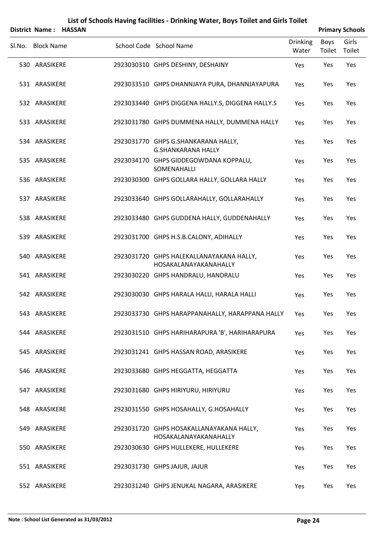| District Name: HASSAN |  |                                                                   |                          |                | <b>Primary Schools</b> |
|-----------------------|--|-------------------------------------------------------------------|--------------------------|----------------|------------------------|
| Sl.No. Block Name     |  | School Code School Name                                           | <b>Drinking</b><br>Water | Boys<br>Toilet | Girls<br>Toilet        |
| 530 ARASIKERE         |  | 2923030310 GHPS DESHINY, DESHAINY                                 | Yes                      | Yes            | Yes                    |
| 531 ARASIKERE         |  | 2923033510 GHPS DHANNJAYA PURA, DHANNJAYAPURA                     | Yes                      | Yes            | Yes                    |
| 532 ARASIKERE         |  | 2923033440 GHPS DIGGENA HALLY.S, DIGGENA HALLY.S                  | Yes                      | Yes            | Yes                    |
| 533 ARASIKERE         |  | 2923031780 GHPS DUMMENA HALLY, DUMMENA HALLY                      | Yes                      | Yes            | Yes                    |
| 534 ARASIKERE         |  | 2923031770 GHPS G.SHANKARANA HALLY,<br><b>G.SHANKARANA HALLY</b>  | Yes                      | Yes            | Yes                    |
| 535 ARASIKERE         |  | 2923034170 GHPS GIDDEGOWDANA KOPPALU,<br>SOMENAHALLI              | Yes                      | Yes            | Yes                    |
| 536 ARASIKERE         |  | 2923030300 GHPS GOLLARA HALLY, GOLLARA HALLY                      | Yes                      | Yes            | Yes                    |
| 537 ARASIKERE         |  | 2923033640 GHPS GOLLARAHALLY, GOLLARAHALLY                        | Yes                      | Yes            | Yes                    |
| 538 ARASIKERE         |  | 2923033480 GHPS GUDDENA HALLY, GUDDENAHALLY                       | Yes                      | Yes            | Yes                    |
| 539 ARASIKERE         |  | 2923031700 GHPS H.S.B.CALONY, ADIHALLY                            | Yes                      | Yes            | Yes                    |
| 540 ARASIKERE         |  | 2923031720 GHPS HALEKALLANAYAKANA HALLY,<br>HOSAKALANAYAKANAHALLY | Yes                      | Yes            | Yes                    |
| 541 ARASIKERE         |  | 2923030220 GHPS HANDRALU, HANDRALU                                | Yes                      | Yes            | Yes                    |
| 542 ARASIKERE         |  | 2923030030 GHPS HARALA HALLI, HARALA HALLI                        | Yes                      | Yes            | Yes                    |
| 543 ARASIKERE         |  | 2923033730 GHPS HARAPPANAHALLY, HARAPPANA HALLY                   | Yes                      | Yes            | Yes                    |
| 544 ARASIKERE         |  | 2923031510 GHPS HARIHARAPURA 'B', HARIHARAPURA                    | Yes                      | Yes            | Yes                    |
| 545 ARASIKERE         |  | 2923031241 GHPS HASSAN ROAD, ARASIKERE                            | Yes                      | Yes            | Yes                    |
| 546 ARASIKERE         |  | 2923033680 GHPS HEGGATTA, HEGGATTA                                | Yes                      | Yes            | Yes                    |
| 547 ARASIKERE         |  | 2923031680 GHPS HIRIYURU, HIRIYURU                                | Yes                      | Yes            | Yes                    |
| 548 ARASIKERE         |  | 2923031550 GHPS HOSAHALLY, G.HOSAHALLY                            | Yes                      | Yes            | Yes                    |
| 549 ARASIKERE         |  | 2923031720 GHPS HOSAKALLANAYAKANA HALLY,<br>HOSAKALANAYAKANAHALLY | Yes                      | Yes            | Yes                    |
| 550 ARASIKERE         |  | 2923030630 GHPS HULLEKERE, HULLEKERE                              | Yes                      | Yes            | Yes                    |
| 551 ARASIKERE         |  | 2923031730 GHPS JAJUR, JAJUR                                      | Yes                      | Yes            | Yes                    |
| 552 ARASIKERE         |  | 2923031240 GHPS JENUKAL NAGARA, ARASIKERE                         | Yes                      | Yes            | Yes                    |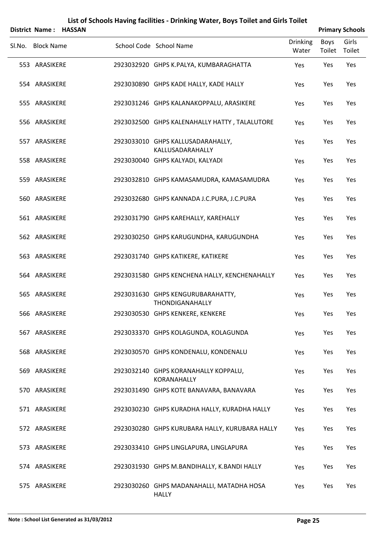|        | <b>District Name:</b> | <b>HASSAN</b> | List of Schools Having facilities - Drinking Water, Boys Toilet and Girls Toilet |                       | <b>Primary Schools</b> |
|--------|-----------------------|---------------|----------------------------------------------------------------------------------|-----------------------|------------------------|
| Sl.No. | <b>Block Name</b>     |               | <b>Drinking</b><br>School Code School Name<br>Water                              | <b>Boys</b><br>Toilet | Girls<br>Toilet        |
|        | 553 ARASIKERE         |               | 2923032920 GHPS K.PALYA, KUMBARAGHATTA<br>Yes                                    | Yes                   | Yes                    |
|        | 554 ARASIKERE         |               | 2923030890 GHPS KADE HALLY, KADE HALLY<br>Yes                                    | Yes                   | Yes                    |
|        | 555 ARASIKERE         |               | 2923031246 GHPS KALANAKOPPALU, ARASIKERE<br>Yes                                  | Yes                   | Yes                    |
|        | 556 ARASIKERE         |               | 2923032500 GHPS KALENAHALLY HATTY, TALALUTORE<br>Yes                             | Yes                   | Yes                    |
|        | 557 ARASIKERE         |               | 2923033010 GHPS KALLUSADARAHALLY,<br>Yes<br>KALLUSADARAHALLY                     | Yes                   | Yes                    |
|        | 558 ARASIKERE         |               | 2923030040 GHPS KALYADI, KALYADI<br>Yes                                          | Yes                   | Yes                    |
|        | 559 ARASIKERE         |               | 2923032810 GHPS KAMASAMUDRA, KAMASAMUDRA<br>Yes                                  | Yes                   | Yes                    |
|        | 560 ARASIKERE         |               | 2923032680 GHPS KANNADA J.C.PURA, J.C.PURA<br>Yes                                | Yes                   | Yes                    |
|        | 561 ARASIKERE         |               | 2923031790 GHPS KAREHALLY, KAREHALLY<br>Yes                                      | Yes                   | Yes                    |
|        | 562 ARASIKERE         |               | 2923030250 GHPS KARUGUNDHA, KARUGUNDHA<br>Yes                                    | Yes                   | Yes                    |
|        | 563 ARASIKERE         |               | 2923031740 GHPS KATIKERE, KATIKERE<br>Yes                                        | Yes                   | Yes                    |
|        | 564 ARASIKERE         |               | 2923031580 GHPS KENCHENA HALLY, KENCHENAHALLY<br>Yes                             | Yes                   | Yes                    |
|        | 565 ARASIKERE         |               | 2923031630 GHPS KENGURUBARAHATTY,<br>Yes<br>THONDIGANAHALLY                      | Yes                   | Yes                    |
|        | 566 ARASIKERE         |               | 2923030530 GHPS KENKERE, KENKERE<br>Yes                                          | Yes                   | Yes                    |
|        | 567 ARASIKERE         |               | 2923033370 GHPS KOLAGUNDA, KOLAGUNDA<br>Yes                                      | Yes                   | Yes                    |
|        | 568 ARASIKERE         |               | 2923030570 GHPS KONDENALU, KONDENALU<br>Yes                                      | Yes                   | Yes                    |
|        | 569 ARASIKERE         |               | 2923032140 GHPS KORANAHALLY KOPPALU,<br>Yes<br>KORANAHALLY                       | Yes                   | Yes                    |
|        | 570 ARASIKERE         |               | 2923031490 GHPS KOTE BANAVARA, BANAVARA<br>Yes                                   | Yes                   | Yes                    |
|        | 571 ARASIKERE         |               | 2923030230 GHPS KURADHA HALLY, KURADHA HALLY<br>Yes                              | Yes                   | Yes                    |
|        | 572 ARASIKERE         |               | 2923030280 GHPS KURUBARA HALLY, KURUBARA HALLY<br>Yes                            | Yes                   | Yes                    |
|        | 573 ARASIKERE         |               | 2923033410 GHPS LINGLAPURA, LINGLAPURA<br>Yes                                    | Yes                   | Yes                    |
|        | 574 ARASIKERE         |               | 2923031930 GHPS M.BANDIHALLY, K.BANDI HALLY<br>Yes                               | Yes                   | Yes                    |
|        | 575 ARASIKERE         |               | 2923030260 GHPS MADANAHALLI, MATADHA HOSA<br>Yes<br><b>HALLY</b>                 | Yes                   | Yes                    |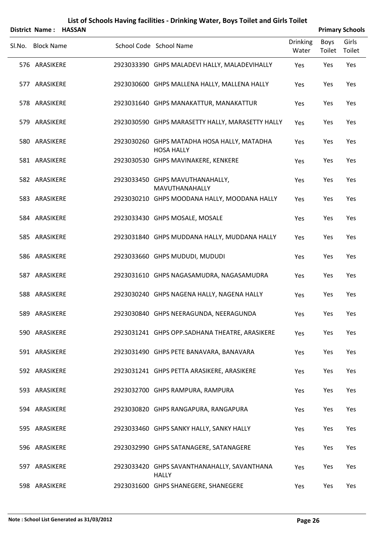| District Name: HASSAN |  |                                                                  |                          |                | <b>Primary Schools</b> |
|-----------------------|--|------------------------------------------------------------------|--------------------------|----------------|------------------------|
| Sl.No. Block Name     |  | School Code School Name                                          | <b>Drinking</b><br>Water | Boys<br>Toilet | Girls<br>Toilet        |
| 576 ARASIKERE         |  | 2923033390 GHPS MALADEVI HALLY, MALADEVIHALLY                    | Yes                      | Yes            | Yes                    |
| 577 ARASIKERE         |  | 2923030600 GHPS MALLENA HALLY, MALLENA HALLY                     | Yes                      | Yes            | Yes                    |
| 578 ARASIKERE         |  | 2923031640 GHPS MANAKATTUR, MANAKATTUR                           | Yes                      | Yes            | Yes                    |
| 579 ARASIKERE         |  | 2923030590 GHPS MARASETTY HALLY, MARASETTY HALLY                 | Yes                      | Yes            | Yes                    |
| 580 ARASIKERE         |  | 2923030260 GHPS MATADHA HOSA HALLY, MATADHA<br><b>HOSA HALLY</b> | Yes                      | Yes            | Yes                    |
| 581 ARASIKERE         |  | 2923030530 GHPS MAVINAKERE, KENKERE                              | Yes                      | Yes            | Yes                    |
| 582 ARASIKERE         |  | 2923033450 GHPS MAVUTHANAHALLY,<br>MAVUTHANAHALLY                | Yes                      | Yes            | Yes                    |
| 583 ARASIKERE         |  | 2923030210 GHPS MOODANA HALLY, MOODANA HALLY                     | Yes                      | Yes            | Yes                    |
| 584 ARASIKERE         |  | 2923033430 GHPS MOSALE, MOSALE                                   | Yes                      | Yes            | Yes                    |
| 585 ARASIKERE         |  | 2923031840 GHPS MUDDANA HALLY, MUDDANA HALLY                     | Yes                      | Yes            | Yes                    |
| 586 ARASIKERE         |  | 2923033660 GHPS MUDUDI, MUDUDI                                   | Yes                      | Yes            | Yes                    |
| 587 ARASIKERE         |  | 2923031610 GHPS NAGASAMUDRA, NAGASAMUDRA                         | Yes                      | Yes            | Yes                    |
| 588 ARASIKERE         |  | 2923030240 GHPS NAGENA HALLY, NAGENA HALLY                       | Yes                      | Yes            | Yes                    |
| 589 ARASIKERE         |  | 2923030840 GHPS NEERAGUNDA, NEERAGUNDA                           | Yes                      | Yes            | Yes                    |
| 590 ARASIKERE         |  | 2923031241 GHPS OPP.SADHANA THEATRE, ARASIKERE                   | Yes                      | Yes            | Yes                    |
| 591 ARASIKERE         |  | 2923031490 GHPS PETE BANAVARA, BANAVARA                          | Yes                      | Yes            | Yes                    |
| 592 ARASIKERE         |  | 2923031241 GHPS PETTA ARASIKERE, ARASIKERE                       | Yes                      | Yes            | Yes                    |
| 593 ARASIKERE         |  | 2923032700 GHPS RAMPURA, RAMPURA                                 | Yes                      | Yes            | Yes                    |
| 594 ARASIKERE         |  | 2923030820 GHPS RANGAPURA, RANGAPURA                             | Yes                      | Yes            | Yes                    |
| 595 ARASIKERE         |  | 2923033460 GHPS SANKY HALLY, SANKY HALLY                         | Yes                      | Yes            | Yes                    |
| 596 ARASIKERE         |  | 2923032990 GHPS SATANAGERE, SATANAGERE                           | Yes                      | Yes            | Yes                    |
| 597 ARASIKERE         |  | 2923033420 GHPS SAVANTHANAHALLY, SAVANTHANA<br><b>HALLY</b>      | Yes                      | Yes            | Yes                    |
| 598 ARASIKERE         |  | 2923031600 GHPS SHANEGERE, SHANEGERE                             | Yes                      | Yes            | Yes                    |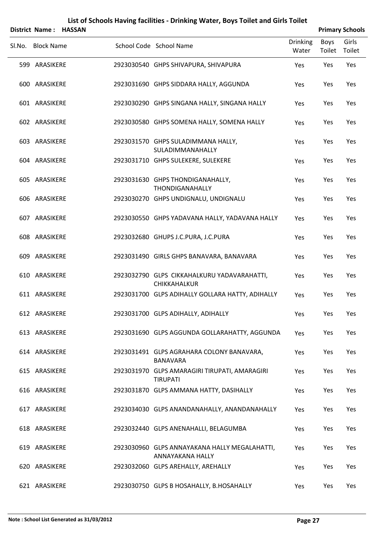|        | District Name:    | <b>HASSAN</b> |                                                                   |                          |                | <b>Primary Schools</b> |
|--------|-------------------|---------------|-------------------------------------------------------------------|--------------------------|----------------|------------------------|
| Sl.No. | <b>Block Name</b> |               | School Code School Name                                           | <b>Drinking</b><br>Water | Boys<br>Toilet | Girls<br>Toilet        |
|        | 599 ARASIKERE     |               | 2923030540 GHPS SHIVAPURA, SHIVAPURA                              | Yes                      | Yes            | Yes                    |
|        | 600 ARASIKERE     |               | 2923031690 GHPS SIDDARA HALLY, AGGUNDA                            | Yes                      | Yes            | Yes                    |
|        | 601 ARASIKERE     |               | 2923030290 GHPS SINGANA HALLY, SINGANA HALLY                      | Yes                      | Yes            | Yes                    |
|        | 602 ARASIKERE     |               | 2923030580 GHPS SOMENA HALLY, SOMENA HALLY                        | Yes                      | Yes            | Yes                    |
|        | 603 ARASIKERE     |               | 2923031570 GHPS SULADIMMANA HALLY,<br>SULADIMMANAHALLY            | Yes                      | Yes            | Yes                    |
|        | 604 ARASIKERE     |               | 2923031710 GHPS SULEKERE, SULEKERE                                | Yes                      | Yes            | Yes                    |
|        | 605 ARASIKERE     |               | 2923031630 GHPS THONDIGANAHALLY,<br><b>THONDIGANAHALLY</b>        | Yes                      | Yes            | Yes                    |
|        | 606 ARASIKERE     |               | 2923030270 GHPS UNDIGNALU, UNDIGNALU                              | Yes                      | Yes            | Yes                    |
|        | 607 ARASIKERE     |               | 2923030550 GHPS YADAVANA HALLY, YADAVANA HALLY                    | Yes                      | Yes            | Yes                    |
|        | 608 ARASIKERE     |               | 2923032680 GHUPS J.C.PURA, J.C.PURA                               | Yes                      | Yes            | Yes                    |
|        | 609 ARASIKERE     |               | 2923031490 GIRLS GHPS BANAVARA, BANAVARA                          | Yes                      | Yes            | Yes                    |
|        | 610 ARASIKERE     |               | 2923032790 GLPS CIKKAHALKURU YADAVARAHATTI,<br>CHIKKAHALKUR       | Yes                      | Yes            | Yes                    |
|        | 611 ARASIKERE     |               | 2923031700 GLPS ADIHALLY GOLLARA HATTY, ADIHALLY                  | Yes                      | Yes            | Yes                    |
|        | 612 ARASIKERE     |               | 2923031700 GLPS ADIHALLY, ADIHALLY                                | Yes                      | Yes            | Yes                    |
|        | 613 ARASIKERE     |               | 2923031690 GLPS AGGUNDA GOLLARAHATTY, AGGUNDA                     | Yes                      | Yes            | Yes                    |
|        | 614 ARASIKERE     |               | 2923031491 GLPS AGRAHARA COLONY BANAVARA,<br><b>BANAVARA</b>      | Yes                      | Yes            | Yes                    |
|        | 615 ARASIKERE     |               | 2923031970 GLPS AMARAGIRI TIRUPATI, AMARAGIRI<br><b>TIRUPATI</b>  | Yes                      | Yes            | Yes                    |
|        | 616 ARASIKERE     |               | 2923031870 GLPS AMMANA HATTY, DASIHALLY                           | Yes                      | Yes            | Yes                    |
|        | 617 ARASIKERE     |               | 2923034030 GLPS ANANDANAHALLY, ANANDANAHALLY                      | Yes                      | Yes            | Yes                    |
|        | 618 ARASIKERE     |               | 2923032440 GLPS ANENAHALLI, BELAGUMBA                             | Yes                      | Yes            | Yes                    |
|        | 619 ARASIKERE     |               | 2923030960 GLPS ANNAYAKANA HALLY MEGALAHATTI,<br>ANNAYAKANA HALLY | Yes                      | Yes            | Yes                    |
|        | 620 ARASIKERE     |               | 2923032060 GLPS AREHALLY, AREHALLY                                | Yes                      | Yes            | Yes                    |
|        | 621 ARASIKERE     |               | 2923030750 GLPS B HOSAHALLY, B.HOSAHALLY                          | Yes                      | Yes            | Yes                    |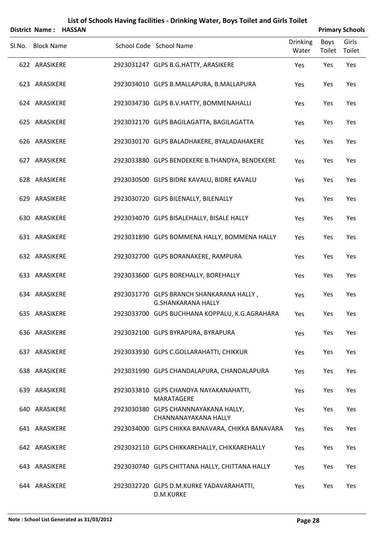|        | District Name: HASSAN |  |                                                                       |                          |                | <b>Primary Schools</b> |
|--------|-----------------------|--|-----------------------------------------------------------------------|--------------------------|----------------|------------------------|
| Sl.No. | <b>Block Name</b>     |  | School Code School Name                                               | <b>Drinking</b><br>Water | Boys<br>Toilet | Girls<br>Toilet        |
|        | 622 ARASIKERE         |  | 2923031247 GLPS B.G.HATTY, ARASIKERE                                  | Yes                      | Yes            | Yes                    |
|        | 623 ARASIKERE         |  | 2923034010 GLPS B.MALLAPURA, B.MALLAPURA                              | Yes                      | Yes            | Yes                    |
|        | 624 ARASIKERE         |  | 2923034730 GLPS B.V.HATTY, BOMMENAHALLI                               | Yes                      | Yes            | Yes                    |
|        | 625 ARASIKERE         |  | 2923032170 GLPS BAGILAGATTA, BAGILAGATTA                              | Yes                      | Yes            | Yes                    |
|        | 626 ARASIKERE         |  | 2923030170 GLPS BALADHAKERE, BYALADAHAKERE                            | Yes                      | Yes            | Yes                    |
|        | 627 ARASIKERE         |  | 2923033880 GLPS BENDEKERE B.THANDYA, BENDEKERE                        | Yes                      | Yes            | Yes                    |
|        | 628 ARASIKERE         |  | 2923030500 GLPS BIDRE KAVALU, BIDRE KAVALU                            | Yes                      | Yes            | Yes                    |
|        | 629 ARASIKERE         |  | 2923030720 GLPS BILENALLY, BILENALLY                                  | Yes                      | Yes            | Yes                    |
|        | 630 ARASIKERE         |  | 2923034070 GLPS BISALEHALLY, BISALE HALLY                             | Yes                      | Yes            | Yes                    |
|        | 631 ARASIKERE         |  | 2923031890 GLPS BOMMENA HALLY, BOMMENA HALLY                          | Yes                      | Yes            | Yes                    |
|        | 632 ARASIKERE         |  | 2923032700 GLPS BORANAKERE, RAMPURA                                   | Yes                      | Yes            | Yes                    |
|        | 633 ARASIKERE         |  | 2923033600 GLPS BOREHALLY, BOREHALLY                                  | Yes                      | Yes            | Yes                    |
|        | 634 ARASIKERE         |  | 2923031770 GLPS BRANCH SHANKARANA HALLY,<br><b>G.SHANKARANA HALLY</b> | Yes                      | Yes            | Yes                    |
|        | 635 ARASIKERE         |  | 2923033700 GLPS BUCHHANA KOPPALU, K.G.AGRAHARA                        | Yes                      | Yes            | Yes                    |
|        | 636 ARASIKERE         |  | 2923032100 GLPS BYRAPURA, BYRAPURA                                    | Yes                      | Yes            | Yes                    |
|        | 637 ARASIKERE         |  | 2923033930 GLPS C.GOLLARAHATTI, CHIKKUR                               | Yes                      | Yes            | Yes                    |
|        | 638 ARASIKERE         |  | 2923031990 GLPS CHANDALAPURA, CHANDALAPURA                            | Yes                      | Yes            | Yes                    |
|        | 639 ARASIKERE         |  | 2923033810 GLPS CHANDYA NAYAKANAHATTI,<br>MARATAGERE                  | Yes                      | Yes            | Yes                    |
|        | 640 ARASIKERE         |  | 2923030380 GLPS CHANNNAYAKANA HALLY,<br>CHANNANAYAKANA HALLY          | Yes                      | Yes            | Yes                    |
|        | 641 ARASIKERE         |  | 2923034000 GLPS CHIKKA BANAVARA, CHIKKA BANAVARA                      | Yes                      | Yes            | Yes                    |
|        | 642 ARASIKERE         |  | 2923032110 GLPS CHIKKAREHALLY, CHIKKAREHALLY                          | Yes                      | Yes            | Yes                    |
|        | 643 ARASIKERE         |  | 2923030740 GLPS CHITTANA HALLY, CHITTANA HALLY                        | Yes                      | Yes            | Yes                    |
|        | 644 ARASIKERE         |  | 2923032720 GLPS D.M.KURKE YADAVARAHATTI,<br>D.M.KURKE                 | Yes                      | Yes            | Yes                    |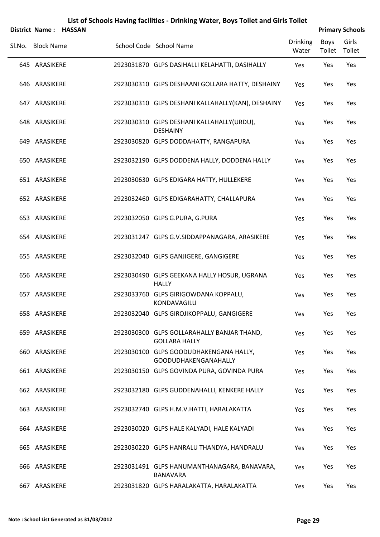|        | District Name:    | <b>HASSAN</b> |                                                                    |                          |                | <b>Primary Schools</b> |
|--------|-------------------|---------------|--------------------------------------------------------------------|--------------------------|----------------|------------------------|
| Sl.No. | <b>Block Name</b> |               | School Code School Name                                            | <b>Drinking</b><br>Water | Boys<br>Toilet | Girls<br>Toilet        |
|        | 645 ARASIKERE     |               | 2923031870 GLPS DASIHALLI KELAHATTI, DASIHALLY                     | Yes                      | Yes            | Yes                    |
|        | 646 ARASIKERE     |               | 2923030310 GLPS DESHAANI GOLLARA HATTY, DESHAINY                   | Yes                      | Yes            | Yes                    |
|        | 647 ARASIKERE     |               | 2923030310 GLPS DESHANI KALLAHALLY(KAN), DESHAINY                  | Yes                      | Yes            | Yes                    |
|        | 648 ARASIKERE     |               | 2923030310 GLPS DESHANI KALLAHALLY(URDU),<br><b>DESHAINY</b>       | Yes                      | Yes            | Yes                    |
|        | 649 ARASIKERE     |               | 2923030820 GLPS DODDAHATTY, RANGAPURA                              | Yes                      | Yes            | Yes                    |
|        | 650 ARASIKERE     |               | 2923032190 GLPS DODDENA HALLY, DODDENA HALLY                       | Yes                      | Yes            | Yes                    |
|        | 651 ARASIKERE     |               | 2923030630 GLPS EDIGARA HATTY, HULLEKERE                           | Yes                      | Yes            | Yes                    |
|        | 652 ARASIKERE     |               | 2923032460 GLPS EDIGARAHATTY, CHALLAPURA                           | Yes                      | Yes            | Yes                    |
|        | 653 ARASIKERE     |               | 2923032050 GLPS G.PURA, G.PURA                                     | Yes                      | Yes            | Yes                    |
|        | 654 ARASIKERE     |               | 2923031247 GLPS G.V.SIDDAPPANAGARA, ARASIKERE                      | Yes                      | Yes            | Yes                    |
|        | 655 ARASIKERE     |               | 2923032040 GLPS GANJIGERE, GANGIGERE                               | Yes                      | Yes            | Yes                    |
|        | 656 ARASIKERE     |               | 2923030490 GLPS GEEKANA HALLY HOSUR, UGRANA<br><b>HALLY</b>        | Yes                      | Yes            | Yes                    |
|        | 657 ARASIKERE     |               | 2923033760 GLPS GIRIGOWDANA KOPPALU,<br>KONDAVAGILU                | Yes                      | Yes            | Yes                    |
|        | 658 ARASIKERE     |               | 2923032040 GLPS GIROJIKOPPALU, GANGIGERE                           | Yes                      | Yes            | Yes                    |
|        | 659 ARASIKERE     |               | 2923030300 GLPS GOLLARAHALLY BANJAR THAND,<br><b>GOLLARA HALLY</b> | Yes                      | Yes            | Yes                    |
|        | 660 ARASIKERE     |               | 2923030100 GLPS GOODUDHAKENGANA HALLY,<br>GOODUDHAKENGANAHALLY     | Yes                      | Yes            | Yes                    |
|        | 661 ARASIKERE     |               | 2923030150 GLPS GOVINDA PURA, GOVINDA PURA                         | Yes                      | Yes            | Yes                    |
|        | 662 ARASIKERE     |               | 2923032180 GLPS GUDDENAHALLI, KENKERE HALLY                        | Yes                      | Yes            | Yes                    |
|        | 663 ARASIKERE     |               | 2923032740 GLPS H.M.V.HATTI, HARALAKATTA                           | Yes                      | Yes            | Yes                    |
|        | 664 ARASIKERE     |               | 2923030020 GLPS HALE KALYADI, HALE KALYADI                         | Yes                      | Yes            | Yes                    |
|        | 665 ARASIKERE     |               | 2923030220 GLPS HANRALU THANDYA, HANDRALU                          | Yes                      | Yes            | Yes                    |
|        | 666 ARASIKERE     |               | 2923031491 GLPS HANUMANTHANAGARA, BANAVARA,<br><b>BANAVARA</b>     | Yes                      | Yes            | Yes                    |
|        | 667 ARASIKERE     |               | 2923031820 GLPS HARALAKATTA, HARALAKATTA                           | Yes                      | Yes            | Yes                    |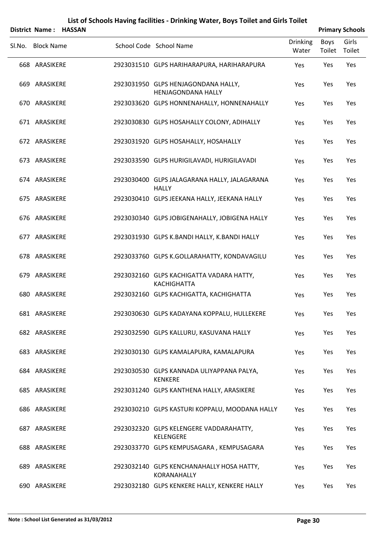|        | District Name: HASSAN |  |                                                                  |                          |                | <b>Primary Schools</b> |
|--------|-----------------------|--|------------------------------------------------------------------|--------------------------|----------------|------------------------|
| SI.No. | <b>Block Name</b>     |  | School Code School Name                                          | <b>Drinking</b><br>Water | Boys<br>Toilet | Girls<br>Toilet        |
|        | 668 ARASIKERE         |  | 2923031510 GLPS HARIHARAPURA, HARIHARAPURA                       | Yes                      | Yes            | Yes                    |
|        | 669 ARASIKERE         |  | 2923031950 GLPS HENJAGONDANA HALLY,<br><b>HENJAGONDANA HALLY</b> | Yes                      | Yes            | Yes                    |
|        | 670 ARASIKERE         |  | 2923033620 GLPS HONNENAHALLY, HONNENAHALLY                       | Yes                      | Yes            | Yes                    |
|        | 671 ARASIKERE         |  | 2923030830 GLPS HOSAHALLY COLONY, ADIHALLY                       | Yes                      | Yes            | Yes                    |
|        | 672 ARASIKERE         |  | 2923031920 GLPS HOSAHALLY, HOSAHALLY                             | Yes                      | Yes            | Yes                    |
|        | 673 ARASIKERE         |  | 2923033590 GLPS HURIGILAVADI, HURIGILAVADI                       | Yes                      | Yes            | Yes                    |
|        | 674 ARASIKERE         |  | 2923030400 GLPS JALAGARANA HALLY, JALAGARANA<br><b>HALLY</b>     | Yes                      | Yes            | Yes                    |
|        | 675 ARASIKERE         |  | 2923030410 GLPS JEEKANA HALLY, JEEKANA HALLY                     | Yes                      | Yes            | Yes                    |
|        | 676 ARASIKERE         |  | 2923030340 GLPS JOBIGENAHALLY, JOBIGENA HALLY                    | Yes                      | Yes            | Yes                    |
|        | 677 ARASIKERE         |  | 2923031930 GLPS K.BANDI HALLY, K.BANDI HALLY                     | Yes                      | Yes            | Yes                    |
|        | 678 ARASIKERE         |  | 2923033760 GLPS K.GOLLARAHATTY, KONDAVAGILU                      | Yes                      | Yes            | Yes                    |
|        | 679 ARASIKERE         |  | 2923032160 GLPS KACHIGATTA VADARA HATTY,<br><b>KACHIGHATTA</b>   | Yes                      | Yes            | Yes                    |
|        | 680 ARASIKERE         |  | 2923032160 GLPS KACHIGATTA, KACHIGHATTA                          | Yes                      | Yes            | Yes                    |
|        | 681 ARASIKERE         |  | 2923030630 GLPS KADAYANA KOPPALU, HULLEKERE                      | Yes                      | Yes            | Yes                    |
|        | 682 ARASIKERE         |  | 2923032590 GLPS KALLURU, KASUVANA HALLY                          | Yes                      | Yes            | Yes                    |
|        | 683 ARASIKERE         |  | 2923030130 GLPS KAMALAPURA, KAMALAPURA                           | Yes                      | Yes            | Yes                    |
|        | 684 ARASIKERE         |  | 2923030530 GLPS KANNADA ULIYAPPANA PALYA,<br><b>KENKERE</b>      | Yes                      | Yes            | Yes                    |
|        | 685 ARASIKERE         |  | 2923031240 GLPS KANTHENA HALLY, ARASIKERE                        | Yes                      | Yes            | Yes                    |
|        | 686 ARASIKERE         |  | 2923030210 GLPS KASTURI KOPPALU, MOODANA HALLY                   | Yes                      | Yes            | Yes                    |
|        | 687 ARASIKERE         |  | 2923032320 GLPS KELENGERE VADDARAHATTY,<br><b>KELENGERE</b>      | Yes                      | Yes            | Yes                    |
|        | 688 ARASIKERE         |  | 2923033770 GLPS KEMPUSAGARA, KEMPUSAGARA                         | Yes                      | Yes            | Yes                    |
|        | 689 ARASIKERE         |  | 2923032140 GLPS KENCHANAHALLY HOSA HATTY,<br>KORANAHALLY         | Yes                      | Yes            | Yes                    |
|        | 690 ARASIKERE         |  | 2923032180 GLPS KENKERE HALLY, KENKERE HALLY                     | Yes                      | Yes            | Yes                    |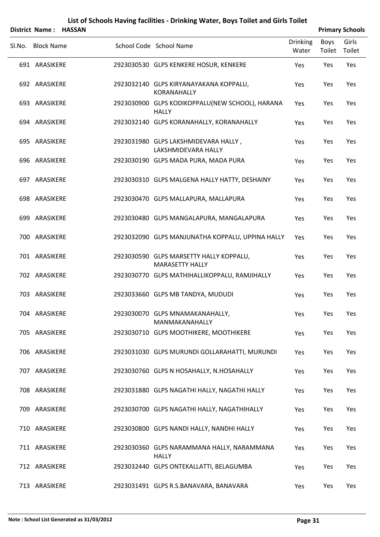|        | District Name: HASSAN |  |                                                                   |                          |                       | <b>Primary Schools</b> |
|--------|-----------------------|--|-------------------------------------------------------------------|--------------------------|-----------------------|------------------------|
| Sl.No. | <b>Block Name</b>     |  | School Code School Name                                           | <b>Drinking</b><br>Water | <b>Boys</b><br>Toilet | Girls<br>Toilet        |
|        | 691 ARASIKERE         |  | 2923030530 GLPS KENKERE HOSUR, KENKERE                            | Yes                      | Yes                   | Yes                    |
|        | 692 ARASIKERE         |  | 2923032140 GLPS KIRYANAYAKANA KOPPALU,<br>KORANAHALLY             | Yes                      | Yes                   | Yes                    |
|        | 693 ARASIKERE         |  | 2923030900 GLPS KODIKOPPALU(NEW SCHOOL), HARANA<br><b>HALLY</b>   | Yes                      | Yes                   | Yes                    |
|        | 694 ARASIKERE         |  | 2923032140 GLPS KORANAHALLY, KORANAHALLY                          | Yes                      | Yes                   | Yes                    |
|        | 695 ARASIKERE         |  | 2923031980 GLPS LAKSHMIDEVARA HALLY,<br>LAKSHMIDEVARA HALLY       | Yes                      | Yes                   | Yes                    |
|        | 696 ARASIKERE         |  | 2923030190 GLPS MADA PURA, MADA PURA                              | Yes                      | Yes                   | Yes                    |
|        | 697 ARASIKERE         |  | 2923030310 GLPS MALGENA HALLY HATTY, DESHAINY                     | Yes                      | Yes                   | Yes                    |
|        | 698 ARASIKERE         |  | 2923030470 GLPS MALLAPURA, MALLAPURA                              | Yes                      | Yes                   | Yes                    |
|        | 699 ARASIKERE         |  | 2923030480 GLPS MANGALAPURA, MANGALAPURA                          | Yes                      | Yes                   | Yes                    |
|        | 700 ARASIKERE         |  | 2923032090 GLPS MANJUNATHA KOPPALU, UPPINA HALLY                  | <b>Yes</b>               | Yes                   | Yes                    |
|        | 701 ARASIKERE         |  | 2923030590 GLPS MARSETTY HALLY KOPPALU,<br><b>MARASETTY HALLY</b> | Yes                      | Yes                   | Yes                    |
|        | 702 ARASIKERE         |  | 2923030770 GLPS MATHIHALLIKOPPALU, RAMJIHALLY                     | Yes                      | Yes                   | Yes                    |
|        | 703 ARASIKERE         |  | 2923033660 GLPS MB TANDYA, MUDUDI                                 | Yes                      | Yes                   | Yes                    |
|        | 704 ARASIKERE         |  | 2923030070 GLPS MNAMAKANAHALLY,<br>MANMAKANAHALLY                 | Yes                      | Yes                   | Yes                    |
|        | 705 ARASIKERE         |  | 2923030710 GLPS MOOTHIKERE, MOOTHIKERE                            | Yes                      | Yes                   | Yes                    |
|        | 706 ARASIKERE         |  | 2923031030 GLPS MURUNDI GOLLARAHATTI, MURUNDI                     | Yes                      | Yes                   | Yes                    |
|        | 707 ARASIKERE         |  | 2923030760 GLPS N HOSAHALLY, N.HOSAHALLY                          | Yes                      | Yes                   | Yes                    |
|        | 708 ARASIKERE         |  | 2923031880 GLPS NAGATHI HALLY, NAGATHI HALLY                      | Yes                      | Yes                   | Yes                    |
|        | 709 ARASIKERE         |  | 2923030700 GLPS NAGATHI HALLY, NAGATHIHALLY                       | Yes                      | Yes                   | Yes                    |
|        | 710 ARASIKERE         |  | 2923030800 GLPS NANDI HALLY, NANDHI HALLY                         | Yes                      | Yes                   | Yes                    |
|        | 711 ARASIKERE         |  | 2923030360 GLPS NARAMMANA HALLY, NARAMMANA<br><b>HALLY</b>        | Yes                      | Yes                   | Yes                    |
|        | 712 ARASIKERE         |  | 2923032440 GLPS ONTEKALLATTI, BELAGUMBA                           | Yes                      | Yes                   | Yes                    |

713 ARASIKERE 2923031491 GLPS R.S.BANAVARA, BANAVARA Yes Yes Yes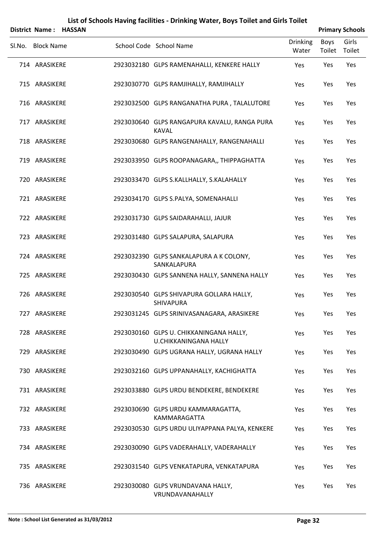| <b>District Name:</b> | <b>HASSAN</b> | List of Schools Having facilities - Drinking Water, Boys Toilet and Girls Toilet |                | <b>Primary Schools</b> |
|-----------------------|---------------|----------------------------------------------------------------------------------|----------------|------------------------|
| Sl.No. Block Name     |               | <b>Drinking</b><br>School Code School Name<br>Water                              | Boys<br>Toilet | Girls<br>Toilet        |
| 714 ARASIKERE         |               | 2923032180 GLPS RAMENAHALLI, KENKERE HALLY<br>Yes                                | Yes            | Yes                    |
| 715 ARASIKERE         |               | 2923030770 GLPS RAMJIHALLY, RAMJIHALLY<br>Yes                                    | Yes            | Yes                    |
| 716 ARASIKERE         |               | 2923032500 GLPS RANGANATHA PURA, TALALUTORE<br>Yes                               | Yes            | Yes                    |
| 717 ARASIKERE         |               | 2923030640 GLPS RANGAPURA KAVALU, RANGA PURA<br>Yes<br><b>KAVAL</b>              | Yes            | Yes                    |
| 718 ARASIKERE         |               | 2923030680 GLPS RANGENAHALLY, RANGENAHALLI<br>Yes                                | Yes            | Yes                    |
| 719 ARASIKERE         |               | 2923033950 GLPS ROOPANAGARA,, THIPPAGHATTA<br>Yes                                | Yes            | Yes                    |
| 720 ARASIKERE         |               | 2923033470 GLPS S.KALLHALLY, S.KALAHALLY<br>Yes                                  | Yes            | Yes                    |
| 721 ARASIKERE         |               | 2923034170 GLPS S.PALYA, SOMENAHALLI<br>Yes                                      | Yes            | Yes                    |
| 722 ARASIKERE         |               | 2923031730 GLPS SAIDARAHALLI, JAJUR<br>Yes                                       | Yes            | Yes                    |
| 723 ARASIKERE         |               | 2923031480 GLPS SALAPURA, SALAPURA<br>Yes                                        | Yes            | Yes                    |
| 724 ARASIKERE         |               | 2923032390 GLPS SANKALAPURA A K COLONY,<br>Yes<br>SANKALAPURA                    | Yes            | Yes                    |
| 725 ARASIKERE         |               | 2923030430 GLPS SANNENA HALLY, SANNENA HALLY<br>Yes                              | Yes            | Yes                    |
| 726 ARASIKERE         |               | 2923030540 GLPS SHIVAPURA GOLLARA HALLY,<br>Yes<br>SHIVAPURA                     | Yes            | Yes                    |
| 727 ARASIKERE         |               | 2923031245 GLPS SRINIVASANAGARA, ARASIKERE<br>Yes                                | Yes            | Yes                    |
| 728 ARASIKERE         |               | 2923030160 GLPS U. CHIKKANINGANA HALLY,<br>Yes<br><b>U.CHIKKANINGANA HALLY</b>   | Yes            | Yes                    |
| 729 ARASIKERE         |               | 2923030490 GLPS UGRANA HALLY, UGRANA HALLY<br>Yes                                | Yes            | Yes                    |
| 730 ARASIKERE         |               | 2923032160 GLPS UPPANAHALLY, KACHIGHATTA<br>Yes                                  | Yes            | Yes                    |
| 731 ARASIKERE         |               | 2923033880 GLPS URDU BENDEKERE, BENDEKERE<br>Yes                                 | Yes            | Yes                    |
| 732 ARASIKERE         |               | 2923030690 GLPS URDU KAMMARAGATTA,<br>Yes<br>KAMMARAGATTA                        | Yes            | Yes                    |
| 733 ARASIKERE         |               | 2923030530 GLPS URDU ULIYAPPANA PALYA, KENKERE<br>Yes                            | Yes            | Yes                    |
| 734 ARASIKERE         |               | 2923030090 GLPS VADERAHALLY, VADERAHALLY<br>Yes                                  | Yes            | Yes                    |
| 735 ARASIKERE         |               | 2923031540 GLPS VENKATAPURA, VENKATAPURA<br>Yes                                  | Yes            | Yes                    |
| 736 ARASIKERE         |               | 2923030080 GLPS VRUNDAVANA HALLY,<br>Yes<br>VRUNDAVANAHALLY                      | Yes            | Yes                    |

#### **Note : School List Generated as 31/03/2012 Page 32**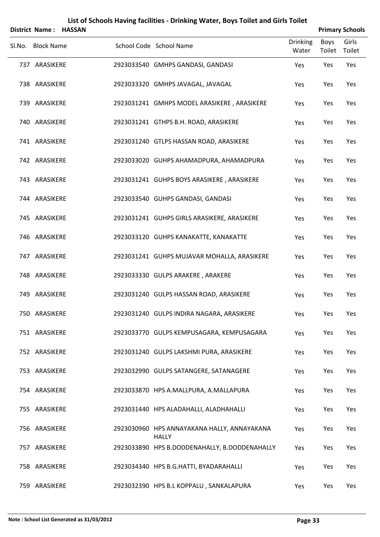|        | District Name: HASSAN |  |                                                             |                          |                | <b>Primary Schools</b> |
|--------|-----------------------|--|-------------------------------------------------------------|--------------------------|----------------|------------------------|
| Sl.No. | <b>Block Name</b>     |  | School Code School Name                                     | <b>Drinking</b><br>Water | Boys<br>Toilet | Girls<br>Toilet        |
|        | 737 ARASIKERE         |  | 2923033540 GMHPS GANDASI, GANDASI                           | Yes                      | Yes            | Yes                    |
|        | 738 ARASIKERE         |  | 2923033320 GMHPS JAVAGAL, JAVAGAL                           | Yes                      | Yes            | Yes                    |
|        | 739 ARASIKERE         |  | 2923031241 GMHPS MODEL ARASIKERE, ARASIKERE                 | Yes                      | Yes            | Yes                    |
|        | 740 ARASIKERE         |  | 2923031241 GTHPS B.H. ROAD, ARASIKERE                       | Yes                      | Yes            | Yes                    |
|        | 741 ARASIKERE         |  | 2923031240 GTLPS HASSAN ROAD, ARASIKERE                     | Yes                      | Yes            | Yes                    |
|        | 742 ARASIKERE         |  | 2923033020 GUHPS AHAMADPURA, AHAMADPURA                     | Yes                      | Yes            | Yes                    |
|        | 743 ARASIKERE         |  | 2923031241 GUHPS BOYS ARASIKERE, ARASIKERE                  | Yes                      | Yes            | Yes                    |
|        | 744 ARASIKERE         |  | 2923033540 GUHPS GANDASI, GANDASI                           | Yes                      | Yes            | Yes                    |
|        | 745 ARASIKERE         |  | 2923031241 GUHPS GIRLS ARASIKERE, ARASIKERE                 | Yes                      | Yes            | Yes                    |
|        | 746 ARASIKERE         |  | 2923033120 GUHPS KANAKATTE, KANAKATTE                       | Yes                      | Yes            | Yes                    |
|        | 747 ARASIKERE         |  | 2923031241 GUHPS MUJAVAR MOHALLA, ARASIKERE                 | Yes                      | Yes            | Yes                    |
|        | 748 ARASIKERE         |  | 2923033330 GULPS ARAKERE, ARAKERE                           | Yes                      | Yes            | Yes                    |
|        | 749 ARASIKERE         |  | 2923031240 GULPS HASSAN ROAD, ARASIKERE                     | Yes                      | Yes            | Yes                    |
|        | 750 ARASIKERE         |  | 2923031240 GULPS INDIRA NAGARA, ARASIKERE                   | Yes                      | Yes            | Yes                    |
|        | 751 ARASIKERE         |  | 2923033770 GULPS KEMPUSAGARA, KEMPUSAGARA                   | Yes                      | Yes            | Yes                    |
|        | 752 ARASIKERE         |  | 2923031240 GULPS LAKSHMI PURA, ARASIKERE                    | Yes                      | Yes            | Yes                    |
|        | 753 ARASIKERE         |  | 2923032990 GULPS SATANGERE, SATANAGERE                      | Yes                      | Yes            | Yes                    |
|        | 754 ARASIKERE         |  | 2923033870 HPS A.MALLPURA, A.MALLAPURA                      | Yes                      | Yes            | Yes                    |
|        | 755 ARASIKERE         |  | 2923031440 HPS ALADAHALLI, ALADHAHALLI                      | Yes                      | Yes            | Yes                    |
|        | 756 ARASIKERE         |  | 2923030960 HPS ANNAYAKANA HALLY, ANNAYAKANA<br><b>HALLY</b> | Yes                      | Yes            | Yes                    |
|        | 757 ARASIKERE         |  | 2923033890 HPS B.DODDENAHALLY, B.DODDENAHALLY               | Yes                      | Yes            | Yes                    |
|        | 758 ARASIKERE         |  | 2923034340 HPS B.G.HATTI, BYADARAHALLI                      | Yes                      | Yes            | Yes                    |
|        | 759 ARASIKERE         |  | 2923032390 HPS B.L KOPPALU, SANKALAPURA                     | Yes                      | Yes            | Yes                    |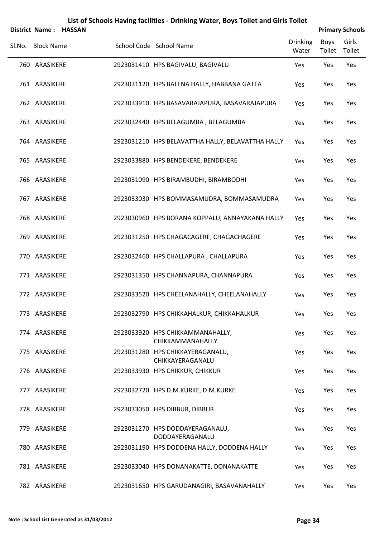|        | District Name: HASSAN |  |                                                      |                          |                | <b>Primary Schools</b> |
|--------|-----------------------|--|------------------------------------------------------|--------------------------|----------------|------------------------|
| Sl.No. | <b>Block Name</b>     |  | School Code School Name                              | <b>Drinking</b><br>Water | Boys<br>Toilet | Girls<br>Toilet        |
|        | 760 ARASIKERE         |  | 2923031410 HPS BAGIVALU, BAGIVALU                    | Yes                      | Yes            | Yes                    |
|        | 761 ARASIKERE         |  | 2923031120 HPS BALENA HALLY, HABBANA GATTA           | Yes                      | Yes            | Yes                    |
|        | 762 ARASIKERE         |  | 2923033910 HPS BASAVARAJAPURA, BASAVARAJAPURA        | Yes                      | Yes            | Yes                    |
|        | 763 ARASIKERE         |  | 2923032440 HPS BELAGUMBA, BELAGUMBA                  | Yes                      | Yes            | Yes                    |
|        | 764 ARASIKERE         |  | 2923031210 HPS BELAVATTHA HALLY, BELAVATTHA HALLY    | Yes                      | Yes            | Yes                    |
|        | 765 ARASIKERE         |  | 2923033880 HPS BENDEKERE, BENDEKERE                  | Yes                      | Yes            | Yes                    |
|        | 766 ARASIKERE         |  | 2923031090 HPS BIRAMBUDHI, BIRAMBODHI                | Yes                      | Yes            | Yes                    |
|        | 767 ARASIKERE         |  | 2923033030 HPS BOMMASAMUDRA, BOMMASAMUDRA            | Yes                      | Yes            | Yes                    |
|        | 768 ARASIKERE         |  | 2923030960 HPS BORANA KOPPALU, ANNAYAKANA HALLY      | Yes                      | Yes            | Yes                    |
|        | 769 ARASIKERE         |  | 2923031250 HPS CHAGACAGERE, CHAGACHAGERE             | Yes                      | Yes            | Yes                    |
|        | 770 ARASIKERE         |  | 2923032460 HPS CHALLAPURA, CHALLAPURA                | Yes                      | Yes            | Yes                    |
|        | 771 ARASIKERE         |  | 2923031350 HPS CHANNAPURA, CHANNAPURA                | Yes                      | Yes            | Yes                    |
|        | 772 ARASIKERE         |  | 2923033520 HPS CHEELANAHALLY, CHEELANAHALLY          | Yes                      | Yes            | Yes                    |
|        | 773 ARASIKERE         |  | 2923032790 HPS CHIKKAHALKUR, CHIKKAHALKUR            | Yes                      | Yes            | Yes                    |
|        | 774 ARASIKERE         |  | 2923033920 HPS CHIKKAMMANAHALLY,<br>CHIKKAMMANAHALLY | Yes                      | Yes            | Yes                    |
|        | 775 ARASIKERE         |  | 2923031280 HPS CHIKKAYERAGANALU,<br>CHIKKAYERAGANALU | Yes                      | Yes            | Yes                    |
|        | 776 ARASIKERE         |  | 2923033930 HPS CHIKKUR, CHIKKUR                      | Yes                      | Yes            | Yes                    |
|        | 777 ARASIKERE         |  | 2923032720 HPS D.M.KURKE, D.M.KURKE                  | Yes                      | Yes            | Yes                    |
|        | 778 ARASIKERE         |  | 2923033050 HPS DIBBUR, DIBBUR                        | Yes                      | Yes            | Yes                    |
|        | 779 ARASIKERE         |  | 2923031270 HPS DODDAYERAGANALU,<br>DODDAYERAGANALU   | Yes                      | Yes            | Yes                    |
|        | 780 ARASIKERE         |  | 2923031190 HPS DODDENA HALLY, DODDENA HALLY          | Yes                      | Yes            | Yes                    |
|        | 781 ARASIKERE         |  | 2923033040 HPS DONANAKATTE, DONANAKATTE              | Yes                      | Yes            | Yes                    |
|        | 782 ARASIKERE         |  | 2923031650 HPS GARUDANAGIRI, BASAVANAHALLY           | Yes                      | Yes            | Yes                    |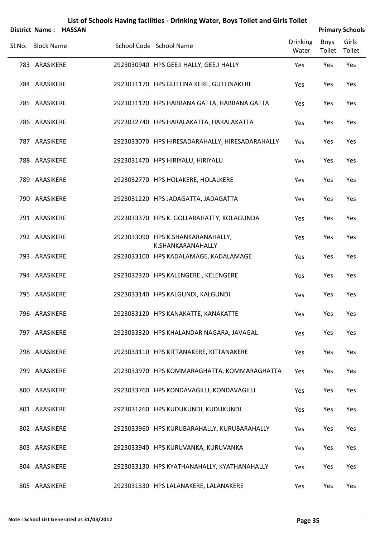| District Name:    | <b>HASSAN</b> |                                                        |                          |                | <b>Primary Schools</b> |
|-------------------|---------------|--------------------------------------------------------|--------------------------|----------------|------------------------|
| Sl.No. Block Name |               | School Code School Name                                | <b>Drinking</b><br>Water | Boys<br>Toilet | Girls<br>Toilet        |
| 783 ARASIKERE     |               | 2923030940 HPS GEEJI HALLY, GEEJI HALLY                | Yes                      | Yes            | Yes                    |
| 784 ARASIKERE     |               | 2923031170 HPS GUTTINA KERE, GUTTINAKERE               | Yes                      | Yes            | Yes                    |
| 785 ARASIKERE     |               | 2923031120 HPS HABBANA GATTA, HABBANA GATTA            | Yes                      | Yes            | Yes                    |
| 786 ARASIKERE     |               | 2923032740 HPS HARALAKATTA, HARALAKATTA                | Yes                      | Yes            | Yes                    |
| 787 ARASIKERE     |               | 2923033070 HPS HIRESADARAHALLY, HIRESADARAHALLY        | Yes                      | Yes            | Yes                    |
| 788 ARASIKERE     |               | 2923031470 HPS HIRIYALU, HIRIYALU                      | Yes                      | Yes            | Yes                    |
| 789 ARASIKERE     |               | 2923032770 HPS HOLAKERE, HOLALKERE                     | Yes                      | Yes            | Yes                    |
| 790 ARASIKERE     |               | 2923031220 HPS JADAGATTA, JADAGATTA                    | Yes                      | Yes            | Yes                    |
| 791 ARASIKERE     |               | 2923033370 HPS K. GOLLARAHATTY, KOLAGUNDA              | Yes                      | Yes            | Yes                    |
| 792 ARASIKERE     |               | 2923033090 HPS K.SHANKARANAHALLY,<br>K.SHANKARANAHALLY | Yes                      | Yes            | Yes                    |
| 793 ARASIKERE     |               | 2923033100 HPS KADALAMAGE, KADALAMAGE                  | Yes                      | Yes            | Yes                    |
| 794 ARASIKERE     |               | 2923032320 HPS KALENGERE, KELENGERE                    | Yes                      | Yes            | Yes                    |
| 795 ARASIKERE     |               | 2923033140 HPS KALGUNDI, KALGUNDI                      | Yes                      | Yes            | Yes                    |
| 796 ARASIKERE     |               | 2923033120 HPS KANAKATTE, KANAKATTE                    | Yes                      | Yes            | Yes                    |
| 797 ARASIKERE     |               | 2923033320 HPS KHALANDAR NAGARA, JAVAGAL               | Yes                      | Yes            | Yes                    |
| 798 ARASIKERE     |               | 2923033110 HPS KITTANAKERE, KITTANAKERE                | Yes                      | Yes            | Yes                    |
| 799 ARASIKERE     |               | 2923033970 HPS KOMMARAGHATTA, KOMMARAGHATTA            | Yes                      | Yes            | Yes                    |
| 800 ARASIKERE     |               | 2923033760 HPS KONDAVAGILU, KONDAVAGILU                | Yes                      | Yes            | Yes                    |
| 801 ARASIKERE     |               | 2923031260 HPS KUDUKUNDI, KUDUKUNDI                    | Yes                      | Yes            | Yes                    |
| 802 ARASIKERE     |               | 2923033960 HPS KURUBARAHALLY, KURUBARAHALLY            | Yes                      | Yes            | Yes                    |
| 803 ARASIKERE     |               | 2923033940 HPS KURUVANKA, KURUVANKA                    | Yes                      | Yes            | Yes                    |
| 804 ARASIKERE     |               | 2923033130 HPS KYATHANAHALLY, KYATHANAHALLY            | Yes                      | Yes            | Yes                    |
| 805 ARASIKERE     |               | 2923031330 HPS LALANAKERE, LALANAKERE                  | Yes                      | Yes            | Yes                    |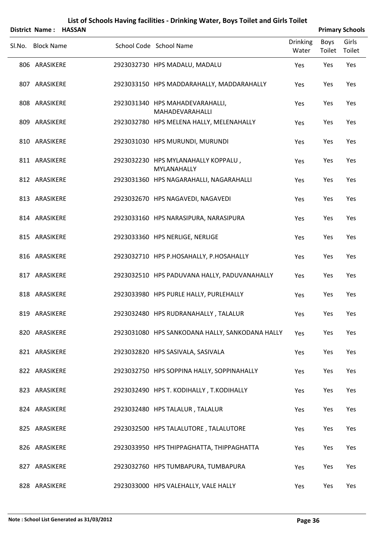|                   | District Name: HASSAN |                                                    |                          |                | <b>Primary Schools</b> |
|-------------------|-----------------------|----------------------------------------------------|--------------------------|----------------|------------------------|
| SI.No. Block Name |                       | School Code School Name                            | <b>Drinking</b><br>Water | Boys<br>Toilet | Girls<br>Toilet        |
| 806 ARASIKERE     |                       | 2923032730 HPS MADALU, MADALU                      | Yes                      | Yes            | Yes                    |
| 807 ARASIKERE     |                       | 2923033150 HPS MADDARAHALLY, MADDARAHALLY          | Yes                      | Yes            | Yes                    |
| 808 ARASIKERE     |                       | 2923031340 HPS MAHADEVARAHALLI,<br>MAHADEVARAHALLI | Yes                      | Yes            | Yes                    |
| 809 ARASIKERE     |                       | 2923032780 HPS MELENA HALLY, MELENAHALLY           | Yes                      | Yes            | Yes                    |
| 810 ARASIKERE     |                       | 2923031030 HPS MURUNDI, MURUNDI                    | Yes                      | Yes            | Yes                    |
| 811 ARASIKERE     |                       | 2923032230 HPS MYLANAHALLY KOPPALU,<br>MYLANAHALLY | Yes                      | Yes            | Yes                    |
| 812 ARASIKERE     |                       | 2923031360 HPS NAGARAHALLI, NAGARAHALLI            | Yes                      | Yes            | Yes                    |
| 813 ARASIKERE     |                       | 2923032670 HPS NAGAVEDI, NAGAVEDI                  | Yes                      | Yes            | Yes                    |
| 814 ARASIKERE     |                       | 2923033160 HPS NARASIPURA, NARASIPURA              | Yes                      | Yes            | Yes                    |
| 815 ARASIKERE     |                       | 2923033360 HPS NERLIGE, NERLIGE                    | Yes                      | Yes            | Yes                    |
| 816 ARASIKERE     |                       | 2923032710 HPS P.HOSAHALLY, P.HOSAHALLY            | Yes                      | Yes            | Yes                    |
| 817 ARASIKERE     |                       | 2923032510 HPS PADUVANA HALLY, PADUVANAHALLY       | Yes                      | Yes            | Yes                    |
| 818 ARASIKERE     |                       | 2923033980 HPS PURLE HALLY, PURLEHALLY             | Yes                      | Yes            | Yes                    |
| 819 ARASIKERE     |                       | 2923032480 HPS RUDRANAHALLY, TALALUR               | Yes                      | Yes            | Yes                    |
| 820 ARASIKERE     |                       | 2923031080 HPS SANKODANA HALLY, SANKODANA HALLY    | Yes                      | Yes            | Yes                    |
| 821 ARASIKERE     |                       | 2923032820 HPS SASIVALA, SASIVALA                  | Yes                      | Yes            | Yes                    |
| 822 ARASIKERE     |                       | 2923032750 HPS SOPPINA HALLY, SOPPINAHALLY         | Yes                      | Yes            | Yes                    |
| 823 ARASIKERE     |                       | 2923032490 HPS T. KODIHALLY, T.KODIHALLY           | Yes                      | Yes            | Yes                    |
| 824 ARASIKERE     |                       | 2923032480 HPS TALALUR, TALALUR                    | Yes                      | Yes            | Yes                    |
| 825 ARASIKERE     |                       | 2923032500 HPS TALALUTORE, TALALUTORE              | Yes                      | Yes            | Yes                    |
| 826 ARASIKERE     |                       | 2923033950 HPS THIPPAGHATTA, THIPPAGHATTA          | Yes                      | Yes            | Yes                    |
| 827 ARASIKERE     |                       | 2923032760 HPS TUMBAPURA, TUMBAPURA                | Yes                      | Yes            | Yes                    |
| 828 ARASIKERE     |                       | 2923033000 HPS VALEHALLY, VALE HALLY               | Yes                      | Yes            | Yes                    |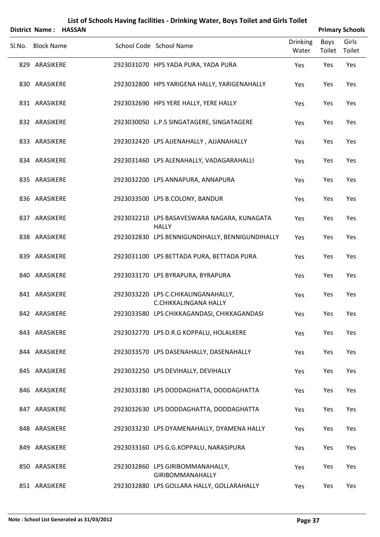|        | District Name: HASSAN |  |                                                              |                          |                | <b>Primary Schools</b> |
|--------|-----------------------|--|--------------------------------------------------------------|--------------------------|----------------|------------------------|
| SI.No. | <b>Block Name</b>     |  | School Code School Name                                      | <b>Drinking</b><br>Water | Boys<br>Toilet | Girls<br>Toilet        |
|        | 829 ARASIKERE         |  | 2923031070 HPS YADA PURA, YADA PURA                          | Yes                      | Yes            | Yes                    |
|        | 830 ARASIKERE         |  | 2923032800 HPS YARIGENA HALLY, YARIGENAHALLY                 | Yes                      | Yes            | Yes                    |
|        | 831 ARASIKERE         |  | 2923032690 HPS YERE HALLY, YERE HALLY                        | Yes                      | Yes            | Yes                    |
|        | 832 ARASIKERE         |  | 2923030050 L.P.S SINGATAGERE, SINGATAGERE                    | Yes                      | Yes            | Yes                    |
|        | 833 ARASIKERE         |  | 2923032420 LPS AJJENAHALLY, AJJANAHALLY                      | Yes                      | Yes            | Yes                    |
|        | 834 ARASIKERE         |  | 2923031460 LPS ALENAHALLY, VADAGARAHALLI                     | Yes                      | Yes            | Yes                    |
|        | 835 ARASIKERE         |  | 2923032200 LPS ANNAPURA, ANNAPURA                            | Yes                      | Yes            | Yes                    |
|        | 836 ARASIKERE         |  | 2923033500 LPS B.COLONY, BANDUR                              | Yes                      | Yes            | Yes                    |
|        | 837 ARASIKERE         |  | 2923032210 LPS BASAVESWARA NAGARA, KUNAGATA<br><b>HALLY</b>  | Yes                      | Yes            | Yes                    |
|        | 838 ARASIKERE         |  | 2923032830 LPS BENNIGUNDIHALLY, BENNIGUNDIHALLY              | Yes                      | Yes            | Yes                    |
|        | 839 ARASIKERE         |  | 2923031100 LPS BETTADA PURA, BETTADA PURA                    | Yes                      | Yes            | Yes                    |
|        | 840 ARASIKERE         |  | 2923033170 LPS BYRAPURA, BYRAPURA                            | Yes                      | Yes            | Yes                    |
|        | 841 ARASIKERE         |  | 2923033220 LPS C.CHIKALINGANAHALLY,<br>C.CHIKKALINGANA HALLY | Yes                      | Yes            | Yes                    |
|        | 842 ARASIKERE         |  | 2923033580 LPS CHIKKAGANDASI, CHIKKAGANDASI                  | Yes                      | Yes            | Yes                    |
|        | 843 ARASIKERE         |  | 2923032770 LPS D.R.G KOPPALU, HOLALKERE                      | Yes                      | Yes            | Yes                    |
|        | 844 ARASIKERE         |  | 2923033570 LPS DASENAHALLY, DASENAHALLY                      | Yes                      | Yes            | Yes                    |
|        | 845 ARASIKERE         |  | 2923032250 LPS DEVIHALLY, DEVIHALLY                          | Yes                      | Yes            | Yes                    |
|        | 846 ARASIKERE         |  | 2923033180 LPS DODDAGHATTA, DODDAGHATTA                      | Yes                      | Yes            | Yes                    |
|        | 847 ARASIKERE         |  | 2923032630 LPS DODDAGHATTA, DODDAGHATTA                      | Yes                      | Yes            | Yes                    |
|        | 848 ARASIKERE         |  | 2923033230 LPS DYAMENAHALLY, DYAMENA HALLY                   | Yes                      | Yes            | Yes                    |
|        | 849 ARASIKERE         |  | 2923033160 LPS G.G.KOPPALU, NARASIPURA                       | Yes                      | Yes            | Yes                    |
|        | 850 ARASIKERE         |  | 2923032860 LPS GIRIBOMMANAHALLY,<br><b>GIRIBOMMANAHALLY</b>  | Yes                      | Yes            | Yes                    |
|        | 851 ARASIKERE         |  | 2923032880 LPS GOLLARA HALLY, GOLLARAHALLY                   | Yes                      | Yes            | Yes                    |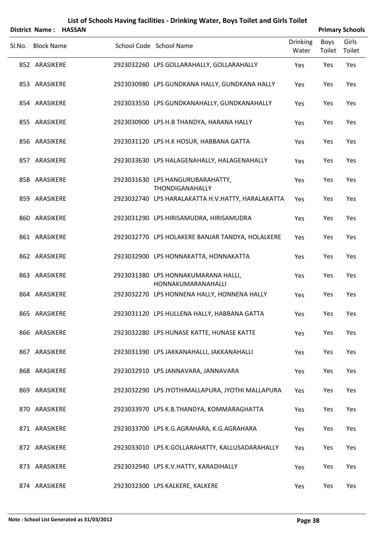|        | District Name:    | <b>HASSAN</b> |                                                           |                          |                | <b>Primary Schools</b> |
|--------|-------------------|---------------|-----------------------------------------------------------|--------------------------|----------------|------------------------|
| Sl.No. | <b>Block Name</b> |               | School Code School Name                                   | <b>Drinking</b><br>Water | Boys<br>Toilet | Girls<br>Toilet        |
|        | 852 ARASIKERE     |               | 2923032260 LPS GOLLARAHALLY, GOLLARAHALLY                 | Yes                      | Yes            | Yes                    |
|        | 853 ARASIKERE     |               | 2923030980 LPS GUNDKANA HALLY, GUNDKANA HALLY             | Yes                      | Yes            | Yes                    |
|        | 854 ARASIKERE     |               | 2923033550 LPS GUNDKANAHALLY, GUNDKANAHALLY               | Yes                      | Yes            | Yes                    |
|        | 855 ARASIKERE     |               | 2923030900 LPS H.B THANDYA, HARANA HALLY                  | Yes                      | Yes            | Yes                    |
|        | 856 ARASIKERE     |               | 2923031120 LPS H.K HOSUR, HABBANA GATTA                   | Yes                      | Yes            | Yes                    |
|        | 857 ARASIKERE     |               | 2923033630 LPS HALAGENAHALLY, HALAGENAHALLY               | Yes                      | Yes            | Yes                    |
|        | 858 ARASIKERE     |               | 2923031630 LPS HANGURUBARAHATTY,<br>THONDIGANAHALLY       | Yes                      | Yes            | Yes                    |
|        | 859 ARASIKERE     |               | 2923032740 LPS HARALAKATTA H.V.HATTY, HARALAKATTA         | Yes                      | Yes            | Yes                    |
|        | 860 ARASIKERE     |               | 2923031290 LPS HIRISAMUDRA, HIRISAMUDRA                   | Yes                      | Yes            | Yes                    |
|        | 861 ARASIKERE     |               | 2923032770 LPS HOLAKERE BANJAR TANDYA, HOLALKERE          | Yes                      | Yes            | Yes                    |
|        | 862 ARASIKERE     |               | 2923032900 LPS HONNAKATTA, HONNAKATTA                     | Yes                      | Yes            | Yes                    |
|        | 863 ARASIKERE     |               | 2923031380 LPS HONNAKUMARANA HALLI,<br>HONNAKUMARANAHALLI | Yes                      | Yes            | Yes                    |
|        | 864 ARASIKERE     |               | 2923032270 LPS HONNENA HALLY, HONNENA HALLY               | Yes                      | Yes            | Yes                    |
|        | 865 ARASIKERE     |               | 2923031120 LPS HULLENA HALLY, HABBANA GATTA               | Yes                      | Yes            | Yes                    |
|        | 866 ARASIKERE     |               | 2923032280 LPS HUNASE KATTE, HUNASE KATTE                 | Yes                      | Yes            | Yes                    |
|        | 867 ARASIKERE     |               | 2923031390 LPS JAKKANAHALLI, JAKKANAHALLI                 | Yes                      | Yes            | Yes                    |
|        | 868 ARASIKERE     |               | 2923032910 LPS JANNAVARA, JANNAVARA                       | Yes                      | Yes            | Yes                    |
|        | 869 ARASIKERE     |               | 2923032290 LPS JYOTHIMALLAPURA, JYOTHI MALLAPURA          | Yes                      | Yes            | Yes                    |
|        | 870 ARASIKERE     |               | 2923033970 LPS K.B.THANDYA, KOMMARAGHATTA                 | Yes                      | Yes            | Yes                    |
|        | 871 ARASIKERE     |               | 2923033700 LPS K.G.AGRAHARA, K.G.AGRAHARA                 | Yes                      | Yes            | Yes                    |
|        | 872 ARASIKERE     |               | 2923033010 LPS K.GOLLARAHATTY, KALLUSADARAHALLY           | Yes                      | Yes            | Yes                    |
|        | 873 ARASIKERE     |               | 2923032940 LPS K.V.HATTY, KARADIHALLY                     | Yes                      | Yes            | Yes                    |
|        | 874 ARASIKERE     |               | 2923032300 LPS KALKERE, KALKERE                           | Yes                      | Yes            | Yes                    |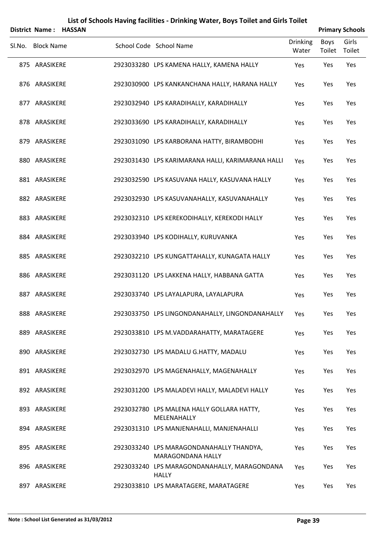|        | <b>District Name:</b> | <b>HASSAN</b> |                                                                      |                          |                       | <b>Primary Schools</b> |
|--------|-----------------------|---------------|----------------------------------------------------------------------|--------------------------|-----------------------|------------------------|
| Sl.No. | <b>Block Name</b>     |               | School Code School Name                                              | <b>Drinking</b><br>Water | <b>Boys</b><br>Toilet | Girls<br>Toilet        |
|        | 875 ARASIKERE         |               | 2923033280 LPS KAMENA HALLY, KAMENA HALLY                            | Yes                      | Yes                   | Yes                    |
|        | 876 ARASIKERE         |               | 2923030900 LPS KANKANCHANA HALLY, HARANA HALLY                       | Yes                      | Yes                   | Yes                    |
|        | 877 ARASIKERE         |               | 2923032940 LPS KARADIHALLY, KARADIHALLY                              | Yes                      | Yes                   | Yes                    |
|        | 878 ARASIKERE         |               | 2923033690 LPS KARADIHALLY, KARADIHALLY                              | Yes                      | Yes                   | Yes                    |
|        | 879 ARASIKERE         |               | 2923031090 LPS KARBORANA HATTY, BIRAMBODHI                           | Yes                      | Yes                   | Yes                    |
|        | 880 ARASIKERE         |               | 2923031430 LPS KARIMARANA HALLI, KARIMARANA HALLI                    | Yes                      | Yes                   | Yes                    |
|        | 881 ARASIKERE         |               | 2923032590 LPS KASUVANA HALLY, KASUVANA HALLY                        | Yes                      | Yes                   | Yes                    |
|        | 882 ARASIKERE         |               | 2923032930 LPS KASUVANAHALLY, KASUVANAHALLY                          | Yes                      | Yes                   | Yes                    |
|        | 883 ARASIKERE         |               | 2923032310 LPS KEREKODIHALLY, KEREKODI HALLY                         | Yes                      | Yes                   | Yes                    |
|        | 884 ARASIKERE         |               | 2923033940 LPS KODIHALLY, KURUVANKA                                  | Yes                      | Yes                   | Yes                    |
|        | 885 ARASIKERE         |               | 2923032210 LPS KUNGATTAHALLY, KUNAGATA HALLY                         | Yes                      | Yes                   | Yes                    |
|        | 886 ARASIKERE         |               | 2923031120 LPS LAKKENA HALLY, HABBANA GATTA                          | Yes                      | Yes                   | Yes                    |
|        | 887 ARASIKERE         |               | 2923033740 LPS LAYALAPURA, LAYALAPURA                                | Yes                      | Yes                   | Yes                    |
|        | 888 ARASIKERE         |               | 2923033750 LPS LINGONDANAHALLY, LINGONDANAHALLY                      | Yes                      | Yes                   | Yes                    |
|        | 889 ARASIKERE         |               | 2923033810 LPS M.VADDARAHATTY, MARATAGERE                            | Yes                      | Yes                   | Yes                    |
|        | 890 ARASIKERE         |               | 2923032730 LPS MADALU G.HATTY, MADALU                                | Yes                      | Yes                   | Yes                    |
|        | 891 ARASIKERE         |               | 2923032970 LPS MAGENAHALLY, MAGENAHALLY                              | Yes                      | Yes                   | Yes                    |
|        | 892 ARASIKERE         |               | 2923031200 LPS MALADEVI HALLY, MALADEVI HALLY                        | Yes                      | Yes                   | Yes                    |
|        | 893 ARASIKERE         |               | 2923032780 LPS MALENA HALLY GOLLARA HATTY,<br>MELENAHALLY            | Yes                      | Yes                   | Yes                    |
|        | 894 ARASIKERE         |               | 2923031310 LPS MANJENAHALLI, MANJENAHALLI                            | Yes                      | Yes                   | Yes                    |
|        | 895 ARASIKERE         |               | 2923033240 LPS MARAGONDANAHALLY THANDYA,<br><b>MARAGONDANA HALLY</b> | Yes                      | Yes                   | Yes                    |
|        | 896 ARASIKERE         |               | 2923033240 LPS MARAGONDANAHALLY, MARAGONDANA<br><b>HALLY</b>         | Yes                      | Yes                   | Yes                    |
|        | 897 ARASIKERE         |               | 2923033810 LPS MARATAGERE, MARATAGERE                                | Yes                      | Yes                   | Yes                    |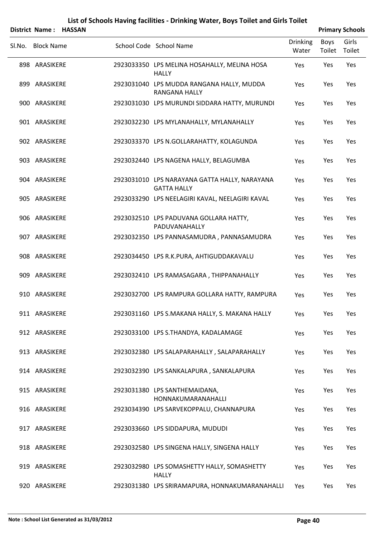|        |                   | District Name: HASSAN |                                                                     |                          |                | <b>Primary Schools</b> |
|--------|-------------------|-----------------------|---------------------------------------------------------------------|--------------------------|----------------|------------------------|
| SI.No. | <b>Block Name</b> |                       | School Code School Name                                             | <b>Drinking</b><br>Water | Boys<br>Toilet | Girls<br>Toilet        |
|        | 898 ARASIKERE     |                       | 2923033350 LPS MELINA HOSAHALLY, MELINA HOSA<br><b>HALLY</b>        | Yes                      | Yes            | Yes                    |
|        | 899 ARASIKERE     |                       | 2923031040 LPS MUDDA RANGANA HALLY, MUDDA<br>RANGANA HALLY          | Yes                      | Yes            | Yes                    |
|        | 900 ARASIKERE     |                       | 2923031030 LPS MURUNDI SIDDARA HATTY, MURUNDI                       | Yes                      | Yes            | Yes                    |
|        | 901 ARASIKERE     |                       | 2923032230 LPS MYLANAHALLY, MYLANAHALLY                             | Yes                      | Yes            | Yes                    |
|        | 902 ARASIKERE     |                       | 2923033370 LPS N.GOLLARAHATTY, KOLAGUNDA                            | Yes                      | Yes            | Yes                    |
|        | 903 ARASIKERE     |                       | 2923032440 LPS NAGENA HALLY, BELAGUMBA                              | Yes                      | Yes            | Yes                    |
|        | 904 ARASIKERE     |                       | 2923031010 LPS NARAYANA GATTA HALLY, NARAYANA<br><b>GATTA HALLY</b> | Yes                      | Yes            | Yes                    |
|        | 905 ARASIKERE     |                       | 2923033290 LPS NEELAGIRI KAVAL, NEELAGIRI KAVAL                     | Yes                      | Yes            | Yes                    |
|        | 906 ARASIKERE     |                       | 2923032510 LPS PADUVANA GOLLARA HATTY,<br>PADUVANAHALLY             | Yes                      | Yes            | Yes                    |
|        | 907 ARASIKERE     |                       | 2923032350 LPS PANNASAMUDRA, PANNASAMUDRA                           | Yes                      | Yes            | Yes                    |
|        | 908 ARASIKERE     |                       | 2923034450 LPS R.K.PURA, AHTIGUDDAKAVALU                            | Yes                      | Yes            | Yes                    |
|        | 909 ARASIKERE     |                       | 2923032410 LPS RAMASAGARA, THIPPANAHALLY                            | Yes                      | Yes            | Yes                    |
|        | 910 ARASIKERE     |                       | 2923032700 LPS RAMPURA GOLLARA HATTY, RAMPURA                       | Yes                      | Yes            | Yes                    |
|        | 911 ARASIKERE     |                       | 2923031160 LPS S.MAKANA HALLY, S. MAKANA HALLY                      | Yes                      | Yes            | Yes                    |
|        | 912 ARASIKERE     |                       | 2923033100 LPS S.THANDYA, KADALAMAGE                                | Yes                      | Yes            | Yes                    |
|        | 913 ARASIKERE     |                       | 2923032380 LPS SALAPARAHALLY, SALAPARAHALLY                         | Yes                      | Yes            | Yes                    |
|        | 914 ARASIKERE     |                       | 2923032390 LPS SANKALAPURA, SANKALAPURA                             | Yes                      | Yes            | Yes                    |
|        | 915 ARASIKERE     |                       | 2923031380 LPS SANTHEMAIDANA,<br>HONNAKUMARANAHALLI                 | Yes                      | Yes            | Yes                    |
|        | 916 ARASIKERE     |                       | 2923034390 LPS SARVEKOPPALU, CHANNAPURA                             | Yes                      | Yes            | Yes                    |
|        | 917 ARASIKERE     |                       | 2923033660 LPS SIDDAPURA, MUDUDI                                    | Yes                      | Yes            | Yes                    |
|        | 918 ARASIKERE     |                       | 2923032580 LPS SINGENA HALLY, SINGENA HALLY                         | Yes                      | Yes            | Yes                    |
|        | 919 ARASIKERE     |                       | 2923032980 LPS SOMASHETTY HALLY, SOMASHETTY<br><b>HALLY</b>         | Yes                      | Yes            | Yes                    |
|        | 920 ARASIKERE     |                       | 2923031380 LPS SRIRAMAPURA, HONNAKUMARANAHALLI                      | Yes                      | Yes            | Yes                    |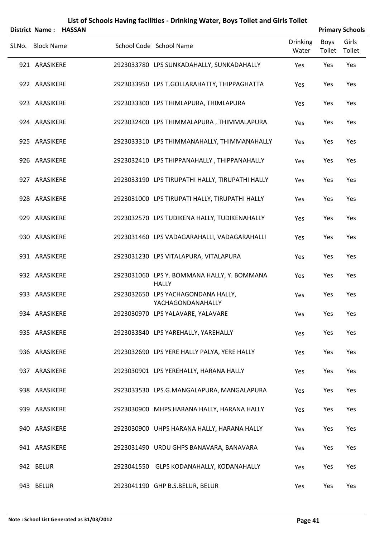|                   | District Name: HASSAN |                                                             |                   |                | <b>Primary Schools</b> |
|-------------------|-----------------------|-------------------------------------------------------------|-------------------|----------------|------------------------|
| Sl.No. Block Name |                       | School Code School Name                                     | Drinking<br>Water | Boys<br>Toilet | Girls<br>Toilet        |
| 921 ARASIKERE     |                       | 2923033780 LPS SUNKADAHALLY, SUNKADAHALLY                   | Yes               | Yes            | Yes                    |
| 922 ARASIKERE     |                       | 2923033950 LPS T.GOLLARAHATTY, THIPPAGHATTA                 | Yes               | Yes            | Yes                    |
| 923 ARASIKERE     |                       | 2923033300 LPS THIMLAPURA, THIMLAPURA                       | Yes               | Yes            | Yes                    |
| 924 ARASIKERE     |                       | 2923032400 LPS THIMMALAPURA, THIMMALAPURA                   | Yes               | Yes            | Yes                    |
| 925 ARASIKERE     |                       | 2923033310 LPS THIMMANAHALLY, THIMMANAHALLY                 | Yes               | Yes            | Yes                    |
| 926 ARASIKERE     |                       | 2923032410 LPS THIPPANAHALLY, THIPPANAHALLY                 | Yes               | Yes            | Yes                    |
| 927 ARASIKERE     |                       | 2923033190 LPS TIRUPATHI HALLY, TIRUPATHI HALLY             | Yes               | Yes            | Yes                    |
| 928 ARASIKERE     |                       | 2923031000 LPS TIRUPATI HALLY, TIRUPATHI HALLY              | Yes               | Yes            | Yes                    |
| 929 ARASIKERE     |                       | 2923032570 LPS TUDIKENA HALLY, TUDIKENAHALLY                | Yes               | Yes            | Yes                    |
| 930 ARASIKERE     |                       | 2923031460 LPS VADAGARAHALLI, VADAGARAHALLI                 | Yes               | Yes            | Yes                    |
| 931 ARASIKERE     |                       | 2923031230 LPS VITALAPURA, VITALAPURA                       | Yes               | Yes            | Yes                    |
| 932 ARASIKERE     |                       | 2923031060 LPS Y. BOMMANA HALLY, Y. BOMMANA<br><b>HALLY</b> | Yes               | Yes            | Yes                    |
| 933 ARASIKERE     |                       | 2923032650 LPS YACHAGONDANA HALLY,<br>YACHAGONDANAHALLY     | Yes               | Yes            | Yes                    |
| 934 ARASIKERE     |                       | 2923030970 LPS YALAVARE, YALAVARE                           | Yes               | Yes            | Yes                    |
| 935 ARASIKERE     |                       | 2923033840 LPS YAREHALLY, YAREHALLY                         | Yes               | Yes            | Yes                    |
| 936 ARASIKERE     |                       | 2923032690 LPS YERE HALLY PALYA, YERE HALLY                 | Yes               | Yes            | Yes                    |
| 937 ARASIKERE     |                       | 2923030901 LPS YEREHALLY, HARANA HALLY                      | Yes               | Yes            | Yes                    |
| 938 ARASIKERE     |                       | 2923033530 LPS.G.MANGALAPURA, MANGALAPURA                   | Yes               | Yes            | Yes                    |
| 939 ARASIKERE     |                       | 2923030900 MHPS HARANA HALLY, HARANA HALLY                  | Yes               | Yes            | Yes                    |
| 940 ARASIKERE     |                       | 2923030900 UHPS HARANA HALLY, HARANA HALLY                  | Yes               | Yes            | Yes                    |
| 941 ARASIKERE     |                       | 2923031490 URDU GHPS BANAVARA, BANAVARA                     | Yes               | Yes            | Yes                    |
| 942 BELUR         |                       | 2923041550 GLPS KODANAHALLY, KODANAHALLY                    | Yes               | Yes            | Yes                    |
| 943 BELUR         |                       | 2923041190 GHP B.S.BELUR, BELUR                             | Yes               | Yes            | Yes                    |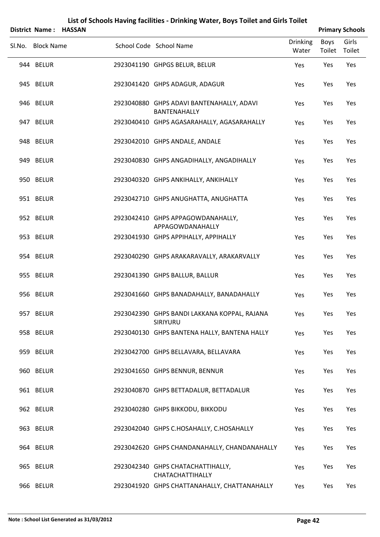| List of Schools Having facilities - Drinking Water, Boys Toilet and Girls Toilet |  |                                                           |                          |                |                        |  |  |  |
|----------------------------------------------------------------------------------|--|-----------------------------------------------------------|--------------------------|----------------|------------------------|--|--|--|
| District Name: HASSAN                                                            |  |                                                           |                          |                | <b>Primary Schools</b> |  |  |  |
| Sl.No. Block Name                                                                |  | School Code School Name                                   | <b>Drinking</b><br>Water | Boys<br>Toilet | Girls<br>Toilet        |  |  |  |
| 944 BELUR                                                                        |  | 2923041190 GHPGS BELUR, BELUR                             | Yes                      | Yes            | Yes                    |  |  |  |
| 945 BELUR                                                                        |  | 2923041420 GHPS ADAGUR, ADAGUR                            | Yes                      | Yes            | Yes                    |  |  |  |
| 946 BELUR                                                                        |  | 2923040880 GHPS ADAVI BANTENAHALLY, ADAVI<br>BANTENAHALLY | Yes                      | Yes            | Yes                    |  |  |  |
| 947 BELUR                                                                        |  | 2923040410 GHPS AGASARAHALLY, AGASARAHALLY                | Yes                      | Yes            | Yes                    |  |  |  |
| 948 BELUR                                                                        |  | 2923042010 GHPS ANDALE, ANDALE                            | Yes                      | Yes            | Yes                    |  |  |  |
| 949 BELUR                                                                        |  | 2923040830 GHPS ANGADIHALLY, ANGADIHALLY                  | Yes                      | Yes            | Yes                    |  |  |  |
| 950 BELUR                                                                        |  | 2923040320 GHPS ANKIHALLY, ANKIHALLY                      | Yes                      | Yes            | Yes                    |  |  |  |
| 951 BELUR                                                                        |  | 2923042710 GHPS ANUGHATTA, ANUGHATTA                      | Yes                      | Yes            | Yes                    |  |  |  |
| 952 BELUR                                                                        |  | 2923042410 GHPS APPAGOWDANAHALLY,<br>APPAGOWDANAHALLY     | Yes                      | Yes            | Yes                    |  |  |  |
| 953 BELUR                                                                        |  | 2923041930 GHPS APPIHALLY, APPIHALLY                      | Yes                      | Yes            | Yes                    |  |  |  |
| 954 BELUR                                                                        |  | 2923040290 GHPS ARAKARAVALLY, ARAKARVALLY                 | Yes                      | Yes            | Yes                    |  |  |  |
| 955 BELUR                                                                        |  | 2923041390 GHPS BALLUR, BALLUR                            | Yes                      | Yes            | Yes                    |  |  |  |
| 956 BELUR                                                                        |  | 2923041660 GHPS BANADAHALLY, BANADAHALLY                  | Yes                      | Yes            | Yes                    |  |  |  |
| 957 BELUR                                                                        |  | 2923042390 GHPS BANDI LAKKANA KOPPAL, RAJANA<br>SIRIYURU  | Yes                      | Yes            | Yes                    |  |  |  |
| 958 BELUR                                                                        |  | 2923040130 GHPS BANTENA HALLY, BANTENA HALLY              | Yes                      | Yes            | Yes                    |  |  |  |
| 959 BELUR                                                                        |  | 2923042700 GHPS BELLAVARA, BELLAVARA                      | Yes                      | Yes            | Yes                    |  |  |  |
| 960 BELUR                                                                        |  | 2923041650 GHPS BENNUR, BENNUR                            | Yes                      | Yes            | Yes                    |  |  |  |
| 961 BELUR                                                                        |  | 2923040870 GHPS BETTADALUR, BETTADALUR                    | Yes                      | Yes            | Yes                    |  |  |  |
| 962 BELUR                                                                        |  | 2923040280 GHPS BIKKODU, BIKKODU                          | Yes                      | Yes            | Yes                    |  |  |  |
| 963 BELUR                                                                        |  | 2923042040 GHPS C.HOSAHALLY, C.HOSAHALLY                  | Yes                      | Yes            | Yes                    |  |  |  |
| 964 BELUR                                                                        |  | 2923042620 GHPS CHANDANAHALLY, CHANDANAHALLY              | Yes                      | Yes            | Yes                    |  |  |  |
| 965 BELUR                                                                        |  | 2923042340 GHPS CHATACHATTIHALLY,<br>CHATACHATTIHALLY     | Yes                      | Yes            | Yes                    |  |  |  |
| 966 BELUR                                                                        |  | 2923041920 GHPS CHATTANAHALLY, CHATTANAHALLY              | Yes                      | Yes            | Yes                    |  |  |  |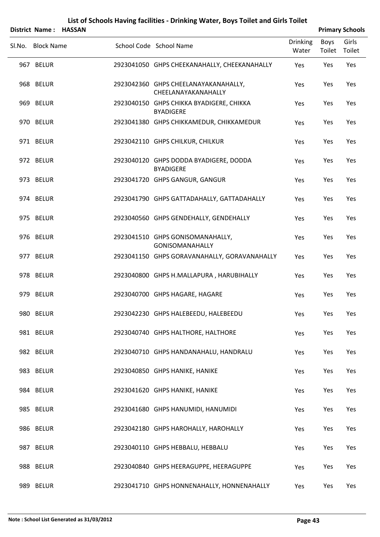|                   | District Name: HASSAN |                                                              |                          |                       | <b>Primary Schools</b> |
|-------------------|-----------------------|--------------------------------------------------------------|--------------------------|-----------------------|------------------------|
| Sl.No. Block Name |                       | School Code School Name                                      | <b>Drinking</b><br>Water | Boys<br>Toilet Toilet | Girls                  |
| 967 BELUR         |                       | 2923041050 GHPS CHEEKANAHALLY, CHEEKANAHALLY                 | Yes                      | Yes                   | Yes                    |
| 968 BELUR         |                       | 2923042360 GHPS CHEELANAYAKANAHALLY,<br>CHEELANAYAKANAHALLY  | Yes                      | Yes                   | Yes                    |
| 969 BELUR         |                       | 2923040150 GHPS CHIKKA BYADIGERE, CHIKKA<br><b>BYADIGERE</b> | Yes                      | Yes                   | Yes                    |
| 970 BELUR         |                       | 2923041380 GHPS CHIKKAMEDUR, CHIKKAMEDUR                     | Yes                      | Yes                   | Yes                    |
| 971 BELUR         |                       | 2923042110 GHPS CHILKUR, CHILKUR                             | Yes                      | Yes                   | Yes                    |
| 972 BELUR         |                       | 2923040120 GHPS DODDA BYADIGERE, DODDA<br><b>BYADIGERE</b>   | Yes                      | Yes                   | Yes                    |
| 973 BELUR         |                       | 2923041720 GHPS GANGUR, GANGUR                               | Yes                      | Yes                   | Yes                    |
| 974 BELUR         |                       | 2923041790 GHPS GATTADAHALLY, GATTADAHALLY                   | Yes                      | Yes                   | Yes                    |
| 975 BELUR         |                       | 2923040560 GHPS GENDEHALLY, GENDEHALLY                       | Yes                      | Yes                   | Yes                    |
| 976 BELUR         |                       | 2923041510 GHPS GONISOMANAHALLY,<br><b>GONISOMANAHALLY</b>   | Yes                      | Yes                   | Yes                    |
| 977 BELUR         |                       | 2923041150 GHPS GORAVANAHALLY, GORAVANAHALLY                 | Yes                      | Yes                   | Yes                    |
| 978 BELUR         |                       | 2923040800 GHPS H.MALLAPURA, HARUBIHALLY                     | Yes                      | Yes                   | Yes                    |
| 979 BELUR         |                       | 2923040700 GHPS HAGARE, HAGARE                               | Yes                      | Yes                   | Yes                    |
| 980 BELUR         |                       | 2923042230 GHPS HALEBEEDU, HALEBEEDU                         | Yes                      | Yes                   | Yes                    |
| 981 BELUR         |                       | 2923040740 GHPS HALTHORE, HALTHORE                           | Yes                      | Yes                   | Yes                    |
| 982 BELUR         |                       | 2923040710 GHPS HANDANAHALU, HANDRALU                        | Yes                      | Yes                   | Yes                    |
| 983 BELUR         |                       | 2923040850 GHPS HANIKE, HANIKE                               | Yes                      | Yes                   | Yes                    |
| 984 BELUR         |                       | 2923041620 GHPS HANIKE, HANIKE                               | Yes                      | Yes                   | Yes                    |
| 985 BELUR         |                       | 2923041680 GHPS HANUMIDI, HANUMIDI                           | Yes                      | Yes                   | Yes                    |
| 986 BELUR         |                       | 2923042180 GHPS HAROHALLY, HAROHALLY                         | Yes                      | Yes                   | Yes                    |
| 987 BELUR         |                       | 2923040110 GHPS HEBBALU, HEBBALU                             | Yes                      | Yes                   | Yes                    |
| 988 BELUR         |                       | 2923040840 GHPS HEERAGUPPE, HEERAGUPPE                       | Yes                      | Yes                   | Yes                    |
| 989 BELUR         |                       | 2923041710 GHPS HONNENAHALLY, HONNENAHALLY                   | Yes                      | Yes                   | Yes                    |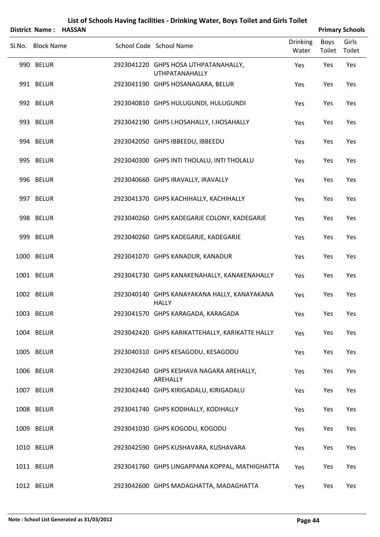|                   | District Name: HASSAN |                                                               |                          |                | <b>Primary Schools</b> |
|-------------------|-----------------------|---------------------------------------------------------------|--------------------------|----------------|------------------------|
| Sl.No. Block Name |                       | School Code School Name                                       | <b>Drinking</b><br>Water | Boys<br>Toilet | Girls<br>Toilet        |
| 990 BELUR         |                       | 2923041220 GHPS HOSA UTHPATANAHALLY,<br><b>UTHPATANAHALLY</b> | Yes                      | Yes            | Yes                    |
| 991 BELUR         |                       | 2923041190 GHPS HOSANAGARA, BELUR                             | Yes                      | Yes            | Yes                    |
| 992 BELUR         |                       | 2923040810 GHPS HULUGUNDI, HULUGUNDI                          | Yes                      | Yes            | Yes                    |
| 993 BELUR         |                       | 2923042190 GHPS I.HOSAHALLY, I.HOSAHALLY                      | Yes                      | Yes            | Yes                    |
| 994 BELUR         |                       | 2923042050 GHPS IBBEEDU, IBBEEDU                              | Yes                      | Yes            | Yes                    |
| 995 BELUR         |                       | 2923040300 GHPS INTI THOLALU, INTI THOLALU                    | Yes                      | Yes            | Yes                    |
| 996 BELUR         |                       | 2923040660 GHPS IRAVALLY, IRAVALLY                            | Yes                      | Yes            | Yes                    |
| 997 BELUR         |                       | 2923041370 GHPS KACHIHALLY, KACHIHALLY                        | Yes                      | Yes            | Yes                    |
| 998 BELUR         |                       | 2923040260 GHPS KADEGARJE COLONY, KADEGARJE                   | Yes                      | Yes            | Yes                    |
| 999 BELUR         |                       | 2923040260 GHPS KADEGARJE, KADEGARJE                          | Yes                      | Yes            | Yes                    |
| 1000 BELUR        |                       | 2923041070 GHPS KANADUR, KANADUR                              | Yes                      | Yes            | Yes                    |
| 1001 BELUR        |                       | 2923041730 GHPS KANAKENAHALLY, KANAKENAHALLY                  | Yes                      | Yes            | Yes                    |
| 1002 BELUR        |                       | 2923040140 GHPS KANAYAKANA HALLY, KANAYAKANA<br><b>HALLY</b>  | Yes                      | Yes            | Yes                    |
| 1003 BELUR        |                       | 2923041570 GHPS KARAGADA, KARAGADA                            | Yes                      | Yes            | Yes                    |
| 1004 BELUR        |                       | 2923042420 GHPS KARIKATTEHALLY, KARIKATTE HALLY               | Yes                      | Yes            | Yes                    |
| 1005 BELUR        |                       | 2923040310 GHPS KESAGODU, KESAGODU                            | Yes                      | Yes            | Yes                    |
| 1006 BELUR        |                       | 2923042640 GHPS KESHAVA NAGARA AREHALLY,<br>AREHALLY          | Yes                      | Yes            | Yes                    |
| 1007 BELUR        |                       | 2923042440 GHPS KIRIGADALU, KIRIGADALU                        | Yes                      | Yes            | Yes                    |
| 1008 BELUR        |                       | 2923041740 GHPS KODIHALLY, KODIHALLY                          | Yes                      | Yes            | Yes                    |
| 1009 BELUR        |                       | 2923041030 GHPS KOGODU, KOGODU                                | Yes                      | Yes            | Yes                    |
| 1010 BELUR        |                       | 2923042590 GHPS KUSHAVARA, KUSHAVARA                          | Yes                      | Yes            | Yes                    |
| 1011 BELUR        |                       | 2923041760 GHPS LINGAPPANA KOPPAL, MATHIGHATTA                | Yes                      | Yes            | Yes                    |
| 1012 BELUR        |                       | 2923042600 GHPS MADAGHATTA, MADAGHATTA                        | Yes                      | Yes            | Yes                    |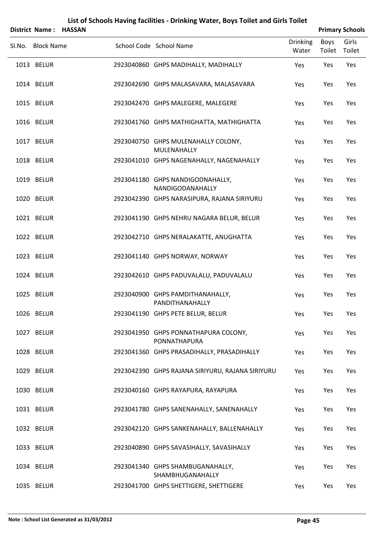|                   | District Name: HASSAN |                                                      |                          |                       | <b>Primary Schools</b> |
|-------------------|-----------------------|------------------------------------------------------|--------------------------|-----------------------|------------------------|
| Sl.No. Block Name |                       | School Code School Name                              | <b>Drinking</b><br>Water | <b>Boys</b><br>Toilet | Girls<br>Toilet        |
| 1013 BELUR        |                       | 2923040860 GHPS MADIHALLY, MADIHALLY                 | Yes                      | Yes                   | Yes                    |
| 1014 BELUR        |                       | 2923042690 GHPS MALASAVARA, MALASAVARA               | Yes                      | Yes                   | Yes                    |
| 1015 BELUR        |                       | 2923042470 GHPS MALEGERE, MALEGERE                   | Yes                      | Yes                   | Yes                    |
| 1016 BELUR        |                       | 2923041760 GHPS MATHIGHATTA, MATHIGHATTA             | Yes                      | Yes                   | Yes                    |
| 1017 BELUR        |                       | 2923040750 GHPS MULENAHALLY COLONY,<br>MULENAHALLY   | Yes                      | Yes                   | Yes                    |
| 1018 BELUR        |                       | 2923041010 GHPS NAGENAHALLY, NAGENAHALLY             | Yes                      | Yes                   | Yes                    |
| 1019 BELUR        |                       | 2923041180 GHPS NANDIGODNAHALLY,<br>NANDIGODANAHALLY | Yes                      | Yes                   | Yes                    |
| 1020 BELUR        |                       | 2923042390 GHPS NARASIPURA, RAJANA SIRIYURU          | Yes                      | Yes                   | Yes                    |
| 1021 BELUR        |                       | 2923041190 GHPS NEHRU NAGARA BELUR, BELUR            | Yes                      | Yes                   | Yes                    |
| 1022 BELUR        |                       | 2923042710 GHPS NERALAKATTE, ANUGHATTA               | Yes                      | Yes                   | Yes                    |
| 1023 BELUR        |                       | 2923041140 GHPS NORWAY, NORWAY                       | Yes                      | Yes                   | Yes                    |
| 1024 BELUR        |                       | 2923042610 GHPS PADUVALALU, PADUVALALU               | Yes                      | Yes                   | Yes                    |
| 1025 BELUR        |                       | 2923040900 GHPS PAMDITHANAHALLY,<br>PANDITHANAHALLY  | Yes                      | Yes                   | Yes                    |
| 1026 BELUR        |                       | 2923041190 GHPS PETE BELUR, BELUR                    | Yes                      | Yes                   | Yes                    |
| 1027 BELUR        |                       | 2923041950 GHPS PONNATHAPURA COLONY,<br>PONNATHAPURA | Yes                      | Yes                   | Yes                    |
| 1028 BELUR        |                       | 2923041360 GHPS PRASADIHALLY, PRASADIHALLY           | Yes                      | Yes                   | Yes                    |
| 1029 BELUR        |                       | 2923042390 GHPS RAJANA SIRIYURU, RAJANA SIRIYURU     | Yes                      | Yes                   | Yes                    |
| 1030 BELUR        |                       | 2923040160 GHPS RAYAPURA, RAYAPURA                   | Yes                      | Yes                   | Yes                    |
| 1031 BELUR        |                       | 2923041780 GHPS SANENAHALLY, SANENAHALLY             | Yes                      | Yes                   | Yes                    |
| 1032 BELUR        |                       | 2923042120 GHPS SANKENAHALLY, BALLENAHALLY           | Yes                      | Yes                   | Yes                    |
| 1033 BELUR        |                       | 2923040890 GHPS SAVASIHALLY, SAVASIHALLY             | Yes                      | Yes                   | Yes                    |
| 1034 BELUR        |                       | 2923041340 GHPS SHAMBUGANAHALLY,<br>SHAMBHUGANAHALLY | Yes                      | Yes                   | Yes                    |
| 1035 BELUR        |                       | 2923041700 GHPS SHETTIGERE, SHETTIGERE               | Yes                      | Yes                   | Yes                    |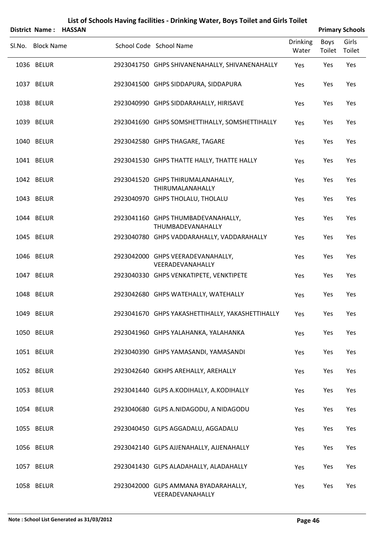|                       |               | List of Schools Having facilities - Drinking Water, Boys Toilet and Girls Toilet |                          |                       |                        |
|-----------------------|---------------|----------------------------------------------------------------------------------|--------------------------|-----------------------|------------------------|
| <b>District Name:</b> | <b>HASSAN</b> |                                                                                  |                          |                       | <b>Primary Schools</b> |
| Sl.No. Block Name     |               | School Code School Name                                                          | <b>Drinking</b><br>Water | Boys<br>Toilet Toilet | Girls                  |
| 1036 BELUR            |               | 2923041750 GHPS SHIVANENAHALLY, SHIVANENAHALLY                                   | Yes                      | Yes                   | Yes                    |
| 1037 BELUR            |               | 2923041500 GHPS SIDDAPURA, SIDDAPURA                                             | Yes                      | Yes                   | Yes                    |
| 1038 BELUR            |               | 2923040990 GHPS SIDDARAHALLY, HIRISAVE                                           | Yes                      | Yes                   | Yes                    |
| 1039 BELUR            |               | 2923041690 GHPS SOMSHETTIHALLY, SOMSHETTIHALLY                                   | Yes                      | Yes                   | Yes                    |
| 1040 BELUR            |               | 2923042580 GHPS THAGARE, TAGARE                                                  | Yes                      | Yes                   | Yes                    |
| 1041 BELUR            |               | 2923041530 GHPS THATTE HALLY, THATTE HALLY                                       | Yes                      | Yes                   | Yes                    |
| 1042 BELUR            |               | 2923041520 GHPS THIRUMALANAHALLY,<br>THIRUMALANAHALLY                            | Yes                      | Yes                   | Yes                    |
| 1043 BELUR            |               | 2923040970 GHPS THOLALU, THOLALU                                                 | Yes                      | Yes                   | Yes                    |
| 1044 BELUR            |               | 2923041160 GHPS THUMBADEVANAHALLY,<br>THUMBADEVANAHALLY                          | Yes                      | Yes                   | Yes                    |
| 1045 BELUR            |               | 2923040780 GHPS VADDARAHALLY, VADDARAHALLY                                       | Yes                      | Yes                   | Yes                    |
| 1046 BELUR            |               | 2923042000 GHPS VEERADEVANAHALLY,<br>VEERADEVANAHALLY                            | Yes                      | Yes                   | Yes                    |
| 1047 BELUR            |               | 2923040330 GHPS VENKATIPETE, VENKTIPETE                                          | Yes                      | Yes                   | Yes                    |
| 1048 BELUR            |               | 2923042680 GHPS WATEHALLY, WATEHALLY                                             | Yes                      | Yes                   | Yes                    |
| 1049 BELUR            |               | 2923041670 GHPS YAKASHETTIHALLY, YAKASHETTIHALLY                                 | Yes                      | Yes                   | Yes                    |
| 1050 BELUR            |               | 2923041960 GHPS YALAHANKA, YALAHANKA                                             | Yes                      | Yes                   | Yes                    |
| 1051 BELUR            |               | 2923040390 GHPS YAMASANDI, YAMASANDI                                             | Yes                      | Yes                   | Yes                    |
| 1052 BELUR            |               | 2923042640 GKHPS AREHALLY, AREHALLY                                              | Yes                      | Yes                   | Yes                    |
| 1053 BELUR            |               | 2923041440 GLPS A.KODIHALLY, A.KODIHALLY                                         | Yes                      | Yes                   | Yes                    |
| 1054 BELUR            |               | 2923040680 GLPS A.NIDAGODU, A NIDAGODU                                           | Yes                      | Yes                   | Yes                    |
| 1055 BELUR            |               | 2923040450 GLPS AGGADALU, AGGADALU                                               | Yes                      | Yes                   | Yes                    |
| 1056 BELUR            |               | 2923042140 GLPS AJJENAHALLY, AJJENAHALLY                                         | Yes                      | Yes                   | Yes                    |
| 1057 BELUR            |               | 2923041430 GLPS ALADAHALLY, ALADAHALLY                                           | Yes                      | Yes                   | Yes                    |
| 1058 BELUR            |               | 2923042000 GLPS AMMANA BYADARAHALLY,<br>VEERADEVANAHALLY                         | Yes                      | Yes                   | Yes                    |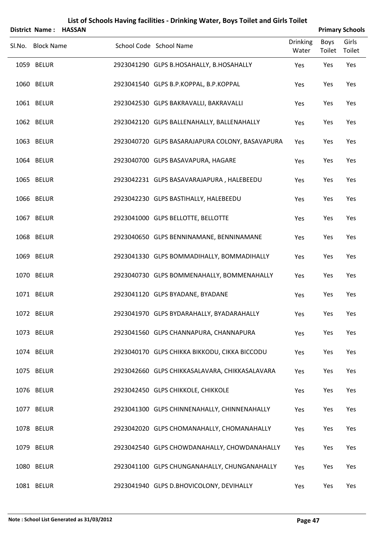| <b>District Name:</b> | <b>HASSAN</b> |                                                 |                          | <b>Primary Schools</b> |                 |
|-----------------------|---------------|-------------------------------------------------|--------------------------|------------------------|-----------------|
| Sl.No. Block Name     |               | School Code School Name                         | <b>Drinking</b><br>Water | Boys<br>Toilet         | Girls<br>Toilet |
| 1059 BELUR            |               | 2923041290 GLPS B.HOSAHALLY, B.HOSAHALLY        | Yes                      | Yes                    | Yes             |
| 1060 BELUR            |               | 2923041540 GLPS B.P.KOPPAL, B.P.KOPPAL          | Yes                      | Yes                    | Yes             |
| 1061 BELUR            |               | 2923042530 GLPS BAKRAVALLI, BAKRAVALLI          | Yes                      | Yes                    | Yes             |
| 1062 BELUR            |               | 2923042120 GLPS BALLENAHALLY, BALLENAHALLY      | Yes                      | Yes                    | Yes             |
| 1063 BELUR            |               | 2923040720 GLPS BASARAJAPURA COLONY, BASAVAPURA | Yes                      | Yes                    | Yes             |
| 1064 BELUR            |               | 2923040700 GLPS BASAVAPURA, HAGARE              | Yes                      | Yes                    | Yes             |
| 1065 BELUR            |               | 2923042231 GLPS BASAVARAJAPURA, HALEBEEDU       | Yes                      | Yes                    | Yes             |
| 1066 BELUR            |               | 2923042230 GLPS BASTIHALLY, HALEBEEDU           | Yes                      | Yes                    | Yes             |
| 1067 BELUR            |               | 2923041000 GLPS BELLOTTE, BELLOTTE              | Yes                      | Yes                    | Yes             |
| 1068 BELUR            |               | 2923040650 GLPS BENNINAMANE, BENNINAMANE        | Yes                      | Yes                    | Yes             |
| 1069 BELUR            |               | 2923041330 GLPS BOMMADIHALLY, BOMMADIHALLY      | Yes                      | Yes                    | Yes             |
| 1070 BELUR            |               | 2923040730 GLPS BOMMENAHALLY, BOMMENAHALLY      | Yes                      | Yes                    | Yes             |
| 1071 BELUR            |               | 2923041120 GLPS BYADANE, BYADANE                | Yes                      | Yes                    | Yes             |
| 1072 BELUR            |               | 2923041970 GLPS BYDARAHALLY, BYADARAHALLY       | Yes                      | Yes                    | Yes             |
| 1073 BELUR            |               | 2923041560 GLPS CHANNAPURA, CHANNAPURA          | Yes                      | Yes                    | Yes             |
| 1074 BELUR            |               | 2923040170 GLPS CHIKKA BIKKODU, CIKKA BICCODU   | Yes                      | Yes                    | Yes             |
| 1075 BELUR            |               | 2923042660 GLPS CHIKKASALAVARA, CHIKKASALAVARA  | Yes                      | Yes                    | Yes             |
| 1076 BELUR            |               | 2923042450 GLPS CHIKKOLE, CHIKKOLE              | Yes                      | Yes                    | Yes             |
| 1077 BELUR            |               | 2923041300 GLPS CHINNENAHALLY, CHINNENAHALLY    | Yes                      | Yes                    | Yes             |
| 1078 BELUR            |               | 2923042020 GLPS CHOMANAHALLY, CHOMANAHALLY      | Yes                      | Yes                    | Yes             |
| 1079 BELUR            |               | 2923042540 GLPS CHOWDANAHALLY, CHOWDANAHALLY    | Yes                      | Yes                    | Yes             |
| 1080 BELUR            |               | 2923041100 GLPS CHUNGANAHALLY, CHUNGANAHALLY    | Yes                      | Yes                    | Yes             |
| 1081 BELUR            |               | 2923041940 GLPS D.BHOVICOLONY, DEVIHALLY        | Yes                      | Yes                    | Yes             |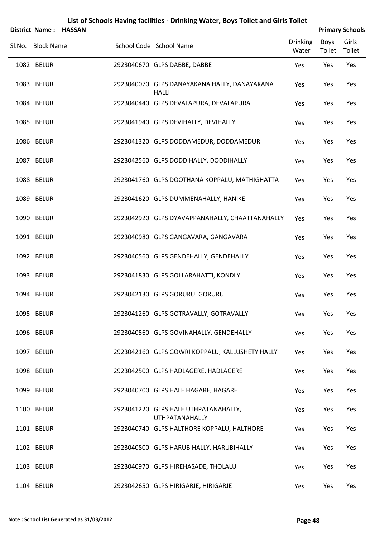|                   | District Name: HASSAN |                                                               |                          |                | <b>Primary Schools</b> |
|-------------------|-----------------------|---------------------------------------------------------------|--------------------------|----------------|------------------------|
| Sl.No. Block Name |                       | School Code School Name                                       | <b>Drinking</b><br>Water | Boys<br>Toilet | Girls<br>Toilet        |
| 1082 BELUR        |                       | 2923040670 GLPS DABBE, DABBE                                  | Yes                      | Yes            | Yes                    |
| 1083 BELUR        |                       | 2923040070 GLPS DANAYAKANA HALLY, DANAYAKANA<br><b>HALLI</b>  | Yes                      | Yes            | Yes                    |
| 1084 BELUR        |                       | 2923040440 GLPS DEVALAPURA, DEVALAPURA                        | Yes                      | Yes            | Yes                    |
| 1085 BELUR        |                       | 2923041940 GLPS DEVIHALLY, DEVIHALLY                          | Yes                      | Yes            | Yes                    |
| 1086 BELUR        |                       | 2923041320 GLPS DODDAMEDUR, DODDAMEDUR                        | Yes                      | Yes            | Yes                    |
| 1087 BELUR        |                       | 2923042560 GLPS DODDIHALLY, DODDIHALLY                        | Yes                      | Yes            | Yes                    |
| 1088 BELUR        |                       | 2923041760 GLPS DOOTHANA KOPPALU, MATHIGHATTA                 | Yes                      | Yes            | Yes                    |
| 1089 BELUR        |                       | 2923041620 GLPS DUMMENAHALLY, HANIKE                          | Yes                      | Yes            | Yes                    |
| 1090 BELUR        |                       | 2923042920 GLPS DYAVAPPANAHALLY, CHAATTANAHALLY               | Yes                      | Yes            | Yes                    |
| 1091 BELUR        |                       | 2923040980 GLPS GANGAVARA, GANGAVARA                          | Yes                      | Yes            | Yes                    |
| 1092 BELUR        |                       | 2923040560 GLPS GENDEHALLY, GENDEHALLY                        | Yes                      | Yes            | Yes                    |
| 1093 BELUR        |                       | 2923041830 GLPS GOLLARAHATTI, KONDLY                          | Yes                      | Yes            | Yes                    |
| 1094 BELUR        |                       | 2923042130 GLPS GORURU, GORURU                                | Yes                      | Yes            | Yes                    |
| 1095 BELUR        |                       | 2923041260 GLPS GOTRAVALLY, GOTRAVALLY                        | Yes                      | Yes            | Yes                    |
| 1096 BELUR        |                       | 2923040560 GLPS GOVINAHALLY, GENDEHALLY                       | Yes                      | Yes            | Yes                    |
| 1097 BELUR        |                       | 2923042160 GLPS GOWRI KOPPALU, KALLUSHETY HALLY               | Yes                      | Yes            | Yes                    |
| 1098 BELUR        |                       | 2923042500 GLPS HADLAGERE, HADLAGERE                          | Yes                      | Yes            | Yes                    |
| 1099 BELUR        |                       | 2923040700 GLPS HALE HAGARE, HAGARE                           | Yes                      | Yes            | Yes                    |
| 1100 BELUR        |                       | 2923041220 GLPS HALE UTHPATANAHALLY,<br><b>UTHPATANAHALLY</b> | Yes                      | Yes            | Yes                    |
| 1101 BELUR        |                       | 2923040740 GLPS HALTHORE KOPPALU, HALTHORE                    | Yes                      | Yes            | Yes                    |
| 1102 BELUR        |                       | 2923040800 GLPS HARUBIHALLY, HARUBIHALLY                      | Yes                      | Yes            | Yes                    |
| 1103 BELUR        |                       | 2923040970 GLPS HIREHASADE, THOLALU                           | Yes                      | Yes            | Yes                    |
| 1104 BELUR        |                       | 2923042650 GLPS HIRIGARJE, HIRIGARJE                          | Yes                      | Yes            | Yes                    |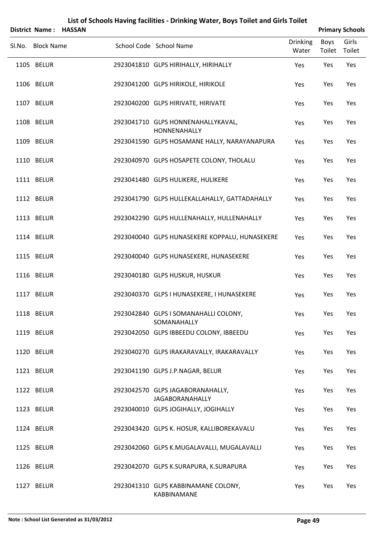|        | <b>District Name:</b> | <b>HASSAN</b> | List of Schools Having facilities - Drinking Water, Boys Toilet and Girls Toilet |                          |                | <b>Primary Schools</b> |
|--------|-----------------------|---------------|----------------------------------------------------------------------------------|--------------------------|----------------|------------------------|
| Sl.No. | <b>Block Name</b>     |               | School Code School Name                                                          | <b>Drinking</b><br>Water | Boys<br>Toilet | Girls<br>Toilet        |
|        | 1105 BELUR            |               | 2923041810 GLPS HIRIHALLY, HIRIHALLY                                             | Yes                      | Yes            | Yes                    |
|        | 1106 BELUR            |               | 2923041200 GLPS HIRIKOLE, HIRIKOLE                                               | Yes                      | Yes            | Yes                    |
|        | 1107 BELUR            |               | 2923040200 GLPS HIRIVATE, HIRIVATE                                               | Yes                      | Yes            | Yes                    |
|        | 1108 BELUR            |               | 2923041710 GLPS HONNENAHALLYKAVAL,<br>HONNENAHALLY                               | Yes                      | Yes            | Yes                    |
|        | 1109 BELUR            |               | 2923041590 GLPS HOSAMANE HALLY, NARAYANAPURA                                     | Yes                      | Yes            | Yes                    |
|        | 1110 BELUR            |               | 2923040970 GLPS HOSAPETE COLONY, THOLALU                                         | Yes                      | Yes            | Yes                    |
|        | 1111 BELUR            |               | 2923041480 GLPS HULIKERE, HULIKERE                                               | Yes                      | Yes            | Yes                    |
|        | 1112 BELUR            |               | 2923041790 GLPS HULLEKALLAHALLY, GATTADAHALLY                                    | Yes                      | Yes            | Yes                    |
|        | 1113 BELUR            |               | 2923042290 GLPS HULLENAHALLY, HULLENAHALLY                                       | Yes                      | Yes            | Yes                    |
|        | 1114 BELUR            |               | 2923040040 GLPS HUNASEKERE KOPPALU, HUNASEKERE                                   | Yes                      | Yes            | Yes                    |
|        | 1115 BELUR            |               | 2923040040 GLPS HUNASEKERE, HUNASEKERE                                           | Yes                      | Yes            | Yes                    |
|        | 1116 BELUR            |               | 2923040180 GLPS HUSKUR, HUSKUR                                                   | Yes                      | Yes            | Yes                    |
|        | 1117 BELUR            |               | 2923040370 GLPS I HUNASEKERE, I HUNASEKERE                                       | Yes                      | Yes            | Yes                    |
|        | 1118 BELUR            |               | 2923042840 GLPS I SOMANAHALLI COLONY,<br>SOMANAHALLY                             | Yes                      | Yes            | Yes                    |
|        | 1119 BELUR            |               | 2923042050 GLPS IBBEEDU COLONY, IBBEEDU                                          | Yes                      | Yes            | Yes                    |
|        | 1120 BELUR            |               | 2923040270 GLPS IRAKARAVALLY, IRAKARAVALLY                                       | Yes                      | Yes            | Yes                    |
|        | 1121 BELUR            |               | 2923041190 GLPS J.P.NAGAR, BELUR                                                 | Yes                      | Yes            | Yes                    |
|        | 1122 BELUR            |               | 2923042570 GLPS JAGABORANAHALLY,<br><b>JAGABORANAHALLY</b>                       | Yes                      | Yes            | Yes                    |
|        | 1123 BELUR            |               | 2923040010 GLPS JOGIHALLY, JOGIHALLY                                             | Yes                      | Yes            | Yes                    |
|        | 1124 BELUR            |               | 2923043420 GLPS K. HOSUR, KALLIBOREKAVALU                                        | Yes                      | Yes            | Yes                    |
|        | 1125 BELUR            |               | 2923042060 GLPS K.MUGALAVALLI, MUGALAVALLI                                       | Yes                      | Yes            | Yes                    |
|        | 1126 BELUR            |               | 2923042070 GLPS K.SURAPURA, K.SURAPURA                                           | Yes                      | Yes            | Yes                    |
|        | 1127 BELUR            |               | 2923041310 GLPS KABBINAMANE COLONY,<br>KABBINAMANE                               | Yes                      | Yes            | Yes                    |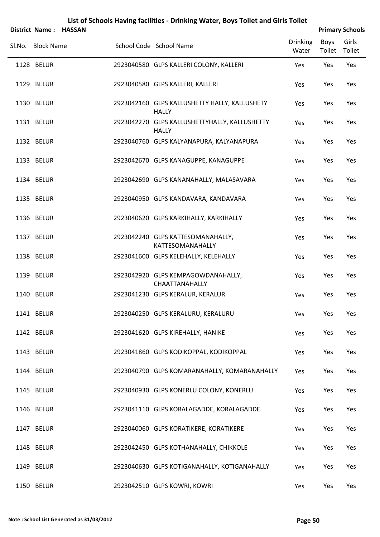|        | District Name: HASSAN |  |                                                               |                          |                | <b>Primary Schools</b> |
|--------|-----------------------|--|---------------------------------------------------------------|--------------------------|----------------|------------------------|
| SI.No. | <b>Block Name</b>     |  | School Code School Name                                       | <b>Drinking</b><br>Water | Boys<br>Toilet | Girls<br>Toilet        |
|        | 1128 BELUR            |  | 2923040580 GLPS KALLERI COLONY, KALLERI                       | Yes                      | Yes            | Yes                    |
|        | 1129 BELUR            |  | 2923040580 GLPS KALLERI, KALLERI                              | Yes                      | Yes            | Yes                    |
|        | 1130 BELUR            |  | 2923042160 GLPS KALLUSHETTY HALLY, KALLUSHETY<br><b>HALLY</b> | Yes                      | Yes            | Yes                    |
|        | 1131 BELUR            |  | 2923042270 GLPS KALLUSHETTYHALLY, KALLUSHETTY<br><b>HALLY</b> | Yes                      | Yes            | Yes                    |
|        | 1132 BELUR            |  | 2923040760 GLPS KALYANAPURA, KALYANAPURA                      | Yes                      | Yes            | Yes                    |
|        | 1133 BELUR            |  | 2923042670 GLPS KANAGUPPE, KANAGUPPE                          | Yes                      | Yes            | Yes                    |
|        | 1134 BELUR            |  | 2923042690 GLPS KANANAHALLY, MALASAVARA                       | Yes                      | Yes            | Yes                    |
|        | 1135 BELUR            |  | 2923040950 GLPS KANDAVARA, KANDAVARA                          | Yes                      | Yes            | Yes                    |
|        | 1136 BELUR            |  | 2923040620 GLPS KARKIHALLY, KARKIHALLY                        | Yes                      | Yes            | Yes                    |
|        | 1137 BELUR            |  | 2923042240 GLPS KATTESOMANAHALLY,<br>KATTESOMANAHALLY         | Yes                      | Yes            | Yes                    |
|        | 1138 BELUR            |  | 2923041600 GLPS KELEHALLY, KELEHALLY                          | Yes                      | Yes            | Yes                    |
|        | 1139 BELUR            |  | 2923042920 GLPS KEMPAGOWDANAHALLY,<br>CHAATTANAHALLY          | Yes                      | Yes            | Yes                    |
|        | 1140 BELUR            |  | 2923041230 GLPS KERALUR, KERALUR                              | Yes                      | Yes            | Yes                    |
|        | 1141 BELUR            |  | 2923040250 GLPS KERALURU, KERALURU                            | Yes                      | Yes            | Yes                    |
|        | 1142 BELUR            |  | 2923041620 GLPS KIREHALLY, HANIKE                             | Yes                      | Yes            | Yes                    |
|        | 1143 BELUR            |  | 2923041860 GLPS KODIKOPPAL, KODIKOPPAL                        | Yes                      | Yes            | Yes                    |
|        | 1144 BELUR            |  | 2923040790 GLPS KOMARANAHALLY, KOMARANAHALLY                  | Yes                      | Yes            | Yes                    |
|        | 1145 BELUR            |  | 2923040930 GLPS KONERLU COLONY, KONERLU                       | Yes                      | Yes            | Yes                    |
|        | 1146 BELUR            |  | 2923041110 GLPS KORALAGADDE, KORALAGADDE                      | Yes                      | Yes            | Yes                    |
|        | 1147 BELUR            |  | 2923040060 GLPS KORATIKERE, KORATIKERE                        | Yes                      | Yes            | Yes                    |
|        | 1148 BELUR            |  | 2923042450 GLPS KOTHANAHALLY, CHIKKOLE                        | Yes                      | Yes            | Yes                    |
|        | 1149 BELUR            |  | 2923040630 GLPS KOTIGANAHALLY, KOTIGANAHALLY                  | Yes                      | Yes            | Yes                    |
|        | 1150 BELUR            |  | 2923042510 GLPS KOWRI, KOWRI                                  | Yes                      | Yes            | Yes                    |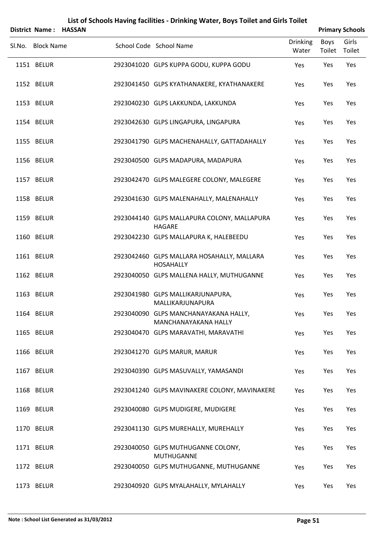|                   | District Name: HASSAN |                                                                      |                          |                | <b>Primary Schools</b> |
|-------------------|-----------------------|----------------------------------------------------------------------|--------------------------|----------------|------------------------|
| Sl.No. Block Name |                       | School Code School Name                                              | <b>Drinking</b><br>Water | Boys<br>Toilet | Girls<br>Toilet        |
| 1151 BELUR        |                       | 2923041020 GLPS KUPPA GODU, KUPPA GODU                               | Yes                      | Yes            | Yes                    |
| 1152 BELUR        |                       | 2923041450 GLPS KYATHANAKERE, KYATHANAKERE                           | Yes                      | Yes            | Yes                    |
| 1153 BELUR        |                       | 2923040230 GLPS LAKKUNDA, LAKKUNDA                                   | Yes                      | Yes            | Yes                    |
| 1154 BELUR        |                       | 2923042630 GLPS LINGAPURA, LINGAPURA                                 | Yes                      | Yes            | Yes                    |
| 1155 BELUR        |                       | 2923041790 GLPS MACHENAHALLY, GATTADAHALLY                           | Yes                      | Yes            | Yes                    |
| 1156 BELUR        |                       | 2923040500 GLPS MADAPURA, MADAPURA                                   | Yes                      | Yes            | Yes                    |
| 1157 BELUR        |                       | 2923042470 GLPS MALEGERE COLONY, MALEGERE                            | Yes                      | Yes            | Yes                    |
| 1158 BELUR        |                       | 2923041630 GLPS MALENAHALLY, MALENAHALLY                             | Yes                      | Yes            | Yes                    |
| 1159 BELUR        |                       | 2923044140 GLPS MALLAPURA COLONY, MALLAPURA<br><b>HAGARE</b>         | Yes                      | Yes            | Yes                    |
| 1160 BELUR        |                       | 2923042230 GLPS MALLAPURA K, HALEBEEDU                               | Yes                      | Yes            | Yes                    |
| 1161 BELUR        |                       | 2923042460 GLPS MALLARA HOSAHALLY, MALLARA<br><b>HOSAHALLY</b>       | Yes                      | Yes            | Yes                    |
| 1162 BELUR        |                       | 2923040050 GLPS MALLENA HALLY, MUTHUGANNE                            | Yes                      | Yes            | Yes                    |
| 1163 BELUR        |                       | 2923041980 GLPS MALLIKARJUNAPURA,<br>MALLIKARJUNAPURA                | Yes                      | Yes            | Yes                    |
| 1164 BELUR        |                       | 2923040090 GLPS MANCHANAYAKANA HALLY,<br><b>MANCHANAYAKANA HALLY</b> | Yes                      | Yes            | Yes                    |
| 1165 BELUR        |                       | 2923040470 GLPS MARAVATHI, MARAVATHI                                 | Yes                      | Yes            | Yes                    |
| 1166 BELUR        |                       | 2923041270 GLPS MARUR, MARUR                                         | Yes                      | Yes            | Yes                    |
| 1167 BELUR        |                       | 2923040390 GLPS MASUVALLY, YAMASANDI                                 | Yes                      | Yes            | Yes                    |
| 1168 BELUR        |                       | 2923041240 GLPS MAVINAKERE COLONY, MAVINAKERE                        | Yes                      | Yes            | Yes                    |
| 1169 BELUR        |                       | 2923040080 GLPS MUDIGERE, MUDIGERE                                   | Yes                      | Yes            | Yes                    |
| 1170 BELUR        |                       | 2923041130 GLPS MUREHALLY, MUREHALLY                                 | Yes                      | Yes            | Yes                    |
| 1171 BELUR        |                       | 2923040050 GLPS MUTHUGANNE COLONY,<br><b>MUTHUGANNE</b>              | Yes                      | Yes            | Yes                    |
| 1172 BELUR        |                       | 2923040050 GLPS MUTHUGANNE, MUTHUGANNE                               | Yes                      | Yes            | Yes                    |
| 1173 BELUR        |                       | 2923040920 GLPS MYALAHALLY, MYLAHALLY                                | Yes                      | Yes            | Yes                    |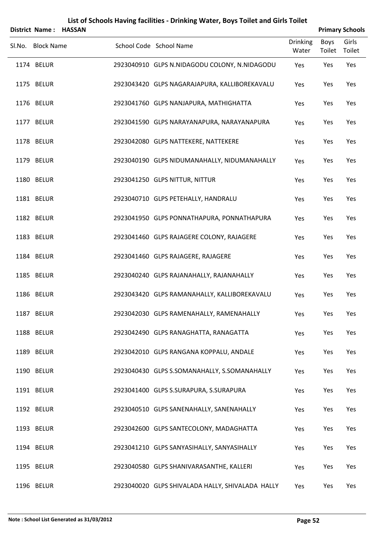| District Name:    | <b>HASSAN</b> |                                                  |                          |                       | <b>Primary Schools</b> |
|-------------------|---------------|--------------------------------------------------|--------------------------|-----------------------|------------------------|
| Sl.No. Block Name |               | School Code School Name                          | <b>Drinking</b><br>Water | Boys<br>Toilet Toilet | Girls                  |
| 1174 BELUR        |               | 2923040910 GLPS N.NIDAGODU COLONY, N.NIDAGODU    | Yes                      | Yes                   | Yes                    |
| 1175 BELUR        |               | 2923043420 GLPS NAGARAJAPURA, KALLIBOREKAVALU    | Yes                      | Yes                   | Yes                    |
| 1176 BELUR        |               | 2923041760 GLPS NANJAPURA, MATHIGHATTA           | Yes                      | Yes                   | Yes                    |
| 1177 BELUR        |               | 2923041590 GLPS NARAYANAPURA, NARAYANAPURA       | Yes                      | Yes                   | Yes                    |
| 1178 BELUR        |               | 2923042080 GLPS NATTEKERE, NATTEKERE             | Yes                      | Yes                   | Yes                    |
| 1179 BELUR        |               | 2923040190 GLPS NIDUMANAHALLY, NIDUMANAHALLY     | Yes                      | Yes                   | Yes                    |
| 1180 BELUR        |               | 2923041250 GLPS NITTUR, NITTUR                   | Yes                      | Yes                   | Yes                    |
| 1181 BELUR        |               | 2923040710 GLPS PETEHALLY, HANDRALU              | Yes                      | Yes                   | Yes                    |
| 1182 BELUR        |               | 2923041950 GLPS PONNATHAPURA, PONNATHAPURA       | Yes                      | Yes                   | Yes                    |
| 1183 BELUR        |               | 2923041460 GLPS RAJAGERE COLONY, RAJAGERE        | Yes                      | Yes                   | Yes                    |
| 1184 BELUR        |               | 2923041460 GLPS RAJAGERE, RAJAGERE               | Yes                      | Yes                   | Yes                    |
| 1185 BELUR        |               | 2923040240 GLPS RAJANAHALLY, RAJANAHALLY         | Yes                      | Yes                   | Yes                    |
| 1186 BELUR        |               | 2923043420 GLPS RAMANAHALLY, KALLIBOREKAVALU     | Yes                      | Yes                   | Yes                    |
| 1187 BELUR        |               | 2923042030 GLPS RAMENAHALLY, RAMENAHALLY         | Yes                      | Yes                   | Yes                    |
| 1188 BELUR        |               | 2923042490 GLPS RANAGHATTA, RANAGATTA            | Yes                      | Yes                   | Yes                    |
| 1189 BELUR        |               | 2923042010 GLPS RANGANA KOPPALU, ANDALE          | Yes                      | Yes                   | Yes                    |
| 1190 BELUR        |               | 2923040430 GLPS S.SOMANAHALLY, S.SOMANAHALLY     | Yes                      | Yes                   | Yes                    |
| 1191 BELUR        |               | 2923041400 GLPS S.SURAPURA, S.SURAPURA           | Yes                      | Yes                   | Yes                    |
| 1192 BELUR        |               | 2923040510 GLPS SANENAHALLY, SANENAHALLY         | Yes                      | Yes                   | Yes                    |
| 1193 BELUR        |               | 2923042600 GLPS SANTECOLONY, MADAGHATTA          | Yes                      | Yes                   | Yes                    |
| 1194 BELUR        |               | 2923041210 GLPS SANYASIHALLY, SANYASIHALLY       | Yes                      | Yes                   | Yes                    |
| 1195 BELUR        |               | 2923040580 GLPS SHANIVARASANTHE, KALLERI         | Yes                      | Yes                   | Yes                    |
| 1196 BELUR        |               | 2923040020 GLPS SHIVALADA HALLY, SHIVALADA HALLY | Yes                      | Yes                   | Yes                    |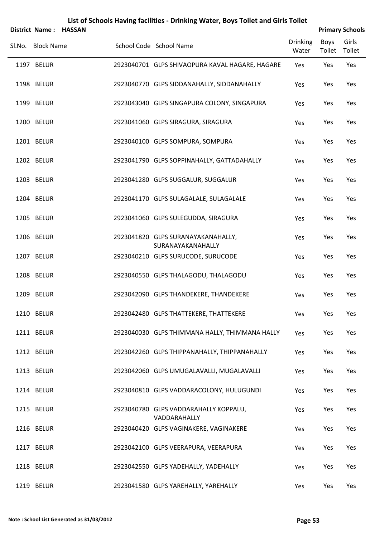|        | <b>District Name:</b> | List of Schools Having facilities - Drinking Water, Boys Toilet and Girls Toilet<br><b>HASSAN</b> | <b>Primary Schools</b>                                  |                          |                |                 |
|--------|-----------------------|---------------------------------------------------------------------------------------------------|---------------------------------------------------------|--------------------------|----------------|-----------------|
| Sl.No. | <b>Block Name</b>     |                                                                                                   | School Code School Name                                 | <b>Drinking</b><br>Water | Boys<br>Toilet | Girls<br>Toilet |
|        | 1197 BELUR            |                                                                                                   | 2923040701 GLPS SHIVAOPURA KAVAL HAGARE, HAGARE         | Yes                      | Yes            | Yes             |
|        | 1198 BELUR            |                                                                                                   | 2923040770 GLPS SIDDANAHALLY, SIDDANAHALLY              | Yes                      | Yes            | Yes             |
|        | 1199 BELUR            |                                                                                                   | 2923043040 GLPS SINGAPURA COLONY, SINGAPURA             | Yes                      | Yes            | Yes             |
|        | 1200 BELUR            |                                                                                                   | 2923041060 GLPS SIRAGURA, SIRAGURA                      | Yes                      | Yes            | Yes             |
|        | 1201 BELUR            |                                                                                                   | 2923040100 GLPS SOMPURA, SOMPURA                        | Yes                      | Yes            | Yes             |
|        | 1202 BELUR            |                                                                                                   | 2923041790 GLPS SOPPINAHALLY, GATTADAHALLY              | Yes                      | Yes            | Yes             |
|        | 1203 BELUR            |                                                                                                   | 2923041280 GLPS SUGGALUR, SUGGALUR                      | Yes                      | Yes            | Yes             |
|        | 1204 BELUR            |                                                                                                   | 2923041170 GLPS SULAGALALE, SULAGALALE                  | Yes                      | Yes            | Yes             |
|        | 1205 BELUR            |                                                                                                   | 2923041060 GLPS SULEGUDDA, SIRAGURA                     | Yes                      | Yes            | Yes             |
|        | 1206 BELUR            |                                                                                                   | 2923041820 GLPS SURANAYAKANAHALLY,<br>SURANAYAKANAHALLY | Yes                      | Yes            | Yes             |
|        | 1207 BELUR            |                                                                                                   | 2923040210 GLPS SURUCODE, SURUCODE                      | Yes                      | Yes            | Yes             |
|        | 1208 BELUR            |                                                                                                   | 2923040550 GLPS THALAGODU, THALAGODU                    | Yes                      | Yes            | Yes             |
|        | 1209 BELUR            |                                                                                                   | 2923042090 GLPS THANDEKERE, THANDEKERE                  | Yes                      | Yes            | Yes             |
|        | 1210 BELUR            |                                                                                                   | 2923042480 GLPS THATTEKERE, THATTEKERE                  | Yes                      | Yes            | Yes             |
|        | 1211 BELUR            |                                                                                                   | 2923040030 GLPS THIMMANA HALLY, THIMMANA HALLY          | Yes                      | Yes            | Yes             |
|        | 1212 BELUR            |                                                                                                   | 2923042260 GLPS THIPPANAHALLY, THIPPANAHALLY            | Yes                      | Yes            | Yes             |
|        | 1213 BELUR            |                                                                                                   | 2923042060 GLPS UMUGALAVALLI, MUGALAVALLI               | Yes                      | Yes            | Yes             |
|        | 1214 BELUR            |                                                                                                   | 2923040810 GLPS VADDARACOLONY, HULUGUNDI                | Yes                      | Yes            | Yes             |
|        | 1215 BELUR            |                                                                                                   | 2923040780 GLPS VADDARAHALLY KOPPALU,<br>VADDARAHALLY   | Yes                      | Yes            | Yes             |
|        | 1216 BELUR            |                                                                                                   | 2923040420 GLPS VAGINAKERE, VAGINAKERE                  | Yes                      | Yes            | Yes             |
|        | 1217 BELUR            |                                                                                                   | 2923042100 GLPS VEERAPURA, VEERAPURA                    | Yes                      | Yes            | Yes             |
|        | 1218 BELUR            |                                                                                                   | 2923042550 GLPS YADEHALLY, YADEHALLY                    | Yes                      | Yes            | Yes             |
|        | 1219 BELUR            |                                                                                                   | 2923041580 GLPS YAREHALLY, YAREHALLY                    | Yes                      | Yes            | Yes             |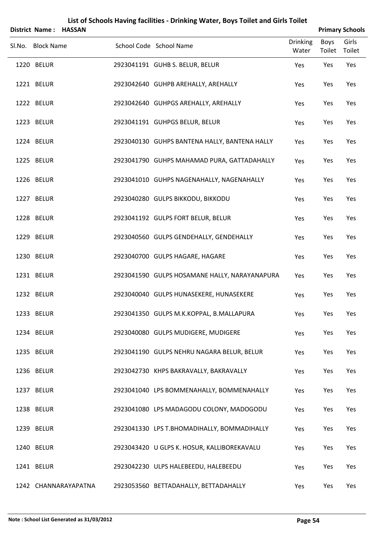| <b>District Name:</b> | <b>HASSAN</b>        |                                               |                          |                | <b>Primary Schools</b> |
|-----------------------|----------------------|-----------------------------------------------|--------------------------|----------------|------------------------|
| Sl.No. Block Name     |                      | School Code School Name                       | <b>Drinking</b><br>Water | Boys<br>Toilet | Girls<br>Toilet        |
| 1220 BELUR            |                      | 2923041191 GUHB S. BELUR, BELUR               | Yes                      | Yes            | Yes                    |
| 1221 BELUR            |                      | 2923042640 GUHPB AREHALLY, AREHALLY           | Yes                      | Yes            | Yes                    |
| 1222 BELUR            |                      | 2923042640 GUHPGS AREHALLY, AREHALLY          | Yes                      | Yes            | Yes                    |
| 1223 BELUR            |                      | 2923041191 GUHPGS BELUR, BELUR                | Yes                      | Yes            | Yes                    |
| 1224 BELUR            |                      | 2923040130 GUHPS BANTENA HALLY, BANTENA HALLY | Yes                      | Yes            | Yes                    |
| 1225 BELUR            |                      | 2923041790 GUHPS MAHAMAD PURA, GATTADAHALLY   | Yes                      | Yes            | Yes                    |
| 1226 BELUR            |                      | 2923041010 GUHPS NAGENAHALLY, NAGENAHALLY     | Yes                      | Yes            | Yes                    |
| 1227 BELUR            |                      | 2923040280 GULPS BIKKODU, BIKKODU             | Yes                      | Yes            | Yes                    |
| 1228 BELUR            |                      | 2923041192 GULPS FORT BELUR, BELUR            | Yes                      | Yes            | Yes                    |
| 1229 BELUR            |                      | 2923040560 GULPS GENDEHALLY, GENDEHALLY       | Yes                      | Yes            | Yes                    |
| 1230 BELUR            |                      | 2923040700 GULPS HAGARE, HAGARE               | Yes                      | Yes            | Yes                    |
| 1231 BELUR            |                      | 2923041590 GULPS HOSAMANE HALLY, NARAYANAPURA | Yes                      | Yes            | Yes                    |
| 1232 BELUR            |                      | 2923040040 GULPS HUNASEKERE, HUNASEKERE       | Yes                      | Yes            | Yes                    |
| 1233 BELUR            |                      | 2923041350 GULPS M.K.KOPPAL, B.MALLAPURA      | Yes                      | Yes            | Yes                    |
| 1234 BELUR            |                      | 2923040080 GULPS MUDIGERE, MUDIGERE           | Yes                      | Yes            | Yes                    |
| 1235 BELUR            |                      | 2923041190 GULPS NEHRU NAGARA BELUR, BELUR    | Yes                      | Yes            | Yes                    |
| 1236 BELUR            |                      | 2923042730 KHPS BAKRAVALLY, BAKRAVALLY        | Yes                      | Yes            | Yes                    |
| 1237 BELUR            |                      | 2923041040 LPS BOMMENAHALLY, BOMMENAHALLY     | Yes                      | Yes            | Yes                    |
| 1238 BELUR            |                      | 2923041080 LPS MADAGODU COLONY, MADOGODU      | Yes                      | Yes            | Yes                    |
| 1239 BELUR            |                      | 2923041330 LPS T.BHOMADIHALLY, BOMMADIHALLY   | Yes                      | Yes            | Yes                    |
| 1240 BELUR            |                      | 2923043420 U GLPS K. HOSUR, KALLIBOREKAVALU   | Yes                      | Yes            | Yes                    |
| 1241 BELUR            |                      | 2923042230 ULPS HALEBEEDU, HALEBEEDU          | Yes                      | Yes            | Yes                    |
|                       | 1242 CHANNARAYAPATNA | 2923053560 BETTADAHALLY, BETTADAHALLY         | Yes                      | Yes            | Yes                    |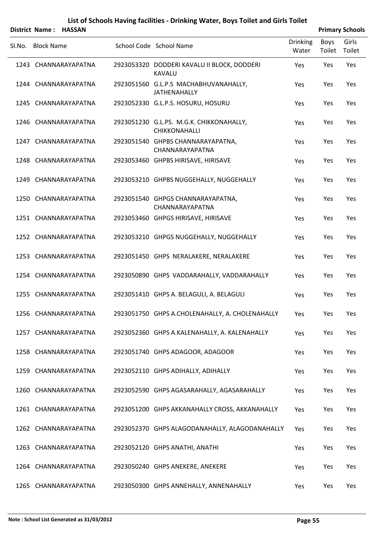|        |                   | District Name: HASSAN |                                                              |                          |                | <b>Primary Schools</b> |
|--------|-------------------|-----------------------|--------------------------------------------------------------|--------------------------|----------------|------------------------|
| Sl.No. | <b>Block Name</b> |                       | School Code School Name                                      | <b>Drinking</b><br>Water | Boys<br>Toilet | Girls<br>Toilet        |
|        |                   | 1243 CHANNARAYAPATNA  | 2923053320 DODDERI KAVALU II BLOCK, DODDERI<br><b>KAVALU</b> | Yes                      | Yes            | Yes                    |
|        |                   | 1244 CHANNARAYAPATNA  | 2923051560 G.L.P.S MACHABHUVANAHALLY,<br><b>JATHENAHALLY</b> | Yes                      | Yes            | Yes                    |
|        |                   | 1245 CHANNARAYAPATNA  | 2923052330 G.L.P.S. HOSURU, HOSURU                           | Yes                      | Yes            | Yes                    |
|        |                   | 1246 CHANNARAYAPATNA  | 2923051230 G.L.PS. M.G.K. CHIKKONAHALLY,<br>CHIKKONAHALLI    | Yes                      | Yes            | Yes                    |
|        |                   | 1247 CHANNARAYAPATNA  | 2923051540 GHPBS CHANNARAYAPATNA,<br>CHANNARAYAPATNA         | Yes                      | Yes            | Yes                    |
|        |                   | 1248 CHANNARAYAPATNA  | 2923053460 GHPBS HIRISAVE, HIRISAVE                          | Yes                      | Yes            | Yes                    |
|        |                   | 1249 CHANNARAYAPATNA  | 2923053210 GHPBS NUGGEHALLY, NUGGEHALLY                      | Yes                      | Yes            | Yes                    |
|        |                   | 1250 CHANNARAYAPATNA  | 2923051540 GHPGS CHANNARAYAPATNA,<br>CHANNARAYAPATNA         | Yes                      | Yes            | Yes                    |
|        |                   | 1251 CHANNARAYAPATNA  | 2923053460 GHPGS HIRISAVE, HIRISAVE                          | Yes                      | Yes            | Yes                    |
|        |                   | 1252 CHANNARAYAPATNA  | 2923053210 GHPGS NUGGEHALLY, NUGGEHALLY                      | Yes                      | Yes            | Yes                    |
|        |                   | 1253 CHANNARAYAPATNA  | 2923051450 GHPS NERALAKERE, NERALAKERE                       | Yes                      | Yes            | Yes                    |
|        |                   | 1254 CHANNARAYAPATNA  | 2923050890 GHPS VADDARAHALLY, VADDARAHALLY                   | Yes                      | Yes            | Yes                    |
|        |                   | 1255 CHANNARAYAPATNA  | 2923051410 GHPS A. BELAGULI, A. BELAGULI                     | Yes                      | Yes            | Yes                    |
|        |                   | 1256 CHANNARAYAPATNA  | 2923051750 GHPS A.CHOLENAHALLY, A. CHOLENAHALLY              | Yes                      | Yes            | Yes                    |
|        |                   | 1257 CHANNARAYAPATNA  | 2923052360 GHPS A.KALENAHALLY, A. KALENAHALLY                | Yes                      | Yes            | Yes                    |
|        |                   | 1258 CHANNARAYAPATNA  | 2923051740 GHPS ADAGOOR, ADAGOOR                             | Yes                      | Yes            | Yes                    |
|        |                   | 1259 CHANNARAYAPATNA  | 2923052110 GHPS ADIHALLY, ADIHALLY                           | Yes                      | Yes            | Yes                    |
|        |                   | 1260 CHANNARAYAPATNA  | 2923052590 GHPS AGASARAHALLY, AGASARAHALLY                   | Yes                      | Yes            | Yes                    |
|        |                   | 1261 CHANNARAYAPATNA  | 2923051200 GHPS AKKANAHALLY CROSS, AKKANAHALLY               | Yes                      | Yes            | Yes                    |
|        |                   | 1262 CHANNARAYAPATNA  | 2923052370 GHPS ALAGODANAHALLY, ALAGODANAHALLY               | Yes                      | Yes            | Yes                    |
|        |                   | 1263 CHANNARAYAPATNA  | 2923052120 GHPS ANATHI, ANATHI                               | Yes                      | Yes            | Yes                    |
|        |                   | 1264 CHANNARAYAPATNA  | 2923050240 GHPS ANEKERE, ANEKERE                             | Yes                      | Yes            | Yes                    |
|        |                   | 1265 CHANNARAYAPATNA  | 2923050300 GHPS ANNEHALLY, ANNENAHALLY                       | Yes                      | Yes            | Yes                    |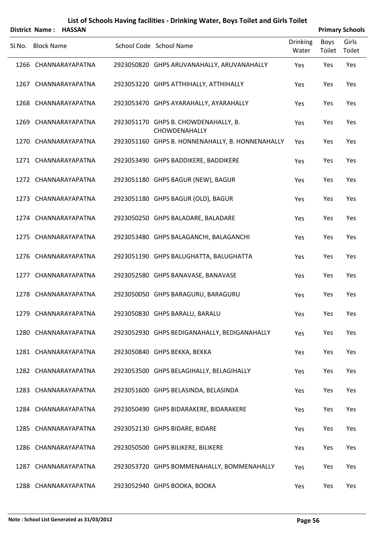|        |                   | District Name: HASSAN |                                                       |                          |                       | <b>Primary Schools</b> |
|--------|-------------------|-----------------------|-------------------------------------------------------|--------------------------|-----------------------|------------------------|
| SI.No. | <b>Block Name</b> |                       | School Code School Name                               | <b>Drinking</b><br>Water | <b>Boys</b><br>Toilet | Girls<br>Toilet        |
|        |                   | 1266 CHANNARAYAPATNA  | 2923050820 GHPS ARUVANAHALLY, ARUVANAHALLY            | Yes                      | Yes                   | Yes                    |
|        |                   | 1267 CHANNARAYAPATNA  | 2923053220 GHPS ATTHIHALLY, ATTHIHALLY                | Yes                      | Yes                   | Yes                    |
|        |                   | 1268 CHANNARAYAPATNA  | 2923053470 GHPS AYARAHALLY, AYARAHALLY                | Yes                      | Yes                   | Yes                    |
|        |                   | 1269 CHANNARAYAPATNA  | 2923051170 GHPS B. CHOWDENAHALLY, B.<br>CHOWDENAHALLY | Yes                      | Yes                   | Yes                    |
|        |                   | 1270 CHANNARAYAPATNA  | 2923051160 GHPS B. HONNENAHALLY, B. HONNENAHALLY      | Yes                      | Yes                   | Yes                    |
|        |                   | 1271 CHANNARAYAPATNA  | 2923053490 GHPS BADDIKERE, BADDIKERE                  | Yes                      | Yes                   | Yes                    |
|        |                   | 1272 CHANNARAYAPATNA  | 2923051180 GHPS BAGUR (NEW), BAGUR                    | Yes                      | Yes                   | Yes                    |
|        |                   | 1273 CHANNARAYAPATNA  | 2923051180 GHPS BAGUR (OLD), BAGUR                    | Yes                      | Yes                   | Yes                    |
|        |                   | 1274 CHANNARAYAPATNA  | 2923050250 GHPS BALADARE, BALADARE                    | Yes                      | Yes                   | Yes                    |
|        |                   | 1275 CHANNARAYAPATNA  | 2923053480 GHPS BALAGANCHI, BALAGANCHI                | Yes                      | Yes                   | Yes                    |
|        |                   | 1276 CHANNARAYAPATNA  | 2923051190 GHPS BALUGHATTA, BALUGHATTA                | Yes                      | Yes                   | Yes                    |
|        |                   | 1277 CHANNARAYAPATNA  | 2923052580 GHPS BANAVASE, BANAVASE                    | Yes                      | Yes                   | Yes                    |
|        |                   | 1278 CHANNARAYAPATNA  | 2923050050 GHPS BARAGURU, BARAGURU                    | Yes                      | Yes                   | Yes                    |
|        |                   | 1279 CHANNARAYAPATNA  | 2923050830 GHPS BARALU, BARALU                        | Yes                      | Yes                   | Yes                    |
|        |                   | 1280 CHANNARAYAPATNA  | 2923052930 GHPS BEDIGANAHALLY, BEDIGANAHALLY          | Yes                      | Yes                   | Yes                    |
|        |                   | 1281 CHANNARAYAPATNA  | 2923050840 GHPS BEKKA, BEKKA                          | Yes                      | Yes                   | Yes                    |
|        |                   | 1282 CHANNARAYAPATNA  | 2923053500 GHPS BELAGIHALLY, BELAGIHALLY              | Yes                      | Yes                   | Yes                    |
|        |                   | 1283 CHANNARAYAPATNA  | 2923051600 GHPS BELASINDA, BELASINDA                  | Yes                      | Yes                   | Yes                    |
|        |                   | 1284 CHANNARAYAPATNA  | 2923050490 GHPS BIDARAKERE, BIDARAKERE                | Yes                      | Yes                   | Yes                    |
|        |                   | 1285 CHANNARAYAPATNA  | 2923052130 GHPS BIDARE, BIDARE                        | Yes                      | Yes                   | Yes                    |
|        |                   | 1286 CHANNARAYAPATNA  | 2923050500 GHPS BILIKERE, BILIKERE                    | Yes                      | Yes                   | Yes                    |
|        |                   | 1287 CHANNARAYAPATNA  | 2923053720 GHPS BOMMENAHALLY, BOMMENAHALLY            | Yes                      | Yes                   | Yes                    |
|        |                   | 1288 CHANNARAYAPATNA  | 2923052940 GHPS BOOKA, BOOKA                          | Yes                      | Yes                   | Yes                    |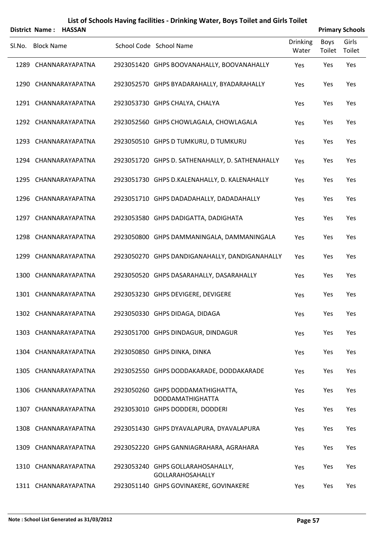|        |                   | District Name: HASSAN |                                                              |                          |                | <b>Primary Schools</b> |
|--------|-------------------|-----------------------|--------------------------------------------------------------|--------------------------|----------------|------------------------|
| SI.No. | <b>Block Name</b> |                       | School Code School Name                                      | <b>Drinking</b><br>Water | Boys<br>Toilet | Girls<br>Toilet        |
|        |                   | 1289 CHANNARAYAPATNA  | 2923051420 GHPS BOOVANAHALLY, BOOVANAHALLY                   | Yes                      | Yes            | Yes                    |
|        |                   | 1290 CHANNARAYAPATNA  | 2923052570 GHPS BYADARAHALLY, BYADARAHALLY                   | Yes                      | Yes            | Yes                    |
|        |                   | 1291 CHANNARAYAPATNA  | 2923053730 GHPS CHALYA, CHALYA                               | Yes                      | Yes            | Yes                    |
|        |                   | 1292 CHANNARAYAPATNA  | 2923052560 GHPS CHOWLAGALA, CHOWLAGALA                       | Yes                      | Yes            | Yes                    |
|        |                   | 1293 CHANNARAYAPATNA  | 2923050510 GHPS D TUMKURU, D TUMKURU                         | Yes                      | Yes            | Yes                    |
|        |                   | 1294 CHANNARAYAPATNA  | 2923051720 GHPS D. SATHENAHALLY, D. SATHENAHALLY             | Yes                      | Yes            | Yes                    |
|        |                   | 1295 CHANNARAYAPATNA  | 2923051730 GHPS D.KALENAHALLY, D. KALENAHALLY                | Yes                      | Yes            | Yes                    |
|        |                   | 1296 CHANNARAYAPATNA  | 2923051710 GHPS DADADAHALLY, DADADAHALLY                     | Yes                      | Yes            | Yes                    |
|        |                   | 1297 CHANNARAYAPATNA  | 2923053580 GHPS DADIGATTA, DADIGHATA                         | Yes                      | Yes            | Yes                    |
|        |                   | 1298 CHANNARAYAPATNA  | 2923050800 GHPS DAMMANINGALA, DAMMANINGALA                   | Yes                      | Yes            | Yes                    |
|        |                   | 1299 CHANNARAYAPATNA  | 2923050270 GHPS DANDIGANAHALLY, DANDIGANAHALLY               | Yes                      | Yes            | Yes                    |
|        |                   | 1300 CHANNARAYAPATNA  | 2923050520 GHPS DASARAHALLY, DASARAHALLY                     | Yes                      | Yes            | Yes                    |
|        |                   | 1301 CHANNARAYAPATNA  | 2923053230 GHPS DEVIGERE, DEVIGERE                           | Yes                      | Yes            | Yes                    |
|        |                   | 1302 CHANNARAYAPATNA  | 2923050330 GHPS DIDAGA, DIDAGA                               | Yes                      | Yes            | Yes                    |
|        |                   | 1303 CHANNARAYAPATNA  | 2923051700 GHPS DINDAGUR, DINDAGUR                           | Yes                      | Yes            | Yes                    |
|        |                   | 1304 CHANNARAYAPATNA  | 2923050850 GHPS DINKA, DINKA                                 | Yes                      | Yes            | Yes                    |
|        |                   | 1305 CHANNARAYAPATNA  | 2923052550 GHPS DODDAKARADE, DODDAKARADE                     | Yes                      | Yes            | Yes                    |
|        |                   | 1306 CHANNARAYAPATNA  | 2923050260 GHPS DODDAMATHIGHATTA,<br><b>DODDAMATHIGHATTA</b> | Yes                      | Yes            | Yes                    |
|        |                   | 1307 CHANNARAYAPATNA  | 2923053010 GHPS DODDERI, DODDERI                             | Yes                      | Yes            | Yes                    |
|        |                   | 1308 CHANNARAYAPATNA  | 2923051430 GHPS DYAVALAPURA, DYAVALAPURA                     | Yes                      | Yes            | Yes                    |
|        |                   | 1309 CHANNARAYAPATNA  | 2923052220 GHPS GANNIAGRAHARA, AGRAHARA                      | Yes                      | Yes            | Yes                    |
|        |                   | 1310 CHANNARAYAPATNA  | 2923053240 GHPS GOLLARAHOSAHALLY,<br><b>GOLLARAHOSAHALLY</b> | Yes                      | Yes            | Yes                    |
|        |                   | 1311 CHANNARAYAPATNA  | 2923051140 GHPS GOVINAKERE, GOVINAKERE                       | Yes                      | Yes            | Yes                    |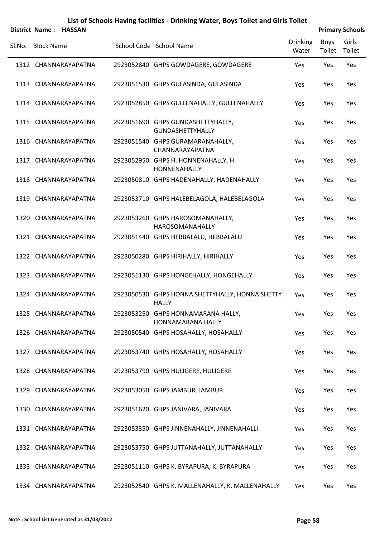|        | District Name: HASSAN |                                                                 |                          |                | <b>Primary Schools</b> |
|--------|-----------------------|-----------------------------------------------------------------|--------------------------|----------------|------------------------|
| SI.No. | <b>Block Name</b>     | School Code School Name                                         | <b>Drinking</b><br>Water | Boys<br>Toilet | Girls<br>Toilet        |
|        | 1312 CHANNARAYAPATNA  | 2923052840 GHPS GOWDAGERE, GOWDAGERE                            | Yes                      | Yes            | Yes                    |
|        | 1313 CHANNARAYAPATNA  | 2923051530 GHPS GULASINDA, GULASINDA                            | Yes                      | Yes            | Yes                    |
|        | 1314 CHANNARAYAPATNA  | 2923052850 GHPS GULLENAHALLY, GULLENAHALLY                      | Yes                      | Yes            | Yes                    |
|        | 1315 CHANNARAYAPATNA  | 2923051690 GHPS GUNDASHETTYHALLY,<br><b>GUNDASHETTYHALLY</b>    | Yes                      | Yes            | Yes                    |
|        | 1316 CHANNARAYAPATNA  | 2923051540 GHPS GURAMARANAHALLY,<br>CHANNARAYAPATNA             | Yes                      | Yes            | Yes                    |
|        | 1317 CHANNARAYAPATNA  | 2923052950 GHPS H. HONNENAHALLY, H.<br>HONNENAHALLY             | Yes                      | Yes            | Yes                    |
|        | 1318 CHANNARAYAPATNA  | 2923050810 GHPS HADENAHALLY, HADENAHALLY                        | Yes                      | Yes            | Yes                    |
|        | 1319 CHANNARAYAPATNA  | 2923053710 GHPS HALEBELAGOLA, HALEBELAGOLA                      | Yes                      | Yes            | Yes                    |
|        | 1320 CHANNARAYAPATNA  | 2923053260 GHPS HAROSOMANAHALLY,<br>HAROSOMANAHALLY             | Yes                      | Yes            | Yes                    |
|        | 1321 CHANNARAYAPATNA  | 2923051440 GHPS HEBBALALU, HEBBALALU                            | Yes                      | Yes            | Yes                    |
|        | 1322 CHANNARAYAPATNA  | 2923050280 GHPS HIRIHALLY, HIRIHALLY                            | Yes                      | Yes            | Yes                    |
|        | 1323 CHANNARAYAPATNA  | 2923051130 GHPS HONGEHALLY, HONGEHALLY                          | Yes                      | Yes            | Yes                    |
|        | 1324 CHANNARAYAPATNA  | 2923050530 GHPS HONNA SHETTYHALLY, HONNA SHETTY<br><b>HALLY</b> | Yes                      | Yes            | Yes                    |
|        | 1325 CHANNARAYAPATNA  | 2923053250 GHPS HONNAMARANA HALLY,<br>HONNAMARANA HALLY         | Yes                      | Yes            | Yes                    |
|        | 1326 CHANNARAYAPATNA  | 2923050540 GHPS HOSAHALLY, HOSAHALLY                            | Yes                      | Yes            | Yes                    |
|        | 1327 CHANNARAYAPATNA  | 2923053740 GHPS HOSAHALLY, HOSAHALLY                            | Yes                      | Yes            | Yes                    |
|        | 1328 CHANNARAYAPATNA  | 2923053790 GHPS HULIGERE, HULIGERE                              | Yes                      | Yes            | Yes                    |
|        | 1329 CHANNARAYAPATNA  | 2923053050 GHPS JAMBUR, JAMBUR                                  | Yes                      | Yes            | Yes                    |
|        | 1330 CHANNARAYAPATNA  | 2923051620 GHPS JANIVARA, JANIVARA                              | Yes                      | Yes            | Yes                    |
|        | 1331 CHANNARAYAPATNA  | 2923053350 GHPS JINNENAHALLY, JINNENAHALLI                      | Yes                      | Yes            | Yes                    |
|        | 1332 CHANNARAYAPATNA  | 2923053750 GHPS JUTTANAHALLY, JUTTANAHALLY                      | Yes                      | Yes            | Yes                    |
|        | 1333 CHANNARAYAPATNA  | 2923051110 GHPS K. BYRAPURA, K. BYRAPURA                        | Yes                      | Yes            | Yes                    |
|        | 1334 CHANNARAYAPATNA  | 2923052540 GHPS K. MALLENAHALLY, K. MALLENAHALLY                | Yes                      | Yes            | Yes                    |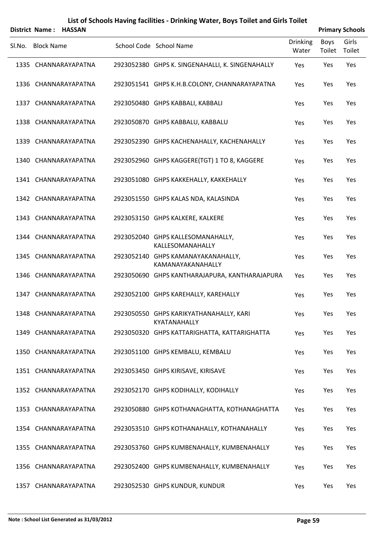|        | District Name: HASSAN |                                                         |                          |                | <b>Primary Schools</b> |
|--------|-----------------------|---------------------------------------------------------|--------------------------|----------------|------------------------|
| SI.No. | <b>Block Name</b>     | School Code School Name                                 | <b>Drinking</b><br>Water | Boys<br>Toilet | Girls<br>Toilet        |
|        | 1335 CHANNARAYAPATNA  | 2923052380 GHPS K. SINGENAHALLI, K. SINGENAHALLY        | Yes                      | Yes            | Yes                    |
|        | 1336 CHANNARAYAPATNA  | 2923051541 GHPS K.H.B.COLONY, CHANNARAYAPATNA           | Yes                      | Yes            | Yes                    |
|        | 1337 CHANNARAYAPATNA  | 2923050480 GHPS KABBALI, KABBALI                        | Yes                      | Yes            | Yes                    |
|        | 1338 CHANNARAYAPATNA  | 2923050870 GHPS KABBALU, KABBALU                        | Yes                      | Yes            | Yes                    |
|        | 1339 CHANNARAYAPATNA  | 2923052390 GHPS KACHENAHALLY, KACHENAHALLY              | Yes                      | Yes            | Yes                    |
|        | 1340 CHANNARAYAPATNA  | 2923052960 GHPS KAGGERE(TGT) 1 TO 8, KAGGERE            | Yes                      | Yes            | Yes                    |
|        | 1341 CHANNARAYAPATNA  | 2923051080 GHPS KAKKEHALLY, KAKKEHALLY                  | Yes                      | Yes            | Yes                    |
|        | 1342 CHANNARAYAPATNA  | 2923051550 GHPS KALAS NDA, KALASINDA                    | Yes                      | Yes            | Yes                    |
|        | 1343 CHANNARAYAPATNA  | 2923053150 GHPS KALKERE, KALKERE                        | Yes                      | Yes            | Yes                    |
|        | 1344 CHANNARAYAPATNA  | 2923052040 GHPS KALLESOMANAHALLY,<br>KALLESOMANAHALLY   | Yes                      | Yes            | Yes                    |
|        | 1345 CHANNARAYAPATNA  | 2923052140 GHPS KAMANAYAKANAHALLY,<br>KAMANAYAKANAHALLY | Yes                      | Yes            | Yes                    |
|        | 1346 CHANNARAYAPATNA  | 2923050690 GHPS KANTHARAJAPURA, KANTHARAJAPURA          | Yes                      | Yes            | Yes                    |
|        | 1347 CHANNARAYAPATNA  | 2923052100 GHPS KAREHALLY, KAREHALLY                    | Yes                      | Yes            | Yes                    |
|        | 1348 CHANNARAYAPATNA  | 2923050550 GHPS KARIKYATHANAHALLY, KARI<br>KYATANAHALLY | Yes                      | Yes            | Yes                    |
|        | 1349 CHANNARAYAPATNA  | 2923050320 GHPS KATTARIGHATTA, KATTARIGHATTA            | Yes                      | Yes            | Yes                    |
|        | 1350 CHANNARAYAPATNA  | 2923051100 GHPS KEMBALU, KEMBALU                        | Yes                      | Yes            | Yes                    |
|        | 1351 CHANNARAYAPATNA  | 2923053450 GHPS KIRISAVE, KIRISAVE                      | Yes                      | Yes            | Yes                    |
|        | 1352 CHANNARAYAPATNA  | 2923052170 GHPS KODIHALLY, KODIHALLY                    | Yes                      | Yes            | Yes                    |
|        | 1353 CHANNARAYAPATNA  | 2923050880 GHPS KOTHANAGHATTA, KOTHANAGHATTA            | Yes                      | Yes            | Yes                    |
|        | 1354 CHANNARAYAPATNA  | 2923053510 GHPS KOTHANAHALLY, KOTHANAHALLY              | Yes                      | Yes            | Yes                    |
|        | 1355 CHANNARAYAPATNA  | 2923053760 GHPS KUMBENAHALLY, KUMBENAHALLY              | Yes                      | Yes            | Yes                    |
|        | 1356 CHANNARAYAPATNA  | 2923052400 GHPS KUMBENAHALLY, KUMBENAHALLY              | Yes                      | Yes            | Yes                    |
|        | 1357 CHANNARAYAPATNA  | 2923052530 GHPS KUNDUR, KUNDUR                          | Yes                      | Yes            | Yes                    |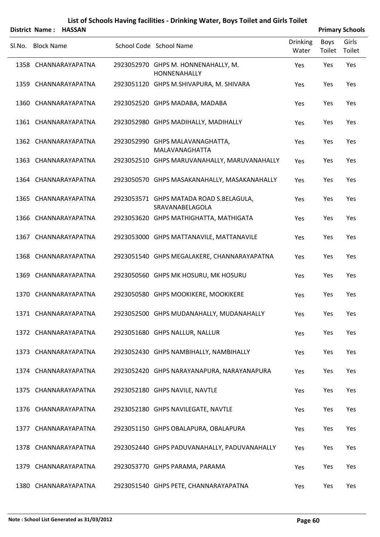|        | <b>District Name:</b> | <b>HASSAN</b>        |                                                            |                          |                       | <b>Primary Schools</b> |
|--------|-----------------------|----------------------|------------------------------------------------------------|--------------------------|-----------------------|------------------------|
| Sl.No. | <b>Block Name</b>     |                      | School Code School Name                                    | <b>Drinking</b><br>Water | <b>Boys</b><br>Toilet | Girls<br>Toilet        |
|        |                       | 1358 CHANNARAYAPATNA | 2923052970 GHPS M. HONNENAHALLY, M.<br>HONNENAHALLY        | Yes                      | Yes                   | Yes                    |
|        |                       | 1359 CHANNARAYAPATNA | 2923051120 GHPS M.SHIVAPURA, M. SHIVARA                    | Yes                      | Yes                   | Yes                    |
|        |                       | 1360 CHANNARAYAPATNA | 2923052520 GHPS MADABA, MADABA                             | Yes                      | Yes                   | Yes                    |
|        |                       | 1361 CHANNARAYAPATNA | 2923052980 GHPS MADIHALLY, MADIHALLY                       | Yes                      | Yes                   | Yes                    |
|        |                       | 1362 CHANNARAYAPATNA | 2923052990 GHPS MALAVANAGHATTA,<br>MALAVANAGHATTA          | Yes                      | Yes                   | Yes                    |
|        |                       | 1363 CHANNARAYAPATNA | 2923052510 GHPS MARUVANAHALLY, MARUVANAHALLY               | Yes                      | Yes                   | Yes                    |
|        |                       | 1364 CHANNARAYAPATNA | 2923050570 GHPS MASAKANAHALLY, MASAKANAHALLY               | Yes                      | Yes                   | Yes                    |
|        |                       | 1365 CHANNARAYAPATNA | 2923053571 GHPS MATADA ROAD S.BELAGULA,<br>SRAVANABELAGOLA | Yes                      | Yes                   | Yes                    |
|        |                       | 1366 CHANNARAYAPATNA | 2923053620 GHPS MATHIGHATTA, MATHIGATA                     | Yes                      | Yes                   | Yes                    |
|        |                       | 1367 CHANNARAYAPATNA | 2923053000 GHPS MATTANAVILE, MATTANAVILE                   | Yes                      | Yes                   | Yes                    |
|        |                       | 1368 CHANNARAYAPATNA | 2923051540 GHPS MEGALAKERE, CHANNARAYAPATNA                | Yes                      | Yes                   | Yes                    |
|        |                       | 1369 CHANNARAYAPATNA | 2923050560 GHPS MK HOSURU, MK HOSURU                       | Yes                      | Yes                   | Yes                    |
|        |                       | 1370 CHANNARAYAPATNA | 2923050580 GHPS MOOKIKERE, MOOKIKERE                       | Yes                      | Yes                   | Yes                    |
|        |                       | 1371 CHANNARAYAPATNA | 2923052500 GHPS MUDANAHALLY, MUDANAHALLY                   | Yes                      | Yes                   | Yes                    |
|        |                       | 1372 CHANNARAYAPATNA | 2923051680 GHPS NALLUR, NALLUR                             | Yes                      | Yes                   | Yes                    |
|        |                       | 1373 CHANNARAYAPATNA | 2923052430 GHPS NAMBIHALLY, NAMBIHALLY                     | Yes                      | Yes                   | Yes                    |
|        |                       | 1374 CHANNARAYAPATNA | 2923052420 GHPS NARAYANAPURA, NARAYANAPURA                 | Yes                      | Yes                   | Yes                    |
|        |                       | 1375 CHANNARAYAPATNA | 2923052180 GHPS NAVILE, NAVTLE                             | Yes                      | Yes                   | Yes                    |
|        |                       | 1376 CHANNARAYAPATNA | 2923052180 GHPS NAVILEGATE, NAVTLE                         | Yes                      | Yes                   | Yes                    |
|        |                       | 1377 CHANNARAYAPATNA | 2923051150 GHPS OBALAPURA, OBALAPURA                       | Yes                      | Yes                   | Yes                    |
|        |                       | 1378 CHANNARAYAPATNA | 2923052440 GHPS PADUVANAHALLY, PADUVANAHALLY               | Yes                      | Yes                   | Yes                    |
|        |                       | 1379 CHANNARAYAPATNA | 2923053770 GHPS PARAMA, PARAMA                             | Yes                      | Yes                   | Yes                    |
|        |                       | 1380 CHANNARAYAPATNA | 2923051540 GHPS PETE, CHANNARAYAPATNA                      | Yes                      | Yes                   | Yes                    |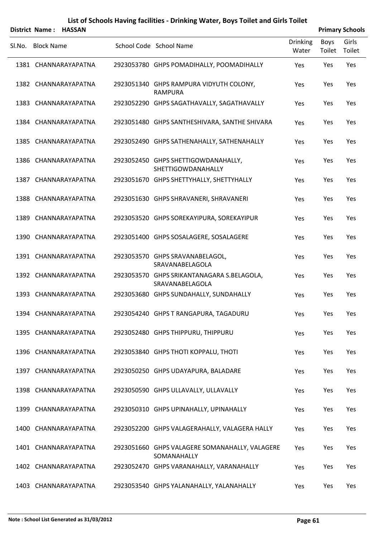|        | District Name: HASSAN |                                                               |                          |                | <b>Primary Schools</b> |
|--------|-----------------------|---------------------------------------------------------------|--------------------------|----------------|------------------------|
| SI.No. | <b>Block Name</b>     | School Code School Name                                       | <b>Drinking</b><br>Water | Boys<br>Toilet | Girls<br>Toilet        |
|        | 1381 CHANNARAYAPATNA  | 2923053780 GHPS POMADIHALLY, POOMADIHALLY                     | Yes                      | Yes            | Yes                    |
|        | 1382 CHANNARAYAPATNA  | 2923051340 GHPS RAMPURA VIDYUTH COLONY,<br><b>RAMPURA</b>     | Yes                      | Yes            | Yes                    |
|        | 1383 CHANNARAYAPATNA  | 2923052290 GHPS SAGATHAVALLY, SAGATHAVALLY                    | Yes                      | Yes            | Yes                    |
|        | 1384 CHANNARAYAPATNA  | 2923051480 GHPS SANTHESHIVARA, SANTHE SHIVARA                 | Yes                      | Yes            | Yes                    |
|        | 1385 CHANNARAYAPATNA  | 2923052490 GHPS SATHENAHALLY, SATHENAHALLY                    | Yes                      | Yes            | Yes                    |
|        | 1386 CHANNARAYAPATNA  | 2923052450 GHPS SHETTIGOWDANAHALLY,<br>SHETTIGOWDANAHALLY     | Yes                      | Yes            | Yes                    |
|        | 1387 CHANNARAYAPATNA  | 2923051670 GHPS SHETTYHALLY, SHETTYHALLY                      | Yes                      | Yes            | Yes                    |
|        | 1388 CHANNARAYAPATNA  | 2923051630 GHPS SHRAVANERI, SHRAVANERI                        | Yes                      | Yes            | Yes                    |
|        | 1389 CHANNARAYAPATNA  | 2923053520 GHPS SOREKAYIPURA, SOREKAYIPUR                     | Yes                      | Yes            | Yes                    |
|        | 1390 CHANNARAYAPATNA  | 2923051400 GHPS SOSALAGERE, SOSALAGERE                        | Yes                      | Yes            | Yes                    |
|        | 1391 CHANNARAYAPATNA  | 2923053570 GHPS SRAVANABELAGOL,<br>SRAVANABELAGOLA            | Yes                      | Yes            | Yes                    |
|        | 1392 CHANNARAYAPATNA  | 2923053570 GHPS SRIKANTANAGARA S.BELAGOLA,<br>SRAVANABELAGOLA | Yes                      | Yes            | Yes                    |
|        | 1393 CHANNARAYAPATNA  | 2923053680 GHPS SUNDAHALLY, SUNDAHALLY                        | Yes                      | Yes            | Yes                    |
|        | 1394 CHANNARAYAPATNA  | 2923054240 GHPS T RANGAPURA, TAGADURU                         | Yes                      | Yes            | Yes                    |
|        | 1395 CHANNARAYAPATNA  | 2923052480 GHPS THIPPURU, THIPPURU                            | Yes                      | Yes            | Yes                    |
|        | 1396 CHANNARAYAPATNA  | 2923053840 GHPS THOTI KOPPALU, THOTI                          | Yes                      | Yes            | Yes                    |
|        | 1397 CHANNARAYAPATNA  | 2923050250 GHPS UDAYAPURA, BALADARE                           | Yes                      | Yes            | Yes                    |
|        | 1398 CHANNARAYAPATNA  | 2923050590 GHPS ULLAVALLY, ULLAVALLY                          | Yes                      | Yes            | Yes                    |
|        | 1399 CHANNARAYAPATNA  | 2923050310 GHPS UPINAHALLY, UPINAHALLY                        | Yes                      | Yes            | Yes                    |
|        | 1400 CHANNARAYAPATNA  | 2923052200 GHPS VALAGERAHALLY, VALAGERA HALLY                 | Yes                      | Yes            | Yes                    |
|        | 1401 CHANNARAYAPATNA  | 2923051660 GHPS VALAGERE SOMANAHALLY, VALAGERE<br>SOMANAHALLY | Yes                      | Yes            | Yes                    |
|        | 1402 CHANNARAYAPATNA  | 2923052470 GHPS VARANAHALLY, VARANAHALLY                      | Yes                      | Yes            | Yes                    |
|        | 1403 CHANNARAYAPATNA  | 2923053540 GHPS YALANAHALLY, YALANAHALLY                      | Yes                      | Yes            | Yes                    |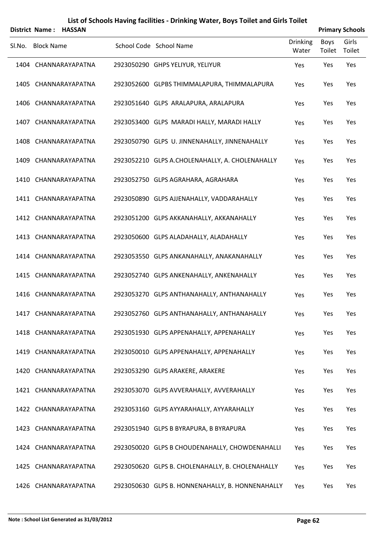|        | District Name: HASSAN |                                                  |                          |                | <b>Primary Schools</b> |
|--------|-----------------------|--------------------------------------------------|--------------------------|----------------|------------------------|
| SI.No. | <b>Block Name</b>     | School Code School Name                          | <b>Drinking</b><br>Water | Boys<br>Toilet | Girls<br>Toilet        |
|        | 1404 CHANNARAYAPATNA  | 2923050290 GHPS YELIYUR, YELIYUR                 | Yes                      | Yes            | Yes                    |
|        | 1405 CHANNARAYAPATNA  | 2923052600 GLPBS THIMMALAPURA, THIMMALAPURA      | Yes                      | Yes            | Yes                    |
|        | 1406 CHANNARAYAPATNA  | 2923051640 GLPS ARALAPURA, ARALAPURA             | Yes                      | Yes            | Yes                    |
|        | 1407 CHANNARAYAPATNA  | 2923053400 GLPS MARADI HALLY, MARADI HALLY       | Yes                      | Yes            | Yes                    |
|        | 1408 CHANNARAYAPATNA  | 2923050790 GLPS U. JINNENAHALLY, JINNENAHALLY    | Yes                      | Yes            | Yes                    |
|        | 1409 CHANNARAYAPATNA  | 2923052210 GLPS A.CHOLENAHALLY, A. CHOLENAHALLY  | Yes                      | Yes            | Yes                    |
|        | 1410 CHANNARAYAPATNA  | 2923052750 GLPS AGRAHARA, AGRAHARA               | Yes                      | Yes            | Yes                    |
|        | 1411 CHANNARAYAPATNA  | 2923050890 GLPS AJJENAHALLY, VADDARAHALLY        | Yes                      | Yes            | Yes                    |
|        | 1412 CHANNARAYAPATNA  | 2923051200 GLPS AKKANAHALLY, AKKANAHALLY         | Yes                      | Yes            | Yes                    |
|        | 1413 CHANNARAYAPATNA  | 2923050600 GLPS ALADAHALLY, ALADAHALLY           | Yes                      | Yes            | Yes                    |
|        | 1414 CHANNARAYAPATNA  | 2923053550 GLPS ANKANAHALLY, ANAKANAHALLY        | Yes                      | Yes            | Yes                    |
|        | 1415 CHANNARAYAPATNA  | 2923052740 GLPS ANKENAHALLY, ANKENAHALLY         | Yes                      | Yes            | Yes                    |
|        | 1416 CHANNARAYAPATNA  | 2923053270 GLPS ANTHANAHALLY, ANTHANAHALLY       | Yes                      | Yes            | Yes                    |
|        | 1417 CHANNARAYAPATNA  | 2923052760 GLPS ANTHANAHALLY, ANTHANAHALLY       | Yes                      | Yes            | Yes                    |
|        | 1418 CHANNARAYAPATNA  | 2923051930 GLPS APPENAHALLY, APPENAHALLY         | Yes                      | Yes            | Yes                    |
|        | 1419 CHANNARAYAPATNA  | 2923050010 GLPS APPENAHALLY, APPENAHALLY         | Yes                      | Yes            | Yes                    |
|        | 1420 CHANNARAYAPATNA  | 2923053290 GLPS ARAKERE, ARAKERE                 | Yes                      | Yes            | Yes                    |
|        | 1421 CHANNARAYAPATNA  | 2923053070 GLPS AVVERAHALLY, AVVERAHALLY         | Yes                      | Yes            | Yes                    |
|        | 1422 CHANNARAYAPATNA  | 2923053160 GLPS AYYARAHALLY, AYYARAHALLY         | Yes                      | Yes            | Yes                    |
|        | 1423 CHANNARAYAPATNA  | 2923051940 GLPS B BYRAPURA, B BYRAPURA           | Yes                      | Yes            | Yes                    |
|        | 1424 CHANNARAYAPATNA  | 2923050020 GLPS B CHOUDENAHALLY, CHOWDENAHALLI   | Yes                      | Yes            | Yes                    |
|        | 1425 CHANNARAYAPATNA  | 2923050620 GLPS B. CHOLENAHALLY, B. CHOLENAHALLY | Yes                      | Yes            | Yes                    |
|        | 1426 CHANNARAYAPATNA  | 2923050630 GLPS B. HONNENAHALLY, B. HONNENAHALLY | Yes                      | Yes            | Yes                    |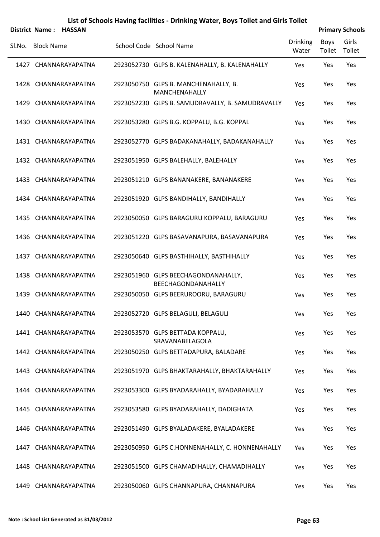|        | District Name: HASSAN |                                                              |                          |                | <b>Primary Schools</b> |
|--------|-----------------------|--------------------------------------------------------------|--------------------------|----------------|------------------------|
| SI.No. | <b>Block Name</b>     | School Code School Name                                      | <b>Drinking</b><br>Water | Boys<br>Toilet | Girls<br>Toilet        |
|        | 1427 CHANNARAYAPATNA  | 2923052730 GLPS B. KALENAHALLY, B. KALENAHALLY               | Yes                      | Yes            | Yes                    |
|        | 1428 CHANNARAYAPATNA  | 2923050750 GLPS B. MANCHENAHALLY, B.<br><b>MANCHENAHALLY</b> | Yes                      | Yes            | Yes                    |
|        | 1429 CHANNARAYAPATNA  | 2923052230 GLPS B. SAMUDRAVALLY, B. SAMUDRAVALLY             | Yes                      | Yes            | Yes                    |
|        | 1430 CHANNARAYAPATNA  | 2923053280 GLPS B.G. KOPPALU, B.G. KOPPAL                    | Yes                      | Yes            | Yes                    |
|        | 1431 CHANNARAYAPATNA  | 2923052770 GLPS BADAKANAHALLY, BADAKANAHALLY                 | Yes                      | Yes            | Yes                    |
|        | 1432 CHANNARAYAPATNA  | 2923051950 GLPS BALEHALLY, BALEHALLY                         | Yes                      | Yes            | Yes                    |
|        | 1433 CHANNARAYAPATNA  | 2923051210 GLPS BANANAKERE, BANANAKERE                       | Yes                      | Yes            | Yes                    |
|        | 1434 CHANNARAYAPATNA  | 2923051920 GLPS BANDIHALLY, BANDIHALLY                       | Yes                      | Yes            | Yes                    |
|        | 1435 CHANNARAYAPATNA  | 2923050050 GLPS BARAGURU KOPPALU, BARAGURU                   | Yes                      | Yes            | Yes                    |
|        | 1436 CHANNARAYAPATNA  | 2923051220 GLPS BASAVANAPURA, BASAVANAPURA                   | Yes                      | Yes            | Yes                    |
|        | 1437 CHANNARAYAPATNA  | 2923050640 GLPS BASTHIHALLY, BASTHIHALLY                     | Yes                      | Yes            | Yes                    |
|        | 1438 CHANNARAYAPATNA  | 2923051960 GLPS BEECHAGONDANAHALLY,<br>BEECHAGONDANAHALLY    | Yes                      | Yes            | Yes                    |
|        | 1439 CHANNARAYAPATNA  | 2923050050 GLPS BEERUROORU, BARAGURU                         | Yes                      | Yes            | Yes                    |
|        | 1440 CHANNARAYAPATNA  | 2923052720 GLPS BELAGULI, BELAGULI                           | Yes                      | Yes            | Yes                    |
|        | 1441 CHANNARAYAPATNA  | 2923053570 GLPS BETTADA KOPPALU,<br>SRAVANABELAGOLA          | Yes                      | Yes            | Yes                    |
|        | 1442 CHANNARAYAPATNA  | 2923050250 GLPS BETTADAPURA, BALADARE                        | Yes                      | Yes            | Yes                    |
|        | 1443 CHANNARAYAPATNA  | 2923051970 GLPS BHAKTARAHALLY, BHAKTARAHALLY                 | Yes                      | Yes            | Yes                    |
|        | 1444 CHANNARAYAPATNA  | 2923053300 GLPS BYADARAHALLY, BYADARAHALLY                   | Yes                      | Yes            | Yes                    |
|        | 1445 CHANNARAYAPATNA  | 2923053580 GLPS BYADARAHALLY, DADIGHATA                      | Yes                      | Yes            | Yes                    |
|        | 1446 CHANNARAYAPATNA  | 2923051490 GLPS BYALADAKERE, BYALADAKERE                     | Yes                      | Yes            | Yes                    |
|        | 1447 CHANNARAYAPATNA  | 2923050950 GLPS C.HONNENAHALLY, C. HONNENAHALLY              | Yes                      | Yes            | Yes                    |
|        | 1448 CHANNARAYAPATNA  | 2923051500 GLPS CHAMADIHALLY, CHAMADIHALLY                   | Yes                      | Yes            | Yes                    |
|        | 1449 CHANNARAYAPATNA  | 2923050060 GLPS CHANNAPURA, CHANNAPURA                       | Yes                      | Yes            | Yes                    |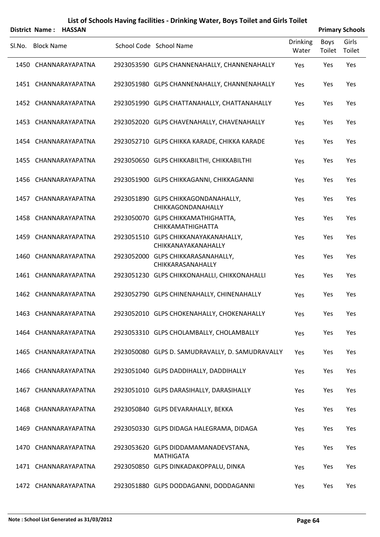|        | District Name: HASSAN |                      |                                                             |                   |                | <b>Primary Schools</b> |
|--------|-----------------------|----------------------|-------------------------------------------------------------|-------------------|----------------|------------------------|
| SI.No. | <b>Block Name</b>     |                      | School Code School Name                                     | Drinking<br>Water | Boys<br>Toilet | Girls<br>Toilet        |
|        |                       | 1450 CHANNARAYAPATNA | 2923053590 GLPS CHANNENAHALLY, CHANNENAHALLY                | Yes               | Yes            | Yes                    |
|        |                       | 1451 CHANNARAYAPATNA | 2923051980 GLPS CHANNENAHALLY, CHANNENAHALLY                | Yes               | Yes            | Yes                    |
|        |                       | 1452 CHANNARAYAPATNA | 2923051990 GLPS CHATTANAHALLY, CHATTANAHALLY                | Yes               | Yes            | Yes                    |
|        |                       | 1453 CHANNARAYAPATNA | 2923052020 GLPS CHAVENAHALLY, CHAVENAHALLY                  | Yes               | Yes            | Yes                    |
|        |                       | 1454 CHANNARAYAPATNA | 2923052710 GLPS CHIKKA KARADE, CHIKKA KARADE                | Yes               | Yes            | Yes                    |
|        |                       | 1455 CHANNARAYAPATNA | 2923050650 GLPS CHIKKABILTHI, CHIKKABILTHI                  | Yes               | Yes            | Yes                    |
|        |                       | 1456 CHANNARAYAPATNA | 2923051900 GLPS CHIKKAGANNI, CHIKKAGANNI                    | Yes               | Yes            | Yes                    |
|        |                       | 1457 CHANNARAYAPATNA | 2923051890 GLPS CHIKKAGONDANAHALLY,<br>CHIKKAGONDANAHALLY   | Yes               | Yes            | Yes                    |
|        |                       | 1458 CHANNARAYAPATNA | 2923050070 GLPS CHIKKAMATHIGHATTA,<br>CHIKKAMATHIGHATTA     | Yes               | Yes            | Yes                    |
|        |                       | 1459 CHANNARAYAPATNA | 2923051510 GLPS CHIKKANAYAKANAHALLY,<br>CHIKKANAYAKANAHALLY | Yes               | Yes            | Yes                    |
|        |                       | 1460 CHANNARAYAPATNA | 2923052000 GLPS CHIKKARASANAHALLY,<br>CHIKKARASANAHALLY     | Yes               | Yes            | Yes                    |
|        |                       | 1461 CHANNARAYAPATNA | 2923051230 GLPS CHIKKONAHALLI, CHIKKONAHALLI                | Yes               | Yes            | Yes                    |
|        |                       | 1462 CHANNARAYAPATNA | 2923052790 GLPS CHINENAHALLY, CHINENAHALLY                  | Yes               | Yes            | Yes                    |
|        |                       | 1463 CHANNARAYAPATNA | 2923052010 GLPS CHOKENAHALLY, CHOKENAHALLY                  | Yes               | Yes            | Yes                    |
|        |                       | 1464 CHANNARAYAPATNA | 2923053310 GLPS CHOLAMBALLY, CHOLAMBALLY                    | Yes               | Yes            | Yes                    |
|        |                       | 1465 CHANNARAYAPATNA | 2923050080 GLPS D. SAMUDRAVALLY, D. SAMUDRAVALLY            | Yes               | Yes            | Yes                    |
|        |                       | 1466 CHANNARAYAPATNA | 2923051040 GLPS DADDIHALLY, DADDIHALLY                      | Yes               | Yes            | Yes                    |
|        |                       | 1467 CHANNARAYAPATNA | 2923051010 GLPS DARASIHALLY, DARASIHALLY                    | Yes               | Yes            | Yes                    |
|        |                       | 1468 CHANNARAYAPATNA | 2923050840 GLPS DEVARAHALLY, BEKKA                          | Yes               | Yes            | Yes                    |
|        |                       | 1469 CHANNARAYAPATNA | 2923050330 GLPS DIDAGA HALEGRAMA, DIDAGA                    | Yes               | Yes            | Yes                    |
|        |                       | 1470 CHANNARAYAPATNA | 2923053620 GLPS DIDDAMAMANADEVSTANA,<br><b>MATHIGATA</b>    | Yes               | Yes            | Yes                    |
|        |                       | 1471 CHANNARAYAPATNA | 2923050850 GLPS DINKADAKOPPALU, DINKA                       | Yes               | Yes            | Yes                    |
|        |                       | 1472 CHANNARAYAPATNA | 2923051880 GLPS DODDAGANNI, DODDAGANNI                      | Yes               | Yes            | Yes                    |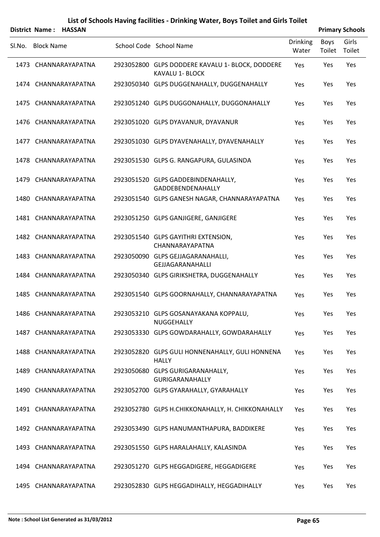|        | District Name: HASSAN |                      |                                                                            |                          |                | <b>Primary Schools</b> |
|--------|-----------------------|----------------------|----------------------------------------------------------------------------|--------------------------|----------------|------------------------|
| SI.No. | <b>Block Name</b>     |                      | School Code School Name                                                    | <b>Drinking</b><br>Water | Boys<br>Toilet | Girls<br>Toilet        |
|        |                       | 1473 CHANNARAYAPATNA | 2923052800 GLPS DODDERE KAVALU 1- BLOCK, DODDERE<br><b>KAVALU 1- BLOCK</b> | Yes                      | Yes            | Yes                    |
|        |                       | 1474 CHANNARAYAPATNA | 2923050340 GLPS DUGGENAHALLY, DUGGENAHALLY                                 | Yes                      | Yes            | Yes                    |
|        |                       | 1475 CHANNARAYAPATNA | 2923051240 GLPS DUGGONAHALLY, DUGGONAHALLY                                 | Yes                      | Yes            | Yes                    |
|        |                       | 1476 CHANNARAYAPATNA | 2923051020 GLPS DYAVANUR, DYAVANUR                                         | Yes                      | Yes            | Yes                    |
|        |                       | 1477 CHANNARAYAPATNA | 2923051030 GLPS DYAVENAHALLY, DYAVENAHALLY                                 | Yes                      | Yes            | Yes                    |
|        |                       | 1478 CHANNARAYAPATNA | 2923051530 GLPS G. RANGAPURA, GULASINDA                                    | Yes                      | Yes            | Yes                    |
|        |                       | 1479 CHANNARAYAPATNA | 2923051520 GLPS GADDEBINDENAHALLY,<br>GADDEBENDENAHALLY                    | Yes                      | Yes            | Yes                    |
|        |                       | 1480 CHANNARAYAPATNA | 2923051540 GLPS GANESH NAGAR, CHANNARAYAPATNA                              | Yes                      | Yes            | Yes                    |
|        |                       | 1481 CHANNARAYAPATNA | 2923051250 GLPS GANJIGERE, GANJIGERE                                       | Yes                      | Yes            | Yes                    |
|        |                       | 1482 CHANNARAYAPATNA | 2923051540 GLPS GAYITHRI EXTENSION,<br>CHANNARAYAPATNA                     | Yes                      | Yes            | Yes                    |
|        |                       | 1483 CHANNARAYAPATNA | 2923050090 GLPS GEJJAGARANAHALLI,<br>GEJJAGARANAHALLI                      | Yes                      | Yes            | Yes                    |
|        |                       | 1484 CHANNARAYAPATNA | 2923050340 GLPS GIRIKSHETRA, DUGGENAHALLY                                  | Yes                      | Yes            | Yes                    |
|        |                       | 1485 CHANNARAYAPATNA | 2923051540 GLPS GOORNAHALLY, CHANNARAYAPATNA                               | Yes                      | Yes            | Yes                    |
|        |                       | 1486 CHANNARAYAPATNA | 2923053210 GLPS GOSANAYAKANA KOPPALU,<br>NUGGEHALLY                        | Yes                      | Yes            | Yes                    |
|        |                       | 1487 CHANNARAYAPATNA | 2923053330 GLPS GOWDARAHALLY, GOWDARAHALLY                                 | Yes                      | Yes            | Yes                    |
|        |                       | 1488 CHANNARAYAPATNA | 2923052820 GLPS GULI HONNENAHALLY, GULI HONNENA<br><b>HALLY</b>            | Yes                      | Yes            | Yes                    |
|        |                       | 1489 CHANNARAYAPATNA | 2923050680 GLPS GURIGARANAHALLY,<br><b>GURIGARANAHALLY</b>                 | Yes                      | Yes            | Yes                    |
|        |                       | 1490 CHANNARAYAPATNA | 2923052700 GLPS GYARAHALLY, GYARAHALLY                                     | Yes                      | Yes            | Yes                    |
|        |                       | 1491 CHANNARAYAPATNA | 2923052780 GLPS H.CHIKKONAHALLY, H. CHIKKONAHALLY                          | Yes                      | Yes            | Yes                    |
|        |                       | 1492 CHANNARAYAPATNA | 2923053490 GLPS HANUMANTHAPURA, BADDIKERE                                  | Yes                      | Yes            | Yes                    |
|        |                       | 1493 CHANNARAYAPATNA | 2923051550 GLPS HARALAHALLY, KALASINDA                                     | Yes                      | Yes            | Yes                    |
|        |                       | 1494 CHANNARAYAPATNA | 2923051270 GLPS HEGGADIGERE, HEGGADIGERE                                   | Yes                      | Yes            | Yes                    |
|        |                       | 1495 CHANNARAYAPATNA | 2923052830 GLPS HEGGADIHALLY, HEGGADIHALLY                                 | Yes                      | Yes            | Yes                    |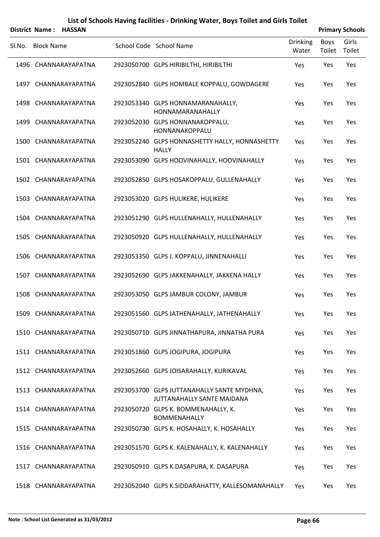|        | District Name: HASSAN |                                                                          |                          |                | <b>Primary Schools</b> |
|--------|-----------------------|--------------------------------------------------------------------------|--------------------------|----------------|------------------------|
| SI.No. | <b>Block Name</b>     | School Code School Name                                                  | <b>Drinking</b><br>Water | Boys<br>Toilet | Girls<br>Toilet        |
|        | 1496 CHANNARAYAPATNA  | 2923050700 GLPS HIRIBILTHI, HIRIBILTHI                                   | Yes                      | Yes            | Yes                    |
|        | 1497 CHANNARAYAPATNA  | 2923052840 GLPS HOMBALE KOPPALU, GOWDAGERE                               | Yes                      | Yes            | Yes                    |
|        | 1498 CHANNARAYAPATNA  | 2923053340 GLPS HONNAMARANAHALLY,<br>HONNAMARANAHALLY                    | Yes                      | Yes            | Yes                    |
|        | 1499 CHANNARAYAPATNA  | 2923052030 GLPS HONNANAKOPPALU,<br>HONNANAKOPPALU                        | Yes                      | Yes            | Yes                    |
|        | 1500 CHANNARAYAPATNA  | 2923052240 GLPS HONNASHETTY HALLY, HONNASHETTY<br><b>HALLY</b>           | Yes                      | Yes            | Yes                    |
|        | 1501 CHANNARAYAPATNA  | 2923053090 GLPS HOOVINAHALLY, HOOVINAHALLY                               | Yes                      | Yes            | Yes                    |
|        | 1502 CHANNARAYAPATNA  | 2923052850 GLPS HOSAKOPPALU, GULLENAHALLY                                | Yes                      | Yes            | Yes                    |
|        | 1503 CHANNARAYAPATNA  | 2923053020 GLPS HULIKERE, HULIKERE                                       | Yes                      | Yes            | Yes                    |
|        | 1504 CHANNARAYAPATNA  | 2923051290 GLPS HULLENAHALLY, HULLENAHALLY                               | Yes                      | Yes            | Yes                    |
|        | 1505 CHANNARAYAPATNA  | 2923050920 GLPS HULLENAHALLY, HULLENAHALLY                               | Yes                      | Yes            | Yes                    |
|        | 1506 CHANNARAYAPATNA  | 2923053350 GLPS J. KOPPALU, JINNENAHALLI                                 | Yes                      | Yes            | Yes                    |
|        | 1507 CHANNARAYAPATNA  | 2923052690 GLPS JAKKENAHALLY, JAKKENA HALLY                              | Yes                      | Yes            | Yes                    |
|        | 1508 CHANNARAYAPATNA  | 2923053050 GLPS JAMBUR COLONY, JAMBUR                                    | Yes                      | Yes            | Yes                    |
|        | 1509 CHANNARAYAPATNA  | 2923051560 GLPS JATHENAHALLY, JATHENAHALLY                               | Yes                      | Yes            | Yes                    |
|        | 1510 CHANNARAYAPATNA  | 2923050710 GLPS JINNATHAPURA, JINNATHA PURA                              | Yes                      | Yes            | Yes                    |
|        | 1511 CHANNARAYAPATNA  | 2923051860 GLPS JOGIPURA, JOGIPURA                                       | Yes                      | Yes            | Yes                    |
|        | 1512 CHANNARAYAPATNA  | 2923052660 GLPS JOISARAHALLY, KURIKAVAL                                  | Yes                      | Yes            | Yes                    |
|        | 1513 CHANNARAYAPATNA  | 2923053700 GLPS JUTTANAHALLY SANTE MYDHNA,<br>JUTTANAHALLY SANTE MAIDANA | Yes                      | Yes            | Yes                    |
|        | 1514 CHANNARAYAPATNA  | 2923050720 GLPS K. BOMMENAHALLY, K.<br><b>BOMMENAHALLY</b>               | Yes                      | Yes            | Yes                    |
|        | 1515 CHANNARAYAPATNA  | 2923050730 GLPS K. HOSAHALLY, K. HOSAHALLY                               | Yes                      | Yes            | Yes                    |
|        | 1516 CHANNARAYAPATNA  | 2923051570 GLPS K. KALENAHALLY, K. KALENAHALLY                           | Yes                      | Yes            | Yes                    |
|        | 1517 CHANNARAYAPATNA  | 2923050910 GLPS K.DASAPURA, K. DASAPURA                                  | Yes                      | Yes            | Yes                    |
|        | 1518 CHANNARAYAPATNA  | 2923052040 GLPS K.SIDDARAHATTY, KALLESOMANAHALLY                         | Yes                      | Yes            | Yes                    |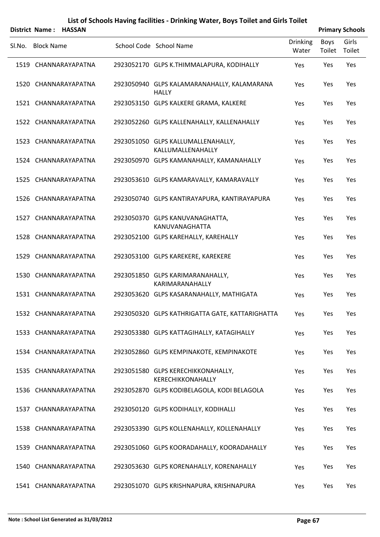|        |                   | District Name: HASSAN |                                                             |                          |                       | <b>Primary Schools</b> |
|--------|-------------------|-----------------------|-------------------------------------------------------------|--------------------------|-----------------------|------------------------|
| SI.No. | <b>Block Name</b> |                       | School Code School Name                                     | <b>Drinking</b><br>Water | <b>Boys</b><br>Toilet | Girls<br>Toilet        |
|        |                   | 1519 CHANNARAYAPATNA  | 2923052170 GLPS K.THIMMALAPURA, KODIHALLY                   | Yes                      | Yes                   | Yes                    |
|        |                   | 1520 CHANNARAYAPATNA  | 2923050940 GLPS KALAMARANAHALLY, KALAMARANA<br><b>HALLY</b> | Yes                      | Yes                   | Yes                    |
|        |                   | 1521 CHANNARAYAPATNA  | 2923053150 GLPS KALKERE GRAMA, KALKERE                      | Yes                      | Yes                   | Yes                    |
|        |                   | 1522 CHANNARAYAPATNA  | 2923052260 GLPS KALLENAHALLY, KALLENAHALLY                  | Yes                      | Yes                   | Yes                    |
|        |                   | 1523 CHANNARAYAPATNA  | 2923051050 GLPS KALLUMALLENAHALLY,<br>KALLUMALLENAHALLY     | Yes                      | Yes                   | Yes                    |
|        |                   | 1524 CHANNARAYAPATNA  | 2923050970 GLPS KAMANAHALLY, KAMANAHALLY                    | Yes                      | Yes                   | Yes                    |
|        |                   | 1525 CHANNARAYAPATNA  | 2923053610 GLPS KAMARAVALLY, KAMARAVALLY                    | Yes                      | Yes                   | Yes                    |
|        |                   | 1526 CHANNARAYAPATNA  | 2923050740 GLPS KANTIRAYAPURA, KANTIRAYAPURA                | Yes                      | Yes                   | Yes                    |
|        |                   | 1527 CHANNARAYAPATNA  | 2923050370 GLPS KANUVANAGHATTA,<br>KANUVANAGHATTA           | Yes                      | Yes                   | Yes                    |
|        |                   | 1528 CHANNARAYAPATNA  | 2923052100 GLPS KAREHALLY, KAREHALLY                        | Yes                      | Yes                   | Yes                    |
|        |                   | 1529 CHANNARAYAPATNA  | 2923053100 GLPS KAREKERE, KAREKERE                          | Yes                      | Yes                   | Yes                    |
|        |                   | 1530 CHANNARAYAPATNA  | 2923051850 GLPS KARIMARANAHALLY,<br>KARIMARANAHALLY         | Yes                      | Yes                   | Yes                    |
|        |                   | 1531 CHANNARAYAPATNA  | 2923053620 GLPS KASARANAHALLY, MATHIGATA                    | Yes                      | Yes                   | Yes                    |
|        |                   | 1532 CHANNARAYAPATNA  | 2923050320 GLPS KATHRIGATTA GATE, KATTARIGHATTA             | Yes                      | Yes                   | Yes                    |
|        |                   | 1533 CHANNARAYAPATNA  | 2923053380 GLPS KATTAGIHALLY, KATAGIHALLY                   | Yes                      | Yes                   | Yes                    |
|        |                   | 1534 CHANNARAYAPATNA  | 2923052860 GLPS KEMPINAKOTE, KEMPINAKOTE                    | Yes                      | Yes                   | Yes                    |
|        |                   | 1535 CHANNARAYAPATNA  | 2923051580 GLPS KERECHIKKONAHALLY,<br>KERECHIKKONAHALLY     | Yes                      | Yes                   | Yes                    |
|        |                   | 1536 CHANNARAYAPATNA  | 2923052870 GLPS KODIBELAGOLA, KODI BELAGOLA                 | Yes                      | Yes                   | Yes                    |
|        |                   | 1537 CHANNARAYAPATNA  | 2923050120 GLPS KODIHALLY, KODIHALLI                        | Yes                      | Yes                   | Yes                    |
|        |                   | 1538 CHANNARAYAPATNA  | 2923053390 GLPS KOLLENAHALLY, KOLLENAHALLY                  | Yes                      | Yes                   | Yes                    |
|        |                   | 1539 CHANNARAYAPATNA  | 2923051060 GLPS KOORADAHALLY, KOORADAHALLY                  | Yes                      | Yes                   | Yes                    |
|        |                   | 1540 CHANNARAYAPATNA  | 2923053630 GLPS KORENAHALLY, KORENAHALLY                    | Yes                      | Yes                   | Yes                    |
|        |                   | 1541 CHANNARAYAPATNA  | 2923051070 GLPS KRISHNAPURA, KRISHNAPURA                    | Yes                      | Yes                   | Yes                    |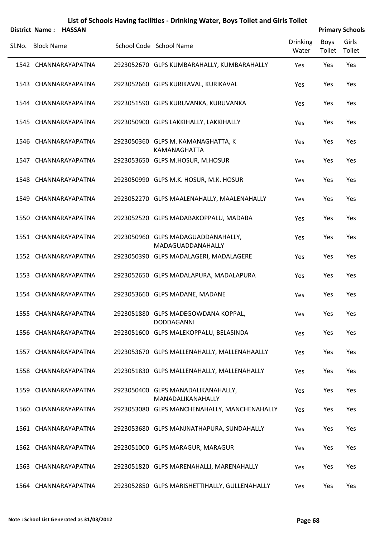|        | District Name: HASSAN |                                                           |                          |                | <b>Primary Schools</b> |
|--------|-----------------------|-----------------------------------------------------------|--------------------------|----------------|------------------------|
| SI.No. | <b>Block Name</b>     | School Code School Name                                   | <b>Drinking</b><br>Water | Boys<br>Toilet | Girls<br>Toilet        |
|        | 1542 CHANNARAYAPATNA  | 2923052670 GLPS KUMBARAHALLY, KUMBARAHALLY                | Yes                      | Yes            | Yes                    |
|        | 1543 CHANNARAYAPATNA  | 2923052660 GLPS KURIKAVAL, KURIKAVAL                      | Yes                      | Yes            | Yes                    |
|        | 1544 CHANNARAYAPATNA  | 2923051590 GLPS KURUVANKA, KURUVANKA                      | Yes                      | Yes            | Yes                    |
|        | 1545 CHANNARAYAPATNA  | 2923050900 GLPS LAKKIHALLY, LAKKIHALLY                    | Yes                      | Yes            | Yes                    |
|        | 1546 CHANNARAYAPATNA  | 2923050360 GLPS M. KAMANAGHATTA, K<br><b>KAMANAGHATTA</b> | Yes                      | Yes            | Yes                    |
|        | 1547 CHANNARAYAPATNA  | 2923053650 GLPS M.HOSUR, M.HOSUR                          | Yes                      | Yes            | Yes                    |
|        | 1548 CHANNARAYAPATNA  | 2923050990 GLPS M.K. HOSUR, M.K. HOSUR                    | Yes                      | Yes            | Yes                    |
|        | 1549 CHANNARAYAPATNA  | 2923052270 GLPS MAALENAHALLY, MAALENAHALLY                | Yes                      | Yes            | Yes                    |
|        | 1550 CHANNARAYAPATNA  | 2923052520 GLPS MADABAKOPPALU, MADABA                     | Yes                      | Yes            | Yes                    |
|        | 1551 CHANNARAYAPATNA  | 2923050960 GLPS MADAGUADDANAHALLY,<br>MADAGUADDANAHALLY   | Yes                      | Yes            | Yes                    |
|        | 1552 CHANNARAYAPATNA  | 2923050390 GLPS MADALAGERI, MADALAGERE                    | Yes                      | Yes            | Yes                    |
|        | 1553 CHANNARAYAPATNA  | 2923052650 GLPS MADALAPURA, MADALAPURA                    | Yes                      | Yes            | Yes                    |
|        | 1554 CHANNARAYAPATNA  | 2923053660 GLPS MADANE, MADANE                            | Yes                      | Yes            | Yes                    |
|        | 1555 CHANNARAYAPATNA  | 2923051880 GLPS MADEGOWDANA KOPPAL,<br><b>DODDAGANNI</b>  | Yes                      | Yes            | Yes                    |
|        | 1556 CHANNARAYAPATNA  | 2923051600 GLPS MALEKOPPALU, BELASINDA                    | Yes                      | Yes            | Yes                    |
|        | 1557 CHANNARAYAPATNA  | 2923053670 GLPS MALLENAHALLY, MALLENAHAALLY               | Yes                      | Yes            | Yes                    |
|        | 1558 CHANNARAYAPATNA  | 2923051830 GLPS MALLENAHALLY, MALLENAHALLY                | Yes                      | Yes            | Yes                    |
|        | 1559 CHANNARAYAPATNA  | 2923050400 GLPS MANADALIKANAHALLY,<br>MANADALIKANAHALLY   | Yes                      | Yes            | Yes                    |
|        | 1560 CHANNARAYAPATNA  | 2923053080 GLPS MANCHENAHALLY, MANCHENAHALLY              | Yes                      | Yes            | Yes                    |
|        | 1561 CHANNARAYAPATNA  | 2923053680 GLPS MANJNATHAPURA, SUNDAHALLY                 | Yes                      | Yes            | Yes                    |
|        | 1562 CHANNARAYAPATNA  | 2923051000 GLPS MARAGUR, MARAGUR                          | Yes                      | Yes            | Yes                    |
|        | 1563 CHANNARAYAPATNA  | 2923051820 GLPS MARENAHALLI, MARENAHALLY                  | Yes                      | Yes            | Yes                    |
|        | 1564 CHANNARAYAPATNA  | 2923052850 GLPS MARISHETTIHALLY, GULLENAHALLY             | Yes                      | Yes            | Yes                    |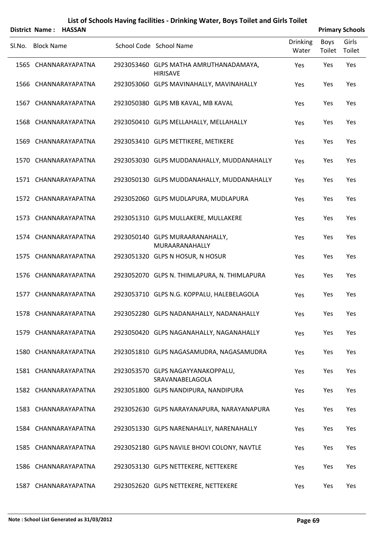| <b>District Name:</b> | <b>HASSAN</b> |
|-----------------------|---------------|
|                       |               |

| <b>Primary Schools</b> |
|------------------------|
|                        |

|        |                   | District Name: HASSAN |                                                           |                          |                | <b>Primary Schools</b> |
|--------|-------------------|-----------------------|-----------------------------------------------------------|--------------------------|----------------|------------------------|
| SI.No. | <b>Block Name</b> |                       | School Code School Name                                   | <b>Drinking</b><br>Water | Boys<br>Toilet | Girls<br>Toilet        |
|        |                   | 1565 CHANNARAYAPATNA  | 2923053460 GLPS MATHA AMRUTHANADAMAYA,<br><b>HIRISAVE</b> | Yes                      | Yes            | Yes                    |
|        |                   | 1566 CHANNARAYAPATNA  | 2923053060 GLPS MAVINAHALLY, MAVINAHALLY                  | Yes                      | Yes            | Yes                    |
|        |                   | 1567 CHANNARAYAPATNA  | 2923050380 GLPS MB KAVAL, MB KAVAL                        | Yes                      | Yes            | Yes                    |
|        |                   | 1568 CHANNARAYAPATNA  | 2923050410 GLPS MELLAHALLY, MELLAHALLY                    | Yes                      | Yes            | Yes                    |
|        |                   | 1569 CHANNARAYAPATNA  | 2923053410 GLPS METTIKERE, METIKERE                       | Yes                      | Yes            | Yes                    |
|        |                   | 1570 CHANNARAYAPATNA  | 2923053030 GLPS MUDDANAHALLY, MUDDANAHALLY                | Yes                      | Yes            | Yes                    |
|        |                   | 1571 CHANNARAYAPATNA  | 2923050130 GLPS MUDDANAHALLY, MUDDANAHALLY                | Yes                      | Yes            | Yes                    |
|        |                   | 1572 CHANNARAYAPATNA  | 2923052060 GLPS MUDLAPURA, MUDLAPURA                      | Yes                      | Yes            | Yes                    |
|        |                   | 1573 CHANNARAYAPATNA  | 2923051310 GLPS MULLAKERE, MULLAKERE                      | Yes                      | Yes            | Yes                    |
|        |                   | 1574 CHANNARAYAPATNA  | 2923050140 GLPS MURAARANAHALLY,<br>MURAARANAHALLY         | Yes                      | Yes            | Yes                    |
|        |                   | 1575 CHANNARAYAPATNA  | 2923051320 GLPS N HOSUR, N HOSUR                          | Yes                      | Yes            | Yes                    |
|        |                   | 1576 CHANNARAYAPATNA  | 2923052070 GLPS N. THIMLAPURA, N. THIMLAPURA              | Yes                      | Yes            | Yes                    |
|        |                   | 1577 CHANNARAYAPATNA  | 2923053710 GLPS N.G. KOPPALU, HALEBELAGOLA                | Yes                      | Yes            | Yes                    |
|        |                   | 1578 CHANNARAYAPATNA  | 2923052280 GLPS NADANAHALLY, NADANAHALLY                  | Yes                      | Yes            | Yes                    |
|        |                   | 1579 CHANNARAYAPATNA  | 2923050420 GLPS NAGANAHALLY, NAGANAHALLY                  | Yes                      | Yes            | Yes                    |
|        |                   | 1580 CHANNARAYAPATNA  | 2923051810 GLPS NAGASAMUDRA, NAGASAMUDRA                  | Yes                      | Yes            | Yes                    |
|        |                   | 1581 CHANNARAYAPATNA  | 2923053570 GLPS NAGAYYANAKOPPALU,<br>SRAVANABELAGOLA      | Yes                      | Yes            | Yes                    |
|        |                   | 1582 CHANNARAYAPATNA  | 2923051800 GLPS NANDIPURA, NANDIPURA                      | Yes                      | Yes            | Yes                    |
|        |                   | 1583 CHANNARAYAPATNA  | 2923052630 GLPS NARAYANAPURA, NARAYANAPURA                | Yes                      | Yes            | Yes                    |
|        |                   | 1584 CHANNARAYAPATNA  | 2923051330 GLPS NARENAHALLY, NARENAHALLY                  | Yes                      | Yes            | Yes                    |
|        |                   | 1585 CHANNARAYAPATNA  | 2923052180 GLPS NAVILE BHOVI COLONY, NAVTLE               | Yes                      | Yes            | Yes                    |
|        |                   | 1586 CHANNARAYAPATNA  | 2923053130 GLPS NETTEKERE, NETTEKERE                      | Yes                      | Yes            | Yes                    |
|        |                   | 1587 CHANNARAYAPATNA  | 2923052620 GLPS NETTEKERE, NETTEKERE                      | Yes                      | Yes            | Yes                    |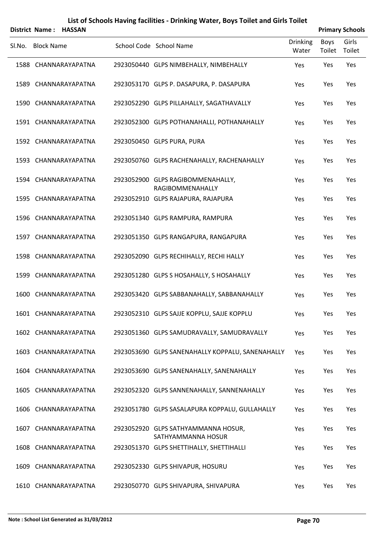|        | District Name: HASSAN |                      |                                                           |                          |                | <b>Primary Schools</b> |
|--------|-----------------------|----------------------|-----------------------------------------------------------|--------------------------|----------------|------------------------|
| Sl.No. | <b>Block Name</b>     |                      | School Code School Name                                   | <b>Drinking</b><br>Water | Boys<br>Toilet | Girls<br>Toilet        |
|        |                       | 1588 CHANNARAYAPATNA | 2923050440 GLPS NIMBEHALLY, NIMBEHALLY                    | Yes                      | Yes            | Yes                    |
|        |                       | 1589 CHANNARAYAPATNA | 2923053170 GLPS P. DASAPURA, P. DASAPURA                  | Yes                      | Yes            | Yes                    |
|        |                       | 1590 CHANNARAYAPATNA | 2923052290 GLPS PILLAHALLY, SAGATHAVALLY                  | Yes                      | Yes            | Yes                    |
|        |                       | 1591 CHANNARAYAPATNA | 2923052300 GLPS POTHANAHALLI, POTHANAHALLY                | Yes                      | Yes            | Yes                    |
|        |                       | 1592 CHANNARAYAPATNA | 2923050450 GLPS PURA, PURA                                | Yes                      | Yes            | Yes                    |
|        |                       | 1593 CHANNARAYAPATNA | 2923050760 GLPS RACHENAHALLY, RACHENAHALLY                | Yes                      | Yes            | Yes                    |
|        |                       | 1594 CHANNARAYAPATNA | 2923052900 GLPS RAGIBOMMENAHALLY,<br>RAGIBOMMENAHALLY     | Yes                      | Yes            | Yes                    |
|        |                       | 1595 CHANNARAYAPATNA | 2923052910 GLPS RAJAPURA, RAJAPURA                        | Yes                      | Yes            | Yes                    |
|        |                       | 1596 CHANNARAYAPATNA | 2923051340 GLPS RAMPURA, RAMPURA                          | Yes                      | Yes            | Yes                    |
|        |                       | 1597 CHANNARAYAPATNA | 2923051350 GLPS RANGAPURA, RANGAPURA                      | Yes                      | Yes            | Yes                    |
|        |                       | 1598 CHANNARAYAPATNA | 2923052090 GLPS RECHIHALLY, RECHI HALLY                   | Yes                      | Yes            | Yes                    |
|        |                       | 1599 CHANNARAYAPATNA | 2923051280 GLPS S HOSAHALLY, S HOSAHALLY                  | Yes                      | Yes            | Yes                    |
| 1600   |                       | CHANNARAYAPATNA      | 2923053420 GLPS SABBANAHALLY, SABBANAHALLY                | Yes                      | Yes            | Yes                    |
|        |                       | 1601 CHANNARAYAPATNA | 2923052310 GLPS SAJJE KOPPLU, SAJJE KOPPLU                | Yes                      | Yes            | Yes                    |
|        |                       | 1602 CHANNARAYAPATNA | 2923051360 GLPS SAMUDRAVALLY, SAMUDRAVALLY                | Yes                      | Yes            | Yes                    |
|        |                       | 1603 CHANNARAYAPATNA | 2923053690 GLPS SANENAHALLY KOPPALU, SANENAHALLY          | Yes                      | Yes            | Yes                    |
|        |                       | 1604 CHANNARAYAPATNA | 2923053690 GLPS SANENAHALLY, SANENAHALLY                  | Yes                      | Yes            | Yes                    |
|        |                       | 1605 CHANNARAYAPATNA | 2923052320 GLPS SANNENAHALLY, SANNENAHALLY                | Yes                      | Yes            | Yes                    |
|        |                       | 1606 CHANNARAYAPATNA | 2923051780 GLPS SASALAPURA KOPPALU, GULLAHALLY            | Yes                      | Yes            | Yes                    |
|        |                       | 1607 CHANNARAYAPATNA | 2923052920 GLPS SATHYAMMANNA HOSUR,<br>SATHYAMMANNA HOSUR | Yes                      | Yes            | Yes                    |
|        |                       | 1608 CHANNARAYAPATNA | 2923051370 GLPS SHETTIHALLY, SHETTIHALLI                  | Yes                      | Yes            | Yes                    |
|        |                       | 1609 CHANNARAYAPATNA | 2923052330 GLPS SHIVAPUR, HOSURU                          | Yes                      | Yes            | Yes                    |
|        |                       | 1610 CHANNARAYAPATNA | 2923050770 GLPS SHIVAPURA, SHIVAPURA                      | Yes                      | Yes            | Yes                    |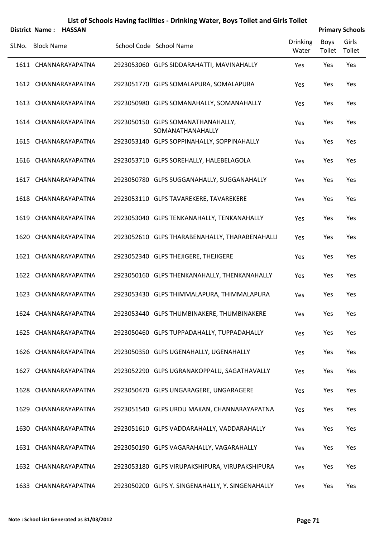Sl.No. Block Name School Code School Name Drinking

| <b>District Name:</b> |  |  | <b>HASSAN</b> |
|-----------------------|--|--|---------------|
|-----------------------|--|--|---------------|

| 1611 CHANNARAYAPATNA | 2923053060 GLPS SIDDARAHATTI, MAVINAHALLY             | Yes | Yes | Yes |
|----------------------|-------------------------------------------------------|-----|-----|-----|
| 1612 CHANNARAYAPATNA | 2923051770 GLPS SOMALAPURA, SOMALAPURA                | Yes | Yes | Yes |
| 1613 CHANNARAYAPATNA | 2923050980 GLPS SOMANAHALLY, SOMANAHALLY              | Yes | Yes | Yes |
| 1614 CHANNARAYAPATNA | 2923050150 GLPS SOMANATHANAHALLY,<br>SOMANATHANAHALLY | Yes | Yes | Yes |
| 1615 CHANNARAYAPATNA | 2923053140 GLPS SOPPINAHALLY, SOPPINAHALLY            | Yes | Yes | Yes |
| 1616 CHANNARAYAPATNA | 2923053710 GLPS SOREHALLY, HALEBELAGOLA               | Yes | Yes | Yes |
| 1617 CHANNARAYAPATNA | 2923050780 GLPS SUGGANAHALLY, SUGGANAHALLY            | Yes | Yes | Yes |
| 1618 CHANNARAYAPATNA | 2923053110 GLPS TAVAREKERE, TAVAREKERE                | Yes | Yes | Yes |
| 1619 CHANNARAYAPATNA | 2923053040 GLPS TENKANAHALLY, TENKANAHALLY            | Yes | Yes | Yes |
| 1620 CHANNARAYAPATNA | 2923052610 GLPS THARABENAHALLY, THARABENAHALLI        | Yes | Yes | Yes |
| 1621 CHANNARAYAPATNA | 2923052340 GLPS THEJIGERE, THEJIGERE                  | Yes | Yes | Yes |
| 1622 CHANNARAYAPATNA | 2923050160 GLPS THENKANAHALLY, THENKANAHALLY          | Yes | Yes | Yes |
| 1623 CHANNARAYAPATNA | 2923053430 GLPS THIMMALAPURA, THIMMALAPURA            | Yes | Yes | Yes |
| 1624 CHANNARAYAPATNA | 2923053440 GLPS THUMBINAKERE, THUMBINAKERE            | Yes | Yes | Yes |
| 1625 CHANNARAYAPATNA | 2923050460 GLPS TUPPADAHALLY, TUPPADAHALLY            | Yes | Yes | Yes |
| 1626 CHANNARAYAPATNA | 2923050350 GLPS UGENAHALLY, UGENAHALLY                | Yes | Yes | Yes |
| 1627 CHANNARAYAPATNA | 2923052290 GLPS UGRANAKOPPALU, SAGATHAVALLY           | Yes | Yes | Yes |
| 1628 CHANNARAYAPATNA | 2923050470 GLPS UNGARAGERE, UNGARAGERE                | Yes | Yes | Yes |
| 1629 CHANNARAYAPATNA | 2923051540 GLPS URDU MAKAN, CHANNARAYAPATNA           | Yes | Yes | Yes |
| 1630 CHANNARAYAPATNA | 2923051610 GLPS VADDARAHALLY, VADDARAHALLY            | Yes | Yes | Yes |
| 1631 CHANNARAYAPATNA | 2923050190 GLPS VAGARAHALLY, VAGARAHALLY              | Yes | Yes | Yes |
| 1632 CHANNARAYAPATNA | 2923053180 GLPS VIRUPAKSHIPURA, VIRUPAKSHIPURA        | Yes | Yes | Yes |
| 1633 CHANNARAYAPATNA | 2923050200 GLPS Y. SINGENAHALLY, Y. SINGENAHALLY      | Yes | Yes | Yes |

Water

Boys

Toilet Toilet

**Primary Schools** 

Girls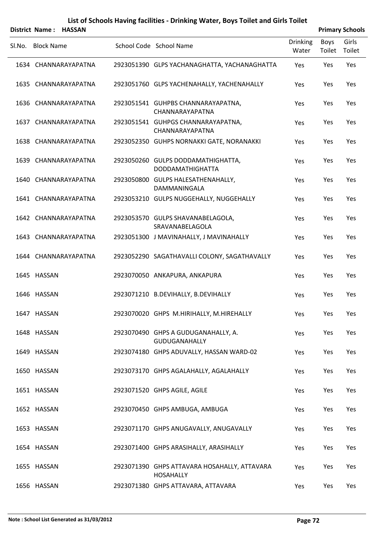|        |                   | District Name: HASSAN |                                                                  |                          |                | <b>Primary Schools</b> |
|--------|-------------------|-----------------------|------------------------------------------------------------------|--------------------------|----------------|------------------------|
| SI.No. | <b>Block Name</b> |                       | School Code School Name                                          | <b>Drinking</b><br>Water | Boys<br>Toilet | Girls<br>Toilet        |
|        |                   | 1634 CHANNARAYAPATNA  | 2923051390 GLPS YACHANAGHATTA, YACHANAGHATTA                     | Yes                      | Yes            | Yes                    |
|        |                   | 1635 CHANNARAYAPATNA  | 2923051760 GLPS YACHENAHALLY, YACHENAHALLY                       | Yes                      | Yes            | Yes                    |
|        |                   | 1636 CHANNARAYAPATNA  | 2923051541 GUHPBS CHANNARAYAPATNA,<br>CHANNARAYAPATNA            | Yes                      | Yes            | Yes                    |
|        |                   | 1637 CHANNARAYAPATNA  | 2923051541 GUHPGS CHANNARAYAPATNA,<br>CHANNARAYAPATNA            | Yes                      | Yes            | Yes                    |
|        |                   | 1638 CHANNARAYAPATNA  | 2923052350 GUHPS NORNAKKI GATE, NORANAKKI                        | Yes                      | Yes            | Yes                    |
|        |                   | 1639 CHANNARAYAPATNA  | 2923050260 GULPS DODDAMATHIGHATTA,<br><b>DODDAMATHIGHATTA</b>    | Yes                      | Yes            | Yes                    |
|        |                   | 1640 CHANNARAYAPATNA  | 2923050800 GULPS HALESATHENAHALLY,<br>DAMMANINGALA               | Yes                      | Yes            | Yes                    |
|        |                   | 1641 CHANNARAYAPATNA  | 2923053210 GULPS NUGGEHALLY, NUGGEHALLY                          | Yes                      | Yes            | Yes                    |
|        |                   | 1642 CHANNARAYAPATNA  | 2923053570 GULPS SHAVANABELAGOLA,<br>SRAVANABELAGOLA             | Yes                      | Yes            | Yes                    |
|        |                   | 1643 CHANNARAYAPATNA  | 2923051300 J MAVINAHALLY, J MAVINAHALLY                          | Yes                      | Yes            | Yes                    |
|        |                   | 1644 CHANNARAYAPATNA  | 2923052290 SAGATHAVALLI COLONY, SAGATHAVALLY                     | Yes                      | Yes            | Yes                    |
|        | 1645 HASSAN       |                       | 2923070050 ANKAPURA, ANKAPURA                                    | Yes                      | Yes            | Yes                    |
|        | 1646 HASSAN       |                       | 2923071210 B.DEVIHALLY, B.DEVIHALLY                              | Yes                      | Yes            | Yes                    |
|        | 1647 HASSAN       |                       | 2923070020 GHPS M.HIRIHALLY, M.HIREHALLY                         | Yes                      | Yes            | Yes                    |
|        | 1648 HASSAN       |                       | 2923070490 GHPS A GUDUGANAHALLY, A.<br><b>GUDUGANAHALLY</b>      | Yes                      | Yes            | Yes                    |
|        | 1649 HASSAN       |                       | 2923074180 GHPS ADUVALLY, HASSAN WARD-02                         | Yes                      | Yes            | Yes                    |
|        | 1650 HASSAN       |                       | 2923073170 GHPS AGALAHALLY, AGALAHALLY                           | Yes                      | Yes            | Yes                    |
|        | 1651 HASSAN       |                       | 2923071520 GHPS AGILE, AGILE                                     | Yes                      | Yes            | Yes                    |
|        | 1652 HASSAN       |                       | 2923070450 GHPS AMBUGA, AMBUGA                                   | Yes                      | Yes            | Yes                    |
|        | 1653 HASSAN       |                       | 2923071170 GHPS ANUGAVALLY, ANUGAVALLY                           | Yes                      | Yes            | Yes                    |
|        | 1654 HASSAN       |                       | 2923071400 GHPS ARASIHALLY, ARASIHALLY                           | Yes                      | Yes            | Yes                    |
|        | 1655 HASSAN       |                       | 2923071390 GHPS ATTAVARA HOSAHALLY, ATTAVARA<br><b>HOSAHALLY</b> | Yes                      | Yes            | Yes                    |
|        | 1656 HASSAN       |                       | 2923071380 GHPS ATTAVARA, ATTAVARA                               | Yes                      | Yes            | Yes                    |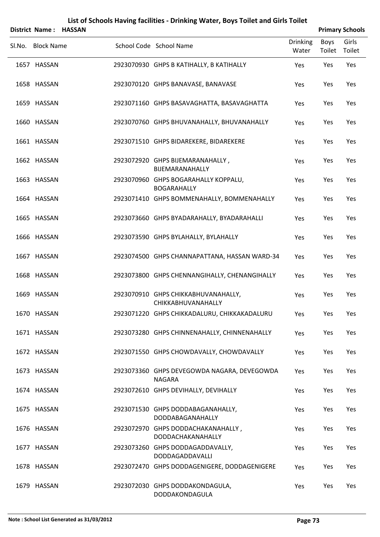| District Name: HASSAN |  |                                                              |                          |                       | <b>Primary Schools</b> |
|-----------------------|--|--------------------------------------------------------------|--------------------------|-----------------------|------------------------|
| Sl.No. Block Name     |  | School Code School Name                                      | <b>Drinking</b><br>Water | <b>Boys</b><br>Toilet | Girls<br>Toilet        |
| 1657 HASSAN           |  | 2923070930 GHPS B KATIHALLY, B KATIHALLY                     | Yes                      | Yes                   | Yes                    |
| 1658 HASSAN           |  | 2923070120 GHPS BANAVASE, BANAVASE                           | Yes                      | Yes                   | Yes                    |
| 1659 HASSAN           |  | 2923071160 GHPS BASAVAGHATTA, BASAVAGHATTA                   | Yes                      | Yes                   | Yes                    |
| 1660 HASSAN           |  | 2923070760 GHPS BHUVANAHALLY, BHUVANAHALLY                   | Yes                      | Yes                   | Yes                    |
| 1661 HASSAN           |  | 2923071510 GHPS BIDAREKERE, BIDAREKERE                       | Yes                      | Yes                   | Yes                    |
| 1662 HASSAN           |  | 2923072920 GHPS BIJEMARANAHALLY,<br>BIJEMARANAHALLY          | Yes                      | Yes                   | Yes                    |
| 1663 HASSAN           |  | 2923070960 GHPS BOGARAHALLY KOPPALU,<br><b>BOGARAHALLY</b>   | Yes                      | Yes                   | Yes                    |
| 1664 HASSAN           |  | 2923071410 GHPS BOMMENAHALLY, BOMMENAHALLY                   | Yes                      | Yes                   | Yes                    |
| 1665 HASSAN           |  | 2923073660 GHPS BYADARAHALLY, BYADARAHALLI                   | Yes                      | Yes                   | Yes                    |
| 1666 HASSAN           |  | 2923073590 GHPS BYLAHALLY, BYLAHALLY                         | Yes                      | Yes                   | Yes                    |
| 1667 HASSAN           |  | 2923074500 GHPS CHANNAPATTANA, HASSAN WARD-34                | Yes                      | Yes                   | Yes                    |
| 1668 HASSAN           |  | 2923073800 GHPS CHENNANGIHALLY, CHENANGIHALLY                | Yes                      | Yes                   | Yes                    |
| 1669 HASSAN           |  | 2923070910 GHPS CHIKKABHUVANAHALLY,<br>CHIKKABHUVANAHALLY    | Yes                      | Yes                   | Yes                    |
| 1670 HASSAN           |  | 2923071220 GHPS CHIKKADALURU, CHIKKAKADALURU                 | Yes                      | Yes                   | Yes                    |
| 1671 HASSAN           |  | 2923073280 GHPS CHINNENAHALLY, CHINNENAHALLY                 | Yes                      | Yes                   | Yes                    |
| 1672 HASSAN           |  | 2923071550 GHPS CHOWDAVALLY, CHOWDAVALLY                     | Yes                      | Yes                   | Yes                    |
| 1673 HASSAN           |  | 2923073360 GHPS DEVEGOWDA NAGARA, DEVEGOWDA<br><b>NAGARA</b> | Yes                      | Yes                   | Yes                    |
| 1674 HASSAN           |  | 2923072610 GHPS DEVIHALLY, DEVIHALLY                         | Yes                      | Yes                   | Yes                    |
| 1675 HASSAN           |  | 2923071530 GHPS DODDABAGANAHALLY,<br>DODDABAGANAHALLY        | Yes                      | Yes                   | Yes                    |
| 1676 HASSAN           |  | 2923072970 GHPS DODDACHAKANAHALLY,<br>DODDACHAKANAHALLY      | Yes                      | Yes                   | Yes                    |
| 1677 HASSAN           |  | 2923073260 GHPS DODDAGADDAVALLY,<br>DODDAGADDAVALLI          | Yes                      | Yes                   | Yes                    |
| 1678 HASSAN           |  | 2923072470 GHPS DODDAGENIGERE, DODDAGENIGERE                 | Yes                      | Yes                   | Yes                    |
| 1679 HASSAN           |  | 2923072030 GHPS DODDAKONDAGULA,<br>DODDAKONDAGULA            | Yes                      | Yes                   | Yes                    |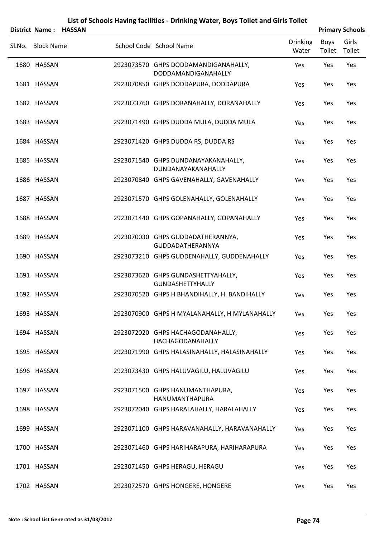|        | District Name: HASSAN |  |                                                               |                          |                | <b>Primary Schools</b> |
|--------|-----------------------|--|---------------------------------------------------------------|--------------------------|----------------|------------------------|
| Sl.No. | <b>Block Name</b>     |  | School Code School Name                                       | <b>Drinking</b><br>Water | Boys<br>Toilet | Girls<br>Toilet        |
|        | 1680 HASSAN           |  | 2923073570 GHPS DODDAMANDIGANAHALLY,<br>DODDAMANDIGANAHALLY   | Yes                      | Yes            | Yes                    |
|        | 1681 HASSAN           |  | 2923070850 GHPS DODDAPURA, DODDAPURA                          | Yes                      | Yes            | Yes                    |
|        | 1682 HASSAN           |  | 2923073760 GHPS DORANAHALLY, DORANAHALLY                      | Yes                      | Yes            | Yes                    |
|        | 1683 HASSAN           |  | 2923071490 GHPS DUDDA MULA, DUDDA MULA                        | Yes                      | Yes            | Yes                    |
|        | 1684 HASSAN           |  | 2923071420 GHPS DUDDA RS, DUDDA RS                            | Yes                      | Yes            | Yes                    |
|        | 1685 HASSAN           |  | 2923071540 GHPS DUNDANAYAKANAHALLY,<br>DUNDANAYAKANAHALLY     | Yes                      | Yes            | Yes                    |
|        | 1686 HASSAN           |  | 2923070840 GHPS GAVENAHALLY, GAVENAHALLY                      | Yes                      | Yes            | Yes                    |
|        | 1687 HASSAN           |  | 2923071570 GHPS GOLENAHALLY, GOLENAHALLY                      | Yes                      | Yes            | Yes                    |
|        | 1688 HASSAN           |  | 2923071440 GHPS GOPANAHALLY, GOPANAHALLY                      | Yes                      | Yes            | Yes                    |
|        | 1689 HASSAN           |  | 2923070030 GHPS GUDDADATHERANNYA,<br>GUDDADATHERANNYA         | Yes                      | Yes            | Yes                    |
|        | 1690 HASSAN           |  | 2923073210 GHPS GUDDENAHALLY, GUDDENAHALLY                    | Yes                      | Yes            | Yes                    |
|        | 1691 HASSAN           |  | 2923073620 GHPS GUNDASHETTYAHALLY,<br><b>GUNDASHETTYHALLY</b> | Yes                      | Yes            | Yes                    |
|        | 1692 HASSAN           |  | 2923070520 GHPS H BHANDIHALLY, H. BANDIHALLY                  | Yes                      | Yes            | Yes                    |
|        | 1693 HASSAN           |  | 2923070900 GHPS H MYALANAHALLY, H MYLANAHALLY                 | Yes                      | Yes            | Yes                    |
|        | 1694 HASSAN           |  | 2923072020 GHPS HACHAGODANAHALLY,<br>HACHAGODANAHALLY         | Yes                      | Yes            | Yes                    |
|        | 1695 HASSAN           |  | 2923071990 GHPS HALASINAHALLY, HALASINAHALLY                  | Yes                      | Yes            | Yes                    |
|        | 1696 HASSAN           |  | 2923073430 GHPS HALUVAGILU, HALUVAGILU                        | Yes                      | Yes            | Yes                    |
|        | 1697 HASSAN           |  | 2923071500 GHPS HANUMANTHAPURA,<br>HANUMANTHAPURA             | Yes                      | Yes            | Yes                    |
|        | 1698 HASSAN           |  | 2923072040 GHPS HARALAHALLY, HARALAHALLY                      | Yes                      | Yes            | Yes                    |
|        | 1699 HASSAN           |  | 2923071100 GHPS HARAVANAHALLY, HARAVANAHALLY                  | Yes                      | Yes            | Yes                    |
|        | 1700 HASSAN           |  | 2923071460 GHPS HARIHARAPURA, HARIHARAPURA                    | Yes                      | Yes            | Yes                    |
|        | 1701 HASSAN           |  | 2923071450 GHPS HERAGU, HERAGU                                | Yes                      | Yes            | Yes                    |

1702 HASSAN 2923072570 GHPS HONGERE, HONGERE Yes Yes Yes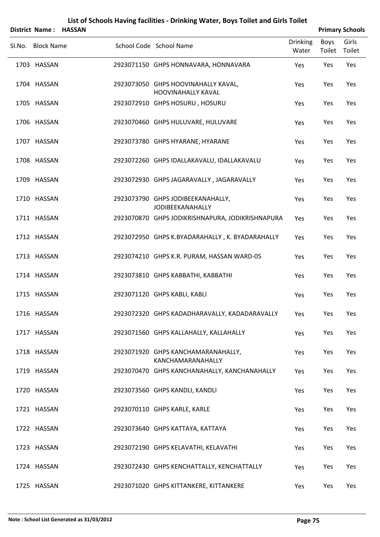|        | District Name: HASSAN |                                                                  |                          |                | <b>Primary Schools</b> |
|--------|-----------------------|------------------------------------------------------------------|--------------------------|----------------|------------------------|
| Sl.No. | <b>Block Name</b>     | School Code School Name                                          | <b>Drinking</b><br>Water | Boys<br>Toilet | Girls<br>Toilet        |
|        | 1703 HASSAN           | 2923071150 GHPS HONNAVARA, HONNAVARA                             | Yes                      | Yes            | Yes                    |
|        | 1704 HASSAN           | 2923073050 GHPS HOOVINAHALLY KAVAL,<br><b>HOOVINAHALLY KAVAL</b> | Yes                      | Yes            | Yes                    |
|        | 1705 HASSAN           | 2923072910 GHPS HOSURU, HOSURU                                   | Yes                      | Yes            | Yes                    |
|        | 1706 HASSAN           | 2923070460 GHPS HULUVARE, HULUVARE                               | Yes                      | Yes            | Yes                    |
|        | 1707 HASSAN           | 2923073780 GHPS HYARANE, HYARANE                                 | Yes                      | Yes            | Yes                    |
|        | 1708 HASSAN           | 2923072260 GHPS IDALLAKAVALU, IDALLAKAVALU                       | Yes                      | Yes            | Yes                    |
|        | 1709 HASSAN           | 2923072930 GHPS JAGARAVALLY, JAGARAVALLY                         | Yes                      | Yes            | Yes                    |
|        | 1710 HASSAN           | 2923073790 GHPS JODIBEEKANAHALLY,<br><b>JODIBEEKANAHALLY</b>     | Yes                      | Yes            | Yes                    |
|        | 1711 HASSAN           | 2923070870 GHPS JODIKRISHNAPURA, JODIKRISHNAPURA                 | Yes                      | Yes            | Yes                    |
|        | 1712 HASSAN           | 2923072950 GHPS K.BYADARAHALLY, K. BYADARAHALLY                  | Yes                      | Yes            | Yes                    |
|        | 1713 HASSAN           | 2923074210 GHPS K.R. PURAM, HASSAN WARD-05                       | Yes                      | Yes            | Yes                    |
|        | 1714 HASSAN           | 2923073810 GHPS KABBATHI, KABBATHI                               | Yes                      | Yes            | Yes                    |
|        | 1715 HASSAN           | 2923071120 GHPS KABLI, KABLI                                     | Yes                      | Yes            | Yes                    |
|        | 1716 HASSAN           | 2923072320 GHPS KADADHARAVALLY, KADADARAVALLY                    | Yes                      | Yes            | Yes                    |
|        | 1717 HASSAN           | 2923071560 GHPS KALLAHALLY, KALLAHALLY                           | Yes                      | Yes            | Yes                    |
|        | 1718 HASSAN           | 2923071920 GHPS KANCHAMARANAHALLY,<br>KANCHAMARANAHALLY          | Yes                      | Yes            | Yes                    |
|        | 1719 HASSAN           | 2923070470 GHPS KANCHANAHALLY, KANCHANAHALLY                     | Yes                      | Yes            | Yes                    |
|        | 1720 HASSAN           | 2923073560 GHPS KANDLI, KANDLI                                   | Yes                      | Yes            | Yes                    |
|        | 1721 HASSAN           | 2923070110 GHPS KARLE, KARLE                                     | Yes                      | Yes            | Yes                    |
|        | 1722 HASSAN           | 2923073640 GHPS KATTAYA, KATTAYA                                 | Yes                      | Yes            | Yes                    |
|        | 1723 HASSAN           | 2923072190 GHPS KELAVATHI, KELAVATHI                             | Yes                      | Yes            | Yes                    |
|        | 1724 HASSAN           | 2923072430 GHPS KENCHATTALLY, KENCHATTALLY                       | Yes                      | Yes            | Yes                    |
|        | 1725 HASSAN           | 2923071020 GHPS KITTANKERE, KITTANKERE                           | Yes                      | Yes            | Yes                    |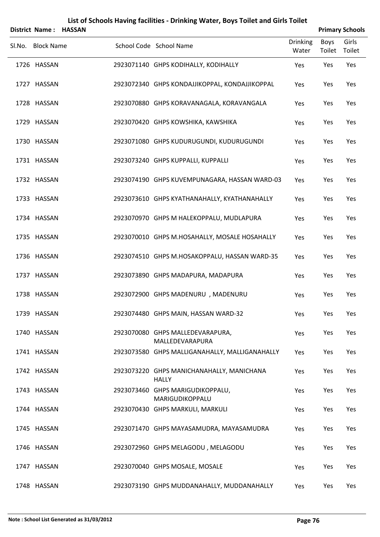|                   | District Name: HASSAN |                                                           |                          |                | <b>Primary Schools</b> |
|-------------------|-----------------------|-----------------------------------------------------------|--------------------------|----------------|------------------------|
| Sl.No. Block Name |                       | School Code School Name                                   | <b>Drinking</b><br>Water | Boys<br>Toilet | Girls<br>Toilet        |
| 1726 HASSAN       |                       | 2923071140 GHPS KODIHALLY, KODIHALLY                      | Yes                      | Yes            | Yes                    |
| 1727 HASSAN       |                       | 2923072340 GHPS KONDAJJIKOPPAL, KONDAJJIKOPPAL            | Yes                      | Yes            | Yes                    |
| 1728 HASSAN       |                       | 2923070880 GHPS KORAVANAGALA, KORAVANGALA                 | Yes                      | Yes            | Yes                    |
| 1729 HASSAN       |                       | 2923070420 GHPS KOWSHIKA, KAWSHIKA                        | Yes                      | Yes            | Yes                    |
| 1730 HASSAN       |                       | 2923071080 GHPS KUDURUGUNDI, KUDURUGUNDI                  | Yes                      | Yes            | Yes                    |
| 1731 HASSAN       |                       | 2923073240 GHPS KUPPALLI, KUPPALLI                        | Yes                      | Yes            | Yes                    |
| 1732 HASSAN       |                       | 2923074190 GHPS KUVEMPUNAGARA, HASSAN WARD-03             | Yes                      | Yes            | Yes                    |
| 1733 HASSAN       |                       | 2923073610 GHPS KYATHANAHALLY, KYATHANAHALLY              | Yes                      | Yes            | Yes                    |
| 1734 HASSAN       |                       | 2923070970 GHPS M HALEKOPPALU, MUDLAPURA                  | Yes                      | Yes            | Yes                    |
| 1735 HASSAN       |                       | 2923070010 GHPS M.HOSAHALLY, MOSALE HOSAHALLY             | Yes                      | Yes            | Yes                    |
| 1736 HASSAN       |                       | 2923074510 GHPS M.HOSAKOPPALU, HASSAN WARD-35             | Yes                      | Yes            | Yes                    |
| 1737 HASSAN       |                       | 2923073890 GHPS MADAPURA, MADAPURA                        | Yes                      | Yes            | Yes                    |
| 1738 HASSAN       |                       | 2923072900 GHPS MADENURU , MADENURU                       | Yes                      | Yes            | Yes                    |
| 1739 HASSAN       |                       | 2923074480 GHPS MAIN, HASSAN WARD-32                      | Yes                      | Yes            | Yes                    |
| 1740 HASSAN       |                       | 2923070080 GHPS MALLEDEVARAPURA,<br>MALLEDEVARAPURA       | Yes                      | Yes            | Yes                    |
| 1741 HASSAN       |                       | 2923073580 GHPS MALLIGANAHALLY, MALLIGANAHALLY            | Yes                      | Yes            | Yes                    |
| 1742 HASSAN       |                       | 2923073220 GHPS MANICHANAHALLY, MANICHANA<br><b>HALLY</b> | Yes                      | Yes            | Yes                    |
| 1743 HASSAN       |                       | 2923073460 GHPS MARIGUDIKOPPALU,<br>MARIGUDIKOPPALU       | Yes                      | Yes            | Yes                    |
| 1744 HASSAN       |                       | 2923070430 GHPS MARKULI, MARKULI                          | Yes                      | Yes            | Yes                    |
| 1745 HASSAN       |                       | 2923071470 GHPS MAYASAMUDRA, MAYASAMUDRA                  | Yes                      | Yes            | Yes                    |
| 1746 HASSAN       |                       | 2923072960 GHPS MELAGODU, MELAGODU                        | Yes                      | Yes            | Yes                    |
| 1747 HASSAN       |                       | 2923070040 GHPS MOSALE, MOSALE                            | Yes                      | Yes            | Yes                    |
| 1748 HASSAN       |                       | 2923073190 GHPS MUDDANAHALLY, MUDDANAHALLY                | Yes                      | Yes            | Yes                    |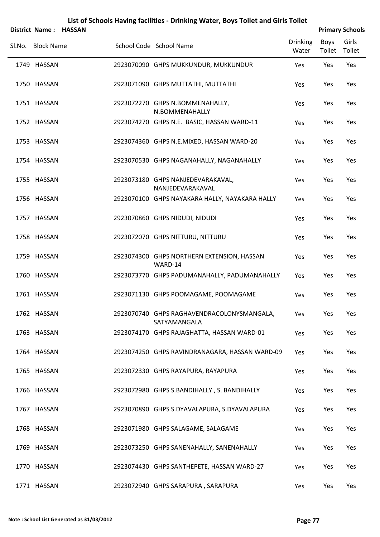| District Name: HASSAN |  |                                                            |                          |                | <b>Primary Schools</b> |
|-----------------------|--|------------------------------------------------------------|--------------------------|----------------|------------------------|
| Sl.No. Block Name     |  | School Code School Name                                    | <b>Drinking</b><br>Water | Boys<br>Toilet | Girls<br>Toilet        |
| 1749 HASSAN           |  | 2923070090 GHPS MUKKUNDUR, MUKKUNDUR                       | Yes                      | Yes            | Yes                    |
| 1750 HASSAN           |  | 2923071090 GHPS MUTTATHI, MUTTATHI                         | Yes                      | Yes            | Yes                    |
| 1751 HASSAN           |  | 2923072270 GHPS N.BOMMENAHALLY,<br>N.BOMMENAHALLY          | Yes                      | Yes            | Yes                    |
| 1752 HASSAN           |  | 2923074270 GHPS N.E. BASIC, HASSAN WARD-11                 | Yes                      | Yes            | Yes                    |
| 1753 HASSAN           |  | 2923074360 GHPS N.E.MIXED, HASSAN WARD-20                  | Yes                      | Yes            | Yes                    |
| 1754 HASSAN           |  | 2923070530 GHPS NAGANAHALLY, NAGANAHALLY                   | Yes                      | Yes            | Yes                    |
| 1755 HASSAN           |  | 2923073180 GHPS NANJEDEVARAKAVAL,<br>NANJEDEVARAKAVAL      | Yes                      | Yes            | Yes                    |
| 1756 HASSAN           |  | 2923070100 GHPS NAYAKARA HALLY, NAYAKARA HALLY             | Yes                      | Yes            | Yes                    |
| 1757 HASSAN           |  | 2923070860 GHPS NIDUDI, NIDUDI                             | Yes                      | Yes            | Yes                    |
| 1758 HASSAN           |  | 2923072070 GHPS NITTURU, NITTURU                           | Yes                      | Yes            | Yes                    |
| 1759 HASSAN           |  | 2923074300 GHPS NORTHERN EXTENSION, HASSAN<br>WARD-14      | Yes                      | Yes            | Yes                    |
| 1760 HASSAN           |  | 2923073770 GHPS PADUMANAHALLY, PADUMANAHALLY               | Yes                      | Yes            | Yes                    |
| 1761 HASSAN           |  | 2923071130 GHPS POOMAGAME, POOMAGAME                       | Yes                      | Yes            | Yes                    |
| 1762 HASSAN           |  | 2923070740 GHPS RAGHAVENDRACOLONYSMANGALA,<br>SATYAMANGALA | Yes                      | Yes            | Yes                    |
| 1763 HASSAN           |  | 2923074170 GHPS RAJAGHATTA, HASSAN WARD-01                 | Yes                      | Yes            | Yes                    |
| 1764 HASSAN           |  | 2923074250 GHPS RAVINDRANAGARA, HASSAN WARD-09             | Yes                      | Yes            | Yes                    |
| 1765 HASSAN           |  | 2923072330 GHPS RAYAPURA, RAYAPURA                         | Yes                      | Yes            | Yes                    |
| 1766 HASSAN           |  | 2923072980 GHPS S.BANDIHALLY, S. BANDIHALLY                | Yes                      | Yes            | Yes                    |
| 1767 HASSAN           |  | 2923070890 GHPS S.DYAVALAPURA, S.DYAVALAPURA               | Yes                      | Yes            | Yes                    |
| 1768 HASSAN           |  | 2923071980 GHPS SALAGAME, SALAGAME                         | Yes                      | Yes            | Yes                    |
| 1769 HASSAN           |  | 2923073250 GHPS SANENAHALLY, SANENAHALLY                   | Yes                      | Yes            | Yes                    |
| 1770 HASSAN           |  | 2923074430 GHPS SANTHEPETE, HASSAN WARD-27                 | Yes                      | Yes            | Yes                    |
| 1771 HASSAN           |  | 2923072940 GHPS SARAPURA, SARAPURA                         | Yes                      | Yes            | Yes                    |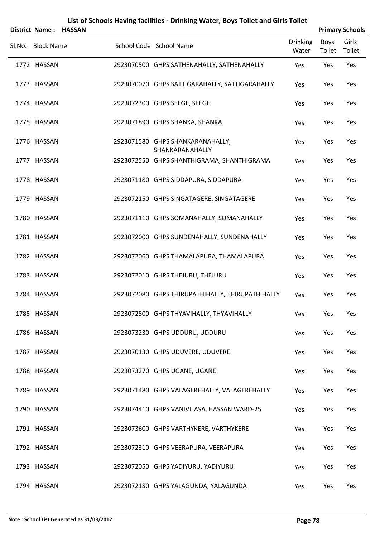| District Name:    | <b>HASSAN</b> | List of Schools Having facilities - Drinking Water, Boys Toilet and Girls Toilet |                          |                | <b>Primary Schools</b> |
|-------------------|---------------|----------------------------------------------------------------------------------|--------------------------|----------------|------------------------|
| Sl.No. Block Name |               | School Code School Name                                                          | <b>Drinking</b><br>Water | Boys<br>Toilet | Girls<br>Toilet        |
| 1772 HASSAN       |               | 2923070500 GHPS SATHENAHALLY, SATHENAHALLY                                       | Yes                      | Yes            | Yes                    |
| 1773 HASSAN       |               | 2923070070 GHPS SATTIGARAHALLY, SATTIGARAHALLY                                   | Yes                      | Yes            | Yes                    |
| 1774 HASSAN       |               | 2923072300 GHPS SEEGE, SEEGE                                                     | Yes                      | Yes            | Yes                    |
| 1775 HASSAN       |               | 2923071890 GHPS SHANKA, SHANKA                                                   | Yes                      | Yes            | Yes                    |
| 1776 HASSAN       |               | 2923071580 GHPS SHANKARANAHALLY,<br>SHANKARANAHALLY                              | Yes                      | Yes            | Yes                    |
| 1777 HASSAN       |               | 2923072550 GHPS SHANTHIGRAMA, SHANTHIGRAMA                                       | Yes                      | Yes            | Yes                    |
| 1778 HASSAN       |               | 2923071180 GHPS SIDDAPURA, SIDDAPURA                                             | Yes                      | Yes            | Yes                    |
| 1779 HASSAN       |               | 2923072150 GHPS SINGATAGERE, SINGATAGERE                                         | Yes                      | Yes            | Yes                    |
| 1780 HASSAN       |               | 2923071110 GHPS SOMANAHALLY, SOMANAHALLY                                         | Yes                      | Yes            | Yes                    |
| 1781 HASSAN       |               | 2923072000 GHPS SUNDENAHALLY, SUNDENAHALLY                                       | Yes                      | Yes            | Yes                    |
| 1782 HASSAN       |               | 2923072060 GHPS THAMALAPURA, THAMALAPURA                                         | Yes                      | Yes            | Yes                    |
| 1783 HASSAN       |               | 2923072010 GHPS THEJURU, THEJURU                                                 | Yes                      | Yes            | Yes                    |
| 1784 HASSAN       |               | 2923072080 GHPS THIRUPATHIHALLY, THIRUPATHIHALLY                                 | Yes                      | Yes            | Yes                    |
| 1785 HASSAN       |               | 2923072500 GHPS THYAVIHALLY, THYAVIHALLY                                         | Yes                      | Yes            | Yes                    |
| 1786 HASSAN       |               | 2923073230 GHPS UDDURU, UDDURU                                                   | Yes                      | Yes            | Yes                    |
| 1787 HASSAN       |               | 2923070130 GHPS UDUVERE, UDUVERE                                                 | Yes                      | Yes            | Yes                    |
| 1788 HASSAN       |               | 2923073270 GHPS UGANE, UGANE                                                     | Yes                      | Yes            | Yes                    |
| 1789 HASSAN       |               | 2923071480 GHPS VALAGEREHALLY, VALAGEREHALLY                                     | Yes                      | Yes            | Yes                    |
| 1790 HASSAN       |               | 2923074410 GHPS VANIVILASA, HASSAN WARD-25                                       | Yes                      | Yes            | Yes                    |
| 1791 HASSAN       |               | 2923073600 GHPS VARTHYKERE, VARTHYKERE                                           | Yes                      | Yes            | Yes                    |
| 1792 HASSAN       |               | 2923072310 GHPS VEERAPURA, VEERAPURA                                             | Yes                      | Yes            | Yes                    |
| 1793 HASSAN       |               | 2923072050 GHPS YADIYURU, YADIYURU                                               | Yes                      | Yes            | Yes                    |
| 1794 HASSAN       |               | 2923072180 GHPS YALAGUNDA, YALAGUNDA                                             | Yes                      | Yes            | Yes                    |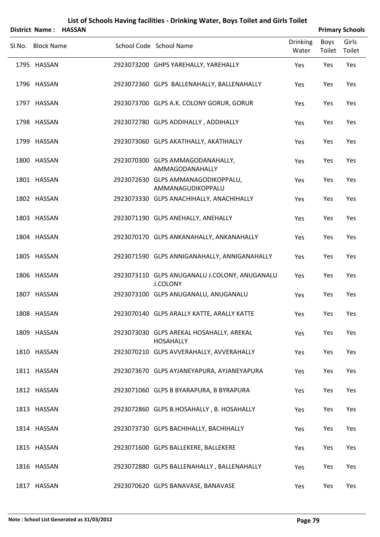|        | District Name:    | <b>HASSAN</b> |                                                                  |                          |                       | <b>Primary Schools</b> |
|--------|-------------------|---------------|------------------------------------------------------------------|--------------------------|-----------------------|------------------------|
| Sl.No. | <b>Block Name</b> |               | School Code School Name                                          | <b>Drinking</b><br>Water | <b>Boys</b><br>Toilet | Girls<br>Toilet        |
|        | 1795 HASSAN       |               | 2923073200 GHPS YAREHALLY, YAREHALLY                             | Yes                      | Yes                   | Yes                    |
|        | 1796 HASSAN       |               | 2923072360 GLPS BALLENAHALLY, BALLENAHALLY                       | Yes                      | Yes                   | Yes                    |
|        | 1797 HASSAN       |               | 2923073700 GLPS A.K. COLONY GORUR, GORUR                         | Yes                      | Yes                   | Yes                    |
|        | 1798 HASSAN       |               | 2923072780 GLPS ADDIHALLY, ADDIHALLY                             | Yes                      | Yes                   | Yes                    |
|        | 1799 HASSAN       |               | 2923073060 GLPS AKATIHALLY, AKATIHALLY                           | Yes                      | Yes                   | Yes                    |
|        | 1800 HASSAN       |               | 2923070300 GLPS AMMAGODANAHALLY,<br>AMMAGODANAHALLY              | Yes                      | Yes                   | Yes                    |
|        | 1801 HASSAN       |               | 2923072630 GLPS AMMANAGODIKOPPALU,<br>AMMANAGUDIKOPPALU          | Yes                      | Yes                   | Yes                    |
|        | 1802 HASSAN       |               | 2923073330 GLPS ANACHIHALLY, ANACHIHALLY                         | Yes                      | Yes                   | Yes                    |
|        | 1803 HASSAN       |               | 2923071190 GLPS ANEHALLY, ANEHALLY                               | Yes                      | Yes                   | Yes                    |
|        | 1804 HASSAN       |               | 2923070170 GLPS ANKANAHALLY, ANKANAHALLY                         | Yes                      | Yes                   | Yes                    |
|        | 1805 HASSAN       |               | 2923071590 GLPS ANNIGANAHALLY, ANNIGANAHALLY                     | Yes                      | Yes                   | Yes                    |
|        | 1806 HASSAN       |               | 2923073110 GLPS ANUGANALU J.COLONY, ANUGANALU<br><b>J.COLONY</b> | Yes                      | Yes                   | Yes                    |
|        | 1807 HASSAN       |               | 2923073100 GLPS ANUGANALU, ANUGANALU                             | Yes                      | Yes                   | Yes                    |
|        | 1808 HASSAN       |               | 2923070140 GLPS ARALLY KATTE, ARALLY KATTE                       | Yes                      | Yes                   | Yes                    |
|        | 1809 HASSAN       |               | 2923073030 GLPS AREKAL HOSAHALLY, AREKAL<br>HOSAHALLY            | Yes                      | Yes                   | Yes                    |
|        | 1810 HASSAN       |               | 2923070210 GLPS AVVERAHALLY, AVVERAHALLY                         | Yes                      | Yes                   | Yes                    |
|        | 1811 HASSAN       |               | 2923073670 GLPS AYJANEYAPURA, AYJANEYAPURA                       | Yes                      | Yes                   | Yes                    |
|        | 1812 HASSAN       |               | 2923071060 GLPS B BYARAPURA, B BYRAPURA                          | Yes                      | Yes                   | Yes                    |
|        | 1813 HASSAN       |               | 2923072860 GLPS B.HOSAHALLY, B. HOSAHALLY                        | Yes                      | Yes                   | Yes                    |
|        | 1814 HASSAN       |               | 2923073730 GLPS BACHIHALLY, BACHIHALLY                           | Yes                      | Yes                   | Yes                    |
|        | 1815 HASSAN       |               | 2923071600 GLPS BALLEKERE, BALLEKERE                             | Yes                      | Yes                   | Yes                    |
|        | 1816 HASSAN       |               | 2923072880 GLPS BALLENAHALLY, BALLENAHALLY                       | Yes                      | Yes                   | Yes                    |
|        | 1817 HASSAN       |               | 2923070620 GLPS BANAVASE, BANAVASE                               | Yes                      | Yes                   | Yes                    |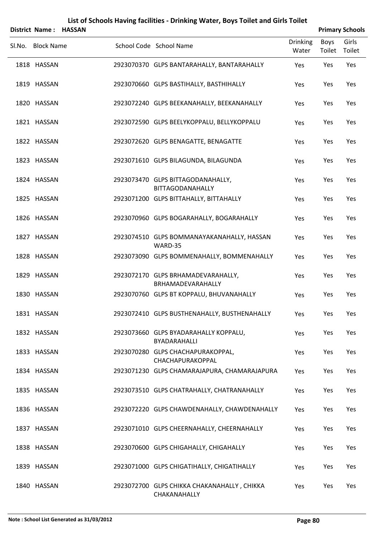|        | <b>District Name:</b> | <b>HASSAN</b> | List of Schools Having facilities - Drinking Water, Boys Toilet and Girls Toilet |                          |                | <b>Primary Schools</b> |
|--------|-----------------------|---------------|----------------------------------------------------------------------------------|--------------------------|----------------|------------------------|
| Sl.No. | <b>Block Name</b>     |               | School Code School Name                                                          | <b>Drinking</b><br>Water | Boys<br>Toilet | Girls<br>Toilet        |
|        | 1818 HASSAN           |               | 2923070370 GLPS BANTARAHALLY, BANTARAHALLY                                       | Yes                      | Yes            | Yes                    |
|        | 1819 HASSAN           |               | 2923070660 GLPS BASTIHALLY, BASTHIHALLY                                          | Yes                      | Yes            | Yes                    |
|        | 1820 HASSAN           |               | 2923072240 GLPS BEEKANAHALLY, BEEKANAHALLY                                       | Yes                      | Yes            | Yes                    |
|        | 1821 HASSAN           |               | 2923072590 GLPS BEELYKOPPALU, BELLYKOPPALU                                       | Yes                      | Yes            | Yes                    |
|        | 1822 HASSAN           |               | 2923072620 GLPS BENAGATTE, BENAGATTE                                             | Yes                      | Yes            | Yes                    |
|        | 1823 HASSAN           |               | 2923071610 GLPS BILAGUNDA, BILAGUNDA                                             | Yes                      | Yes            | Yes                    |
|        | 1824 HASSAN           |               | 2923073470 GLPS BITTAGODANAHALLY,<br><b>BITTAGODANAHALLY</b>                     | Yes                      | Yes            | Yes                    |
|        | 1825 HASSAN           |               | 2923071200 GLPS BITTAHALLY, BITTAHALLY                                           | Yes                      | Yes            | Yes                    |
|        | 1826 HASSAN           |               | 2923070960 GLPS BOGARAHALLY, BOGARAHALLY                                         | Yes                      | Yes            | Yes                    |
|        | 1827 HASSAN           |               | 2923074510 GLPS BOMMANAYAKANAHALLY, HASSAN<br>WARD-35                            | Yes                      | Yes            | Yes                    |
|        | 1828 HASSAN           |               | 2923073090 GLPS BOMMENAHALLY, BOMMENAHALLY                                       | Yes                      | Yes            | Yes                    |
|        | 1829 HASSAN           |               | 2923072170 GLPS BRHAMADEVARAHALLY,<br>BRHAMADEVARAHALLY                          | Yes                      | Yes            | Yes                    |
|        | 1830 HASSAN           |               | 2923070760 GLPS BT KOPPALU, BHUVANAHALLY                                         | Yes                      | Yes            | Yes                    |
|        | 1831 HASSAN           |               | 2923072410 GLPS BUSTHENAHALLY, BUSTHENAHALLY                                     | Yes                      | Yes            | Yes                    |
|        | 1832 HASSAN           |               | 2923073660 GLPS BYADARAHALLY KOPPALU,<br>BYADARAHALLI                            | Yes                      | Yes            | Yes                    |
|        | 1833 HASSAN           |               | 2923070280 GLPS CHACHAPURAKOPPAL,<br>CHACHAPURAKOPPAL                            | Yes                      | Yes            | Yes                    |
|        | 1834 HASSAN           |               | 2923071230 GLPS CHAMARAJAPURA, CHAMARAJAPURA                                     | Yes                      | Yes            | Yes                    |
|        | 1835 HASSAN           |               | 2923073510 GLPS CHATRAHALLY, CHATRANAHALLY                                       | Yes                      | Yes            | Yes                    |
|        | 1836 HASSAN           |               | 2923072220 GLPS CHAWDENAHALLY, CHAWDENAHALLY                                     | Yes                      | Yes            | Yes                    |
|        | 1837 HASSAN           |               | 2923071010 GLPS CHEERNAHALLY, CHEERNAHALLY                                       | Yes                      | Yes            | Yes                    |
|        | 1838 HASSAN           |               | 2923070600 GLPS CHIGAHALLY, CHIGAHALLY                                           | Yes                      | Yes            | Yes                    |
|        | 1839 HASSAN           |               | 2923071000 GLPS CHIGATIHALLY, CHIGATIHALLY                                       | Yes                      | Yes            | Yes                    |
|        | 1840 HASSAN           |               | 2923072700 GLPS CHIKKA CHAKANAHALLY, CHIKKA<br>CHAKANAHALLY                      | Yes                      | Yes            | Yes                    |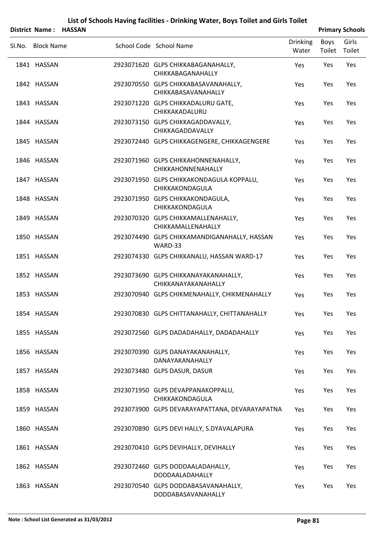|        | District Name: HASSAN |  |                                                             |                          |                | <b>Primary Schools</b> |
|--------|-----------------------|--|-------------------------------------------------------------|--------------------------|----------------|------------------------|
| Sl.No. | <b>Block Name</b>     |  | School Code School Name                                     | <b>Drinking</b><br>Water | Boys<br>Toilet | Girls<br>Toilet        |
|        | 1841 HASSAN           |  | 2923071620 GLPS CHIKKABAGANAHALLY,<br>CHIKKABAGANAHALLY     | Yes                      | Yes            | Yes                    |
|        | 1842 HASSAN           |  | 2923070550 GLPS CHIKKABASAVANAHALLY,<br>CHIKKABASAVANAHALLY | Yes                      | Yes            | Yes                    |
|        | 1843 HASSAN           |  | 2923071220 GLPS CHIKKADALURU GATE,<br>CHIKKAKADALURU        | Yes                      | Yes            | Yes                    |
|        | 1844 HASSAN           |  | 2923073150 GLPS CHIKKAGADDAVALLY,<br>CHIKKAGADDAVALLY       | Yes                      | Yes            | Yes                    |
|        | 1845 HASSAN           |  | 2923072440 GLPS CHIKKAGENGERE, CHIKKAGENGERE                | Yes                      | Yes            | Yes                    |
|        | 1846 HASSAN           |  | 2923071960 GLPS CHIKKAHONNENAHALLY,<br>CHIKKAHONNENAHALLY   | Yes                      | Yes            | Yes                    |
|        | 1847 HASSAN           |  | 2923071950 GLPS CHIKKAKONDAGULA KOPPALU,<br>CHIKKAKONDAGULA | Yes                      | Yes            | Yes                    |
|        | 1848 HASSAN           |  | 2923071950 GLPS CHIKKAKONDAGULA,<br>CHIKKAKONDAGULA         | Yes                      | Yes            | Yes                    |
|        | 1849 HASSAN           |  | 2923070320 GLPS CHIKKAMALLENAHALLY,<br>CHIKKAMALLENAHALLY   | Yes                      | Yes            | Yes                    |
|        | 1850 HASSAN           |  | 2923074490 GLPS CHIKKAMANDIGANAHALLY, HASSAN<br>WARD-33     | Yes                      | Yes            | Yes                    |
|        | 1851 HASSAN           |  | 2923074330 GLPS CHIKKANALU, HASSAN WARD-17                  | Yes                      | Yes            | Yes                    |
|        | 1852 HASSAN           |  | 2923073690 GLPS CHIKKANAYAKANAHALLY,<br>CHIKKANAYAKANAHALLY | Yes                      | Yes            | Yes                    |
|        | 1853 HASSAN           |  | 2923070940 GLPS CHIKMENAHALLY, CHIKMENAHALLY                | Yes                      | Yes            | Yes                    |
|        | 1854 HASSAN           |  | 2923070830 GLPS CHITTANAHALLY, CHITTANAHALLY                | Yes                      | Yes            | Yes                    |
|        | 1855 HASSAN           |  | 2923072560 GLPS DADADAHALLY, DADADAHALLY                    | Yes                      | Yes            | Yes                    |
|        | 1856 HASSAN           |  | 2923070390 GLPS DANAYAKANAHALLY,<br>DANAYAKANAHALLY         | Yes                      | Yes            | Yes                    |
|        | 1857 HASSAN           |  | 2923073480 GLPS DASUR, DASUR                                | Yes                      | Yes            | Yes                    |
|        | 1858 HASSAN           |  | 2923071950 GLPS DEVAPPANAKOPPALU,<br>CHIKKAKONDAGULA        | Yes                      | Yes            | Yes                    |
|        | 1859 HASSAN           |  | 2923073900 GLPS DEVARAYAPATTANA, DEVARAYAPATNA              | Yes                      | Yes            | Yes                    |
|        | 1860 HASSAN           |  | 2923070890 GLPS DEVI HALLY, S.DYAVALAPURA                   | Yes                      | Yes            | Yes                    |
|        | 1861 HASSAN           |  | 2923070410 GLPS DEVIHALLY, DEVIHALLY                        | Yes                      | Yes            | Yes                    |
|        | 1862 HASSAN           |  | 2923072460 GLPS DODDAALADAHALLY,<br>DODDAALADAHALLY         | Yes                      | Yes            | Yes                    |
|        | 1863 HASSAN           |  | 2923070540 GLPS DODDABASAVANAHALLY,<br>DODDABASAVANAHALLY   | Yes                      | Yes            | Yes                    |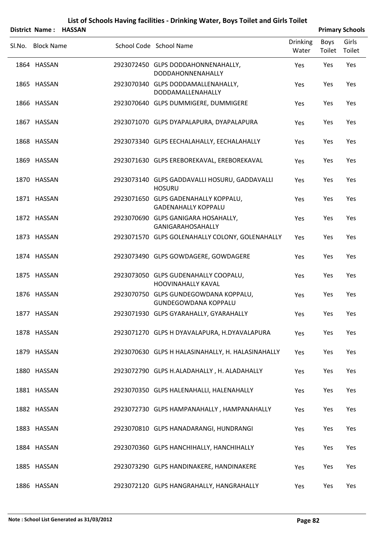|        | District Name: HASSAN |  |                                                                      |                          |                | <b>Primary Schools</b> |
|--------|-----------------------|--|----------------------------------------------------------------------|--------------------------|----------------|------------------------|
| Sl.No. | <b>Block Name</b>     |  | School Code School Name                                              | <b>Drinking</b><br>Water | Boys<br>Toilet | Girls<br>Toilet        |
|        | 1864 HASSAN           |  | 2923072450 GLPS DODDAHONNENAHALLY,<br>DODDAHONNENAHALLY              | Yes                      | Yes            | Yes                    |
|        | 1865 HASSAN           |  | 2923070340 GLPS DODDAMALLENAHALLY,<br>DODDAMALLENAHALLY              | Yes                      | Yes            | Yes                    |
|        | 1866 HASSAN           |  | 2923070640 GLPS DUMMIGERE, DUMMIGERE                                 | Yes                      | Yes            | Yes                    |
|        | 1867 HASSAN           |  | 2923071070 GLPS DYAPALAPURA, DYAPALAPURA                             | Yes                      | Yes            | Yes                    |
|        | 1868 HASSAN           |  | 2923073340 GLPS EECHALAHALLY, EECHALAHALLY                           | Yes                      | Yes            | Yes                    |
|        | 1869 HASSAN           |  | 2923071630 GLPS EREBOREKAVAL, EREBOREKAVAL                           | Yes                      | Yes            | Yes                    |
|        | 1870 HASSAN           |  | 2923073140 GLPS GADDAVALLI HOSURU, GADDAVALLI<br><b>HOSURU</b>       | Yes                      | Yes            | Yes                    |
|        | 1871 HASSAN           |  | 2923071650 GLPS GADENAHALLY KOPPALU,<br><b>GADENAHALLY KOPPALU</b>   | Yes                      | Yes            | Yes                    |
|        | 1872 HASSAN           |  | 2923070690 GLPS GANIGARA HOSAHALLY,<br>GANIGARAHOSAHALLY             | Yes                      | Yes            | Yes                    |
|        | 1873 HASSAN           |  | 2923071570 GLPS GOLENAHALLY COLONY, GOLENAHALLY                      | Yes                      | Yes            | Yes                    |
|        | 1874 HASSAN           |  | 2923073490 GLPS GOWDAGERE, GOWDAGERE                                 | Yes                      | Yes            | Yes                    |
|        | 1875 HASSAN           |  | 2923073050 GLPS GUDENAHALLY COOPALU,<br><b>HOOVINAHALLY KAVAL</b>    | Yes                      | Yes            | Yes                    |
|        | 1876 HASSAN           |  | 2923070750 GLPS GUNDEGOWDANA KOPPALU,<br><b>GUNDEGOWDANA KOPPALU</b> | Yes                      | Yes            | Yes                    |
|        | 1877 HASSAN           |  | 2923071930 GLPS GYARAHALLY, GYARAHALLY                               | Yes                      | Yes            | Yes                    |
|        | 1878 HASSAN           |  | 2923071270 GLPS H DYAVALAPURA, H.DYAVALAPURA                         | Yes                      | Yes            | Yes                    |
|        | 1879 HASSAN           |  | 2923070630 GLPS H HALASINAHALLY, H. HALASINAHALLY                    | Yes                      | Yes            | Yes                    |
|        | 1880 HASSAN           |  | 2923072790 GLPS H.ALADAHALLY, H. ALADAHALLY                          | Yes                      | Yes            | Yes                    |
|        | 1881 HASSAN           |  | 2923070350 GLPS HALENAHALLI, HALENAHALLY                             | Yes                      | Yes            | Yes                    |
|        | 1882 HASSAN           |  | 2923072730 GLPS HAMPANAHALLY, HAMPANAHALLY                           | Yes                      | Yes            | Yes                    |
|        | 1883 HASSAN           |  | 2923070810 GLPS HANADARANGI, HUNDRANGI                               | Yes                      | Yes            | Yes                    |
|        | 1884 HASSAN           |  | 2923070360 GLPS HANCHIHALLY, HANCHIHALLY                             | Yes                      | Yes            | Yes                    |
|        | 1885 HASSAN           |  | 2923073290 GLPS HANDINAKERE, HANDINAKERE                             | Yes                      | Yes            | Yes                    |
|        | 1886 HASSAN           |  | 2923072120 GLPS HANGRAHALLY, HANGRAHALLY                             | Yes                      | Yes            | Yes                    |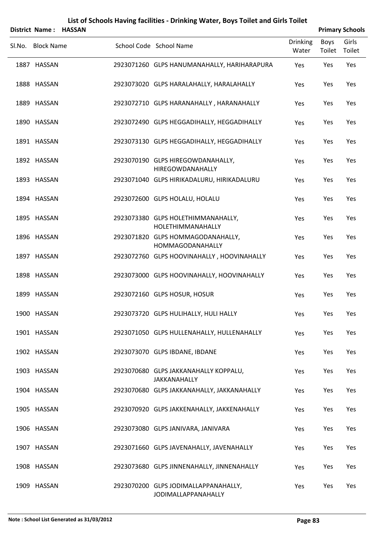|        | District Name:    | <b>HASSAN</b> |                                                              |                          | <b>Primary Schools</b> |                 |
|--------|-------------------|---------------|--------------------------------------------------------------|--------------------------|------------------------|-----------------|
| Sl.No. | <b>Block Name</b> |               | School Code School Name                                      | <b>Drinking</b><br>Water | Boys<br>Toilet         | Girls<br>Toilet |
|        | 1887 HASSAN       |               | 2923071260 GLPS HANUMANAHALLY, HARIHARAPURA                  | Yes                      | Yes                    | Yes             |
|        | 1888 HASSAN       |               | 2923073020 GLPS HARALAHALLY, HARALAHALLY                     | Yes                      | Yes                    | Yes             |
|        | 1889 HASSAN       |               | 2923072710 GLPS HARANAHALLY, HARANAHALLY                     | Yes                      | Yes                    | Yes             |
|        | 1890 HASSAN       |               | 2923072490 GLPS HEGGADIHALLY, HEGGADIHALLY                   | Yes                      | Yes                    | Yes             |
|        | 1891 HASSAN       |               | 2923073130 GLPS HEGGADIHALLY, HEGGADIHALLY                   | Yes                      | Yes                    | Yes             |
|        | 1892 HASSAN       |               | 2923070190 GLPS HIREGOWDANAHALLY,<br>HIREGOWDANAHALLY        | Yes                      | Yes                    | Yes             |
|        | 1893 HASSAN       |               | 2923071040 GLPS HIRIKADALURU, HIRIKADALURU                   | Yes                      | Yes                    | Yes             |
|        | 1894 HASSAN       |               | 2923072600 GLPS HOLALU, HOLALU                               | Yes                      | Yes                    | Yes             |
|        | 1895 HASSAN       |               | 2923073380 GLPS HOLETHIMMANAHALLY,<br>HOLETHIMMANAHALLY      | Yes                      | Yes                    | Yes             |
|        | 1896 HASSAN       |               | 2923071820 GLPS HOMMAGODANAHALLY,<br>HOMMAGODANAHALLY        | Yes                      | Yes                    | Yes             |
|        | 1897 HASSAN       |               | 2923072760 GLPS HOOVINAHALLY, HOOVINAHALLY                   | Yes                      | Yes                    | Yes             |
|        | 1898 HASSAN       |               | 2923073000 GLPS HOOVINAHALLY, HOOVINAHALLY                   | Yes                      | Yes                    | Yes             |
|        | 1899 HASSAN       |               | 2923072160 GLPS HOSUR, HOSUR                                 | Yes                      | Yes                    | Yes             |
|        | 1900 HASSAN       |               | 2923073720 GLPS HULIHALLY, HULI HALLY                        | Yes                      | Yes                    | Yes             |
|        | 1901 HASSAN       |               | 2923071050 GLPS HULLENAHALLY, HULLENAHALLY                   | Yes                      | Yes                    | Yes             |
|        | 1902 HASSAN       |               | 2923073070 GLPS IBDANE, IBDANE                               | Yes                      | Yes                    | Yes             |
|        | 1903 HASSAN       |               | 2923070680 GLPS JAKKANAHALLY KOPPALU,<br><b>JAKKANAHALLY</b> | Yes                      | Yes                    | Yes             |
|        | 1904 HASSAN       |               | 2923070680 GLPS JAKKANAHALLY, JAKKANAHALLY                   | Yes                      | Yes                    | Yes             |
|        | 1905 HASSAN       |               | 2923070920 GLPS JAKKENAHALLY, JAKKENAHALLY                   | Yes                      | Yes                    | Yes             |
|        | 1906 HASSAN       |               | 2923073080 GLPS JANIVARA, JANIVARA                           | Yes                      | Yes                    | Yes             |
|        | 1907 HASSAN       |               | 2923071660 GLPS JAVENAHALLY, JAVENAHALLY                     | Yes                      | Yes                    | Yes             |
|        | 1908 HASSAN       |               | 2923073680 GLPS JINNENAHALLY, JINNENAHALLY                   | Yes                      | Yes                    | Yes             |
|        | 1909 HASSAN       |               | 2923070200 GLPS JODIMALLAPPANAHALLY,                         | Yes                      | Yes                    | Yes             |

JODIMALLAPPANAHALLY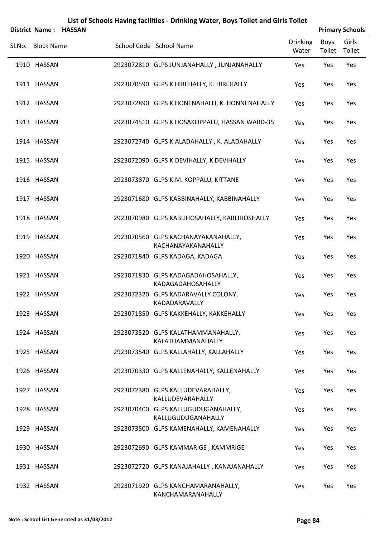|        | District Name: HASSAN |  |                                                           |                          |                | <b>Primary Schools</b> |
|--------|-----------------------|--|-----------------------------------------------------------|--------------------------|----------------|------------------------|
| Sl.No. | <b>Block Name</b>     |  | School Code School Name                                   | <b>Drinking</b><br>Water | Boys<br>Toilet | Girls<br>Toilet        |
|        | 1910 HASSAN           |  | 2923072810 GLPS JUNJANAHALLY, JUNJANAHALLY                | Yes                      | Yes            | Yes                    |
|        | 1911 HASSAN           |  | 2923070590 GLPS K HIREHALLY, K. HIREHALLY                 | Yes                      | Yes            | Yes                    |
|        | 1912 HASSAN           |  | 2923072890 GLPS K HONENAHALLI, K. HONNENAHALLY            | Yes                      | Yes            | Yes                    |
|        | 1913 HASSAN           |  | 2923074510 GLPS K HOSAKOPPALU, HASSAN WARD-35             | Yes                      | Yes            | Yes                    |
|        | 1914 HASSAN           |  | 2923072740 GLPS K.ALADAHALLY, K. ALADAHALLY               | Yes                      | Yes            | Yes                    |
|        | 1915 HASSAN           |  | 2923072090 GLPS K.DEVIHALLY, K DEVIHALLY                  | Yes                      | Yes            | Yes                    |
|        | 1916 HASSAN           |  | 2923073870 GLPS K.M. KOPPALU, KITTANE                     | Yes                      | Yes            | Yes                    |
|        | 1917 HASSAN           |  | 2923071680 GLPS KABBINAHALLY, KABBINAHALLY                | Yes                      | Yes            | Yes                    |
|        | 1918 HASSAN           |  | 2923070980 GLPS KABLIHOSAHALLY, KABLIHOSHALLY             | Yes                      | Yes            | Yes                    |
|        | 1919 HASSAN           |  | 2923070560 GLPS KACHANAYAKANAHALLY,<br>KACHANAYAKANAHALLY | Yes                      | Yes            | Yes                    |
|        | 1920 HASSAN           |  | 2923071840 GLPS KADAGA, KADAGA                            | Yes                      | Yes            | Yes                    |
|        | 1921 HASSAN           |  | 2923071830 GLPS KADAGADAHOSAHALLY,<br>KADAGADAHOSAHALLY   | Yes                      | Yes            | Yes                    |
|        | 1922 HASSAN           |  | 2923072320 GLPS KADARAVALLY COLONY,<br>KADADARAVALLY      | Yes                      | Yes            | Yes                    |
|        | 1923 HASSAN           |  | 2923071850 GLPS KAKKEHALLY, KAKKEHALLY                    | Yes                      | Yes            | Yes                    |
|        | 1924 HASSAN           |  | 2923073520 GLPS KALATHAMMANAHALLY,<br>KALATHAMMANAHALLY   | Yes                      | Yes            | Yes                    |
|        | 1925 HASSAN           |  | 2923073540 GLPS KALLAHALLY, KALLAHALLY                    | Yes                      | Yes            | Yes                    |
|        | 1926 HASSAN           |  | 2923070330 GLPS KALLENAHALLY, KALLENAHALLY                | Yes                      | Yes            | Yes                    |
|        | 1927 HASSAN           |  | 2923072380 GLPS KALLUDEVARAHALLY,<br>KALLUDEVARAHALLY     | Yes                      | Yes            | Yes                    |
|        | 1928 HASSAN           |  | 2923070400 GLPS KALLUGUDUGANAHALLY,<br>KALLUGUDUGANAHALLY | Yes                      | Yes            | Yes                    |
|        | 1929 HASSAN           |  | 2923073500 GLPS KAMENAHALLY, KAMENAHALLY                  | Yes                      | Yes            | Yes                    |
|        | 1930 HASSAN           |  | 2923072690 GLPS KAMMARIGE, KAMMRIGE                       | Yes                      | Yes            | Yes                    |
|        | 1931 HASSAN           |  | 2923072720 GLPS KANAJAHALLY, KANAJANAHALLY                | Yes                      | Yes            | Yes                    |
|        | 1932 HASSAN           |  | 2923071920 GLPS KANCHAMARANAHALLY,<br>KANCHAMARANAHALLY   | Yes                      | Yes            | Yes                    |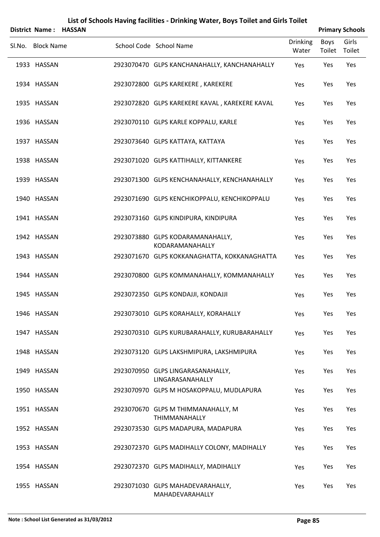|                   | District Name: HASSAN |                                                       |                          |                       | <b>Primary Schools</b> |
|-------------------|-----------------------|-------------------------------------------------------|--------------------------|-----------------------|------------------------|
| Sl.No. Block Name |                       | School Code School Name                               | <b>Drinking</b><br>Water | <b>Boys</b><br>Toilet | Girls<br>Toilet        |
| 1933 HASSAN       |                       | 2923070470 GLPS KANCHANAHALLY, KANCHANAHALLY          | Yes                      | Yes                   | Yes                    |
| 1934 HASSAN       |                       | 2923072800 GLPS KAREKERE, KAREKERE                    | Yes                      | Yes                   | Yes                    |
| 1935 HASSAN       |                       | 2923072820 GLPS KAREKERE KAVAL, KAREKERE KAVAL        | Yes                      | Yes                   | Yes                    |
| 1936 HASSAN       |                       | 2923070110 GLPS KARLE KOPPALU, KARLE                  | Yes                      | Yes                   | Yes                    |
| 1937 HASSAN       |                       | 2923073640 GLPS KATTAYA, KATTAYA                      | Yes                      | Yes                   | Yes                    |
| 1938 HASSAN       |                       | 2923071020 GLPS KATTIHALLY, KITTANKERE                | Yes                      | Yes                   | Yes                    |
| 1939 HASSAN       |                       | 2923071300 GLPS KENCHANAHALLY, KENCHANAHALLY          | Yes                      | Yes                   | Yes                    |
| 1940 HASSAN       |                       | 2923071690 GLPS KENCHIKOPPALU, KENCHIKOPPALU          | Yes                      | Yes                   | Yes                    |
| 1941 HASSAN       |                       | 2923073160 GLPS KINDIPURA, KINDIPURA                  | Yes                      | Yes                   | Yes                    |
| 1942 HASSAN       |                       | 2923073880 GLPS KODARAMANAHALLY,<br>KODARAMANAHALLY   | Yes                      | Yes                   | Yes                    |
| 1943 HASSAN       |                       | 2923071670 GLPS KOKKANAGHATTA, KOKKANAGHATTA          | Yes                      | Yes                   | Yes                    |
| 1944 HASSAN       |                       | 2923070800 GLPS KOMMANAHALLY, KOMMANAHALLY            | Yes                      | Yes                   | Yes                    |
| 1945 HASSAN       |                       | 2923072350 GLPS KONDAJJI, KONDAJJI                    | Yes                      | Yes                   | Yes                    |
| 1946 HASSAN       |                       | 2923073010 GLPS KORAHALLY, KORAHALLY                  | Yes                      | Yes                   | Yes                    |
| 1947 HASSAN       |                       | 2923070310 GLPS KURUBARAHALLY, KURUBARAHALLY          | Yes                      | Yes                   | Yes                    |
| 1948 HASSAN       |                       | 2923073120 GLPS LAKSHMIPURA, LAKSHMIPURA              | Yes                      | Yes                   | Yes                    |
| 1949 HASSAN       |                       | 2923070950 GLPS LINGARASANAHALLY,<br>LINGARASANAHALLY | Yes                      | Yes                   | Yes                    |
| 1950 HASSAN       |                       | 2923070970 GLPS M HOSAKOPPALU, MUDLAPURA              | Yes                      | Yes                   | Yes                    |
| 1951 HASSAN       |                       | 2923070670 GLPS M THIMMANAHALLY, M<br>THIMMANAHALLY   | Yes                      | Yes                   | Yes                    |
| 1952 HASSAN       |                       | 2923073530 GLPS MADAPURA, MADAPURA                    | Yes                      | Yes                   | Yes                    |
| 1953 HASSAN       |                       | 2923072370 GLPS MADIHALLY COLONY, MADIHALLY           | Yes                      | Yes                   | Yes                    |
| 1954 HASSAN       |                       | 2923072370 GLPS MADIHALLY, MADIHALLY                  | Yes                      | Yes                   | Yes                    |
| 1955 HASSAN       |                       | 2923071030 GLPS MAHADEVARAHALLY,<br>MAHADEVARAHALLY   | Yes                      | Yes                   | Yes                    |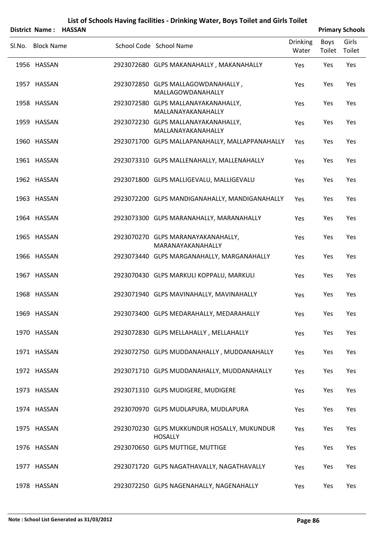|        |                   | District Name: HASSAN |                                                               |                          |                | <b>Primary Schools</b> |
|--------|-------------------|-----------------------|---------------------------------------------------------------|--------------------------|----------------|------------------------|
| Sl.No. | <b>Block Name</b> |                       | School Code School Name                                       | <b>Drinking</b><br>Water | Boys<br>Toilet | Girls<br>Toilet        |
|        | 1956 HASSAN       |                       | 2923072680 GLPS MAKANAHALLY, MAKANAHALLY                      | Yes                      | Yes            | Yes                    |
|        | 1957 HASSAN       |                       | 2923072850 GLPS MALLAGOWDANAHALLY,<br>MALLAGOWDANAHALLY       | Yes                      | Yes            | Yes                    |
|        | 1958 HASSAN       |                       | 2923072580 GLPS MALLANAYAKANAHALLY,<br>MALLANAYAKANAHALLY     | Yes                      | Yes            | Yes                    |
|        | 1959 HASSAN       |                       | 2923072230 GLPS MALLANAYAKANAHALLY,<br>MALLANAYAKANAHALLY     | Yes                      | Yes            | Yes                    |
|        | 1960 HASSAN       |                       | 2923071700 GLPS MALLAPANAHALLY, MALLAPPANAHALLY               | Yes                      | Yes            | Yes                    |
|        | 1961 HASSAN       |                       | 2923073310 GLPS MALLENAHALLY, MALLENAHALLY                    | Yes                      | Yes            | Yes                    |
|        | 1962 HASSAN       |                       | 2923071800 GLPS MALLIGEVALU, MALLIGEVALU                      | Yes                      | Yes            | Yes                    |
|        | 1963 HASSAN       |                       | 2923072200 GLPS MANDIGANAHALLY, MANDIGANAHALLY                | Yes                      | Yes            | Yes                    |
|        | 1964 HASSAN       |                       | 2923073300 GLPS MARANAHALLY, MARANAHALLY                      | Yes                      | Yes            | Yes                    |
|        | 1965 HASSAN       |                       | 2923070270 GLPS MARANAYAKANAHALLY,<br>MARANAYAKANAHALLY       | Yes                      | Yes            | Yes                    |
|        | 1966 HASSAN       |                       | 2923073440 GLPS MARGANAHALLY, MARGANAHALLY                    | Yes                      | Yes            | Yes                    |
|        | 1967 HASSAN       |                       | 2923070430 GLPS MARKULI KOPPALU, MARKULI                      | Yes                      | Yes            | Yes                    |
|        | 1968 HASSAN       |                       | 2923071940 GLPS MAVINAHALLY, MAVINAHALLY                      | Yes                      | Yes            | Yes                    |
|        | 1969 HASSAN       |                       | 2923073400 GLPS MEDARAHALLY, MEDARAHALLY                      | Yes                      | Yes            | Yes                    |
|        | 1970 HASSAN       |                       | 2923072830 GLPS MELLAHALLY, MELLAHALLY                        | Yes                      | Yes            | Yes                    |
|        | 1971 HASSAN       |                       | 2923072750 GLPS MUDDANAHALLY, MUDDANAHALLY                    | Yes                      | Yes            | Yes                    |
|        | 1972 HASSAN       |                       | 2923071710 GLPS MUDDANAHALLY, MUDDANAHALLY                    | Yes                      | Yes            | Yes                    |
|        | 1973 HASSAN       |                       | 2923071310 GLPS MUDIGERE, MUDIGERE                            | Yes                      | Yes            | Yes                    |
|        | 1974 HASSAN       |                       | 2923070970 GLPS MUDLAPURA, MUDLAPURA                          | Yes                      | Yes            | Yes                    |
|        | 1975 HASSAN       |                       | 2923070230 GLPS MUKKUNDUR HOSALLY, MUKUNDUR<br><b>HOSALLY</b> | Yes                      | Yes            | Yes                    |
|        | 1976 HASSAN       |                       | 2923070650 GLPS MUTTIGE, MUTTIGE                              | Yes                      | Yes            | Yes                    |
|        | 1977 HASSAN       |                       | 2923071720 GLPS NAGATHAVALLY, NAGATHAVALLY                    | Yes                      | Yes            | Yes                    |
|        | 1978 HASSAN       |                       | 2923072250 GLPS NAGENAHALLY, NAGENAHALLY                      | Yes                      | Yes            | Yes                    |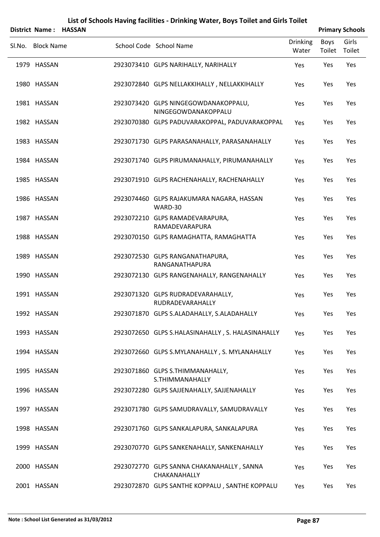| <b>District Name:</b> | <b>HASSAN</b> |                                                             |                          |                | <b>Primary Schools</b> |
|-----------------------|---------------|-------------------------------------------------------------|--------------------------|----------------|------------------------|
| Sl.No. Block Name     |               | School Code School Name                                     | <b>Drinking</b><br>Water | Boys<br>Toilet | Girls<br>Toilet        |
| 1979 HASSAN           |               | 2923073410 GLPS NARIHALLY, NARIHALLY                        | Yes                      | Yes            | Yes                    |
| 1980 HASSAN           |               | 2923072840 GLPS NELLAKKIHALLY, NELLAKKIHALLY                | Yes                      | Yes            | Yes                    |
| 1981 HASSAN           |               | 2923073420 GLPS NINGEGOWDANAKOPPALU,<br>NINGEGOWDANAKOPPALU | Yes                      | Yes            | Yes                    |
| 1982 HASSAN           |               | 2923070380 GLPS PADUVARAKOPPAL, PADUVARAKOPPAL              | Yes                      | Yes            | Yes                    |
| 1983 HASSAN           |               | 2923071730 GLPS PARASANAHALLY, PARASANAHALLY                | Yes                      | Yes            | Yes                    |
| 1984 HASSAN           |               | 2923071740 GLPS PIRUMANAHALLY, PIRUMANAHALLY                | Yes                      | Yes            | Yes                    |
| 1985 HASSAN           |               | 2923071910 GLPS RACHENAHALLY, RACHENAHALLY                  | Yes                      | Yes            | Yes                    |
| 1986 HASSAN           |               | 2923074460 GLPS RAJAKUMARA NAGARA, HASSAN<br>WARD-30        | Yes                      | Yes            | Yes                    |
| 1987 HASSAN           |               | 2923072210 GLPS RAMADEVARAPURA,<br>RAMADEVARAPURA           | Yes                      | Yes            | Yes                    |
| 1988 HASSAN           |               | 2923070150 GLPS RAMAGHATTA, RAMAGHATTA                      | Yes                      | Yes            | Yes                    |
| 1989 HASSAN           |               | 2923072530 GLPS RANGANATHAPURA,<br>RANGANATHAPURA           | Yes                      | Yes            | Yes                    |
| 1990 HASSAN           |               | 2923072130 GLPS RANGENAHALLY, RANGENAHALLY                  | Yes                      | Yes            | Yes                    |
| 1991 HASSAN           |               | 2923071320 GLPS RUDRADEVARAHALLY,<br>RUDRADEVARAHALLY       | Yes                      | Yes            | Yes                    |
| 1992 HASSAN           |               | 2923071870 GLPS S.ALADAHALLY, S.ALADAHALLY                  | Yes                      | Yes            | Yes                    |
| 1993 HASSAN           |               | 2923072650 GLPS S.HALASINAHALLY, S. HALASINAHALLY           | Yes                      | Yes            | Yes                    |
| 1994 HASSAN           |               | 2923072660 GLPS S.MYLANAHALLY, S. MYLANAHALLY               | Yes                      | Yes            | Yes                    |
| 1995 HASSAN           |               | 2923071860 GLPS S.THIMMANAHALLY,<br>S.THIMMANAHALLY         | Yes                      | Yes            | Yes                    |
| 1996 HASSAN           |               | 2923072280 GLPS SAJJENAHALLY, SAJJENAHALLY                  | Yes                      | Yes            | Yes                    |
| 1997 HASSAN           |               | 2923071780 GLPS SAMUDRAVALLY, SAMUDRAVALLY                  | Yes                      | Yes            | Yes                    |
| 1998 HASSAN           |               | 2923071760 GLPS SANKALAPURA, SANKALAPURA                    | Yes                      | Yes            | Yes                    |
| 1999 HASSAN           |               | 2923070770 GLPS SANKENAHALLY, SANKENAHALLY                  | Yes                      | Yes            | Yes                    |
| 2000 HASSAN           |               | 2923072770 GLPS SANNA CHAKANAHALLY, SANNA<br>CHAKANAHALLY   | Yes                      | Yes            | Yes                    |
| 2001 HASSAN           |               | 2923072870 GLPS SANTHE KOPPALU, SANTHE KOPPALU              | Yes                      | Yes            | Yes                    |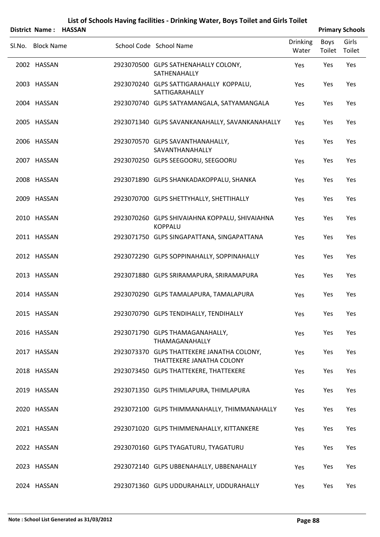|        |                   | District Name: HASSAN |                                                                         |                          |                | <b>Primary Schools</b> |
|--------|-------------------|-----------------------|-------------------------------------------------------------------------|--------------------------|----------------|------------------------|
| Sl.No. | <b>Block Name</b> |                       | School Code School Name                                                 | <b>Drinking</b><br>Water | Boys<br>Toilet | Girls<br>Toilet        |
|        | 2002 HASSAN       |                       | 2923070500 GLPS SATHENAHALLY COLONY,<br>SATHENAHALLY                    | Yes                      | Yes            | Yes                    |
|        | 2003 HASSAN       |                       | 2923070240 GLPS SATTIGARAHALLY KOPPALU,<br>SATTIGARAHALLY               | Yes                      | Yes            | Yes                    |
|        | 2004 HASSAN       |                       | 2923070740 GLPS SATYAMANGALA, SATYAMANGALA                              | Yes                      | Yes            | Yes                    |
|        | 2005 HASSAN       |                       | 2923071340 GLPS SAVANKANAHALLY, SAVANKANAHALLY                          | Yes                      | Yes            | Yes                    |
|        | 2006 HASSAN       |                       | 2923070570 GLPS SAVANTHANAHALLY,<br>SAVANTHANAHALLY                     | Yes                      | Yes            | Yes                    |
|        | 2007 HASSAN       |                       | 2923070250 GLPS SEEGOORU, SEEGOORU                                      | Yes                      | Yes            | Yes                    |
|        | 2008 HASSAN       |                       | 2923071890 GLPS SHANKADAKOPPALU, SHANKA                                 | Yes                      | Yes            | Yes                    |
|        | 2009 HASSAN       |                       | 2923070700 GLPS SHETTYHALLY, SHETTIHALLY                                | Yes                      | Yes            | Yes                    |
|        | 2010 HASSAN       |                       | 2923070260 GLPS SHIVAIAHNA KOPPALU, SHIVAIAHNA<br><b>KOPPALU</b>        | Yes                      | Yes            | Yes                    |
|        | 2011 HASSAN       |                       | 2923071750 GLPS SINGAPATTANA, SINGAPATTANA                              | Yes                      | Yes            | Yes                    |
|        | 2012 HASSAN       |                       | 2923072290 GLPS SOPPINAHALLY, SOPPINAHALLY                              | Yes                      | Yes            | Yes                    |
|        | 2013 HASSAN       |                       | 2923071880 GLPS SRIRAMAPURA, SRIRAMAPURA                                | Yes                      | Yes            | Yes                    |
|        | 2014 HASSAN       |                       | 2923070290 GLPS TAMALAPURA, TAMALAPURA                                  | Yes                      | Yes            | Yes                    |
|        | 2015 HASSAN       |                       | 2923070790 GLPS TENDIHALLY, TENDIHALLY                                  | Yes                      | Yes            | Yes                    |
|        | 2016 HASSAN       |                       | 2923071790 GLPS THAMAGANAHALLY,<br>THAMAGANAHALLY                       | Yes                      | Yes            | Yes                    |
|        | 2017 HASSAN       |                       | 2923073370 GLPS THATTEKERE JANATHA COLONY,<br>THATTEKERE JANATHA COLONY | Yes                      | Yes            | Yes                    |
|        | 2018 HASSAN       |                       | 2923073450 GLPS THATTEKERE, THATTEKERE                                  | Yes                      | Yes            | Yes                    |
|        | 2019 HASSAN       |                       | 2923071350 GLPS THIMLAPURA, THIMLAPURA                                  | Yes                      | Yes            | Yes                    |
|        | 2020 HASSAN       |                       | 2923072100 GLPS THIMMANAHALLY, THIMMANAHALLY                            | Yes                      | Yes            | Yes                    |
|        | 2021 HASSAN       |                       | 2923071020 GLPS THIMMENAHALLY, KITTANKERE                               | Yes                      | Yes            | Yes                    |
|        | 2022 HASSAN       |                       | 2923070160 GLPS TYAGATURU, TYAGATURU                                    | Yes                      | Yes            | Yes                    |
|        | 2023 HASSAN       |                       | 2923072140 GLPS UBBENAHALLY, UBBENAHALLY                                | Yes                      | Yes            | Yes                    |
|        | 2024 HASSAN       |                       | 2923071360 GLPS UDDURAHALLY, UDDURAHALLY                                | Yes                      | Yes            | Yes                    |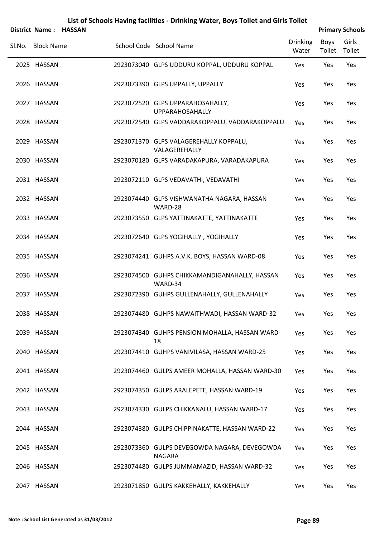|        |                   |               | List of Schools Having facilities - Drinking Water, Boys Toilet and Girls Toilet |                          |                |                        |
|--------|-------------------|---------------|----------------------------------------------------------------------------------|--------------------------|----------------|------------------------|
|        | District Name:    | <b>HASSAN</b> |                                                                                  |                          |                | <b>Primary Schools</b> |
| Sl.No. | <b>Block Name</b> |               | School Code School Name                                                          | <b>Drinking</b><br>Water | Boys<br>Toilet | Girls<br>Toilet        |
|        | 2025 HASSAN       |               | 2923073040 GLPS UDDURU KOPPAL, UDDURU KOPPAL                                     | Yes                      | Yes            | Yes                    |
|        | 2026 HASSAN       |               | 2923073390 GLPS UPPALLY, UPPALLY                                                 | Yes                      | Yes            | Yes                    |
|        | 2027 HASSAN       |               | 2923072520 GLPS UPPARAHOSAHALLY,<br><b>UPPARAHOSAHALLY</b>                       | Yes                      | Yes            | Yes                    |
|        | 2028 HASSAN       |               | 2923072540 GLPS VADDARAKOPPALU, VADDARAKOPPALU                                   | Yes                      | Yes            | Yes                    |
|        | 2029 HASSAN       |               | 2923071370 GLPS VALAGEREHALLY KOPPALU,<br>VALAGEREHALLY                          | Yes                      | Yes            | Yes                    |
|        | 2030 HASSAN       |               | 2923070180 GLPS VARADAKAPURA, VARADAKAPURA                                       | Yes                      | Yes            | Yes                    |
|        | 2031 HASSAN       |               | 2923072110 GLPS VEDAVATHI, VEDAVATHI                                             | Yes                      | Yes            | Yes                    |
|        | 2032 HASSAN       |               | 2923074440 GLPS VISHWANATHA NAGARA, HASSAN<br>WARD-28                            | Yes                      | Yes            | Yes                    |
|        | 2033 HASSAN       |               | 2923073550 GLPS YATTINAKATTE, YATTINAKATTE                                       | Yes                      | Yes            | Yes                    |
|        | 2034 HASSAN       |               | 2923072640 GLPS YOGIHALLY, YOGIHALLY                                             | Yes                      | Yes            | Yes                    |
|        | 2035 HASSAN       |               | 2923074241 GUHPS A.V.K. BOYS, HASSAN WARD-08                                     | Yes                      | Yes            | Yes                    |
|        | 2036 HASSAN       |               | 2923074500 GUHPS CHIKKAMANDIGANAHALLY, HASSAN<br>WARD-34                         | Yes                      | Yes            | Yes                    |
|        | 2037 HASSAN       |               | 2923072390 GUHPS GULLENAHALLY, GULLENAHALLY                                      | Yes                      | Yes            | Yes                    |
|        | 2038 HASSAN       |               | 2923074480 GUHPS NAWAITHWADI, HASSAN WARD-32                                     | Yes                      | Yes            | Yes                    |
|        | 2039 HASSAN       |               | 2923074340 GUHPS PENSION MOHALLA, HASSAN WARD-<br>18                             | Yes                      | Yes            | Yes                    |
|        | 2040 HASSAN       |               | 2923074410 GUHPS VANIVILASA, HASSAN WARD-25                                      | Yes                      | Yes            | Yes                    |
|        | 2041 HASSAN       |               | 2923074460 GULPS AMEER MOHALLA, HASSAN WARD-30                                   | Yes                      | Yes            | Yes                    |
|        | 2042 HASSAN       |               | 2923074350 GULPS ARALEPETE, HASSAN WARD-19                                       | Yes                      | Yes            | Yes                    |
|        | 2043 HASSAN       |               | 2923074330 GULPS CHIKKANALU, HASSAN WARD-17                                      | Yes                      | Yes            | Yes                    |
|        | 2044 HASSAN       |               | 2923074380 GULPS CHIPPINAKATTE, HASSAN WARD-22                                   | Yes                      | Yes            | Yes                    |
|        | 2045 HASSAN       |               | 2923073360 GULPS DEVEGOWDA NAGARA, DEVEGOWDA<br><b>NAGARA</b>                    | Yes                      | Yes            | Yes                    |
|        | 2046 HASSAN       |               | 2923074480 GULPS JUMMAMAZID, HASSAN WARD-32                                      | Yes                      | Yes            | Yes                    |
|        | 2047 HASSAN       |               | 2923071850 GULPS KAKKEHALLY, KAKKEHALLY                                          | Yes                      | Yes            | Yes                    |

#### **Note : School List Generated as 31/03/2012 Page 89**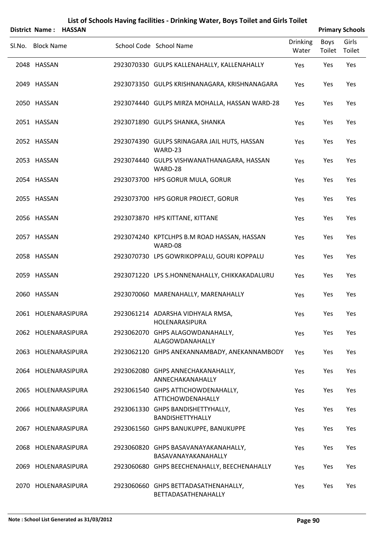| District Name: HASSAN |                                                                |                          |                | <b>Primary Schools</b> |
|-----------------------|----------------------------------------------------------------|--------------------------|----------------|------------------------|
| SI.No. Block Name     | School Code School Name                                        | <b>Drinking</b><br>Water | Boys<br>Toilet | Girls<br>Toilet        |
| 2048 HASSAN           | 2923070330 GULPS KALLENAHALLY, KALLENAHALLY                    | Yes                      | Yes            | Yes                    |
| 2049 HASSAN           | 2923073350 GULPS KRISHNANAGARA, KRISHNANAGARA                  | Yes                      | Yes            | Yes                    |
| 2050 HASSAN           | 2923074440 GULPS MIRZA MOHALLA, HASSAN WARD-28                 | Yes                      | Yes            | Yes                    |
| 2051 HASSAN           | 2923071890 GULPS SHANKA, SHANKA                                | Yes                      | Yes            | Yes                    |
| 2052 HASSAN           | 2923074390 GULPS SRINAGARA JAIL HUTS, HASSAN<br>WARD-23        | Yes                      | Yes            | Yes                    |
| 2053 HASSAN           | 2923074440 GULPS VISHWANATHANAGARA, HASSAN<br>WARD-28          | Yes                      | Yes            | Yes                    |
| 2054 HASSAN           | 2923073700 HPS GORUR MULA, GORUR                               | Yes                      | Yes            | Yes                    |
| 2055 HASSAN           | 2923073700 HPS GORUR PROJECT, GORUR                            | Yes                      | Yes            | Yes                    |
| 2056 HASSAN           | 2923073870 HPS KITTANE, KITTANE                                | Yes                      | Yes            | Yes                    |
| 2057 HASSAN           | 2923074240 KPTCLHPS B.M ROAD HASSAN, HASSAN<br>WARD-08         | Yes                      | Yes            | Yes                    |
| 2058 HASSAN           | 2923070730 LPS GOWRIKOPPALU, GOURI KOPPALU                     | Yes                      | Yes            | Yes                    |
| 2059 HASSAN           | 2923071220 LPS S.HONNENAHALLY, CHIKKAKADALURU                  | Yes                      | Yes            | Yes                    |
| 2060 HASSAN           | 2923070060 MARENAHALLY, MARENAHALLY                            | Yes                      | Yes            | Yes                    |
| 2061 HOLENARASIPURA   | 2923061214 ADARSHA VIDHYALA RMSA,<br>HOLENARASIPURA            | Yes                      | Yes            | Yes                    |
| 2062 HOLENARASIPURA   | 2923062070 GHPS ALAGOWDANAHALLY,<br>ALAGOWDANAHALLY            | Yes                      | Yes            | Yes                    |
| 2063 HOLENARASIPURA   | 2923062120 GHPS ANEKANNAMBADY, ANEKANNAMBODY                   | Yes                      | Yes            | Yes                    |
| 2064 HOLENARASIPURA   | 2923062080 GHPS ANNECHAKANAHALLY,<br>ANNECHAKANAHALLY          | Yes                      | Yes            | Yes                    |
| 2065 HOLENARASIPURA   | 2923061540 GHPS ATTICHOWDENAHALLY,<br><b>ATTICHOWDENAHALLY</b> | Yes                      | Yes            | Yes                    |
| 2066 HOLENARASIPURA   | 2923061330 GHPS BANDISHETTYHALLY,<br>BANDISHETTYHALLY          | Yes                      | Yes            | Yes                    |
| 2067 HOLENARASIPURA   | 2923061560 GHPS BANUKUPPE, BANUKUPPE                           | Yes                      | Yes            | Yes                    |
| 2068 HOLENARASIPURA   | 2923060820 GHPS BASAVANAYAKANAHALLY,<br>BASAVANAYAKANAHALLY    | Yes                      | Yes            | Yes                    |
| 2069 HOLENARASIPURA   | 2923060680 GHPS BEECHENAHALLY, BEECHENAHALLY                   | Yes                      | Yes            | Yes                    |
| 2070 HOLENARASIPURA   | 2923060660 GHPS BETTADASATHENAHALLY,<br>BETTADASATHENAHALLY    | Yes                      | Yes            | Yes                    |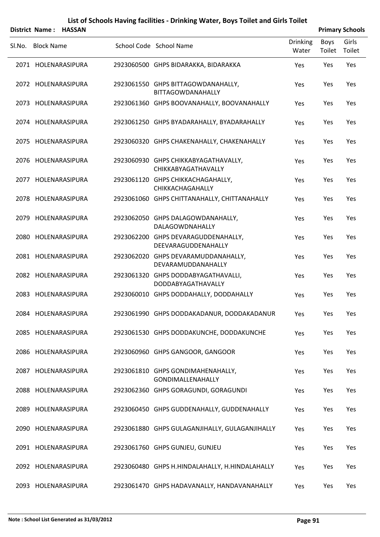|                  | District Name: HASSAN |                         | $\frac{1}{2}$ |               | <b>Primary Schools</b> |
|------------------|-----------------------|-------------------------|---------------|---------------|------------------------|
| SIM <sub>n</sub> | - Rlock Name          | School Code School Name |               | Drinking Boys | Girls                  |

| SI.No. | <b>Block Name</b>   | School Code School Name                                        | <b>Drinking</b><br>Water | Boys<br>Toilet | Girls<br>Toilet |  |
|--------|---------------------|----------------------------------------------------------------|--------------------------|----------------|-----------------|--|
|        | 2071 HOLENARASIPURA | 2923060500 GHPS BIDARAKKA, BIDARAKKA                           | Yes                      | Yes            | Yes             |  |
|        | 2072 HOLENARASIPURA | 2923061550 GHPS BITTAGOWDANAHALLY,<br><b>BITTAGOWDANAHALLY</b> | Yes                      | Yes            | Yes             |  |
|        | 2073 HOLENARASIPURA | 2923061360 GHPS BOOVANAHALLY, BOOVANAHALLY                     | Yes                      | Yes            | Yes             |  |
|        | 2074 HOLENARASIPURA | 2923061250 GHPS BYADARAHALLY, BYADARAHALLY                     | Yes                      | Yes            | Yes             |  |
|        | 2075 HOLENARASIPURA | 2923060320 GHPS CHAKENAHALLY, CHAKENAHALLY                     | Yes                      | Yes            | Yes             |  |
|        | 2076 HOLENARASIPURA | 2923060930 GHPS CHIKKABYAGATHAVALLY,<br>CHIKKABYAGATHAVALLY    | Yes                      | Yes            | Yes             |  |
|        | 2077 HOLENARASIPURA | 2923061120 GHPS CHIKKACHAGAHALLY,<br>CHIKKACHAGAHALLY          | Yes                      | Yes            | Yes             |  |
|        | 2078 HOLENARASIPURA | 2923061060 GHPS CHITTANAHALLY, CHITTANAHALLY                   | Yes                      | Yes            | Yes             |  |
|        | 2079 HOLENARASIPURA | 2923062050 GHPS DALAGOWDANAHALLY,<br>DALAGOWDNAHALLY           | Yes                      | Yes            | Yes             |  |
|        | 2080 HOLENARASIPURA | 2923062200 GHPS DEVARAGUDDENAHALLY,<br>DEEVARAGUDDENAHALLY     | Yes                      | Yes            | Yes             |  |
|        | 2081 HOLENARASIPURA | 2923062020 GHPS DEVARAMUDDANAHALLY,<br>DEVARAMUDDANAHALLY      | Yes                      | Yes            | Yes             |  |
|        | 2082 HOLENARASIPURA | 2923061320 GHPS DODDABYAGATHAVALLI,<br>DODDABYAGATHAVALLY      | Yes                      | Yes            | Yes             |  |
|        | 2083 HOLENARASIPURA | 2923060010 GHPS DODDAHALLY, DODDAHALLY                         | Yes                      | Yes            | Yes             |  |
|        | 2084 HOLENARASIPURA | 2923061990 GHPS DODDAKADANUR, DODDAKADANUR                     | Yes                      | Yes            | Yes             |  |
|        | 2085 HOLENARASIPURA | 2923061530 GHPS DODDAKUNCHE, DODDAKUNCHE                       | Yes                      | Yes            | Yes             |  |
|        | 2086 HOLENARASIPURA | 2923060960 GHPS GANGOOR, GANGOOR                               | Yes                      | Yes            | Yes             |  |
|        | 2087 HOLENARASIPURA | 2923061810 GHPS GONDIMAHENAHALLY,<br>GONDIMALLENAHALLY         | Yes                      | Yes            | Yes             |  |
|        | 2088 HOLENARASIPURA | 2923062360 GHPS GORAGUNDI, GORAGUNDI                           | Yes                      | Yes            | Yes             |  |
|        | 2089 HOLENARASIPURA | 2923060450 GHPS GUDDENAHALLY, GUDDENAHALLY                     | Yes                      | Yes            | Yes             |  |
|        | 2090 HOLENARASIPURA | 2923061880 GHPS GULAGANJIHALLY, GULAGANJIHALLY                 | Yes                      | Yes            | Yes             |  |
|        | 2091 HOLENARASIPURA | 2923061760 GHPS GUNJEU, GUNJEU                                 | Yes                      | Yes            | Yes             |  |
|        | 2092 HOLENARASIPURA | 2923060480 GHPS H.HINDALAHALLY, H.HINDALAHALLY                 | Yes                      | Yes            | Yes             |  |
|        | 2093 HOLENARASIPURA | 2923061470 GHPS HADAVANALLY, HANDAVANAHALLY                    | Yes                      | Yes            | Yes             |  |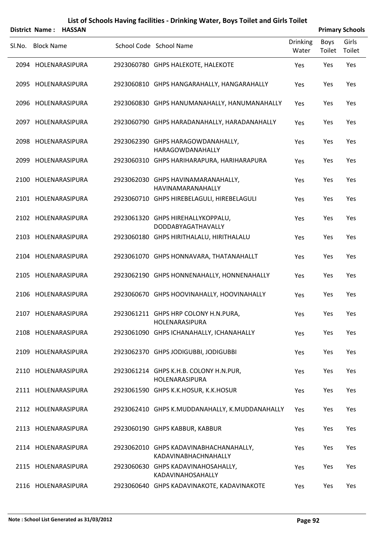|                   | District Name: HASSAN |                                                                |                          |                | <b>Primary Schools</b> |
|-------------------|-----------------------|----------------------------------------------------------------|--------------------------|----------------|------------------------|
| SI.No. Block Name |                       | School Code School Name                                        | <b>Drinking</b><br>Water | Boys<br>Toilet | Girls<br>Toilet        |
|                   | 2094 HOLENARASIPURA   | 2923060780 GHPS HALEKOTE, HALEKOTE                             | Yes                      | Yes            | Yes                    |
|                   | 2095 HOLENARASIPURA   | 2923060810 GHPS HANGARAHALLY, HANGARAHALLY                     | Yes                      | Yes            | Yes                    |
|                   | 2096 HOLENARASIPURA   | 2923060830 GHPS HANUMANAHALLY, HANUMANAHALLY                   | Yes                      | Yes            | Yes                    |
|                   | 2097 HOLENARASIPURA   | 2923060790 GHPS HARADANAHALLY, HARADANAHALLY                   | Yes                      | Yes            | Yes                    |
|                   | 2098 HOLENARASIPURA   | 2923062390 GHPS HARAGOWDANAHALLY,<br>HARAGOWDANAHALLY          | Yes                      | Yes            | Yes                    |
|                   | 2099 HOLENARASIPURA   | 2923060310 GHPS HARIHARAPURA, HARIHARAPURA                     | Yes                      | Yes            | Yes                    |
|                   | 2100 HOLENARASIPURA   | 2923062030 GHPS HAVINAMARANAHALLY,<br>HAVINAMARANAHALLY        | Yes                      | Yes            | Yes                    |
|                   | 2101 HOLENARASIPURA   | 2923060710 GHPS HIREBELAGULI, HIREBELAGULI                     | Yes                      | Yes            | Yes                    |
|                   | 2102 HOLENARASIPURA   | 2923061320 GHPS HIREHALLYKOPPALU,<br>DODDABYAGATHAVALLY        | Yes                      | Yes            | Yes                    |
|                   | 2103 HOLENARASIPURA   | 2923060180 GHPS HIRITHALALU, HIRITHALALU                       | Yes                      | Yes            | Yes                    |
|                   | 2104 HOLENARASIPURA   | 2923061070 GHPS HONNAVARA, THATANAHALLT                        | Yes                      | Yes            | Yes                    |
|                   | 2105 HOLENARASIPURA   | 2923062190 GHPS HONNENAHALLY, HONNENAHALLY                     | Yes                      | Yes            | Yes                    |
|                   | 2106 HOLENARASIPURA   | 2923060670 GHPS HOOVINAHALLY, HOOVINAHALLY                     | Yes                      | Yes            | Yes                    |
|                   | 2107 HOLENARASIPURA   | 2923061211 GHPS HRP COLONY H.N.PURA,<br>HOLENARASIPURA         | Yes                      | Yes            | Yes                    |
|                   | 2108 HOLENARASIPURA   | 2923061090 GHPS ICHANAHALLY, ICHANAHALLY                       | Yes                      | Yes            | Yes                    |
|                   | 2109 HOLENARASIPURA   | 2923062370 GHPS JODIGUBBI, JODIGUBBI                           | Yes                      | Yes            | Yes                    |
|                   | 2110 HOLENARASIPURA   | 2923061214 GHPS K.H.B. COLONY H.N.PUR,<br>HOLENARASIPURA       | Yes                      | Yes            | Yes                    |
|                   | 2111 HOLENARASIPURA   | 2923061590 GHPS K.K.HOSUR, K.K.HOSUR                           | Yes                      | Yes            | Yes                    |
|                   | 2112 HOLENARASIPURA   | 2923062410 GHPS K.MUDDANAHALLY, K.MUDDANAHALLY                 | Yes                      | Yes            | Yes                    |
|                   | 2113 HOLENARASIPURA   | 2923060190 GHPS KABBUR, KABBUR                                 | Yes                      | Yes            | Yes                    |
|                   | 2114 HOLENARASIPURA   | 2923062010 GHPS KADAVINABHACHANAHALLY,<br>KADAVINABHACHNAHALLY | Yes                      | Yes            | Yes                    |
|                   | 2115 HOLENARASIPURA   | 2923060630 GHPS KADAVINAHOSAHALLY,<br>KADAVINAHOSAHALLY        | Yes                      | Yes            | Yes                    |
|                   | 2116 HOLENARASIPURA   | 2923060640 GHPS KADAVINAKOTE, KADAVINAKOTE                     | Yes                      | Yes            | Yes                    |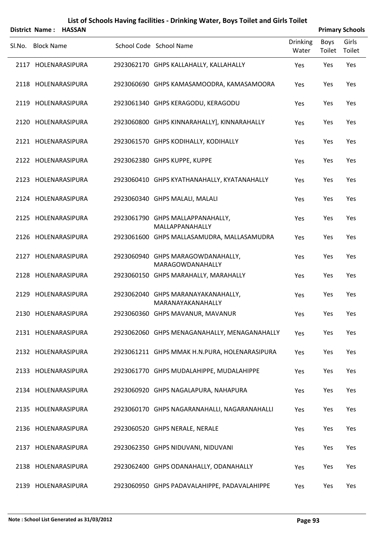|        | District Name: HASSAN |                                                         |                          |                | <b>Primary Schools</b> |
|--------|-----------------------|---------------------------------------------------------|--------------------------|----------------|------------------------|
| SI.No. | <b>Block Name</b>     | School Code School Name                                 | <b>Drinking</b><br>Water | Boys<br>Toilet | Girls<br>Toilet        |
|        | 2117 HOLENARASIPURA   | 2923062170 GHPS KALLAHALLY, KALLAHALLY                  | Yes                      | Yes            | Yes                    |
|        | 2118 HOLENARASIPURA   | 2923060690 GHPS KAMASAMOODRA, KAMASAMOORA               | Yes                      | Yes            | Yes                    |
|        | 2119 HOLENARASIPURA   | 2923061340 GHPS KERAGODU, KERAGODU                      | Yes                      | Yes            | Yes                    |
|        | 2120 HOLENARASIPURA   | 2923060800 GHPS KINNARAHALLY], KINNARAHALLY             | Yes                      | Yes            | Yes                    |
|        | 2121 HOLENARASIPURA   | 2923061570 GHPS KODIHALLY, KODIHALLY                    | Yes                      | Yes            | Yes                    |
|        | 2122 HOLENARASIPURA   | 2923062380 GHPS KUPPE, KUPPE                            | Yes                      | Yes            | Yes                    |
|        | 2123 HOLENARASIPURA   | 2923060410 GHPS KYATHANAHALLY, KYATANAHALLY             | Yes                      | Yes            | Yes                    |
|        | 2124 HOLENARASIPURA   | 2923060340 GHPS MALALI, MALALI                          | Yes                      | Yes            | Yes                    |
|        | 2125 HOLENARASIPURA   | 2923061790 GHPS MALLAPPANAHALLY,<br>MALLAPPANAHALLY     | Yes                      | Yes            | Yes                    |
|        | 2126 HOLENARASIPURA   | 2923061600 GHPS MALLASAMUDRA, MALLASAMUDRA              | Yes                      | Yes            | Yes                    |
|        | 2127 HOLENARASIPURA   | 2923060940 GHPS MARAGOWDANAHALLY,<br>MARAGOWDANAHALLY   | Yes                      | Yes            | Yes                    |
|        | 2128 HOLENARASIPURA   | 2923060150 GHPS MARAHALLY, MARAHALLY                    | Yes                      | Yes            | Yes                    |
|        | 2129 HOLENARASIPURA   | 2923062040 GHPS MARANAYAKANAHALLY,<br>MARANAYAKANAHALLY | Yes                      | Yes            | Yes                    |
|        | 2130 HOLENARASIPURA   | 2923060360 GHPS MAVANUR, MAVANUR                        | Yes                      | Yes            | Yes                    |
|        | 2131 HOLENARASIPURA   | 2923062060 GHPS MENAGANAHALLY, MENAGANAHALLY            | Yes                      | Yes            | Yes                    |
|        | 2132 HOLENARASIPURA   | 2923061211 GHPS MMAK H.N.PURA, HOLENARASIPURA           | Yes                      | Yes            | Yes                    |
|        | 2133 HOLENARASIPURA   | 2923061770 GHPS MUDALAHIPPE, MUDALAHIPPE                | Yes                      | Yes            | Yes                    |
|        | 2134 HOLENARASIPURA   | 2923060920 GHPS NAGALAPURA, NAHAPURA                    | Yes                      | Yes            | Yes                    |
|        | 2135 HOLENARASIPURA   | 2923060170 GHPS NAGARANAHALLI, NAGARANAHALLI            | Yes                      | Yes            | Yes                    |
|        | 2136 HOLENARASIPURA   | 2923060520 GHPS NERALE, NERALE                          | Yes                      | Yes            | Yes                    |
|        | 2137 HOLENARASIPURA   | 2923062350 GHPS NIDUVANI, NIDUVANI                      | Yes                      | Yes            | Yes                    |
|        | 2138 HOLENARASIPURA   | 2923062400 GHPS ODANAHALLY, ODANAHALLY                  | Yes                      | Yes            | Yes                    |
|        | 2139 HOLENARASIPURA   | 2923060950 GHPS PADAVALAHIPPE, PADAVALAHIPPE            | Yes                      | Yes            | Yes                    |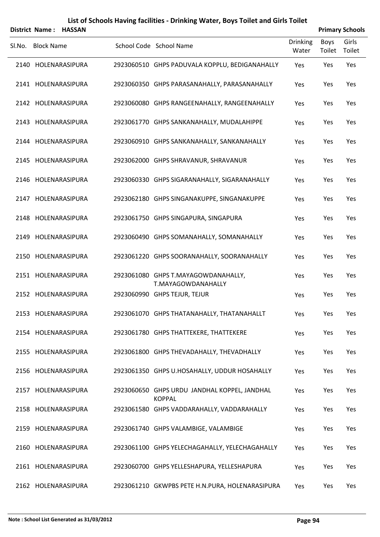|        | District Name: HASSAN |  |                                                               |                   |                | <b>Primary Schools</b> |
|--------|-----------------------|--|---------------------------------------------------------------|-------------------|----------------|------------------------|
| Sl.No. | <b>Block Name</b>     |  | School Code School Name                                       | Drinking<br>Water | Boys<br>Toilet | Girls<br>Toilet        |
|        | 2140 HOLENARASIPURA   |  | 2923060510 GHPS PADUVALA KOPPLU, BEDIGANAHALLY                | Yes               | Yes            | Yes                    |
|        | 2141 HOLENARASIPURA   |  | 2923060350 GHPS PARASANAHALLY, PARASANAHALLY                  | Yes               | Yes            | Yes                    |
|        | 2142 HOLENARASIPURA   |  | 2923060080 GHPS RANGEENAHALLY, RANGEENAHALLY                  | Yes               | Yes            | Yes                    |
|        | 2143 HOLENARASIPURA   |  | 2923061770 GHPS SANKANAHALLY, MUDALAHIPPE                     | Yes               | Yes            | Yes                    |
|        | 2144 HOLENARASIPURA   |  | 2923060910 GHPS SANKANAHALLY, SANKANAHALLY                    | Yes               | Yes            | Yes                    |
|        | 2145 HOLENARASIPURA   |  | 2923062000 GHPS SHRAVANUR, SHRAVANUR                          | Yes               | Yes            | Yes                    |
|        | 2146 HOLENARASIPURA   |  | 2923060330 GHPS SIGARANAHALLY, SIGARANAHALLY                  | Yes               | Yes            | Yes                    |
|        | 2147 HOLENARASIPURA   |  | 2923062180 GHPS SINGANAKUPPE, SINGANAKUPPE                    | Yes               | Yes            | Yes                    |
|        | 2148 HOLENARASIPURA   |  | 2923061750 GHPS SINGAPURA, SINGAPURA                          | Yes               | Yes            | Yes                    |
|        | 2149 HOLENARASIPURA   |  | 2923060490 GHPS SOMANAHALLY, SOMANAHALLY                      | Yes               | Yes            | Yes                    |
|        | 2150 HOLENARASIPURA   |  | 2923061220 GHPS SOORANAHALLY, SOORANAHALLY                    | Yes               | Yes            | Yes                    |
|        | 2151 HOLENARASIPURA   |  | 2923061080 GHPS T.MAYAGOWDANAHALLY,<br>T.MAYAGOWDANAHALLY     | Yes               | Yes            | Yes                    |
|        | 2152 HOLENARASIPURA   |  | 2923060990 GHPS TEJUR, TEJUR                                  | Yes               | Yes            | Yes                    |
|        | 2153 HOLENARASIPURA   |  | 2923061070 GHPS THATANAHALLY, THATANAHALLT                    | Yes               | Yes            | Yes                    |
|        | 2154 HOLENARASIPURA   |  | 2923061780 GHPS THATTEKERE, THATTEKERE                        | Yes               | Yes            | Yes                    |
|        | 2155 HOLENARASIPURA   |  | 2923061800 GHPS THEVADAHALLY, THEVADHALLY                     | Yes               | Yes            | Yes                    |
|        | 2156 HOLENARASIPURA   |  | 2923061350 GHPS U.HOSAHALLY, UDDUR HOSAHALLY                  | Yes               | Yes            | Yes                    |
|        | 2157 HOLENARASIPURA   |  | 2923060650 GHPS URDU JANDHAL KOPPEL, JANDHAL<br><b>KOPPAL</b> | Yes               | Yes            | Yes                    |
|        | 2158 HOLENARASIPURA   |  | 2923061580 GHPS VADDARAHALLY, VADDARAHALLY                    | Yes               | Yes            | Yes                    |
|        | 2159 HOLENARASIPURA   |  | 2923061740 GHPS VALAMBIGE, VALAMBIGE                          | Yes               | Yes            | Yes                    |
|        | 2160 HOLENARASIPURA   |  | 2923061100 GHPS YELECHAGAHALLY, YELECHAGAHALLY                | Yes               | Yes            | Yes                    |
|        | 2161 HOLENARASIPURA   |  | 2923060700 GHPS YELLESHAPURA, YELLESHAPURA                    | Yes               | Yes            | Yes                    |
|        | 2162 HOLENARASIPURA   |  | 2923061210 GKWPBS PETE H.N.PURA, HOLENARASIPURA               | Yes               | Yes            | Yes                    |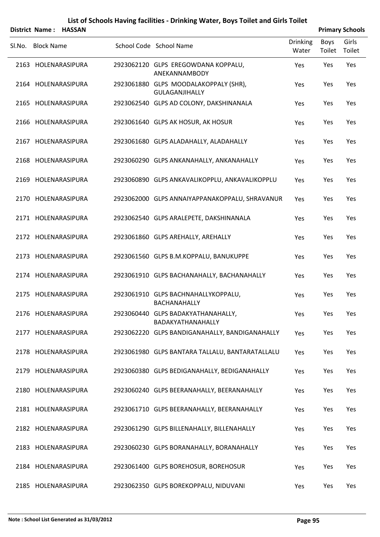|        |                   | District Name: HASSAN |                                                                |                          |                | <b>Primary Schools</b> |
|--------|-------------------|-----------------------|----------------------------------------------------------------|--------------------------|----------------|------------------------|
| SI.No. | <b>Block Name</b> |                       | School Code School Name                                        | <b>Drinking</b><br>Water | Boys<br>Toilet | Girls<br>Toilet        |
|        |                   | 2163 HOLENARASIPURA   | 2923062120 GLPS EREGOWDANA KOPPALU,<br>ANEKANNAMBODY           | Yes                      | Yes            | Yes                    |
|        |                   | 2164 HOLENARASIPURA   | 2923061880 GLPS MOODALAKOPPALY (SHR),<br><b>GULAGANJIHALLY</b> | Yes                      | Yes            | Yes                    |
|        |                   | 2165 HOLENARASIPURA   | 2923062540 GLPS AD COLONY, DAKSHINANALA                        | Yes                      | Yes            | Yes                    |
|        |                   | 2166 HOLENARASIPURA   | 2923061640 GLPS AK HOSUR, AK HOSUR                             | Yes                      | Yes            | Yes                    |
|        |                   | 2167 HOLENARASIPURA   | 2923061680 GLPS ALADAHALLY, ALADAHALLY                         | Yes                      | Yes            | Yes                    |
|        |                   | 2168 HOLENARASIPURA   | 2923060290 GLPS ANKANAHALLY, ANKANAHALLY                       | Yes                      | Yes            | Yes                    |
|        |                   | 2169 HOLENARASIPURA   | 2923060890 GLPS ANKAVALIKOPPLU, ANKAVALIKOPPLU                 | Yes                      | Yes            | Yes                    |
|        |                   | 2170 HOLENARASIPURA   | 2923062000 GLPS ANNAIYAPPANAKOPPALU, SHRAVANUR                 | Yes                      | Yes            | Yes                    |
|        |                   | 2171 HOLENARASIPURA   | 2923062540 GLPS ARALEPETE, DAKSHINANALA                        | Yes                      | Yes            | Yes                    |
|        |                   | 2172 HOLENARASIPURA   | 2923061860 GLPS AREHALLY, AREHALLY                             | Yes                      | Yes            | Yes                    |
|        |                   | 2173 HOLENARASIPURA   | 2923061560 GLPS B.M.KOPPALU, BANUKUPPE                         | Yes                      | Yes            | Yes                    |
|        |                   | 2174 HOLENARASIPURA   | 2923061910 GLPS BACHANAHALLY, BACHANAHALLY                     | Yes                      | Yes            | Yes                    |
|        |                   | 2175 HOLENARASIPURA   | 2923061910 GLPS BACHNAHALLYKOPPALU,<br><b>BACHANAHALLY</b>     | Yes                      | Yes            | Yes                    |
|        |                   | 2176 HOLENARASIPURA   | 2923060440 GLPS BADAKYATHANAHALLY,<br>BADAKYATHANAHALLY        | Yes                      | Yes            | Yes                    |
|        |                   | 2177 HOLENARASIPURA   | 2923062220 GLPS BANDIGANAHALLY, BANDIGANAHALLY                 | Yes                      | Yes            | Yes                    |
|        |                   | 2178 HOLENARASIPURA   | 2923061980 GLPS BANTARA TALLALU, BANTARATALLALU                | Yes                      | Yes            | Yes                    |
|        |                   | 2179 HOLENARASIPURA   | 2923060380 GLPS BEDIGANAHALLY, BEDIGANAHALLY                   | Yes                      | Yes            | Yes                    |
|        |                   | 2180 HOLENARASIPURA   | 2923060240 GLPS BEERANAHALLY, BEERANAHALLY                     | Yes                      | Yes            | Yes                    |
|        |                   | 2181 HOLENARASIPURA   | 2923061710 GLPS BEERANAHALLY, BEERANAHALLY                     | Yes                      | Yes            | Yes                    |
|        |                   | 2182 HOLENARASIPURA   | 2923061290 GLPS BILLENAHALLY, BILLENAHALLY                     | Yes                      | Yes            | Yes                    |
|        |                   | 2183 HOLENARASIPURA   | 2923060230 GLPS BORANAHALLY, BORANAHALLY                       | Yes                      | Yes            | Yes                    |
|        |                   | 2184 HOLENARASIPURA   | 2923061400 GLPS BOREHOSUR, BOREHOSUR                           | Yes                      | Yes            | Yes                    |
|        |                   | 2185 HOLENARASIPURA   | 2923062350 GLPS BOREKOPPALU, NIDUVANI                          | Yes                      | Yes            | Yes                    |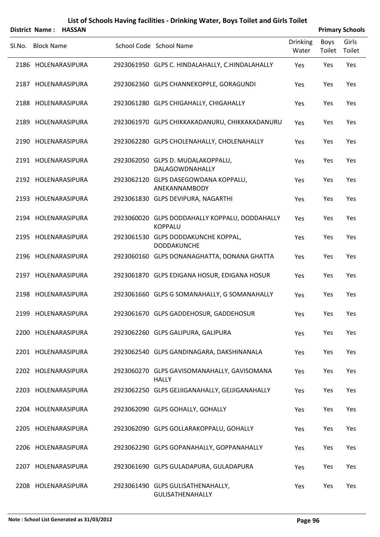|                   | District Name: HASSAN |                                                                  |                          |                | <b>Primary Schools</b> |
|-------------------|-----------------------|------------------------------------------------------------------|--------------------------|----------------|------------------------|
| SI.No. Block Name |                       | School Code School Name                                          | <b>Drinking</b><br>Water | Boys<br>Toilet | Girls<br>Toilet        |
|                   | 2186 HOLENARASIPURA   | 2923061950 GLPS C. HINDALAHALLY, C.HINDALAHALLY                  | Yes                      | Yes            | Yes                    |
|                   | 2187 HOLENARASIPURA   | 2923062360 GLPS CHANNEKOPPLE, GORAGUNDI                          | Yes                      | Yes            | Yes                    |
|                   | 2188 HOLENARASIPURA   | 2923061280 GLPS CHIGAHALLY, CHIGAHALLY                           | Yes                      | Yes            | Yes                    |
|                   | 2189 HOLENARASIPURA   | 2923061970 GLPS CHIKKAKADANURU, CHIKKAKADANURU                   | Yes                      | Yes            | Yes                    |
|                   | 2190 HOLENARASIPURA   | 2923062280 GLPS CHOLENAHALLY, CHOLENAHALLY                       | Yes                      | Yes            | Yes                    |
|                   | 2191 HOLENARASIPURA   | 2923062050 GLPS D. MUDALAKOPPALU,<br><b>DALAGOWDNAHALLY</b>      | Yes                      | Yes            | Yes                    |
|                   | 2192 HOLENARASIPURA   | 2923062120 GLPS DASEGOWDANA KOPPALU,<br>ANEKANNAMBODY            | Yes                      | Yes            | Yes                    |
|                   | 2193 HOLENARASIPURA   | 2923061830 GLPS DEVIPURA, NAGARTHI                               | Yes                      | Yes            | Yes                    |
|                   | 2194 HOLENARASIPURA   | 2923060020 GLPS DODDAHALLY KOPPALU, DODDAHALLY<br><b>KOPPALU</b> | Yes                      | Yes            | Yes                    |
|                   | 2195 HOLENARASIPURA   | 2923061530 GLPS DODDAKUNCHE KOPPAL,<br>DODDAKUNCHE               | Yes                      | Yes            | Yes                    |
|                   | 2196 HOLENARASIPURA   | 2923060160 GLPS DONANAGHATTA, DONANA GHATTA                      | Yes                      | Yes            | Yes                    |
|                   | 2197 HOLENARASIPURA   | 2923061870 GLPS EDIGANA HOSUR, EDIGANA HOSUR                     | Yes                      | Yes            | Yes                    |
|                   | 2198 HOLENARASIPURA   | 2923061660 GLPS G SOMANAHALLY, G SOMANAHALLY                     | Yes                      | Yes            | Yes                    |
|                   | 2199 HOLENARASIPURA   | 2923061670 GLPS GADDEHOSUR, GADDEHOSUR                           | Yes                      | Yes            | Yes                    |
|                   | 2200 HOLENARASIPURA   | 2923062260 GLPS GALIPURA, GALIPURA                               | Yes                      | Yes            | Yes                    |
|                   | 2201 HOLENARASIPURA   | 2923062540 GLPS GANDINAGARA, DAKSHINANALA                        | Yes                      | Yes            | Yes                    |
|                   | 2202 HOLENARASIPURA   | 2923060270 GLPS GAVISOMANAHALLY, GAVISOMANA<br><b>HALLY</b>      | Yes                      | Yes            | Yes                    |
|                   | 2203 HOLENARASIPURA   | 2923062250 GLPS GEJJIGANAHALLY, GEJJIGANAHALLY                   | Yes                      | Yes            | Yes                    |
|                   | 2204 HOLENARASIPURA   | 2923062090 GLPS GOHALLY, GOHALLY                                 | Yes                      | Yes            | Yes                    |
|                   | 2205 HOLENARASIPURA   | 2923062090 GLPS GOLLARAKOPPALU, GOHALLY                          | Yes                      | Yes            | Yes                    |
|                   | 2206 HOLENARASIPURA   | 2923062290 GLPS GOPANAHALLY, GOPPANAHALLY                        | Yes                      | Yes            | Yes                    |
|                   | 2207 HOLENARASIPURA   | 2923061690 GLPS GULADAPURA, GULADAPURA                           | Yes                      | Yes            | Yes                    |
|                   | 2208 HOLENARASIPURA   | 2923061490 GLPS GULISATHENAHALLY,<br><b>GULISATHENAHALLY</b>     | Yes                      | Yes            | Yes                    |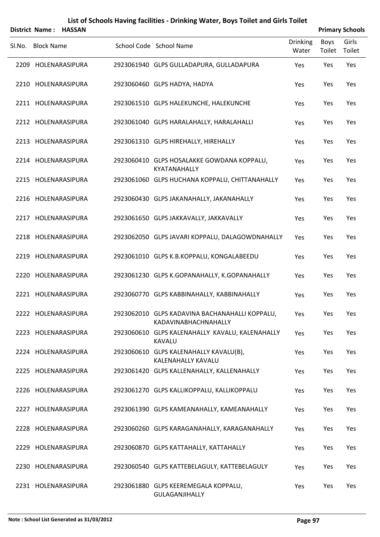|                   | District Name: HASSAN |                                                                        |                          |                | <b>Primary Schools</b> |
|-------------------|-----------------------|------------------------------------------------------------------------|--------------------------|----------------|------------------------|
| Sl.No. Block Name |                       | School Code School Name                                                | <b>Drinking</b><br>Water | Boys<br>Toilet | Girls<br>Toilet        |
|                   | 2209 HOLENARASIPURA   | 2923061940 GLPS GULLADAPURA, GULLADAPURA                               | Yes                      | Yes            | Yes                    |
|                   | 2210 HOLENARASIPURA   | 2923060460 GLPS HADYA, HADYA                                           | Yes                      | Yes            | Yes                    |
|                   | 2211 HOLENARASIPURA   | 2923061510 GLPS HALEKUNCHE, HALEKUNCHE                                 | Yes                      | Yes            | Yes                    |
|                   | 2212 HOLENARASIPURA   | 2923061040 GLPS HARALAHALLY, HARALAHALLI                               | Yes                      | Yes            | Yes                    |
|                   | 2213 HOLENARASIPURA   | 2923061310 GLPS HIREHALLY, HIREHALLY                                   | Yes                      | Yes            | Yes                    |
|                   | 2214 HOLENARASIPURA   | 2923060410 GLPS HOSALAKKE GOWDANA KOPPALU,<br>KYATANAHALLY             | Yes                      | Yes            | Yes                    |
|                   | 2215 HOLENARASIPURA   | 2923061060 GLPS HUCHANA KOPPALU, CHITTANAHALLY                         | Yes                      | Yes            | Yes                    |
|                   | 2216 HOLENARASIPURA   | 2923060430 GLPS JAKANAHALLY, JAKANAHALLY                               | Yes                      | Yes            | Yes                    |
|                   | 2217 HOLENARASIPURA   | 2923061650 GLPS JAKKAVALLY, JAKKAVALLY                                 | Yes                      | Yes            | Yes                    |
|                   | 2218 HOLENARASIPURA   | 2923062050 GLPS JAVARI KOPPALU, DALAGOWDNAHALLY                        | Yes                      | Yes            | Yes                    |
|                   | 2219 HOLENARASIPURA   | 2923061010 GLPS K.B.KOPPALU, KONGALABEEDU                              | Yes                      | Yes            | Yes                    |
|                   | 2220 HOLENARASIPURA   | 2923061230 GLPS K.GOPANAHALLY, K.GOPANAHALLY                           | Yes                      | Yes            | Yes                    |
|                   | 2221 HOLENARASIPURA   | 2923060770 GLPS KABBINAHALLY, KABBINAHALLY                             | Yes                      | Yes            | Yes                    |
|                   | 2222 HOLENARASIPURA   | 2923062010 GLPS KADAVINA BACHANAHALLI KOPPALU,<br>KADAVINABHACHNAHALLY | Yes                      | Yes            | Yes                    |
|                   | 2223 HOLENARASIPURA   | 2923060610 GLPS KALENAHALLY KAVALU, KALENAHALLY<br>KAVALU              | Yes                      | Yes            | Yes                    |
|                   | 2224 HOLENARASIPURA   | 2923060610 GLPS KALENAHALLY KAVALU(B),<br>KALENAHALLY KAVALU           | Yes                      | Yes            | Yes                    |
|                   | 2225 HOLENARASIPURA   | 2923061420 GLPS KALLENAHALLY, KALLENAHALLY                             | Yes                      | Yes            | Yes                    |
|                   | 2226 HOLENARASIPURA   | 2923061270 GLPS KALLIKOPPALU, KALLIKOPPALU                             | Yes                      | Yes            | Yes                    |
|                   | 2227 HOLENARASIPURA   | 2923061390 GLPS KAMEANAHALLY, KAMEANAHALLY                             | Yes                      | Yes            | Yes                    |
|                   | 2228 HOLENARASIPURA   | 2923060260 GLPS KARAGANAHALLY, KARAGANAHALLY                           | Yes                      | Yes            | Yes                    |
|                   | 2229 HOLENARASIPURA   | 2923060870 GLPS KATTAHALLY, KATTAHALLY                                 | Yes                      | Yes            | Yes                    |
|                   | 2230 HOLENARASIPURA   | 2923060540 GLPS KATTEBELAGULY, KATTEBELAGULY                           | Yes                      | Yes            | Yes                    |
|                   | 2231 HOLENARASIPURA   | 2923061880 GLPS KEEREMEGALA KOPPALU,<br>GULAGANJIHALLY                 | Yes                      | Yes            | Yes                    |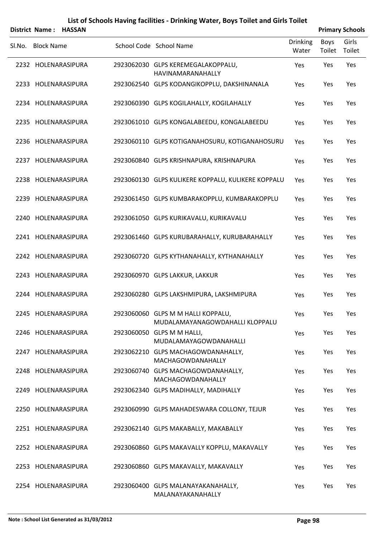|        | District Name:    | <b>HASSAN</b>       |                                                                       |                          |                       | <b>Primary Schools</b> |
|--------|-------------------|---------------------|-----------------------------------------------------------------------|--------------------------|-----------------------|------------------------|
| Sl.No. | <b>Block Name</b> |                     | School Code School Name                                               | <b>Drinking</b><br>Water | <b>Boys</b><br>Toilet | Girls<br>Toilet        |
|        |                   | 2232 HOLENARASIPURA | 2923062030 GLPS KEREMEGALAKOPPALU,<br>HAVINAMARANAHALLY               | Yes                      | Yes                   | Yes                    |
|        |                   | 2233 HOLENARASIPURA | 2923062540 GLPS KODANGIKOPPLU, DAKSHINANALA                           | Yes                      | Yes                   | Yes                    |
|        |                   | 2234 HOLENARASIPURA | 2923060390 GLPS KOGILAHALLY, KOGILAHALLY                              | Yes                      | Yes                   | Yes                    |
|        |                   | 2235 HOLENARASIPURA | 2923061010 GLPS KONGALABEEDU, KONGALABEEDU                            | Yes                      | Yes                   | Yes                    |
|        |                   | 2236 HOLENARASIPURA | 2923060110 GLPS KOTIGANAHOSURU, KOTIGANAHOSURU                        | Yes                      | Yes                   | Yes                    |
|        |                   | 2237 HOLENARASIPURA | 2923060840 GLPS KRISHNAPURA, KRISHNAPURA                              | Yes                      | Yes                   | Yes                    |
|        |                   | 2238 HOLENARASIPURA | 2923060130 GLPS KULIKERE KOPPALU, KULIKERE KOPPALU                    | Yes                      | Yes                   | Yes                    |
|        |                   | 2239 HOLENARASIPURA | 2923061450 GLPS KUMBARAKOPPLU, KUMBARAKOPPLU                          | Yes                      | Yes                   | Yes                    |
|        |                   | 2240 HOLENARASIPURA | 2923061050 GLPS KURIKAVALU, KURIKAVALU                                | Yes                      | Yes                   | Yes                    |
|        |                   | 2241 HOLENARASIPURA | 2923061460 GLPS KURUBARAHALLY, KURUBARAHALLY                          | Yes                      | Yes                   | Yes                    |
|        |                   | 2242 HOLENARASIPURA | 2923060720 GLPS KYTHANAHALLY, KYTHANAHALLY                            | Yes                      | Yes                   | Yes                    |
|        |                   | 2243 HOLENARASIPURA | 2923060970 GLPS LAKKUR, LAKKUR                                        | Yes                      | Yes                   | Yes                    |
|        |                   | 2244 HOLENARASIPURA | 2923060280 GLPS LAKSHMIPURA, LAKSHMIPURA                              | Yes                      | Yes                   | Yes                    |
|        |                   | 2245 HOLENARASIPURA | 2923060060 GLPS M M HALLI KOPPALU,<br>MUDALAMAYANAGOWDAHALLI KLOPPALU | Yes                      | Yes                   | Yes                    |
|        |                   | 2246 HOLENARASIPURA | 2923060050 GLPS M M HALLI,<br>MUDALAMAYAGOWDANAHALLI                  | Yes                      | Yes                   | Yes                    |
|        |                   | 2247 HOLENARASIPURA | 2923062210 GLPS MACHAGOWDANAHALLY,<br>MACHAGOWDANAHALLY               | Yes                      | Yes                   | Yes                    |
|        |                   | 2248 HOLENARASIPURA | 2923060740 GLPS MACHAGOWDANAHALLY,<br>MACHAGOWDANAHALLY               | Yes                      | Yes                   | Yes                    |
|        |                   | 2249 HOLENARASIPURA | 2923062340 GLPS MADIHALLY, MADIHALLY                                  | Yes                      | Yes                   | Yes                    |
|        |                   | 2250 HOLENARASIPURA | 2923060990 GLPS MAHADESWARA COLLONY, TEJUR                            | Yes                      | Yes                   | Yes                    |
|        |                   | 2251 HOLENARASIPURA | 2923062140 GLPS MAKABALLY, MAKABALLY                                  | Yes                      | Yes                   | Yes                    |
|        |                   | 2252 HOLENARASIPURA | 2923060860 GLPS MAKAVALLY KOPPLU, MAKAVALLY                           | Yes                      | Yes                   | Yes                    |
|        |                   | 2253 HOLENARASIPURA | 2923060860 GLPS MAKAVALLY, MAKAVALLY                                  | Yes                      | Yes                   | Yes                    |
|        |                   | 2254 HOLENARASIPURA | 2923060400 GLPS MALANAYAKANAHALLY,<br>MALANAYAKANAHALLY               | Yes                      | Yes                   | Yes                    |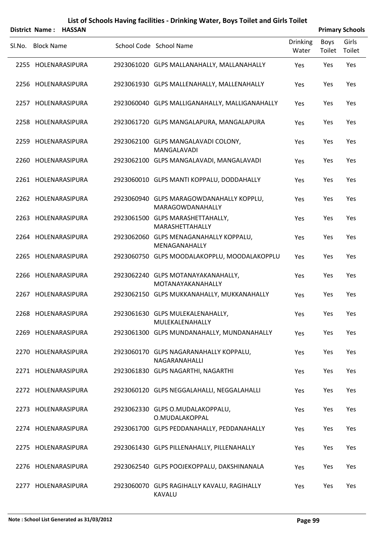|        |                   | District Name: HASSAN |                                                              |                          |                | <b>Primary Schools</b> |
|--------|-------------------|-----------------------|--------------------------------------------------------------|--------------------------|----------------|------------------------|
| SI.No. | <b>Block Name</b> |                       | School Code School Name                                      | <b>Drinking</b><br>Water | Boys<br>Toilet | Girls<br>Toilet        |
|        |                   | 2255 HOLENARASIPURA   | 2923061020 GLPS MALLANAHALLY, MALLANAHALLY                   | Yes                      | Yes            | Yes                    |
|        |                   | 2256 HOLENARASIPURA   | 2923061930 GLPS MALLENAHALLY, MALLENAHALLY                   | Yes                      | Yes            | Yes                    |
|        |                   | 2257 HOLENARASIPURA   | 2923060040 GLPS MALLIGANAHALLY, MALLIGANAHALLY               | Yes                      | Yes            | Yes                    |
|        |                   | 2258 HOLENARASIPURA   | 2923061720 GLPS MANGALAPURA, MANGALAPURA                     | Yes                      | Yes            | Yes                    |
|        |                   | 2259 HOLENARASIPURA   | 2923062100 GLPS MANGALAVADI COLONY,<br>MANGALAVADI           | Yes                      | Yes            | Yes                    |
|        |                   | 2260 HOLENARASIPURA   | 2923062100 GLPS MANGALAVADI, MANGALAVADI                     | Yes                      | Yes            | Yes                    |
|        |                   | 2261 HOLENARASIPURA   | 2923060010 GLPS MANTI KOPPALU, DODDAHALLY                    | Yes                      | Yes            | Yes                    |
|        |                   | 2262 HOLENARASIPURA   | 2923060940 GLPS MARAGOWDANAHALLY KOPPLU,<br>MARAGOWDANAHALLY | Yes                      | Yes            | Yes                    |
|        |                   | 2263 HOLENARASIPURA   | 2923061500 GLPS MARASHETTAHALLY,<br>MARASHETTAHALLY          | Yes                      | Yes            | Yes                    |
|        |                   | 2264 HOLENARASIPURA   | 2923062060 GLPS MENAGANAHALLY KOPPALU,<br>MENAGANAHALLY      | Yes                      | Yes            | Yes                    |
|        |                   | 2265 HOLENARASIPURA   | 2923060750 GLPS MOODALAKOPPLU, MOODALAKOPPLU                 | Yes                      | Yes            | Yes                    |
|        |                   | 2266 HOLENARASIPURA   | 2923062240 GLPS MOTANAYAKANAHALLY,<br>MOTANAYAKANAHALLY      | Yes                      | Yes            | Yes                    |
|        |                   | 2267 HOLENARASIPURA   | 2923062150 GLPS MUKKANAHALLY, MUKKANAHALLY                   | Yes                      | Yes            | Yes                    |
|        |                   | 2268 HOLENARASIPURA   | 2923061630 GLPS MULEKALENAHALLY,<br>MULEKALENAHALLY          | Yes                      | Yes            | Yes                    |
|        |                   | 2269 HOLENARASIPURA   | 2923061300 GLPS MUNDANAHALLY, MUNDANAHALLY                   | Yes                      | Yes            | Yes                    |
|        |                   | 2270 HOLENARASIPURA   | 2923060170 GLPS NAGARANAHALLY KOPPALU,<br>NAGARANAHALLI      | Yes                      | Yes            | Yes                    |
|        |                   | 2271 HOLENARASIPURA   | 2923061830 GLPS NAGARTHI, NAGARTHI                           | Yes                      | Yes            | Yes                    |
|        |                   | 2272 HOLENARASIPURA   | 2923060120 GLPS NEGGALAHALLI, NEGGALAHALLI                   | Yes                      | Yes            | Yes                    |
|        |                   | 2273 HOLENARASIPURA   | 2923062330 GLPS O.MUDALAKOPPALU,<br>O.MUDALAKOPPAL           | Yes                      | Yes            | Yes                    |
|        |                   | 2274 HOLENARASIPURA   | 2923061700 GLPS PEDDANAHALLY, PEDDANAHALLY                   | Yes                      | Yes            | Yes                    |
|        |                   | 2275 HOLENARASIPURA   | 2923061430 GLPS PILLENAHALLY, PILLENAHALLY                   | Yes                      | Yes            | Yes                    |
|        |                   | 2276 HOLENARASIPURA   | 2923062540 GLPS POOJEKOPPALU, DAKSHINANALA                   | Yes                      | Yes            | Yes                    |
|        |                   | 2277 HOLENARASIPURA   | 2923060070 GLPS RAGIHALLY KAVALU, RAGIHALLY<br><b>KAVALU</b> | Yes                      | Yes            | Yes                    |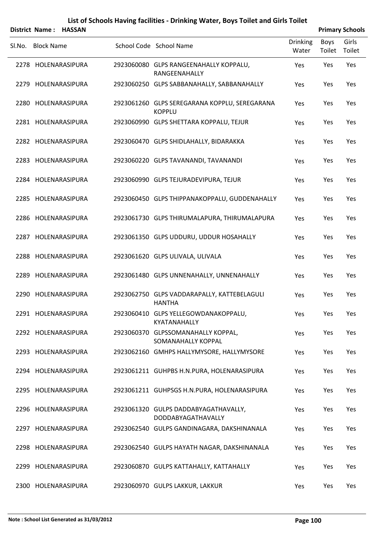|        |                   | District Name: HASSAN |                                                                |                          |                | <b>Primary Schools</b> |
|--------|-------------------|-----------------------|----------------------------------------------------------------|--------------------------|----------------|------------------------|
| Sl.No. | <b>Block Name</b> |                       | School Code School Name                                        | <b>Drinking</b><br>Water | Boys<br>Toilet | Girls<br>Toilet        |
|        |                   | 2278 HOLENARASIPURA   | 2923060080 GLPS RANGEENAHALLY KOPPALU,<br>RANGEENAHALLY        | Yes                      | Yes            | Yes                    |
|        |                   | 2279 HOLENARASIPURA   | 2923060250 GLPS SABBANAHALLY, SABBANAHALLY                     | Yes                      | Yes            | Yes                    |
|        |                   | 2280 HOLENARASIPURA   | 2923061260 GLPS SEREGARANA KOPPLU, SEREGARANA<br><b>KOPPLU</b> | Yes                      | Yes            | Yes                    |
|        |                   | 2281 HOLENARASIPURA   | 2923060990 GLPS SHETTARA KOPPALU, TEJUR                        | Yes                      | Yes            | Yes                    |
|        |                   | 2282 HOLENARASIPURA   | 2923060470 GLPS SHIDLAHALLY, BIDARAKKA                         | Yes                      | Yes            | Yes                    |
|        |                   | 2283 HOLENARASIPURA   | 2923060220 GLPS TAVANANDI, TAVANANDI                           | Yes                      | Yes            | Yes                    |
|        |                   | 2284 HOLENARASIPURA   | 2923060990 GLPS TEJURADEVIPURA, TEJUR                          | Yes                      | Yes            | Yes                    |
|        |                   | 2285 HOLENARASIPURA   | 2923060450 GLPS THIPPANAKOPPALU, GUDDENAHALLY                  | Yes                      | Yes            | Yes                    |
|        |                   | 2286 HOLENARASIPURA   | 2923061730 GLPS THIRUMALAPURA, THIRUMALAPURA                   | Yes                      | Yes            | Yes                    |
|        |                   | 2287 HOLENARASIPURA   | 2923061350 GLPS UDDURU, UDDUR HOSAHALLY                        | Yes                      | Yes            | Yes                    |
|        |                   | 2288 HOLENARASIPURA   | 2923061620 GLPS ULIVALA, ULIVALA                               | Yes                      | Yes            | Yes                    |
|        |                   | 2289 HOLENARASIPURA   | 2923061480 GLPS UNNENAHALLY, UNNENAHALLY                       | Yes                      | Yes            | Yes                    |
|        |                   | 2290 HOLENARASIPURA   | 2923062750 GLPS VADDARAPALLY, KATTEBELAGULI<br><b>HANTHA</b>   | Yes                      | Yes            | Yes                    |
|        |                   | 2291 HOLENARASIPURA   | 2923060410 GLPS YELLEGOWDANAKOPPALU,<br>KYATANAHALLY           | Yes                      | Yes            | Yes                    |
|        |                   | 2292 HOLENARASIPURA   | 2923060370 GLPSSOMANAHALLY KOPPAL,<br>SOMANAHALLY KOPPAL       | Yes                      | Yes            | Yes                    |
|        |                   | 2293 HOLENARASIPURA   | 2923062160 GMHPS HALLYMYSORE, HALLYMYSORE                      | Yes                      | Yes            | Yes                    |
|        |                   | 2294 HOLENARASIPURA   | 2923061211 GUHPBS H.N.PURA, HOLENARASIPURA                     | Yes                      | Yes            | Yes                    |
|        |                   | 2295 HOLENARASIPURA   | 2923061211 GUHPSGS H.N.PURA, HOLENARASIPURA                    | Yes                      | Yes            | Yes                    |
|        |                   | 2296 HOLENARASIPURA   | 2923061320 GULPS DADDABYAGATHAVALLY,<br>DODDABYAGATHAVALLY     | Yes                      | Yes            | Yes                    |
|        |                   | 2297 HOLENARASIPURA   | 2923062540 GULPS GANDINAGARA, DAKSHINANALA                     | Yes                      | Yes            | Yes                    |
|        |                   | 2298 HOLENARASIPURA   | 2923062540 GULPS HAYATH NAGAR, DAKSHINANALA                    | Yes                      | Yes            | Yes                    |
|        |                   | 2299 HOLENARASIPURA   | 2923060870 GULPS KATTAHALLY, KATTAHALLY                        | Yes                      | Yes            | Yes                    |
|        |                   | 2300 HOLENARASIPURA   | 2923060970 GULPS LAKKUR, LAKKUR                                | Yes                      | Yes            | Yes                    |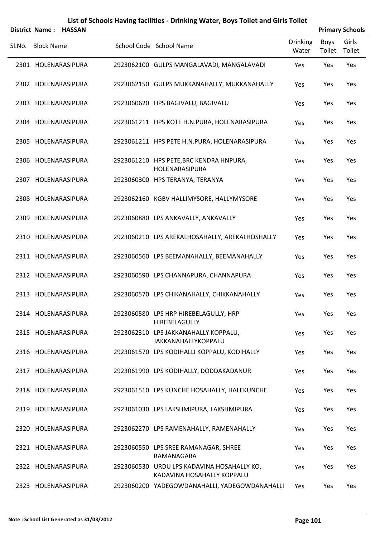|        | District Name: HASSAN |  |                                                                          |                          |                | <b>Primary Schools</b> |
|--------|-----------------------|--|--------------------------------------------------------------------------|--------------------------|----------------|------------------------|
| Sl.No. | <b>Block Name</b>     |  | School Code School Name                                                  | <b>Drinking</b><br>Water | Boys<br>Toilet | Girls<br>Toilet        |
|        | 2301 HOLENARASIPURA   |  | 2923062100 GULPS MANGALAVADI, MANGALAVADI                                | Yes                      | Yes            | Yes                    |
|        | 2302 HOLENARASIPURA   |  | 2923062150 GULPS MUKKANAHALLY, MUKKANAHALLY                              | Yes                      | Yes            | Yes                    |
|        | 2303 HOLENARASIPURA   |  | 2923060620 HPS BAGIVALU, BAGIVALU                                        | Yes                      | Yes            | Yes                    |
|        | 2304 HOLENARASIPURA   |  | 2923061211 HPS KOTE H.N.PURA, HOLENARASIPURA                             | Yes                      | Yes            | Yes                    |
|        | 2305 HOLENARASIPURA   |  | 2923061211 HPS PETE H.N.PURA, HOLENARASIPURA                             | Yes                      | Yes            | Yes                    |
|        | 2306 HOLENARASIPURA   |  | 2923061210 HPS PETE, BRC KENDRA HNPURA,<br>HOLENARASIPURA                | Yes                      | Yes            | Yes                    |
|        | 2307 HOLENARASIPURA   |  | 2923060300 HPS TERANYA, TERANYA                                          | Yes                      | Yes            | Yes                    |
|        | 2308 HOLENARASIPURA   |  | 2923062160 KGBV HALLIMYSORE, HALLYMYSORE                                 | Yes                      | Yes            | Yes                    |
|        | 2309 HOLENARASIPURA   |  | 2923060880 LPS ANKAVALLY, ANKAVALLY                                      | Yes                      | Yes            | Yes                    |
|        | 2310 HOLENARASIPURA   |  | 2923060210 LPS AREKALHOSAHALLY, AREKALHOSHALLY                           | Yes                      | Yes            | Yes                    |
|        | 2311 HOLENARASIPURA   |  | 2923060560 LPS BEEMANAHALLY, BEEMANAHALLY                                | Yes                      | Yes            | Yes                    |
|        | 2312 HOLENARASIPURA   |  | 2923060590 LPS CHANNAPURA, CHANNAPURA                                    | Yes                      | Yes            | Yes                    |
|        | 2313 HOLENARASIPURA   |  | 2923060570 LPS CHIKANAHALLY, CHIKKANAHALLY                               | Yes                      | Yes            | Yes                    |
|        | 2314 HOLENARASIPURA   |  | 2923060580 LPS HRP HIREBELAGULLY, HRP<br>HIREBELAGULLY                   | Yes                      | Yes            | Yes                    |
|        | 2315 HOLENARASIPURA   |  | 2923062310 LPS JAKKANAHALLY KOPPALU,<br>JAKKANAHALLYKOPPALU              | Yes                      | Yes            | Yes                    |
|        | 2316 HOLENARASIPURA   |  | 2923061570 LPS KODIHALLI KOPPALU, KODIHALLY                              | Yes                      | Yes            | Yes                    |
|        | 2317 HOLENARASIPURA   |  | 2923061990 LPS KODIHALLY, DODDAKADANUR                                   | Yes                      | Yes            | Yes                    |
|        | 2318 HOLENARASIPURA   |  | 2923061510 LPS KUNCHE HOSAHALLY, HALEKUNCHE                              | Yes                      | Yes            | Yes                    |
|        | 2319 HOLENARASIPURA   |  | 2923061030 LPS LAKSHMIPURA, LAKSHMIPURA                                  | Yes                      | Yes            | Yes                    |
|        | 2320 HOLENARASIPURA   |  | 2923062270 LPS RAMENAHALLY, RAMENAHALLY                                  | Yes                      | Yes            | Yes                    |
|        | 2321 HOLENARASIPURA   |  | 2923060550 LPS SREE RAMANAGAR, SHREE<br>RAMANAGARA                       | Yes                      | Yes            | Yes                    |
|        | 2322 HOLENARASIPURA   |  | 2923060530 URDU LPS KADAVINA HOSAHALLY KO,<br>KADAVINA HOSAHALLY KOPPALU | Yes                      | Yes            | Yes                    |
|        | 2323 HOLENARASIPURA   |  | 2923060200 YADEGOWDANAHALLI, YADEGOWDANAHALLI                            | Yes                      | Yes            | Yes                    |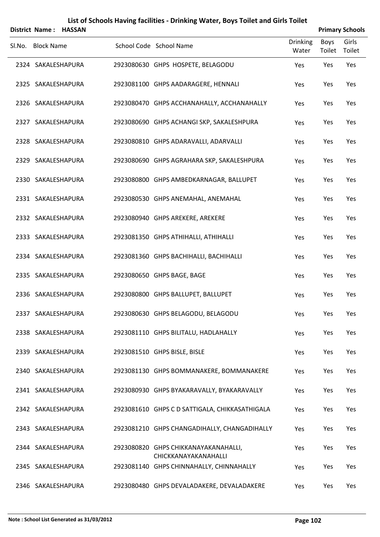|        | District Name: HASSAN |  |                                                              |                          | <b>Primary Schools</b> |                 |
|--------|-----------------------|--|--------------------------------------------------------------|--------------------------|------------------------|-----------------|
| Sl.No. | <b>Block Name</b>     |  | School Code School Name                                      | <b>Drinking</b><br>Water | <b>Boys</b><br>Toilet  | Girls<br>Toilet |
|        | 2324 SAKALESHAPURA    |  | 2923080630 GHPS HOSPETE, BELAGODU                            | Yes                      | Yes                    | Yes             |
|        | 2325 SAKALESHAPURA    |  | 2923081100 GHPS AADARAGERE, HENNALI                          | Yes                      | Yes                    | Yes             |
|        | 2326 SAKALESHAPURA    |  | 2923080470 GHPS ACCHANAHALLY, ACCHANAHALLY                   | Yes                      | Yes                    | Yes             |
|        | 2327 SAKALESHAPURA    |  | 2923080690 GHPS ACHANGI SKP, SAKALESHPURA                    | Yes                      | Yes                    | Yes             |
|        | 2328 SAKALESHAPURA    |  | 2923080810 GHPS ADARAVALLI, ADARVALLI                        | Yes                      | Yes                    | Yes             |
|        | 2329 SAKALESHAPURA    |  | 2923080690 GHPS AGRAHARA SKP, SAKALESHPURA                   | Yes                      | Yes                    | Yes             |
|        | 2330 SAKALESHAPURA    |  | 2923080800 GHPS AMBEDKARNAGAR, BALLUPET                      | Yes                      | Yes                    | Yes             |
|        | 2331 SAKALESHAPURA    |  | 2923080530 GHPS ANEMAHAL, ANEMAHAL                           | Yes                      | Yes                    | Yes             |
|        | 2332 SAKALESHAPURA    |  | 2923080940 GHPS AREKERE, AREKERE                             | Yes                      | Yes                    | Yes             |
|        | 2333 SAKALESHAPURA    |  | 2923081350 GHPS ATHIHALLI, ATHIHALLI                         | Yes                      | Yes                    | Yes             |
|        | 2334 SAKALESHAPURA    |  | 2923081360 GHPS BACHIHALLI, BACHIHALLI                       | Yes                      | Yes                    | Yes             |
|        | 2335 SAKALESHAPURA    |  | 2923080650 GHPS BAGE, BAGE                                   | Yes                      | Yes                    | Yes             |
|        | 2336 SAKALESHAPURA    |  | 2923080800 GHPS BALLUPET, BALLUPET                           | Yes                      | Yes                    | Yes             |
|        | 2337 SAKALESHAPURA    |  | 2923080630 GHPS BELAGODU, BELAGODU                           | Yes                      | Yes                    | Yes             |
|        | 2338 SAKALESHAPURA    |  | 2923081110 GHPS BILITALU, HADLAHALLY                         | Yes                      | Yes                    | Yes             |
|        | 2339 SAKALESHAPURA    |  | 2923081510 GHPS BISLE, BISLE                                 | Yes                      | Yes                    | Yes             |
|        | 2340 SAKALESHAPURA    |  | 2923081130 GHPS BOMMANAKERE, BOMMANAKERE                     | Yes                      | Yes                    | Yes             |
|        | 2341 SAKALESHAPURA    |  | 2923080930 GHPS BYAKARAVALLY, BYAKARAVALLY                   | Yes                      | Yes                    | Yes             |
|        | 2342 SAKALESHAPURA    |  | 2923081610 GHPS C D SATTIGALA, CHIKKASATHIGALA               | Yes                      | Yes                    | Yes             |
|        | 2343 SAKALESHAPURA    |  | 2923081210 GHPS CHANGADIHALLY, CHANGADIHALLY                 | Yes                      | Yes                    | Yes             |
|        | 2344 SAKALESHAPURA    |  | 2923080820 GHPS CHIKKANAYAKANAHALLI,<br>CHICKKANAYAKANAHALLI | Yes                      | Yes                    | Yes             |
|        | 2345 SAKALESHAPURA    |  | 2923081140 GHPS CHINNAHALLY, CHINNAHALLY                     | Yes                      | Yes                    | Yes             |

2346 SAKALESHAPURA 2923080480 GHPS DEVALADAKERE, DEVALADAKERE Yes Yes Yes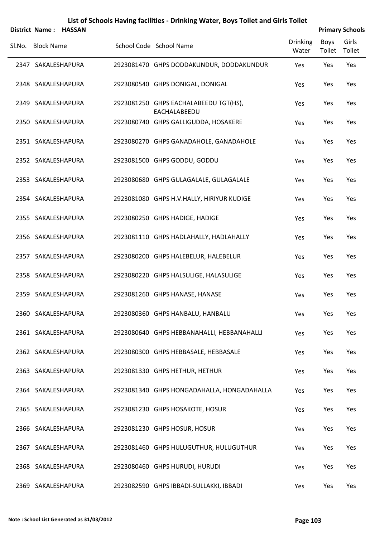| District Name: HASSAN |  |                                                       |                          |                | <b>Primary Schools</b> |
|-----------------------|--|-------------------------------------------------------|--------------------------|----------------|------------------------|
| Sl.No. Block Name     |  | School Code School Name                               | <b>Drinking</b><br>Water | Boys<br>Toilet | Girls<br>Toilet        |
| 2347 SAKALESHAPURA    |  | 2923081470 GHPS DODDAKUNDUR, DODDAKUNDUR              | Yes                      | Yes            | Yes                    |
| 2348 SAKALESHAPURA    |  | 2923080540 GHPS DONIGAL, DONIGAL                      | Yes                      | Yes            | Yes                    |
| 2349 SAKALESHAPURA    |  | 2923081250 GHPS EACHALABEEDU TGT(HS),<br>EACHALABEEDU | Yes                      | Yes            | Yes                    |
| 2350 SAKALESHAPURA    |  | 2923080740 GHPS GALLIGUDDA, HOSAKERE                  | Yes                      | Yes            | Yes                    |
| 2351 SAKALESHAPURA    |  | 2923080270 GHPS GANADAHOLE, GANADAHOLE                | Yes                      | Yes            | Yes                    |
| 2352 SAKALESHAPURA    |  | 2923081500 GHPS GODDU, GODDU                          | Yes                      | Yes            | Yes                    |
| 2353 SAKALESHAPURA    |  | 2923080680 GHPS GULAGALALE, GULAGALALE                | Yes                      | Yes            | Yes                    |
| 2354 SAKALESHAPURA    |  | 2923081080 GHPS H.V.HALLY, HIRIYUR KUDIGE             | Yes                      | Yes            | Yes                    |
| 2355 SAKALESHAPURA    |  | 2923080250 GHPS HADIGE, HADIGE                        | Yes                      | Yes            | Yes                    |
| 2356 SAKALESHAPURA    |  | 2923081110 GHPS HADLAHALLY, HADLAHALLY                | Yes                      | Yes            | Yes                    |
| 2357 SAKALESHAPURA    |  | 2923080200 GHPS HALEBELUR, HALEBELUR                  | Yes                      | Yes            | Yes                    |
| 2358 SAKALESHAPURA    |  | 2923080220 GHPS HALSULIGE, HALASULIGE                 | Yes                      | Yes            | Yes                    |
| 2359 SAKALESHAPURA    |  | 2923081260 GHPS HANASE, HANASE                        | Yes                      | Yes            | Yes                    |
| 2360 SAKALESHAPURA    |  | 2923080360 GHPS HANBALU, HANBALU                      | Yes                      | Yes            | Yes                    |
| 2361 SAKALESHAPURA    |  | 2923080640 GHPS HEBBANAHALLI, HEBBANAHALLI            | Yes                      | Yes            | Yes                    |
| 2362 SAKALESHAPURA    |  | 2923080300 GHPS HEBBASALE, HEBBASALE                  | Yes                      | Yes            | Yes                    |
| 2363 SAKALESHAPURA    |  | 2923081330 GHPS HETHUR, HETHUR                        | Yes                      | Yes            | Yes                    |
| 2364 SAKALESHAPURA    |  | 2923081340 GHPS HONGADAHALLA, HONGADAHALLA            | Yes                      | Yes            | Yes                    |
| 2365 SAKALESHAPURA    |  | 2923081230 GHPS HOSAKOTE, HOSUR                       | Yes                      | Yes            | Yes                    |
| 2366 SAKALESHAPURA    |  | 2923081230 GHPS HOSUR, HOSUR                          | Yes                      | Yes            | Yes                    |
| 2367 SAKALESHAPURA    |  | 2923081460 GHPS HULUGUTHUR, HULUGUTHUR                | Yes                      | Yes            | Yes                    |
| 2368 SAKALESHAPURA    |  | 2923080460 GHPS HURUDI, HURUDI                        | Yes                      | Yes            | Yes                    |
| 2369 SAKALESHAPURA    |  | 2923082590 GHPS IBBADI-SULLAKKI, IBBADI               | Yes                      | Yes            | Yes                    |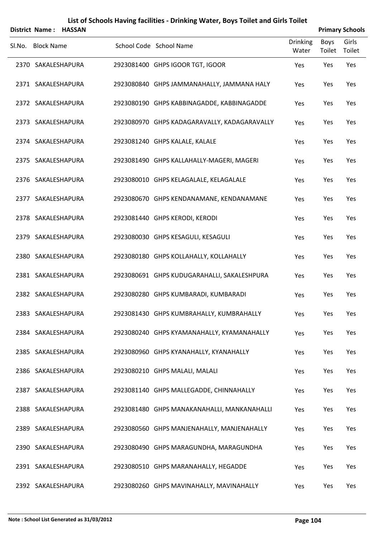|        |                    | District Name: HASSAN |                                              |                          |                | <b>Primary Schools</b> |
|--------|--------------------|-----------------------|----------------------------------------------|--------------------------|----------------|------------------------|
| Sl.No. | <b>Block Name</b>  |                       | School Code School Name                      | <b>Drinking</b><br>Water | Boys<br>Toilet | Girls<br>Toilet        |
|        | 2370 SAKALESHAPURA |                       | 2923081400 GHPS IGOOR TGT, IGOOR             | Yes                      | Yes            | Yes                    |
|        | 2371 SAKALESHAPURA |                       | 2923080840 GHPS JAMMANAHALLY, JAMMANA HALY   | Yes                      | Yes            | Yes                    |
|        | 2372 SAKALESHAPURA |                       | 2923080190 GHPS KABBINAGADDE, KABBINAGADDE   | Yes                      | Yes            | Yes                    |
|        | 2373 SAKALESHAPURA |                       | 2923080970 GHPS KADAGARAVALLY, KADAGARAVALLY | Yes                      | Yes            | Yes                    |
|        | 2374 SAKALESHAPURA |                       | 2923081240 GHPS KALALE, KALALE               | Yes                      | Yes            | Yes                    |
|        | 2375 SAKALESHAPURA |                       | 2923081490 GHPS KALLAHALLY-MAGERI, MAGERI    | Yes                      | Yes            | Yes                    |
|        | 2376 SAKALESHAPURA |                       | 2923080010 GHPS KELAGALALE, KELAGALALE       | Yes                      | Yes            | Yes                    |
|        | 2377 SAKALESHAPURA |                       | 2923080670 GHPS KENDANAMANE, KENDANAMANE     | Yes                      | Yes            | Yes                    |
|        | 2378 SAKALESHAPURA |                       | 2923081440 GHPS KERODI, KERODI               | Yes                      | Yes            | Yes                    |
|        | 2379 SAKALESHAPURA |                       | 2923080030 GHPS KESAGULI, KESAGULI           | Yes                      | Yes            | Yes                    |
|        | 2380 SAKALESHAPURA |                       | 2923080180 GHPS KOLLAHALLY, KOLLAHALLY       | Yes                      | Yes            | Yes                    |
|        | 2381 SAKALESHAPURA |                       | 2923080691 GHPS KUDUGARAHALLI, SAKALESHPURA  | Yes                      | Yes            | Yes                    |
|        | 2382 SAKALESHAPURA |                       | 2923080280 GHPS KUMBARADI, KUMBARADI         | Yes                      | Yes            | Yes                    |
|        | 2383 SAKALESHAPURA |                       | 2923081430 GHPS KUMBRAHALLY, KUMBRAHALLY     | Yes                      | Yes            | Yes                    |
|        | 2384 SAKALESHAPURA |                       | 2923080240 GHPS KYAMANAHALLY, KYAMANAHALLY   | Yes                      | Yes            | Yes                    |
|        | 2385 SAKALESHAPURA |                       | 2923080960 GHPS KYANAHALLY, KYANAHALLY       | Yes                      | Yes            | Yes                    |
|        | 2386 SAKALESHAPURA |                       | 2923080210 GHPS MALALI, MALALI               | Yes                      | Yes            | Yes                    |
|        | 2387 SAKALESHAPURA |                       | 2923081140 GHPS MALLEGADDE, CHINNAHALLY      | Yes                      | Yes            | Yes                    |
|        | 2388 SAKALESHAPURA |                       | 2923081480 GHPS MANAKANAHALLI, MANKANAHALLI  | Yes                      | Yes            | Yes                    |
|        | 2389 SAKALESHAPURA |                       | 2923080560 GHPS MANJENAHALLY, MANJENAHALLY   | Yes                      | Yes            | Yes                    |
|        | 2390 SAKALESHAPURA |                       | 2923080490 GHPS MARAGUNDHA, MARAGUNDHA       | Yes                      | Yes            | Yes                    |
|        | 2391 SAKALESHAPURA |                       | 2923080510 GHPS MARANAHALLY, HEGADDE         | Yes                      | Yes            | Yes                    |
|        | 2392 SAKALESHAPURA |                       | 2923080260 GHPS MAVINAHALLY, MAVINAHALLY     | Yes                      | Yes            | Yes                    |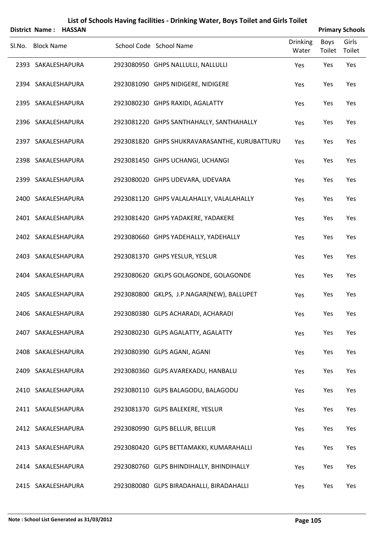|        | District Name: HASSAN |  |                                               |                          |                | <b>Primary Schools</b> |
|--------|-----------------------|--|-----------------------------------------------|--------------------------|----------------|------------------------|
| Sl.No. | <b>Block Name</b>     |  | School Code School Name                       | <b>Drinking</b><br>Water | Boys<br>Toilet | Girls<br>Toilet        |
|        | 2393 SAKALESHAPURA    |  | 2923080950 GHPS NALLULLI, NALLULLI            | Yes                      | Yes            | Yes                    |
|        | 2394 SAKALESHAPURA    |  | 2923081090 GHPS NIDIGERE, NIDIGERE            | Yes                      | Yes            | Yes                    |
|        | 2395 SAKALESHAPURA    |  | 2923080230 GHPS RAXIDI, AGALATTY              | Yes                      | Yes            | Yes                    |
|        | 2396 SAKALESHAPURA    |  | 2923081220 GHPS SANTHAHALLY, SANTHAHALLY      | Yes                      | Yes            | Yes                    |
|        | 2397 SAKALESHAPURA    |  | 2923081820 GHPS SHUKRAVARASANTHE, KURUBATTURU | Yes                      | Yes            | Yes                    |
|        | 2398 SAKALESHAPURA    |  | 2923081450 GHPS UCHANGI, UCHANGI              | Yes                      | Yes            | Yes                    |
|        | 2399 SAKALESHAPURA    |  | 2923080020 GHPS UDEVARA, UDEVARA              | Yes                      | Yes            | Yes                    |
|        | 2400 SAKALESHAPURA    |  | 2923081120 GHPS VALALAHALLY, VALALAHALLY      | Yes                      | Yes            | Yes                    |
|        | 2401 SAKALESHAPURA    |  | 2923081420 GHPS YADAKERE, YADAKERE            | Yes                      | Yes            | Yes                    |
|        | 2402 SAKALESHAPURA    |  | 2923080660 GHPS YADEHALLY, YADEHALLY          | Yes                      | Yes            | Yes                    |
|        | 2403 SAKALESHAPURA    |  | 2923081370 GHPS YESLUR, YESLUR                | Yes                      | Yes            | Yes                    |
|        | 2404 SAKALESHAPURA    |  | 2923080620 GKLPS GOLAGONDE, GOLAGONDE         | Yes                      | Yes            | Yes                    |
|        | 2405 SAKALESHAPURA    |  | 2923080800 GKLPS, J.P.NAGAR(NEW), BALLUPET    | Yes                      | Yes            | Yes                    |
|        | 2406 SAKALESHAPURA    |  | 2923080380 GLPS ACHARADI, ACHARADI            | Yes                      | Yes            | Yes                    |
|        | 2407 SAKALESHAPURA    |  | 2923080230 GLPS AGALATTY, AGALATTY            | Yes                      | Yes            | Yes                    |
|        | 2408 SAKALESHAPURA    |  | 2923080390 GLPS AGANI, AGANI                  | Yes                      | Yes            | Yes                    |
|        | 2409 SAKALESHAPURA    |  | 2923080360 GLPS AVAREKADU, HANBALU            | Yes                      | Yes            | Yes                    |
|        | 2410 SAKALESHAPURA    |  | 2923080110 GLPS BALAGODU, BALAGODU            | Yes                      | Yes            | Yes                    |
|        | 2411 SAKALESHAPURA    |  | 2923081370 GLPS BALEKERE, YESLUR              | Yes                      | Yes            | Yes                    |
|        | 2412 SAKALESHAPURA    |  | 2923080990 GLPS BELLUR, BELLUR                | Yes                      | Yes            | Yes                    |
|        | 2413 SAKALESHAPURA    |  | 2923080420 GLPS BETTAMAKKI, KUMARAHALLI       | Yes                      | Yes            | Yes                    |
|        | 2414 SAKALESHAPURA    |  | 2923080760 GLPS BHINDIHALLY, BHINDIHALLY      | Yes                      | Yes            | Yes                    |
|        | 2415 SAKALESHAPURA    |  | 2923080080 GLPS BIRADAHALLI, BIRADAHALLI      | Yes                      | Yes            | Yes                    |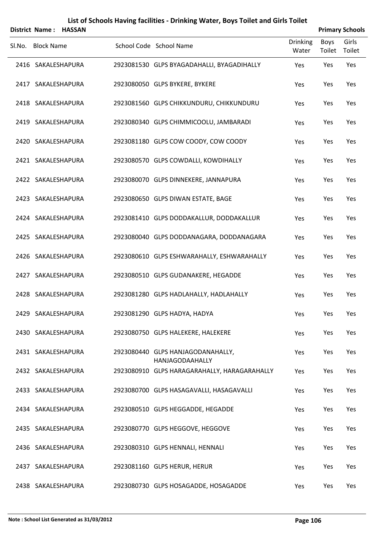| District Name: HASSAN |  |                                                      |                          |                | <b>Primary Schools</b> |
|-----------------------|--|------------------------------------------------------|--------------------------|----------------|------------------------|
| Sl.No. Block Name     |  | School Code School Name                              | <b>Drinking</b><br>Water | Boys<br>Toilet | Girls<br>Toilet        |
| 2416 SAKALESHAPURA    |  | 2923081530 GLPS BYAGADAHALLI, BYAGADIHALLY           | Yes                      | Yes            | Yes                    |
| 2417 SAKALESHAPURA    |  | 2923080050 GLPS BYKERE, BYKERE                       | Yes                      | Yes            | Yes                    |
| 2418 SAKALESHAPURA    |  | 2923081560 GLPS CHIKKUNDURU, CHIKKUNDURU             | Yes                      | Yes            | Yes                    |
| 2419 SAKALESHAPURA    |  | 2923080340 GLPS CHIMMICOOLU, JAMBARADI               | Yes                      | Yes            | Yes                    |
| 2420 SAKALESHAPURA    |  | 2923081180 GLPS COW COODY, COW COODY                 | Yes                      | Yes            | Yes                    |
| 2421 SAKALESHAPURA    |  | 2923080570 GLPS COWDALLI, KOWDIHALLY                 | Yes                      | Yes            | Yes                    |
| 2422 SAKALESHAPURA    |  | 2923080070 GLPS DINNEKERE, JANNAPURA                 | Yes                      | Yes            | Yes                    |
| 2423 SAKALESHAPURA    |  | 2923080650 GLPS DIWAN ESTATE, BAGE                   | Yes                      | Yes            | Yes                    |
| 2424 SAKALESHAPURA    |  | 2923081410 GLPS DODDAKALLUR, DODDAKALLUR             | Yes                      | Yes            | Yes                    |
| 2425 SAKALESHAPURA    |  | 2923080040 GLPS DODDANAGARA, DODDANAGARA             | Yes                      | Yes            | Yes                    |
| 2426 SAKALESHAPURA    |  | 2923080610 GLPS ESHWARAHALLY, ESHWARAHALLY           | Yes                      | Yes            | Yes                    |
| 2427 SAKALESHAPURA    |  | 2923080510 GLPS GUDANAKERE, HEGADDE                  | Yes                      | Yes            | Yes                    |
| 2428 SAKALESHAPURA    |  | 2923081280 GLPS HADLAHALLY, HADLAHALLY               | Yes                      | Yes            | Yes                    |
| 2429 SAKALESHAPURA    |  | 2923081290 GLPS HADYA, HADYA                         | Yes                      | Yes            | Yes                    |
| 2430 SAKALESHAPURA    |  | 2923080750 GLPS HALEKERE, HALEKERE                   | Yes                      | Yes            | Yes                    |
| 2431 SAKALESHAPURA    |  | 2923080440 GLPS HANJAGODANAHALLY,<br>HANJAGODAAHALLY | Yes                      | Yes            | Yes                    |
| 2432 SAKALESHAPURA    |  | 2923080910 GLPS HARAGARAHALLY, HARAGARAHALLY         | Yes                      | Yes            | Yes                    |
| 2433 SAKALESHAPURA    |  | 2923080700 GLPS HASAGAVALLI, HASAGAVALLI             | Yes                      | Yes            | Yes                    |
| 2434 SAKALESHAPURA    |  | 2923080510 GLPS HEGGADDE, HEGADDE                    | Yes                      | Yes            | Yes                    |
| 2435 SAKALESHAPURA    |  | 2923080770 GLPS HEGGOVE, HEGGOVE                     | Yes                      | Yes            | Yes                    |
| 2436 SAKALESHAPURA    |  | 2923080310 GLPS HENNALI, HENNALI                     | Yes                      | Yes            | Yes                    |
| 2437 SAKALESHAPURA    |  | 2923081160 GLPS HERUR, HERUR                         | Yes                      | Yes            | Yes                    |
| 2438 SAKALESHAPURA    |  | 2923080730 GLPS HOSAGADDE, HOSAGADDE                 | Yes                      | Yes            | Yes                    |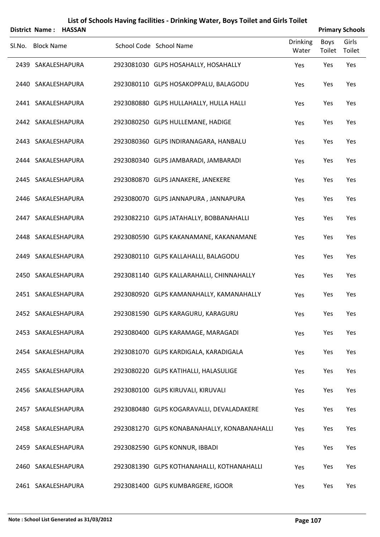| List of Schools Having facilities - Drinking Water, Boys Toilet and Girls Toilet |  |
|----------------------------------------------------------------------------------|--|
|----------------------------------------------------------------------------------|--|

|        |                    | District Name: HASSAN |                                              |                          |                | <b>Primary Schools</b> |
|--------|--------------------|-----------------------|----------------------------------------------|--------------------------|----------------|------------------------|
| Sl.No. | <b>Block Name</b>  |                       | School Code School Name                      | <b>Drinking</b><br>Water | Boys<br>Toilet | Girls<br>Toilet        |
|        | 2439 SAKALESHAPURA |                       | 2923081030 GLPS HOSAHALLY, HOSAHALLY         | Yes                      | Yes            | Yes                    |
|        | 2440 SAKALESHAPURA |                       | 2923080110 GLPS HOSAKOPPALU, BALAGODU        | Yes                      | Yes            | Yes                    |
|        | 2441 SAKALESHAPURA |                       | 2923080880 GLPS HULLAHALLY, HULLA HALLI      | Yes                      | Yes            | Yes                    |
|        | 2442 SAKALESHAPURA |                       | 2923080250 GLPS HULLEMANE, HADIGE            | Yes                      | Yes            | Yes                    |
|        | 2443 SAKALESHAPURA |                       | 2923080360 GLPS INDIRANAGARA, HANBALU        | Yes                      | Yes            | Yes                    |
|        | 2444 SAKALESHAPURA |                       | 2923080340 GLPS JAMBARADI, JAMBARADI         | Yes                      | Yes            | Yes                    |
|        | 2445 SAKALESHAPURA |                       | 2923080870 GLPS JANAKERE, JANEKERE           | Yes                      | Yes            | Yes                    |
|        | 2446 SAKALESHAPURA |                       | 2923080070 GLPS JANNAPURA, JANNAPURA         | Yes                      | Yes            | Yes                    |
|        | 2447 SAKALESHAPURA |                       | 2923082210 GLPS JATAHALLY, BOBBANAHALLI      | Yes                      | Yes            | Yes                    |
|        | 2448 SAKALESHAPURA |                       | 2923080590 GLPS KAKANAMANE, KAKANAMANE       | Yes                      | Yes            | Yes                    |
|        | 2449 SAKALESHAPURA |                       | 2923080110 GLPS KALLAHALLI, BALAGODU         | Yes                      | Yes            | Yes                    |
|        | 2450 SAKALESHAPURA |                       | 2923081140 GLPS KALLARAHALLI, CHINNAHALLY    | Yes                      | Yes            | Yes                    |
|        | 2451 SAKALESHAPURA |                       | 2923080920 GLPS KAMANAHALLY, KAMANAHALLY     | Yes                      | Yes            | Yes                    |
|        | 2452 SAKALESHAPURA |                       | 2923081590 GLPS KARAGURU, KARAGURU           | Yes                      | Yes            | Yes                    |
|        | 2453 SAKALESHAPURA |                       | 2923080400 GLPS KARAMAGE, MARAGADI           | Yes                      | Yes            | Yes                    |
|        | 2454 SAKALESHAPURA |                       | 2923081070 GLPS KARDIGALA, KARADIGALA        | Yes                      | Yes            | Yes                    |
|        | 2455 SAKALESHAPURA |                       | 2923080220 GLPS KATIHALLI, HALASULIGE        | Yes                      | Yes            | Yes                    |
|        | 2456 SAKALESHAPURA |                       | 2923080100 GLPS KIRUVALI, KIRUVALI           | Yes                      | Yes            | Yes                    |
|        | 2457 SAKALESHAPURA |                       | 2923080480 GLPS KOGARAVALLI, DEVALADAKERE    | Yes                      | Yes            | Yes                    |
|        | 2458 SAKALESHAPURA |                       | 2923081270 GLPS KONABANAHALLY, KONABANAHALLI | Yes                      | Yes            | Yes                    |
|        | 2459 SAKALESHAPURA |                       | 2923082590 GLPS KONNUR, IBBADI               | Yes                      | Yes            | Yes                    |
|        | 2460 SAKALESHAPURA |                       | 2923081390 GLPS KOTHANAHALLI, KOTHANAHALLI   | Yes                      | Yes            | Yes                    |
|        | 2461 SAKALESHAPURA |                       | 2923081400 GLPS KUMBARGERE, IGOOR            | Yes                      | Yes            | Yes                    |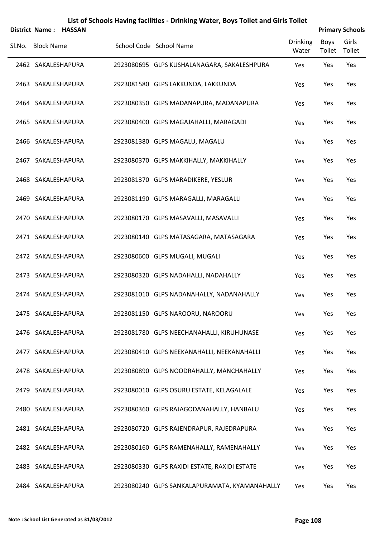|        | District Name:     | <b>HASSAN</b> |                                             |                          |                       | <b>Primary Schools</b> |
|--------|--------------------|---------------|---------------------------------------------|--------------------------|-----------------------|------------------------|
| Sl.No. | <b>Block Name</b>  |               | School Code School Name                     | <b>Drinking</b><br>Water | <b>Boys</b><br>Toilet | Girls<br>Toilet        |
|        | 2462 SAKALESHAPURA |               | 2923080695 GLPS KUSHALANAGARA, SAKALESHPURA | Yes                      | Yes                   | Yes                    |
|        | 2463 SAKALESHAPURA |               | 2923081580 GLPS LAKKUNDA, LAKKUNDA          | Yes                      | Yes                   | Yes                    |
|        | 2464 SAKALESHAPURA |               | 2923080350 GLPS MADANAPURA, MADANAPURA      | Yes                      | Yes                   | Yes                    |
|        | 2465 SAKALESHAPURA |               | 2923080400 GLPS MAGAJAHALLI, MARAGADI       | Yes                      | Yes                   | Yes                    |
|        | 2466 SAKALESHAPURA |               | 2923081380 GLPS MAGALU, MAGALU              | Yes                      | Yes                   | Yes                    |
|        | 2467 SAKALESHAPURA |               | 2923080370 GLPS MAKKIHALLY, MAKKIHALLY      | Yes                      | Yes                   | Yes                    |
|        | 2468 SAKALESHAPURA |               | 2923081370 GLPS MARADIKERE, YESLUR          | Yes                      | Yes                   | Yes                    |
|        | 2469 SAKALESHAPURA |               | 2923081190 GLPS MARAGALLI, MARAGALLI        | Yes                      | Yes                   | Yes                    |
|        | 2470 SAKALESHAPURA |               | 2923080170 GLPS MASAVALLI, MASAVALLI        | Yes                      | Yes                   | Yes                    |
|        | 2471 SAKALESHAPURA |               | 2923080140 GLPS MATASAGARA, MATASAGARA      | Yes                      | Yes                   | Yes                    |
|        | 2472 SAKALESHAPURA |               | 2923080600 GLPS MUGALI, MUGALI              | Yes                      | Yes                   | Yes                    |
|        | 2473 SAKALESHAPURA |               | 2923080320 GLPS NADAHALLI, NADAHALLY        | Yes                      | Yes                   | Yes                    |
|        | 2474 SAKALESHAPURA |               | 2923081010 GLPS NADANAHALLY, NADANAHALLY    | Yes                      | Yes                   | Yes                    |
|        | 2475 SAKALESHAPURA |               | 2923081150 GLPS NAROORU, NAROORU            | Yes                      | Yes                   | Yes                    |
|        | 2476 SAKALESHAPURA |               | 2923081780 GLPS NEECHANAHALLI, KIRUHUNASE   | Yes                      | Yes                   | Yes                    |
|        | 2477 SAKALESHAPURA |               | 2923080410 GLPS NEEKANAHALLI, NEEKANAHALLI  | Yes                      | Yes                   | Yes                    |
|        | 2478 SAKALESHAPURA |               | 2923080890 GLPS NOODRAHALLY, MANCHAHALLY    | Yes                      | Yes                   | Yes                    |
|        | 2479 SAKALESHAPURA |               | 2923080010 GLPS OSURU ESTATE, KELAGALALE    | Yes                      | Yes                   | Yes                    |
|        | 2480 SAKALESHAPURA |               | 2923080360 GLPS RAJAGODANAHALLY, HANBALU    | Yes                      | Yes                   | Yes                    |
|        | 2481 SAKALESHAPURA |               | 2923080720 GLPS RAJENDRAPUR, RAJEDRAPURA    | Yes                      | Yes                   | Yes                    |
|        | 2482 SAKALESHAPURA |               | 2923080160 GLPS RAMENAHALLY, RAMENAHALLY    | Yes                      | Yes                   | Yes                    |
|        |                    |               |                                             |                          |                       |                        |

2483 SAKALESHAPURA 2923080330 GLPS RAXIDI ESTATE, RAXIDI ESTATE Yes Yes Yes

2484 SAKALESHAPURA 2923080240 GLPS SANKALAPURAMATA, KYAMANAHALLY Yes Yes Yes